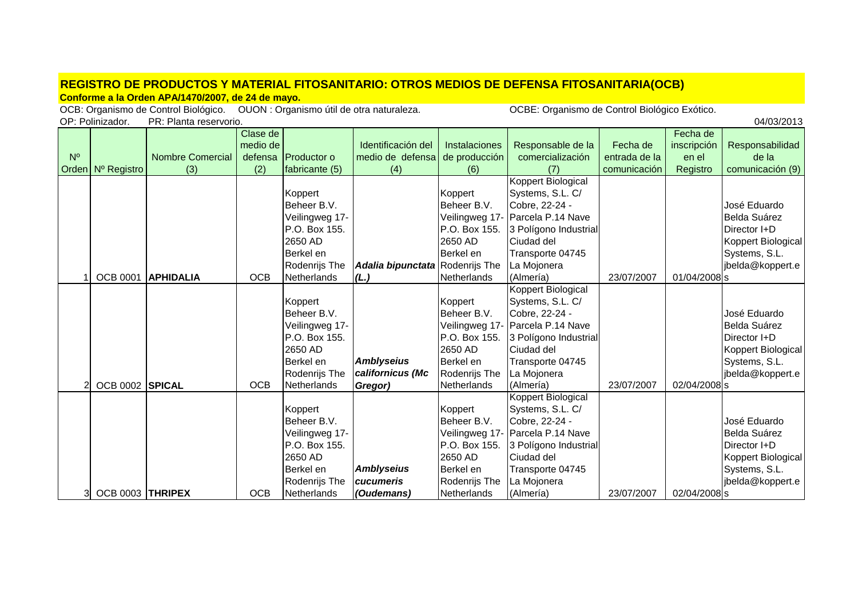## **REGISTRO DE PRODUCTOS Y MATERIAL FITOSANITARIO: OTROS MEDIOS DE DEFENSA FITOSANITARIA(OCB)**

**Conforme a la Orden APA/1470/2007, de 24 de mayo.**

OCB: Organismo de Control Biológico. OUON : Organismo útil de otra naturaleza. COCBE: Organismo de Control Biológico Exótico. OP: Polinizador. PR: Planta reservorio.

|             |                   |                         | Clase de   |                |                                 |                      |                                  |               | Fecha de     |                    |
|-------------|-------------------|-------------------------|------------|----------------|---------------------------------|----------------------|----------------------------------|---------------|--------------|--------------------|
|             |                   |                         | medio de   |                | Identificación del              | <b>Instalaciones</b> | Responsable de la                | Fecha de      | inscripción  | Responsabilidad    |
| $N^{\circ}$ |                   | <b>Nombre Comercial</b> | defensa    | Productor o    | medio de defensa                | de producción        | comercialización                 | entrada de la | en el        | de la              |
|             | Orden Nº Registro | (3)                     | (2)        | fabricante (5) | (4)                             | (6)                  | (7)                              | comunicación  | Registro     | comunicación (9)   |
|             |                   |                         |            |                |                                 |                      | Koppert Biological               |               |              |                    |
|             |                   |                         |            | Koppert        |                                 | Koppert              | Systems, S.L. C/                 |               |              |                    |
|             |                   |                         |            | Beheer B.V.    |                                 | Beheer B.V.          | Cobre, 22-24 -                   |               |              | José Eduardo       |
|             |                   |                         |            | Veilingweg 17- |                                 |                      | Veilingweg 17- Parcela P.14 Nave |               |              | Belda Suárez       |
|             |                   |                         |            | P.O. Box 155.  |                                 | P.O. Box 155.        | 3 Polígono Industrial            |               |              | Director I+D       |
|             |                   |                         |            | 2650 AD        |                                 | 2650 AD              | Ciudad del                       |               |              | Koppert Biological |
|             |                   |                         |            | Berkel en      |                                 | Berkel en            | Transporte 04745                 |               |              | Systems, S.L.      |
|             |                   |                         |            | Rodenrijs The  | Adalia bipunctata Rodenrijs The |                      | La Mojonera                      |               |              | jbelda@koppert.e   |
|             | <b>OCB 0001</b>   | <b>APHIDALIA</b>        | <b>OCB</b> | Netherlands    | (L.)                            | Netherlands          | (Almería)                        | 23/07/2007    | 01/04/2008 s |                    |
|             |                   |                         |            |                |                                 |                      | Koppert Biological               |               |              |                    |
|             |                   |                         |            | Koppert        |                                 | Koppert              | Systems, S.L. C/                 |               |              |                    |
|             |                   |                         |            | Beheer B.V.    |                                 | Beheer B.V.          | Cobre, 22-24 -                   |               |              | José Eduardo       |
|             |                   |                         |            | Veilingweg 17- |                                 |                      | Veilingweg 17- Parcela P.14 Nave |               |              | Belda Suárez       |
|             |                   |                         |            | P.O. Box 155.  |                                 | P.O. Box 155.        | 3 Polígono Industrial            |               |              | Director I+D       |
|             |                   |                         |            | 2650 AD        |                                 | 2650 AD              | Ciudad del                       |               |              | Koppert Biological |
|             |                   |                         |            | Berkel en      | <b>Amblyseius</b>               | Berkel en            | Transporte 04745                 |               |              | Systems, S.L.      |
|             |                   |                         |            | Rodenrijs The  | californicus (Mc                | Rodenrijs The        | La Mojonera                      |               |              | jbelda@koppert.e   |
| 2           | OCB 0002 SPICAL   |                         | <b>OCB</b> | Netherlands    | Gregor)                         | Netherlands          | (Almería)                        | 23/07/2007    | 02/04/2008 s |                    |
|             |                   |                         |            |                |                                 |                      | Koppert Biological               |               |              |                    |
|             |                   |                         |            | Koppert        |                                 | Koppert              | Systems, S.L. C/                 |               |              |                    |
|             |                   |                         |            | Beheer B.V.    |                                 | Beheer B.V.          | Cobre, 22-24 -                   |               |              | José Eduardo       |
|             |                   |                         |            | Veilingweg 17- |                                 |                      | Veilingweg 17- Parcela P.14 Nave |               |              | Belda Suárez       |
|             |                   |                         |            | P.O. Box 155.  |                                 | P.O. Box 155.        | 3 Polígono Industrial            |               |              | Director I+D       |
|             |                   |                         |            | 2650 AD        |                                 | 2650 AD              | Ciudad del                       |               |              | Koppert Biological |
|             |                   |                         |            | Berkel en      | <b>Amblyseius</b>               | Berkel en            | Transporte 04745                 |               |              | Systems, S.L.      |
|             |                   |                         |            | Rodenrijs The  | <b>cucumeris</b>                | Rodenrijs The        | La Mojonera                      |               |              | jbelda@koppert.e   |
|             | OCB 0003 THRIPEX  |                         | <b>OCB</b> | Netherlands    | (Oudemans)                      | Netherlands          | (Almería)                        | 23/07/2007    | 02/04/2008 s |                    |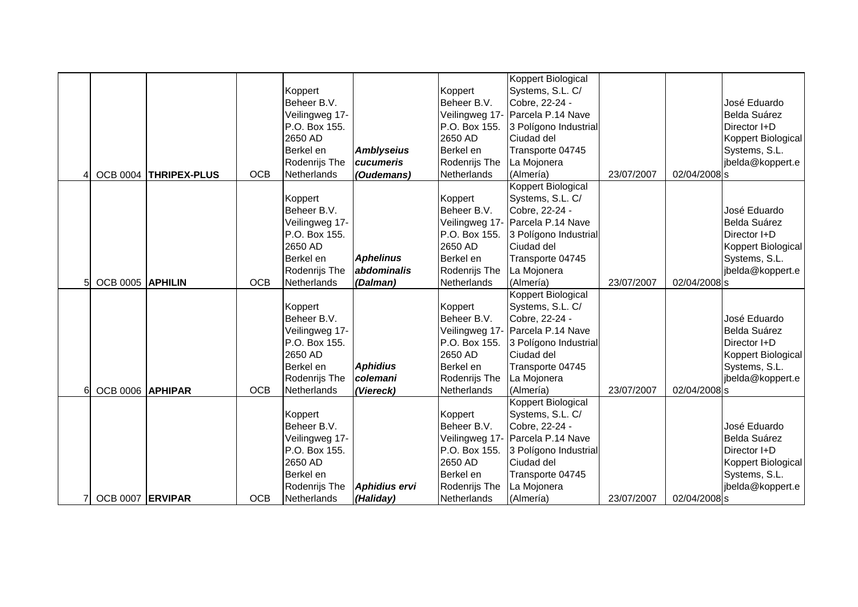|                  |                       |            |                |                   |               | Koppert Biological               |            |              |                    |
|------------------|-----------------------|------------|----------------|-------------------|---------------|----------------------------------|------------|--------------|--------------------|
|                  |                       |            | Koppert        |                   | Koppert       | Systems, S.L. C/                 |            |              |                    |
|                  |                       |            | Beheer B.V.    |                   | Beheer B.V.   | Cobre, 22-24 -                   |            |              | José Eduardo       |
|                  |                       |            | Veilingweg 17- |                   |               | Veilingweg 17- Parcela P.14 Nave |            |              | Belda Suárez       |
|                  |                       |            | P.O. Box 155.  |                   | P.O. Box 155. | 3 Polígono Industrial            |            |              | Director I+D       |
|                  |                       |            | 2650 AD        |                   | 2650 AD       | Ciudad del                       |            |              | Koppert Biological |
|                  |                       |            | Berkel en      | <b>Amblyseius</b> | Berkel en     | Transporte 04745                 |            |              | Systems, S.L.      |
|                  |                       |            | Rodenrijs The  | cucumeris         | Rodenrijs The | La Mojonera                      |            |              | jbelda@koppert.e   |
|                  | OCB 0004 THRIPEX-PLUS | <b>OCB</b> | Netherlands    | (Oudemans)        | Netherlands   | (Almería)                        | 23/07/2007 | 02/04/2008 s |                    |
|                  |                       |            |                |                   |               | <b>Koppert Biological</b>        |            |              |                    |
|                  |                       |            | Koppert        |                   | Koppert       | Systems, S.L. C/                 |            |              |                    |
|                  |                       |            | Beheer B.V.    |                   | Beheer B.V.   | Cobre, 22-24 -                   |            |              | José Eduardo       |
|                  |                       |            | Veilingweg 17- |                   |               | Veilingweg 17- Parcela P.14 Nave |            |              | Belda Suárez       |
|                  |                       |            | P.O. Box 155.  |                   | P.O. Box 155. | 3 Polígono Industrial            |            |              | Director I+D       |
|                  |                       |            | 2650 AD        |                   | 2650 AD       | Ciudad del                       |            |              | Koppert Biological |
|                  |                       |            | Berkel en      | <b>Aphelinus</b>  | Berkel en     | Transporte 04745                 |            |              | Systems, S.L.      |
|                  |                       |            | Rodenrijs The  | abdominalis       | Rodenrijs The | La Mojonera                      |            |              | jbelda@koppert.e   |
| OCB 0005 APHILIN |                       | <b>OCB</b> | Netherlands    | (Dalman)          | Netherlands   | (Almería)                        | 23/07/2007 | 02/04/2008 s |                    |
|                  |                       |            |                |                   |               | Koppert Biological               |            |              |                    |
|                  |                       |            | Koppert        |                   | Koppert       | Systems, S.L. C/                 |            |              |                    |
|                  |                       |            | Beheer B.V.    |                   | Beheer B.V.   | Cobre, 22-24 -                   |            |              | José Eduardo       |
|                  |                       |            | Veilingweg 17- |                   |               | Veilingweg 17- Parcela P.14 Nave |            |              | Belda Suárez       |
|                  |                       |            | P.O. Box 155.  |                   | P.O. Box 155. | 3 Polígono Industrial            |            |              | Director I+D       |
|                  |                       |            | 2650 AD        |                   | 2650 AD       | Ciudad del                       |            |              | Koppert Biological |
|                  |                       |            | Berkel en      | <b>Aphidius</b>   | Berkel en     | Transporte 04745                 |            |              | Systems, S.L.      |
|                  |                       |            | Rodenrijs The  | colemani          | Rodenrijs The | La Mojonera                      |            |              | jbelda@koppert.e   |
| OCB 0006 APHIPAR |                       | <b>OCB</b> | Netherlands    | (Viereck)         | Netherlands   | (Almería)                        | 23/07/2007 | 02/04/2008 s |                    |
|                  |                       |            |                |                   |               | <b>Koppert Biological</b>        |            |              |                    |
|                  |                       |            | Koppert        |                   | Koppert       | Systems, S.L. C/                 |            |              |                    |
|                  |                       |            | Beheer B.V.    |                   | Beheer B.V.   | Cobre, 22-24 -                   |            |              | José Eduardo       |
|                  |                       |            | Veilingweg 17- |                   |               | Veilingweg 17- Parcela P.14 Nave |            |              | Belda Suárez       |
|                  |                       |            | P.O. Box 155.  |                   | P.O. Box 155. | 3 Polígono Industrial            |            |              | Director I+D       |
|                  |                       |            | 2650 AD        |                   | 2650 AD       | Ciudad del                       |            |              | Koppert Biological |
|                  |                       |            | Berkel en      |                   | Berkel en     | Transporte 04745                 |            |              | Systems, S.L.      |
|                  |                       |            | Rodenrijs The  | Aphidius ervi     | Rodenrijs The | La Mojonera                      |            |              | jbelda@koppert.e   |
| OCB 0007 ERVIPAR |                       | <b>OCB</b> | Netherlands    | (Haliday)         | Netherlands   | (Almería)                        | 23/07/2007 | 02/04/2008 s |                    |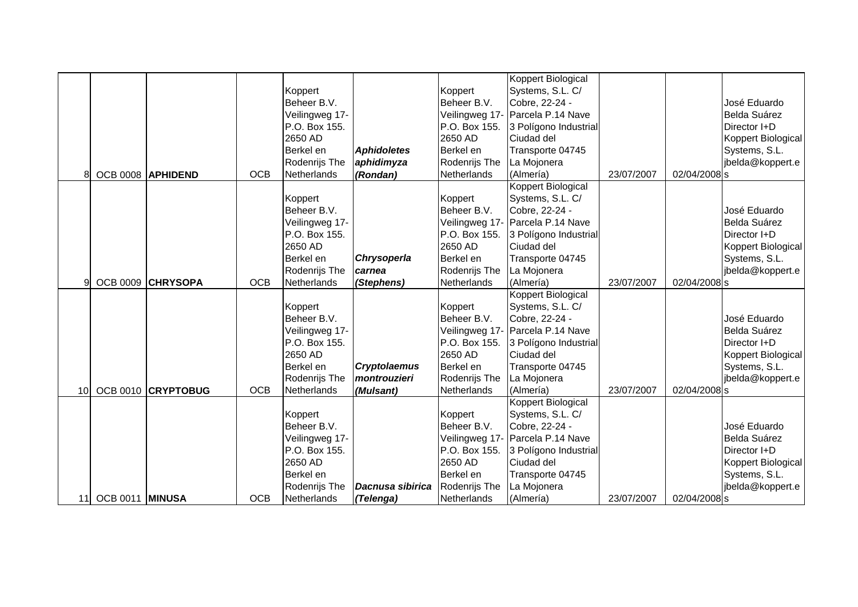|    |                 |                    |            |                |                     |               | Koppert Biological               |            |              |                    |
|----|-----------------|--------------------|------------|----------------|---------------------|---------------|----------------------------------|------------|--------------|--------------------|
|    |                 |                    |            | Koppert        |                     | Koppert       | Systems, S.L. C/                 |            |              |                    |
|    |                 |                    |            | Beheer B.V.    |                     | Beheer B.V.   | Cobre, 22-24 -                   |            |              | José Eduardo       |
|    |                 |                    |            | Veilingweg 17- |                     |               | Veilingweg 17- Parcela P.14 Nave |            |              | Belda Suárez       |
|    |                 |                    |            | P.O. Box 155.  |                     | P.O. Box 155. | 3 Polígono Industrial            |            |              | Director I+D       |
|    |                 |                    |            | 2650 AD        |                     | 2650 AD       | Ciudad del                       |            |              | Koppert Biological |
|    |                 |                    |            | Berkel en      | <b>Aphidoletes</b>  | Berkel en     | Transporte 04745                 |            |              | Systems, S.L.      |
|    |                 |                    |            | Rodenrijs The  | aphidimyza          | Rodenrijs The | La Mojonera                      |            |              | jbelda@koppert.e   |
|    |                 | OCB 0008 APHIDEND  | <b>OCB</b> | Netherlands    | (Rondan)            | Netherlands   | (Almería)                        | 23/07/2007 | 02/04/2008 s |                    |
|    |                 |                    |            |                |                     |               | Koppert Biological               |            |              |                    |
|    |                 |                    |            | Koppert        |                     | Koppert       | Systems, S.L. C/                 |            |              |                    |
|    |                 |                    |            | Beheer B.V.    |                     | Beheer B.V.   | Cobre, 22-24 -                   |            |              | José Eduardo       |
|    |                 |                    |            | Veilingweg 17- |                     |               | Veilingweg 17- Parcela P.14 Nave |            |              | Belda Suárez       |
|    |                 |                    |            | P.O. Box 155.  |                     | P.O. Box 155. | 3 Polígono Industrial            |            |              | Director I+D       |
|    |                 |                    |            | 2650 AD        |                     | 2650 AD       | Ciudad del                       |            |              | Koppert Biological |
|    |                 |                    |            | Berkel en      | Chrysoperla         | Berkel en     | Transporte 04745                 |            |              | Systems, S.L.      |
|    |                 |                    |            | Rodenrijs The  | carnea              | Rodenrijs The | La Mojonera                      |            |              | jbelda@koppert.e   |
| q  | <b>OCB 0009</b> | <b>CHRYSOPA</b>    | <b>OCB</b> | Netherlands    | (Stephens)          | Netherlands   | (Almería)                        | 23/07/2007 | 02/04/2008 s |                    |
|    |                 |                    |            |                |                     |               | Koppert Biological               |            |              |                    |
|    |                 |                    |            | Koppert        |                     | Koppert       | Systems, S.L. C/                 |            |              |                    |
|    |                 |                    |            | Beheer B.V.    |                     | Beheer B.V.   | Cobre, 22-24 -                   |            |              | José Eduardo       |
|    |                 |                    |            | Veilingweg 17- |                     |               | Veilingweg 17- Parcela P.14 Nave |            |              | Belda Suárez       |
|    |                 |                    |            | P.O. Box 155.  |                     | P.O. Box 155. | 3 Polígono Industrial            |            |              | Director I+D       |
|    |                 |                    |            | 2650 AD        |                     | 2650 AD       | Ciudad del                       |            |              | Koppert Biological |
|    |                 |                    |            | Berkel en      | <b>Cryptolaemus</b> | Berkel en     | Transporte 04745                 |            |              | Systems, S.L.      |
|    |                 |                    |            | Rodenrijs The  | montrouzieri        | Rodenrijs The | La Mojonera                      |            |              | jbelda@koppert.e   |
| 10 |                 | OCB 0010 CRYPTOBUG | <b>OCB</b> | Netherlands    | (Mulsant)           | Netherlands   | (Almería)                        | 23/07/2007 | 02/04/2008 s |                    |
|    |                 |                    |            |                |                     |               | <b>Koppert Biological</b>        |            |              |                    |
|    |                 |                    |            | Koppert        |                     | Koppert       | Systems, S.L. C/                 |            |              |                    |
|    |                 |                    |            | Beheer B.V.    |                     | Beheer B.V.   | Cobre, 22-24 -                   |            |              | José Eduardo       |
|    |                 |                    |            | Veilingweg 17- |                     |               | Veilingweg 17- Parcela P.14 Nave |            |              | Belda Suárez       |
|    |                 |                    |            | P.O. Box 155.  |                     | P.O. Box 155. | 3 Polígono Industrial            |            |              | Director I+D       |
|    |                 |                    |            | 2650 AD        |                     | 2650 AD       | Ciudad del                       |            |              | Koppert Biological |
|    |                 |                    |            | Berkel en      |                     | Berkel en     | Transporte 04745                 |            |              | Systems, S.L.      |
|    |                 |                    |            | Rodenrijs The  | Dacnusa sibirica    | Rodenrijs The | La Mojonera                      |            |              | jbelda@koppert.e   |
| 11 | OCB 0011 MINUSA |                    | <b>OCB</b> | Netherlands    | (Telenga)           | Netherlands   | (Almería)                        | 23/07/2007 | 02/04/2008 s |                    |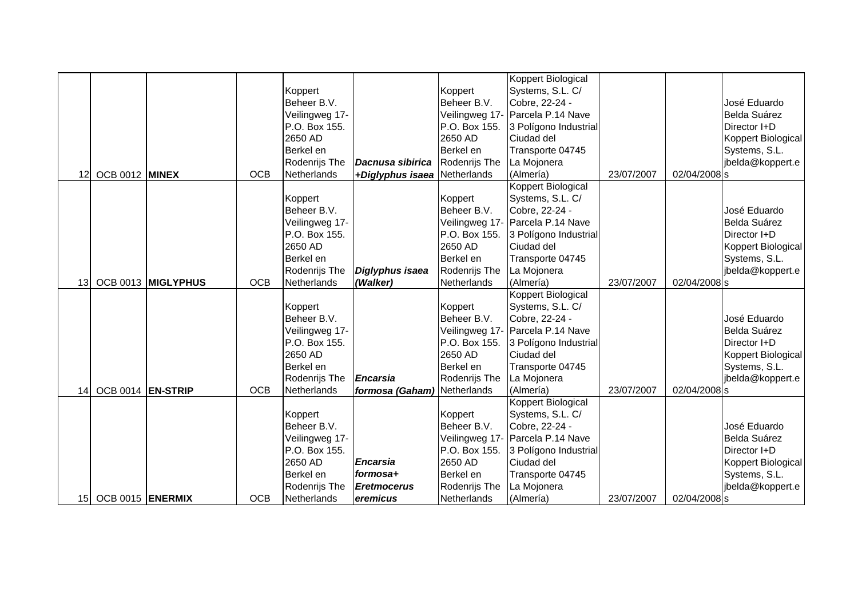|                 |                   |                    |            |                |                              |               | Koppert Biological               |            |              |                     |
|-----------------|-------------------|--------------------|------------|----------------|------------------------------|---------------|----------------------------------|------------|--------------|---------------------|
|                 |                   |                    |            | Koppert        |                              | Koppert       | Systems, S.L. C/                 |            |              |                     |
|                 |                   |                    |            | Beheer B.V.    |                              | Beheer B.V.   | Cobre, 22-24 -                   |            |              | José Eduardo        |
|                 |                   |                    |            | Veilingweg 17- |                              |               | Veilingweg 17- Parcela P.14 Nave |            |              | <b>Belda Suárez</b> |
|                 |                   |                    |            | P.O. Box 155.  |                              | P.O. Box 155. | 3 Polígono Industrial            |            |              | Director I+D        |
|                 |                   |                    |            | 2650 AD        |                              | 2650 AD       | Ciudad del                       |            |              | Koppert Biological  |
|                 |                   |                    |            | Berkel en      |                              | Berkel en     | Transporte 04745                 |            |              | Systems, S.L.       |
|                 |                   |                    |            | Rodenrijs The  | Dacnusa sibirica             | Rodenrijs The | La Mojonera                      |            |              | jbelda@koppert.e    |
| 12              | OCB 0012 MINEX    |                    | <b>OCB</b> | Netherlands    | +Diglyphus isaea Netherlands |               | (Almería)                        | 23/07/2007 | 02/04/2008 s |                     |
|                 |                   |                    |            |                |                              |               | Koppert Biological               |            |              |                     |
|                 |                   |                    |            | Koppert        |                              | Koppert       | Systems, S.L. C/                 |            |              |                     |
|                 |                   |                    |            | Beheer B.V.    |                              | Beheer B.V.   | Cobre, 22-24 -                   |            |              | José Eduardo        |
|                 |                   |                    |            | Veilingweg 17- |                              |               | Veilingweg 17- Parcela P.14 Nave |            |              | Belda Suárez        |
|                 |                   |                    |            | P.O. Box 155.  |                              | P.O. Box 155. | 3 Polígono Industrial            |            |              | Director I+D        |
|                 |                   |                    |            | 2650 AD        |                              | 2650 AD       | Ciudad del                       |            |              | Koppert Biological  |
|                 |                   |                    |            | Berkel en      |                              | Berkel en     | Transporte 04745                 |            |              | Systems, S.L.       |
|                 |                   |                    |            | Rodenrijs The  | Diglyphus isaea              | Rodenrijs The | La Mojonera                      |            |              | jbelda@koppert.e    |
| 13 <sub>l</sub> |                   | OCB 0013 MIGLYPHUS | <b>OCB</b> | Netherlands    | (Walker)                     | Netherlands   | (Almería)                        | 23/07/2007 | 02/04/2008 s |                     |
|                 |                   |                    |            |                |                              |               | Koppert Biological               |            |              |                     |
|                 |                   |                    |            | Koppert        |                              | Koppert       | Systems, S.L. C/                 |            |              |                     |
|                 |                   |                    |            | Beheer B.V.    |                              | Beheer B.V.   | Cobre, 22-24 -                   |            |              | José Eduardo        |
|                 |                   |                    |            | Veilingweg 17- |                              |               | Veilingweg 17- Parcela P.14 Nave |            |              | <b>Belda Suárez</b> |
|                 |                   |                    |            | P.O. Box 155.  |                              | P.O. Box 155. | 3 Polígono Industrial            |            |              | Director I+D        |
|                 |                   |                    |            | 2650 AD        |                              | 2650 AD       | Ciudad del                       |            |              | Koppert Biological  |
|                 |                   |                    |            | Berkel en      |                              | Berkel en     | Transporte 04745                 |            |              | Systems, S.L.       |
|                 |                   |                    |            | Rodenrijs The  | <b>Encarsia</b>              | Rodenrijs The | La Mojonera                      |            |              | jbelda@koppert.e    |
| 14              | OCB 0014 EN-STRIP |                    | <b>OCB</b> | Netherlands    | formosa (Gaham) Netherlands  |               | (Almería)                        | 23/07/2007 | 02/04/2008 s |                     |
|                 |                   |                    |            |                |                              |               | <b>Koppert Biological</b>        |            |              |                     |
|                 |                   |                    |            | Koppert        |                              | Koppert       | Systems, S.L. C/                 |            |              |                     |
|                 |                   |                    |            | Beheer B.V.    |                              | Beheer B.V.   | Cobre, 22-24 -                   |            |              | José Eduardo        |
|                 |                   |                    |            | Veilingweg 17- |                              |               | Veilingweg 17- Parcela P.14 Nave |            |              | Belda Suárez        |
|                 |                   |                    |            | P.O. Box 155.  |                              | P.O. Box 155. | 3 Polígono Industrial            |            |              | Director I+D        |
|                 |                   |                    |            | 2650 AD        | <b>Encarsia</b>              | 2650 AD       | Ciudad del                       |            |              | Koppert Biological  |
|                 |                   |                    |            | Berkel en      | formosa+                     | Berkel en     | Transporte 04745                 |            |              | Systems, S.L.       |
|                 |                   |                    |            | Rodenrijs The  | <b>Eretmocerus</b>           | Rodenrijs The | La Mojonera                      |            |              | jbelda@koppert.e    |
| 15 <sup>1</sup> | OCB 0015 ENERMIX  |                    | <b>OCB</b> | Netherlands    | eremicus                     | Netherlands   | (Almería)                        | 23/07/2007 | 02/04/2008 s |                     |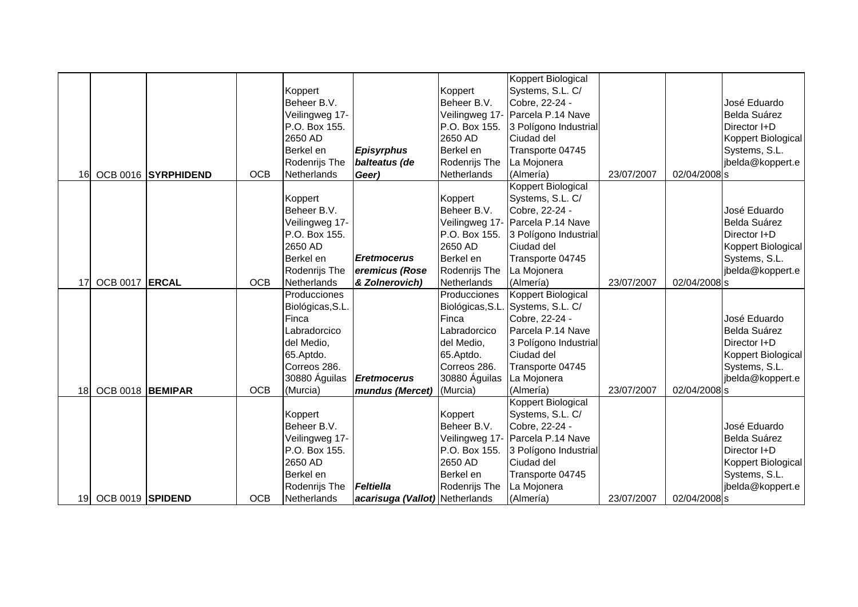|    |                  |                     |            |                  |                                |                  | Koppert Biological               |            |              |                    |
|----|------------------|---------------------|------------|------------------|--------------------------------|------------------|----------------------------------|------------|--------------|--------------------|
|    |                  |                     |            | Koppert          |                                | Koppert          | Systems, S.L. C/                 |            |              |                    |
|    |                  |                     |            | Beheer B.V.      |                                | Beheer B.V.      | Cobre, 22-24 -                   |            |              | José Eduardo       |
|    |                  |                     |            | Veilingweg 17-   |                                |                  | Veilingweg 17- Parcela P.14 Nave |            |              | Belda Suárez       |
|    |                  |                     |            | P.O. Box 155.    |                                | P.O. Box 155.    | 3 Polígono Industrial            |            |              | Director I+D       |
|    |                  |                     |            | 2650 AD          |                                | 2650 AD          | Ciudad del                       |            |              | Koppert Biological |
|    |                  |                     |            | Berkel en        | <b>Episyrphus</b>              | Berkel en        | Transporte 04745                 |            |              | Systems, S.L.      |
|    |                  |                     |            | Rodenrijs The    | balteatus (de                  | Rodenrijs The    | La Mojonera                      |            |              | jbelda@koppert.e   |
| 16 |                  | OCB 0016 SYRPHIDEND | <b>OCB</b> | Netherlands      | Geer)                          | Netherlands      | (Almería)                        | 23/07/2007 | 02/04/2008 s |                    |
|    |                  |                     |            |                  |                                |                  | Koppert Biological               |            |              |                    |
|    |                  |                     |            | Koppert          |                                | Koppert          | Systems, S.L. C/                 |            |              |                    |
|    |                  |                     |            | Beheer B.V.      |                                | Beheer B.V.      | Cobre, 22-24 -                   |            |              | José Eduardo       |
|    |                  |                     |            | Veilingweg 17-   |                                |                  | Veilingweg 17- Parcela P.14 Nave |            |              | Belda Suárez       |
|    |                  |                     |            | P.O. Box 155.    |                                | P.O. Box 155.    | 3 Polígono Industrial            |            |              | Director I+D       |
|    |                  |                     |            | 2650 AD          |                                | 2650 AD          | Ciudad del                       |            |              | Koppert Biological |
|    |                  |                     |            | Berkel en        | <b>Eretmocerus</b>             | Berkel en        | Transporte 04745                 |            |              | Systems, S.L.      |
|    |                  |                     |            | Rodenrijs The    | eremicus (Rose                 | Rodenrijs The    | La Mojonera                      |            |              | jbelda@koppert.e   |
| 17 | <b>OCB 0017</b>  | <b>ERCAL</b>        | <b>OCB</b> | Netherlands      | & Zolnerovich)                 | Netherlands      | (Almería)                        | 23/07/2007 | 02/04/2008 s |                    |
|    |                  |                     |            | Producciones     |                                | Producciones     | Koppert Biological               |            |              |                    |
|    |                  |                     |            | Biológicas, S.L. |                                | Biológicas, S.L. | Systems, S.L. C/                 |            |              |                    |
|    |                  |                     |            | Finca            |                                | Finca            | Cobre, 22-24 -                   |            |              | José Eduardo       |
|    |                  |                     |            | Labradorcico     |                                | Labradorcico     | Parcela P.14 Nave                |            |              | Belda Suárez       |
|    |                  |                     |            | del Medio,       |                                | del Medio,       | 3 Polígono Industrial            |            |              | Director I+D       |
|    |                  |                     |            | 65.Aptdo.        |                                | 65.Aptdo.        | Ciudad del                       |            |              | Koppert Biological |
|    |                  |                     |            | Correos 286.     |                                | Correos 286.     | Transporte 04745                 |            |              | Systems, S.L.      |
|    |                  |                     |            | 30880 Águilas    | <b>Eretmocerus</b>             | 30880 Águilas    | La Mojonera                      |            |              | jbelda@koppert.e   |
| 18 | OCB 0018 BEMIPAR |                     | <b>OCB</b> | (Murcia)         | mundus (Mercet)                | (Murcia)         | (Almería)                        | 23/07/2007 | 02/04/2008 s |                    |
|    |                  |                     |            |                  |                                |                  | <b>Koppert Biological</b>        |            |              |                    |
|    |                  |                     |            | Koppert          |                                | Koppert          | Systems, S.L. C/                 |            |              |                    |
|    |                  |                     |            | Beheer B.V.      |                                | Beheer B.V.      | Cobre, 22-24 -                   |            |              | José Eduardo       |
|    |                  |                     |            | Veilingweg 17-   |                                |                  | Veilingweg 17- Parcela P.14 Nave |            |              | Belda Suárez       |
|    |                  |                     |            | P.O. Box 155.    |                                | P.O. Box 155.    | 3 Polígono Industrial            |            |              | Director I+D       |
|    |                  |                     |            | 2650 AD          |                                | 2650 AD          | Ciudad del                       |            |              | Koppert Biological |
|    |                  |                     |            | Berkel en        |                                | Berkel en        | Transporte 04745                 |            |              | Systems, S.L.      |
|    |                  |                     |            | Rodenrijs The    | Feltiella                      | Rodenrijs The    | La Mojonera                      |            |              | jbelda@koppert.e   |
| 19 | OCB 0019 SPIDEND |                     | <b>OCB</b> | Netherlands      | acarisuga (Vallot) Netherlands |                  | (Almería)                        | 23/07/2007 | 02/04/2008 s |                    |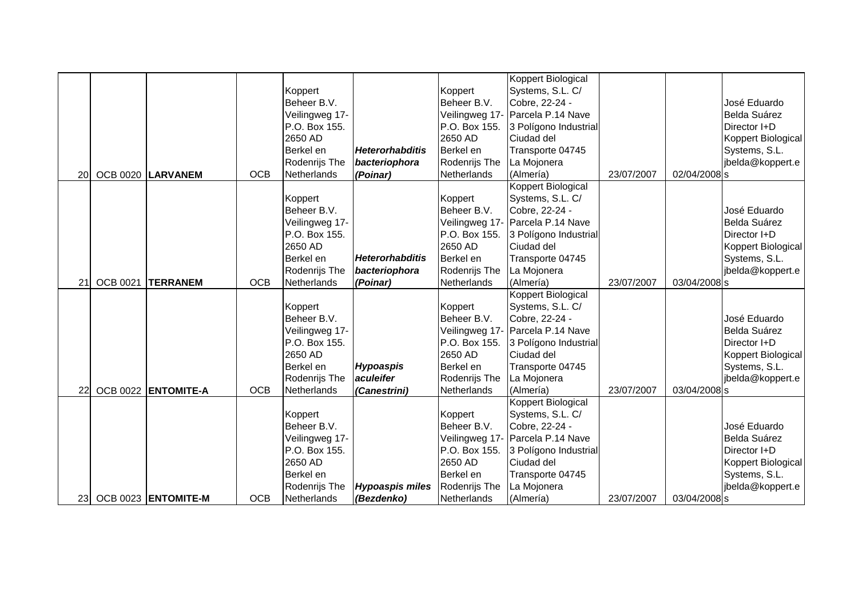|    |          |                     |            |                |                        |               | Koppert Biological               |            |              |                    |
|----|----------|---------------------|------------|----------------|------------------------|---------------|----------------------------------|------------|--------------|--------------------|
|    |          |                     |            | Koppert        |                        | Koppert       | Systems, S.L. C/                 |            |              |                    |
|    |          |                     |            | Beheer B.V.    |                        | Beheer B.V.   | Cobre, 22-24 -                   |            |              | José Eduardo       |
|    |          |                     |            | Veilingweg 17- |                        |               | Veilingweg 17- Parcela P.14 Nave |            |              | Belda Suárez       |
|    |          |                     |            | P.O. Box 155.  |                        | P.O. Box 155. | 3 Polígono Industrial            |            |              | Director I+D       |
|    |          |                     |            | 2650 AD        |                        | 2650 AD       | Ciudad del                       |            |              | Koppert Biological |
|    |          |                     |            | Berkel en      | <b>Heterorhabditis</b> | Berkel en     | Transporte 04745                 |            |              | Systems, S.L.      |
|    |          |                     |            | Rodenrijs The  | bacteriophora          | Rodenrijs The | La Mojonera                      |            |              | jbelda@koppert.e   |
| 20 |          | OCB 0020 LARVANEM   | <b>OCB</b> | Netherlands    | (Poinar)               | Netherlands   | (Almería)                        | 23/07/2007 | 02/04/2008 s |                    |
|    |          |                     |            |                |                        |               | <b>Koppert Biological</b>        |            |              |                    |
|    |          |                     |            | Koppert        |                        | Koppert       | Systems, S.L. C/                 |            |              |                    |
|    |          |                     |            | Beheer B.V.    |                        | Beheer B.V.   | Cobre, 22-24 -                   |            |              | José Eduardo       |
|    |          |                     |            | Veilingweg 17- |                        |               | Veilingweg 17- Parcela P.14 Nave |            |              | Belda Suárez       |
|    |          |                     |            | P.O. Box 155.  |                        | P.O. Box 155. | 3 Polígono Industrial            |            |              | Director I+D       |
|    |          |                     |            | 2650 AD        |                        | 2650 AD       | Ciudad del                       |            |              | Koppert Biological |
|    |          |                     |            | Berkel en      | <b>Heterorhabditis</b> | Berkel en     | Transporte 04745                 |            |              | Systems, S.L.      |
|    |          |                     |            | Rodenrijs The  | bacteriophora          | Rodenrijs The | La Mojonera                      |            |              | jbelda@koppert.e   |
| 21 | OCB 0021 | <b>TERRANEM</b>     | <b>OCB</b> | Netherlands    | (Poinar)               | Netherlands   | (Almería)                        | 23/07/2007 | 03/04/2008 s |                    |
|    |          |                     |            |                |                        |               | Koppert Biological               |            |              |                    |
|    |          |                     |            | Koppert        |                        | Koppert       | Systems, S.L. C/                 |            |              |                    |
|    |          |                     |            | Beheer B.V.    |                        | Beheer B.V.   | Cobre, 22-24 -                   |            |              | José Eduardo       |
|    |          |                     |            | Veilingweg 17- |                        |               | Veilingweg 17- Parcela P.14 Nave |            |              | Belda Suárez       |
|    |          |                     |            | P.O. Box 155.  |                        | P.O. Box 155. | 3 Polígono Industrial            |            |              | Director I+D       |
|    |          |                     |            | 2650 AD        |                        | 2650 AD       | Ciudad del                       |            |              | Koppert Biological |
|    |          |                     |            | Berkel en      | <b>Hypoaspis</b>       | Berkel en     | Transporte 04745                 |            |              | Systems, S.L.      |
|    |          |                     |            | Rodenrijs The  | aculeifer              | Rodenrijs The | La Mojonera                      |            |              | jbelda@koppert.e   |
| 22 |          | OCB 0022 ENTOMITE-A | <b>OCB</b> | Netherlands    | (Canestrini)           | Netherlands   | (Almería)                        | 23/07/2007 | 03/04/2008 s |                    |
|    |          |                     |            |                |                        |               | <b>Koppert Biological</b>        |            |              |                    |
|    |          |                     |            | Koppert        |                        | Koppert       | Systems, S.L. C/                 |            |              |                    |
|    |          |                     |            | Beheer B.V.    |                        | Beheer B.V.   | Cobre, 22-24 -                   |            |              | José Eduardo       |
|    |          |                     |            | Veilingweg 17- |                        |               | Veilingweg 17- Parcela P.14 Nave |            |              | Belda Suárez       |
|    |          |                     |            | P.O. Box 155.  |                        | P.O. Box 155. | 3 Polígono Industrial            |            |              | Director I+D       |
|    |          |                     |            | 2650 AD        |                        | 2650 AD       | Ciudad del                       |            |              | Koppert Biological |
|    |          |                     |            | Berkel en      |                        | Berkel en     | Transporte 04745                 |            |              | Systems, S.L.      |
|    |          |                     |            | Rodenrijs The  | <b>Hypoaspis miles</b> | Rodenrijs The | La Mojonera                      |            |              | jbelda@koppert.e   |
| 23 |          | OCB 0023 ENTOMITE-M | <b>OCB</b> | Netherlands    | (Bezdenko)             | Netherlands   | (Almería)                        | 23/07/2007 | 03/04/2008 s |                    |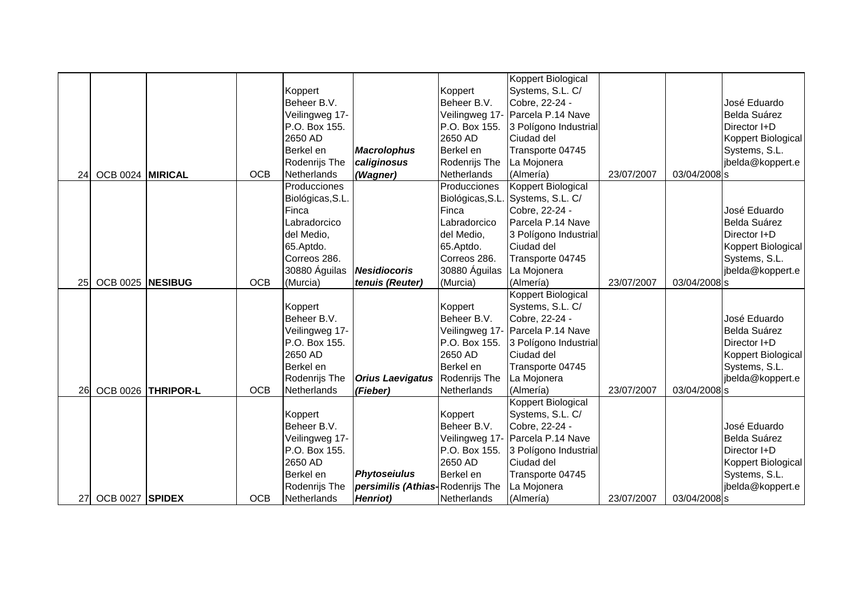|    |                  |                    |            |                  |                                  |                  | Koppert Biological               |            |              |                     |
|----|------------------|--------------------|------------|------------------|----------------------------------|------------------|----------------------------------|------------|--------------|---------------------|
|    |                  |                    |            | Koppert          |                                  | Koppert          | Systems, S.L. C/                 |            |              |                     |
|    |                  |                    |            | Beheer B.V.      |                                  | Beheer B.V.      | Cobre, 22-24 -                   |            |              | José Eduardo        |
|    |                  |                    |            | Veilingweg 17-   |                                  |                  | Veilingweg 17- Parcela P.14 Nave |            |              | <b>Belda Suárez</b> |
|    |                  |                    |            | P.O. Box 155.    |                                  | P.O. Box 155.    | 3 Polígono Industrial            |            |              | Director I+D        |
|    |                  |                    |            | 2650 AD          |                                  | 2650 AD          | Ciudad del                       |            |              | Koppert Biological  |
|    |                  |                    |            | Berkel en        | <b>Macrolophus</b>               | Berkel en        | Transporte 04745                 |            |              | Systems, S.L.       |
|    |                  |                    |            | Rodenrijs The    | caliginosus                      | Rodenrijs The    | La Mojonera                      |            |              | jbelda@koppert.e    |
| 24 | OCB 0024 MIRICAL |                    | <b>OCB</b> | Netherlands      | (Wagner)                         | Netherlands      | (Almería)                        | 23/07/2007 | 03/04/2008 s |                     |
|    |                  |                    |            | Producciones     |                                  | Producciones     | Koppert Biological               |            |              |                     |
|    |                  |                    |            | Biológicas, S.L. |                                  | Biológicas, S.L. | Systems, S.L. C/                 |            |              |                     |
|    |                  |                    |            | Finca            |                                  | Finca            | Cobre, 22-24 -                   |            |              | José Eduardo        |
|    |                  |                    |            | Labradorcico     |                                  | Labradorcico     | Parcela P.14 Nave                |            |              | Belda Suárez        |
|    |                  |                    |            | del Medio,       |                                  | del Medio,       | 3 Polígono Industrial            |            |              | Director I+D        |
|    |                  |                    |            | 65.Aptdo.        |                                  | 65.Aptdo.        | Ciudad del                       |            |              | Koppert Biological  |
|    |                  |                    |            | Correos 286.     |                                  | Correos 286.     | Transporte 04745                 |            |              | Systems, S.L.       |
|    |                  |                    |            | 30880 Águilas    | Nesidiocoris                     | 30880 Águilas    | La Mojonera                      |            |              | jbelda@koppert.e    |
| 25 | OCB 0025 NESIBUG |                    | <b>OCB</b> | (Murcia)         | tenuis (Reuter)                  | (Murcia)         | (Almería)                        | 23/07/2007 | 03/04/2008 s |                     |
|    |                  |                    |            |                  |                                  |                  | Koppert Biological               |            |              |                     |
|    |                  |                    |            | Koppert          |                                  | Koppert          | Systems, S.L. C/                 |            |              |                     |
|    |                  |                    |            | Beheer B.V.      |                                  | Beheer B.V.      | Cobre, 22-24 -                   |            |              | José Eduardo        |
|    |                  |                    |            | Veilingweg 17-   |                                  |                  | Veilingweg 17- Parcela P.14 Nave |            |              | <b>Belda Suárez</b> |
|    |                  |                    |            | P.O. Box 155.    |                                  | P.O. Box 155.    | 3 Polígono Industrial            |            |              | Director I+D        |
|    |                  |                    |            | 2650 AD          |                                  | 2650 AD          | Ciudad del                       |            |              | Koppert Biological  |
|    |                  |                    |            | Berkel en        |                                  | Berkel en        | Transporte 04745                 |            |              | Systems, S.L.       |
|    |                  |                    |            | Rodenrijs The    | Orius Laevigatus Rodenrijs The   |                  | La Mojonera                      |            |              | jbelda@koppert.e    |
| 26 |                  | OCB 0026 THRIPOR-L | <b>OCB</b> | Netherlands      | (Fieber)                         | Netherlands      | (Almería)                        | 23/07/2007 | 03/04/2008 s |                     |
|    |                  |                    |            |                  |                                  |                  | <b>Koppert Biological</b>        |            |              |                     |
|    |                  |                    |            | Koppert          |                                  | Koppert          | Systems, S.L. C/                 |            |              |                     |
|    |                  |                    |            | Beheer B.V.      |                                  | Beheer B.V.      | Cobre, 22-24 -                   |            |              | José Eduardo        |
|    |                  |                    |            | Veilingweg 17-   |                                  |                  | Veilingweg 17- Parcela P.14 Nave |            |              | Belda Suárez        |
|    |                  |                    |            | P.O. Box 155.    |                                  | P.O. Box 155.    | 3 Polígono Industrial            |            |              | Director I+D        |
|    |                  |                    |            | 2650 AD          |                                  | 2650 AD          | Ciudad del                       |            |              | Koppert Biological  |
|    |                  |                    |            | Berkel en        | <b>Phytoseiulus</b>              | Berkel en        | Transporte 04745                 |            |              | Systems, S.L.       |
|    |                  |                    |            | Rodenrijs The    | persimilis (Athias-Rodenrijs The |                  | La Mojonera                      |            |              | jbelda@koppert.e    |
| 27 | OCB 0027 SPIDEX  |                    | <b>OCB</b> | Netherlands      | Henriot)                         | Netherlands      | (Almería)                        | 23/07/2007 | 03/04/2008 s |                     |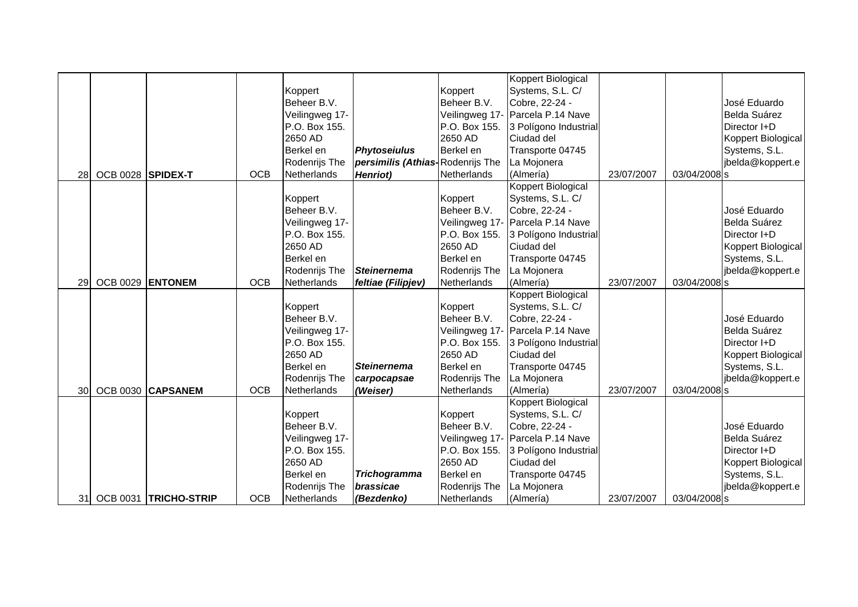|    |                   |                       |            |                |                                  |               | Koppert Biological               |            |              |                    |
|----|-------------------|-----------------------|------------|----------------|----------------------------------|---------------|----------------------------------|------------|--------------|--------------------|
|    |                   |                       |            | Koppert        |                                  | Koppert       | Systems, S.L. C/                 |            |              |                    |
|    |                   |                       |            | Beheer B.V.    |                                  | Beheer B.V.   | Cobre, 22-24 -                   |            |              | José Eduardo       |
|    |                   |                       |            | Veilingweg 17- |                                  |               | Veilingweg 17- Parcela P.14 Nave |            |              | Belda Suárez       |
|    |                   |                       |            | P.O. Box 155.  |                                  | P.O. Box 155. | 3 Polígono Industrial            |            |              | Director I+D       |
|    |                   |                       |            | 2650 AD        |                                  | 2650 AD       | Ciudad del                       |            |              | Koppert Biological |
|    |                   |                       |            | Berkel en      | <b>Phytoseiulus</b>              | Berkel en     | Transporte 04745                 |            |              | Systems, S.L.      |
|    |                   |                       |            | Rodenrijs The  | persimilis (Athias-Rodenrijs The |               | La Mojonera                      |            |              | jbelda@koppert.e   |
| 28 | OCB 0028 SPIDEX-T |                       | <b>OCB</b> | Netherlands    | Henriot)                         | Netherlands   | (Almería)                        | 23/07/2007 | 03/04/2008 s |                    |
|    |                   |                       |            |                |                                  |               | Koppert Biological               |            |              |                    |
|    |                   |                       |            | Koppert        |                                  | Koppert       | Systems, S.L. C/                 |            |              |                    |
|    |                   |                       |            | Beheer B.V.    |                                  | Beheer B.V.   | Cobre, 22-24 -                   |            |              | José Eduardo       |
|    |                   |                       |            | Veilingweg 17- |                                  |               | Veilingweg 17- Parcela P.14 Nave |            |              | Belda Suárez       |
|    |                   |                       |            | P.O. Box 155.  |                                  | P.O. Box 155. | 3 Polígono Industrial            |            |              | Director I+D       |
|    |                   |                       |            | 2650 AD        |                                  | 2650 AD       | Ciudad del                       |            |              | Koppert Biological |
|    |                   |                       |            | Berkel en      |                                  | Berkel en     | Transporte 04745                 |            |              | Systems, S.L.      |
|    |                   |                       |            | Rodenrijs The  | <b>Steinernema</b>               | Rodenrijs The | La Mojonera                      |            |              | jbelda@koppert.e   |
| 29 | OCB 0029 ENTONEM  |                       | <b>OCB</b> | Netherlands    | feltiae (Filipjev)               | Netherlands   | (Almería)                        | 23/07/2007 | 03/04/2008 s |                    |
|    |                   |                       |            |                |                                  |               | Koppert Biological               |            |              |                    |
|    |                   |                       |            | Koppert        |                                  | Koppert       | Systems, S.L. C/                 |            |              |                    |
|    |                   |                       |            | Beheer B.V.    |                                  | Beheer B.V.   | Cobre, 22-24 -                   |            |              | José Eduardo       |
|    |                   |                       |            | Veilingweg 17- |                                  |               | Veilingweg 17- Parcela P.14 Nave |            |              | Belda Suárez       |
|    |                   |                       |            | P.O. Box 155.  |                                  | P.O. Box 155. | 3 Polígono Industrial            |            |              | Director I+D       |
|    |                   |                       |            | 2650 AD        |                                  | 2650 AD       | Ciudad del                       |            |              | Koppert Biological |
|    |                   |                       |            | Berkel en      | <b>Steinernema</b>               | Berkel en     | Transporte 04745                 |            |              | Systems, S.L.      |
|    |                   |                       |            | Rodenrijs The  | carpocapsae                      | Rodenrijs The | La Mojonera                      |            |              | jbelda@koppert.e   |
| 30 |                   | OCB 0030 CAPSANEM     | <b>OCB</b> | Netherlands    | (Weiser)                         | Netherlands   | (Almería)                        | 23/07/2007 | 03/04/2008 s |                    |
|    |                   |                       |            |                |                                  |               | <b>Koppert Biological</b>        |            |              |                    |
|    |                   |                       |            | Koppert        |                                  | Koppert       | Systems, S.L. C/                 |            |              |                    |
|    |                   |                       |            | Beheer B.V.    |                                  | Beheer B.V.   | Cobre, 22-24 -                   |            |              | José Eduardo       |
|    |                   |                       |            | Veilingweg 17- |                                  |               | Veilingweg 17- Parcela P.14 Nave |            |              | Belda Suárez       |
|    |                   |                       |            | P.O. Box 155.  |                                  | P.O. Box 155. | 3 Polígono Industrial            |            |              | Director I+D       |
|    |                   |                       |            | 2650 AD        |                                  | 2650 AD       | Ciudad del                       |            |              | Koppert Biological |
|    |                   |                       |            | Berkel en      | <b>Trichogramma</b>              | Berkel en     | Transporte 04745                 |            |              | Systems, S.L.      |
|    |                   |                       |            | Rodenrijs The  | brassicae                        | Rodenrijs The | La Mojonera                      |            |              | jbelda@koppert.e   |
| 31 |                   | OCB 0031 TRICHO-STRIP | <b>OCB</b> | Netherlands    | (Bezdenko)                       | Netherlands   | (Almería)                        | 23/07/2007 | 03/04/2008 s |                    |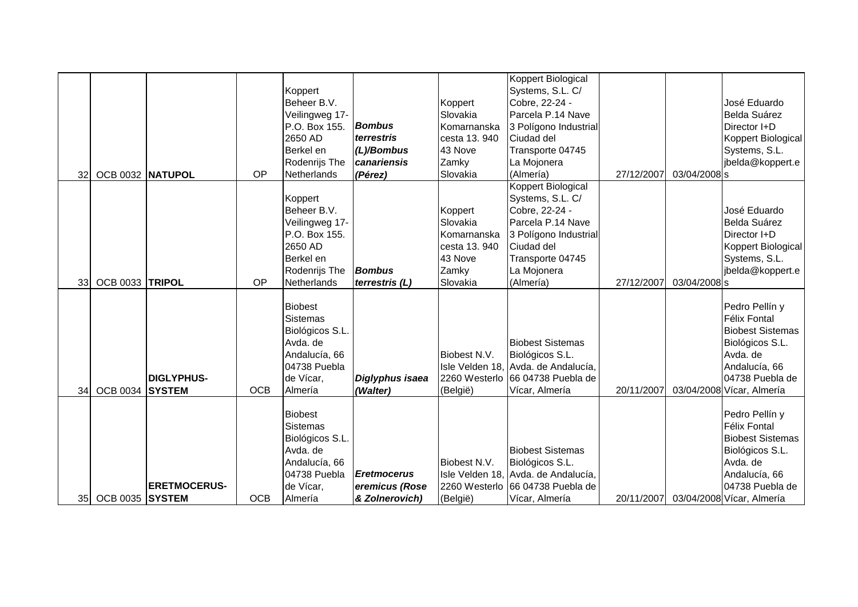|                 |                  |                     |            |                                                                                                                |                                      |              | Koppert Biological                                                                                                    |            |              |                                                                                                                                     |
|-----------------|------------------|---------------------|------------|----------------------------------------------------------------------------------------------------------------|--------------------------------------|--------------|-----------------------------------------------------------------------------------------------------------------------|------------|--------------|-------------------------------------------------------------------------------------------------------------------------------------|
|                 |                  |                     |            | Koppert                                                                                                        |                                      |              | Systems, S.L. C/                                                                                                      |            |              |                                                                                                                                     |
|                 |                  |                     |            | Beheer B.V.                                                                                                    |                                      | Koppert      | Cobre, 22-24 -                                                                                                        |            |              | José Eduardo                                                                                                                        |
|                 |                  |                     |            | Veilingweg 17-                                                                                                 |                                      | Slovakia     | Parcela P.14 Nave                                                                                                     |            |              | Belda Suárez                                                                                                                        |
|                 |                  |                     |            | P.O. Box 155.                                                                                                  | <b>Bombus</b>                        | Komarnanska  | 3 Polígono Industrial                                                                                                 |            |              | Director I+D                                                                                                                        |
|                 |                  |                     |            | 2650 AD                                                                                                        | terrestris                           | cesta 13.940 | Ciudad del                                                                                                            |            |              | Koppert Biological                                                                                                                  |
|                 |                  |                     |            | Berkel en                                                                                                      | (L)/Bombus                           | 43 Nove      | Transporte 04745                                                                                                      |            |              | Systems, S.L.                                                                                                                       |
|                 |                  |                     |            | Rodenrijs The                                                                                                  | canariensis                          | Zamky        | La Mojonera                                                                                                           |            |              | jbelda@koppert.e                                                                                                                    |
| 32 <sub>l</sub> | OCB 0032 NATUPOL |                     | OP         | Netherlands                                                                                                    | (Pérez)                              | Slovakia     | (Almería)                                                                                                             | 27/12/2007 | 03/04/2008 s |                                                                                                                                     |
|                 |                  |                     |            |                                                                                                                |                                      |              | Koppert Biological                                                                                                    |            |              |                                                                                                                                     |
|                 |                  |                     |            | Koppert                                                                                                        |                                      |              | Systems, S.L. C/                                                                                                      |            |              |                                                                                                                                     |
|                 |                  |                     |            | Beheer B.V.                                                                                                    |                                      | Koppert      | Cobre, 22-24 -                                                                                                        |            |              | José Eduardo                                                                                                                        |
|                 |                  |                     |            | Veilingweg 17-                                                                                                 |                                      | Slovakia     | Parcela P.14 Nave                                                                                                     |            |              | Belda Suárez                                                                                                                        |
|                 |                  |                     |            | P.O. Box 155.                                                                                                  |                                      | Komarnanska  | 3 Polígono Industrial                                                                                                 |            |              | Director I+D                                                                                                                        |
|                 |                  |                     |            | 2650 AD                                                                                                        |                                      | cesta 13.940 | Ciudad del                                                                                                            |            |              | Koppert Biological                                                                                                                  |
|                 |                  |                     |            | Berkel en                                                                                                      |                                      | 43 Nove      | Transporte 04745                                                                                                      |            |              | Systems, S.L.                                                                                                                       |
|                 |                  |                     |            | Rodenrijs The                                                                                                  | <b>Bombus</b>                        | Zamky        | La Mojonera                                                                                                           |            |              | jbelda@koppert.e                                                                                                                    |
| 33 <sup>1</sup> | OCB 0033 TRIPOL  |                     | OP         | Netherlands                                                                                                    | terrestris (L)                       | Slovakia     | (Almería)                                                                                                             | 27/12/2007 | 03/04/2008 s |                                                                                                                                     |
|                 |                  | <b>DIGLYPHUS-</b>   |            | <b>Biobest</b><br><b>Sistemas</b><br>Biológicos S.L.<br>Avda. de<br>Andalucía, 66<br>04738 Puebla<br>de Vícar, | Diglyphus isaea                      | Biobest N.V. | <b>Biobest Sistemas</b><br>Biológicos S.L.<br>Isle Velden 18, Avda. de Andalucía,<br>2260 Westerlo 66 04738 Puebla de |            |              | Pedro Pellín y<br><b>Félix Fontal</b><br><b>Biobest Sistemas</b><br>Biológicos S.L.<br>Avda. de<br>Andalucía, 66<br>04738 Puebla de |
| 34              | OCB 0034 SYSTEM  |                     | <b>OCB</b> | Almería                                                                                                        | (Walter)                             | (België)     | Vícar, Almería                                                                                                        | 20/11/2007 |              | 03/04/2008 Vícar, Almería                                                                                                           |
|                 |                  | <b>ERETMOCERUS-</b> |            | <b>Biobest</b><br><b>Sistemas</b><br>Biológicos S.L.<br>Avda. de<br>Andalucía, 66<br>04738 Puebla<br>de Vícar, | <b>Eretmocerus</b><br>eremicus (Rose | Biobest N.V. | <b>Biobest Sistemas</b><br>Biológicos S.L.<br>Isle Velden 18, Avda. de Andalucía,<br>2260 Westerlo 66 04738 Puebla de |            |              | Pedro Pellín y<br>Félix Fontal<br><b>Biobest Sistemas</b><br>Biológicos S.L.<br>Avda. de<br>Andalucía, 66<br>04738 Puebla de        |
| 35 <sub>l</sub> | OCB 0035 SYSTEM  |                     | <b>OCB</b> | Almería                                                                                                        | & Zolnerovich)                       | (België)     | Vícar, Almería                                                                                                        | 20/11/2007 |              | 03/04/2008 Vícar, Almería                                                                                                           |
|                 |                  |                     |            |                                                                                                                |                                      |              |                                                                                                                       |            |              |                                                                                                                                     |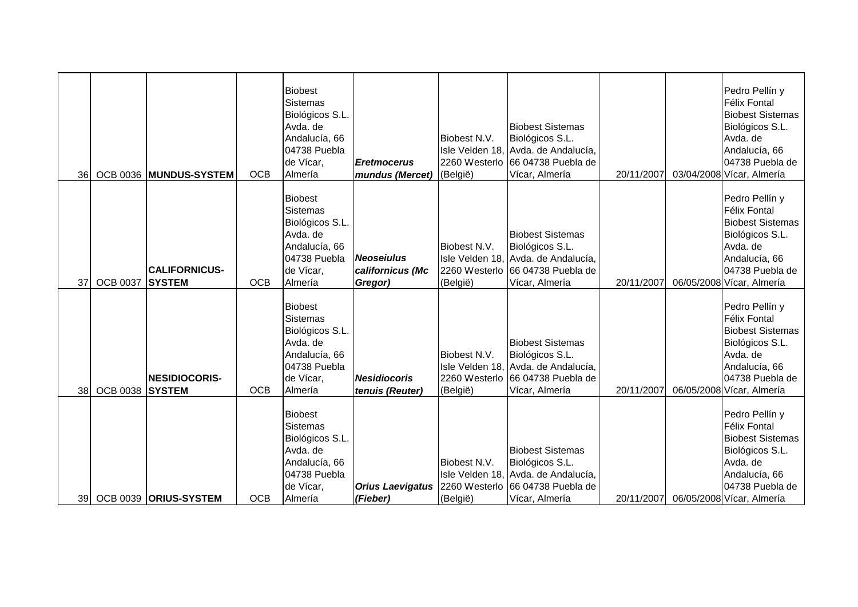| <b>36</b> |                 | OCB 0036 MUNDUS-SYSTEM                | <b>OCB</b> | <b>Biobest</b><br><b>Sistemas</b><br>Biológicos S.L.<br>Avda, de<br>Andalucía, 66<br>04738 Puebla<br>de Vícar,<br>Almería | <b>Eretmocerus</b><br>mundus (Mercet)            | Biobest N.V.<br>(België) | <b>Biobest Sistemas</b><br>Biológicos S.L.<br>Isle Velden 18, Avda. de Andalucía,<br>2260 Westerlo 66 04738 Puebla de<br>Vícar, Almería                  | 20/11/2007 | Pedro Pellín y<br><b>Félix Fontal</b><br><b>Biobest Sistemas</b><br>Biológicos S.L.<br>Avda. de<br>Andalucía, 66<br>04738 Puebla de<br>03/04/2008 Vícar, Almería |
|-----------|-----------------|---------------------------------------|------------|---------------------------------------------------------------------------------------------------------------------------|--------------------------------------------------|--------------------------|----------------------------------------------------------------------------------------------------------------------------------------------------------|------------|------------------------------------------------------------------------------------------------------------------------------------------------------------------|
| 37        | <b>OCB 0037</b> | <b>CALIFORNICUS-</b><br><b>SYSTEM</b> | <b>OCB</b> | <b>Biobest</b><br><b>Sistemas</b><br>Biológicos S.L.<br>Avda. de<br>Andalucía, 66<br>04738 Puebla<br>de Vícar,<br>Almería | <b>Neoseiulus</b><br>californicus (Mc<br>Gregor) | Biobest N.V.<br>(België) | <b>Biobest Sistemas</b><br>Biológicos S.L.<br>Isle Velden 18, Avda. de Andalucía,<br>2260 Westerlo 66 04738 Puebla de<br>Vícar, Almería                  | 20/11/2007 | Pedro Pellín y<br><b>Félix Fontal</b><br><b>Biobest Sistemas</b><br>Biológicos S.L.<br>Avda. de<br>Andalucía, 66<br>04738 Puebla de<br>06/05/2008 Vícar, Almería |
| 38        | <b>OCB 0038</b> | <b>NESIDIOCORIS-</b><br><b>SYSTEM</b> | <b>OCB</b> | <b>Biobest</b><br>Sistemas<br>Biológicos S.L.<br>Avda. de<br>Andalucía, 66<br>04738 Puebla<br>de Vícar,<br>Almería        | <b>Nesidiocoris</b><br>tenuis (Reuter)           | Biobest N.V.<br>(België) | <b>Biobest Sistemas</b><br>Biológicos S.L.<br>Isle Velden 18, Avda. de Andalucía,<br>2260 Westerlo 66 04738 Puebla de<br>Vícar, Almería                  | 20/11/2007 | Pedro Pellín y<br>Félix Fontal<br><b>Biobest Sistemas</b><br>Biológicos S.L.<br>Avda. de<br>Andalucía, 66<br>04738 Puebla de<br>06/05/2008 Vícar, Almería        |
| <b>39</b> |                 | OCB 0039 ORIUS-SYSTEM                 | <b>OCB</b> | <b>Biobest</b><br>Sistemas<br>Biológicos S.L.<br>Avda, de<br>Andalucía, 66<br>04738 Puebla<br>de Vícar,<br>Almería        | (Fieber)                                         | Biobest N.V.<br>(België) | <b>Biobest Sistemas</b><br>Biológicos S.L.<br>Isle Velden 18, Avda. de Andalucía,<br>Orius Laevigatus 2260 Westerlo 66 04738 Puebla de<br>Vícar, Almería | 20/11/2007 | Pedro Pellín y<br><b>Félix Fontal</b><br><b>Biobest Sistemas</b><br>Biológicos S.L.<br>Avda. de<br>Andalucía, 66<br>04738 Puebla de<br>06/05/2008 Vícar, Almería |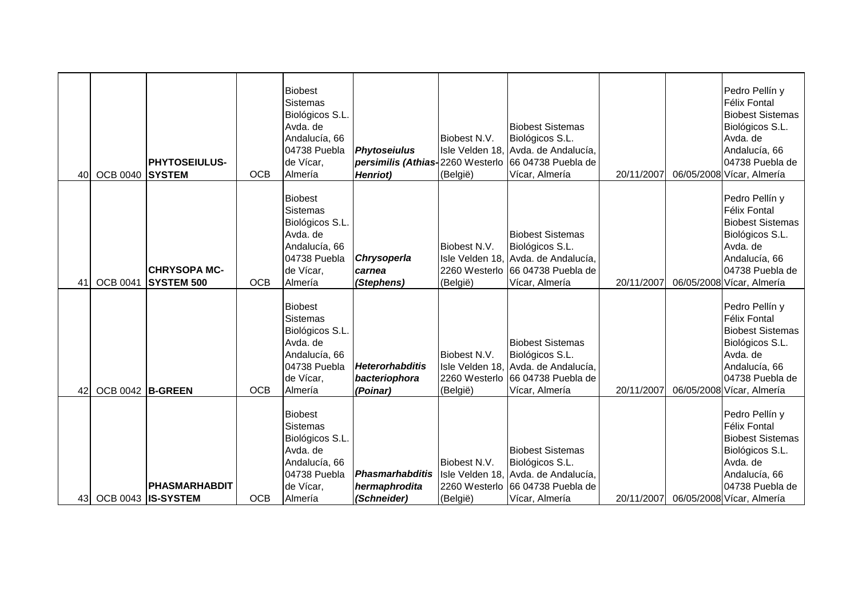| 40              | OCB 0040 SYSTEM  | <b>PHYTOSEIULUS-</b>                     | <b>OCB</b> | <b>Biobest</b><br><b>Sistemas</b><br>Biológicos S.L.<br>Avda. de<br>Andalucía, 66<br>04738 Puebla<br>de Vícar,<br>Almería | <b>Phytoseiulus</b><br>Henriot)                     | Biobest N.V.<br>(België) | <b>Biobest Sistemas</b><br>Biológicos S.L.<br>Isle Velden 18, Avda. de Andalucía,<br>persimilis (Athias-2260 Westerlo 66 04738 Puebla de<br>Vícar, Almería | 20/11/2007 | Pedro Pellín y<br><b>Félix Fontal</b><br><b>Biobest Sistemas</b><br>Biológicos S.L.<br>Avda. de<br>Andalucía, 66<br>04738 Puebla de<br>06/05/2008 Vícar, Almería |
|-----------------|------------------|------------------------------------------|------------|---------------------------------------------------------------------------------------------------------------------------|-----------------------------------------------------|--------------------------|------------------------------------------------------------------------------------------------------------------------------------------------------------|------------|------------------------------------------------------------------------------------------------------------------------------------------------------------------|
| 41              | <b>OCB 0041</b>  | <b>CHRYSOPA MC-</b><br><b>SYSTEM 500</b> | <b>OCB</b> | <b>Biobest</b><br><b>Sistemas</b><br>Biológicos S.L.<br>Avda, de<br>Andalucía, 66<br>04738 Puebla<br>de Vícar,<br>Almería | Chrysoperla<br>carnea<br>(Stephens)                 | Biobest N.V.<br>(België) | <b>Biobest Sistemas</b><br>Biológicos S.L.<br>Isle Velden 18, Avda. de Andalucía,<br>2260 Westerlo 66 04738 Puebla de<br>Vícar, Almería                    | 20/11/2007 | Pedro Pellín y<br><b>Félix Fontal</b><br><b>Biobest Sistemas</b><br>Biológicos S.L.<br>Avda. de<br>Andalucía, 66<br>04738 Puebla de<br>06/05/2008 Vícar, Almería |
| 42              | OCB 0042 B-GREEN |                                          | <b>OCB</b> | <b>Biobest</b><br>Sistemas<br>Biológicos S.L.<br>Avda, de<br>Andalucía, 66<br>04738 Puebla<br>de Vícar,<br>Almería        | <b>Heterorhabditis</b><br>bacteriophora<br>(Poinar) | Biobest N.V.<br>(België) | <b>Biobest Sistemas</b><br>Biológicos S.L.<br>Isle Velden 18, Avda. de Andalucía,<br>2260 Westerlo 66 04738 Puebla de<br>Vícar, Almería                    | 20/11/2007 | Pedro Pellín y<br><b>Félix Fontal</b><br><b>Biobest Sistemas</b><br>Biológicos S.L.<br>Avda. de<br>Andalucía, 66<br>04738 Puebla de<br>06/05/2008 Vícar, Almería |
| 43 <sup>1</sup> |                  | PHASMARHABDIT<br>OCB 0043 IS-SYSTEM      | <b>OCB</b> | <b>Biobest</b><br><b>Sistemas</b><br>Biológicos S.L<br>Avda. de<br>Andalucía, 66<br>04738 Puebla<br>de Vícar,<br>Almería  | Phasmarhabditis<br>hermaphrodita<br>(Schneider)     | Biobest N.V.<br>(België) | <b>Biobest Sistemas</b><br>Biológicos S.L.<br>Isle Velden 18, Avda. de Andalucía,<br>2260 Westerlo 66 04738 Puebla de<br>Vícar, Almería                    | 20/11/2007 | Pedro Pellín y<br><b>Félix Fontal</b><br><b>Biobest Sistemas</b><br>Biológicos S.L.<br>Avda. de<br>Andalucía, 66<br>04738 Puebla de<br>06/05/2008 Vícar, Almería |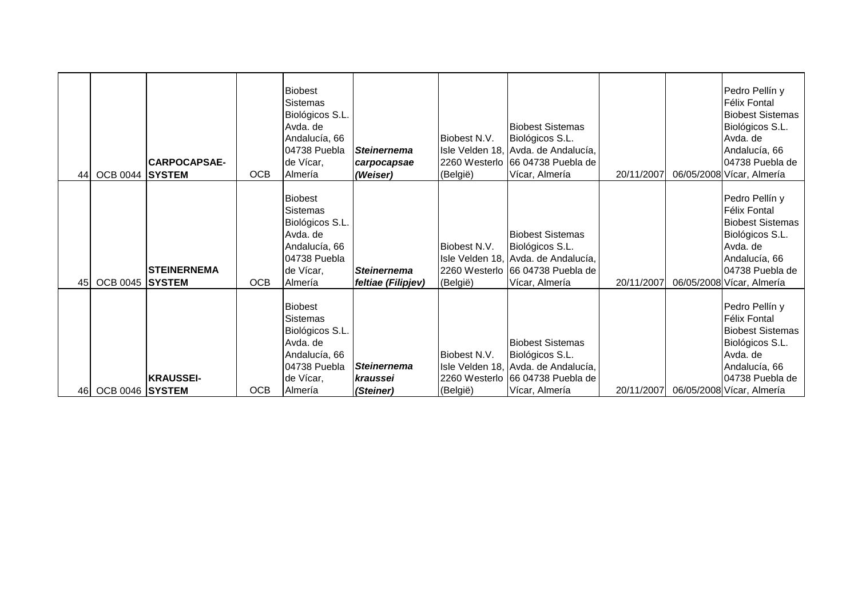| 44  | OCB 0044 SYSTEM | <b>ICARPOCAPSAE-</b> | <b>OCB</b> | <b>Biobest</b><br><b>Sistemas</b><br>Biológicos S.L.<br>Avda. de<br>Andalucía, 66<br>04738 Puebla<br>de Vícar,<br>Almería | <b>Steinernema</b><br>carpocapsae<br>(Weiser) | Biobest N.V.<br>(België) | <b>Biobest Sistemas</b><br>Biológicos S.L.<br>Isle Velden 18, Avda. de Andalucía,<br>2260 Westerlo 66 04738 Puebla de<br>Vícar, Almería | 20/11/2007 | Pedro Pellín y<br>Félix Fontal<br><b>Biobest Sistemas</b><br>Biológicos S.L.<br>Avda. de<br>Andalucía, 66<br>04738 Puebla de<br>06/05/2008 Vícar, Almería        |
|-----|-----------------|----------------------|------------|---------------------------------------------------------------------------------------------------------------------------|-----------------------------------------------|--------------------------|-----------------------------------------------------------------------------------------------------------------------------------------|------------|------------------------------------------------------------------------------------------------------------------------------------------------------------------|
| 45  | OCB 0045 SYSTEM | <b>STEINERNEMA</b>   | <b>OCB</b> | <b>Biobest</b><br><b>Sistemas</b><br>Biológicos S.L.<br>Avda. de<br>Andalucía, 66<br>04738 Puebla<br>de Vícar,<br>Almería | <b>Steinernema</b><br>feltiae (Filipjev)      | Biobest N.V.<br>(België) | <b>Biobest Sistemas</b><br>Biológicos S.L.<br>Isle Velden 18, Avda. de Andalucía,<br>2260 Westerlo 66 04738 Puebla de<br>Vícar, Almería | 20/11/2007 | Pedro Pellín y<br><b>Félix Fontal</b><br><b>Biobest Sistemas</b><br>Biológicos S.L.<br>Avda. de<br>Andalucía, 66<br>04738 Puebla de<br>06/05/2008 Vícar, Almería |
| 461 | OCB 0046 SYSTEM | <b>KRAUSSEI-</b>     | <b>OCB</b> | <b>Biobest</b><br>Sistemas<br>Biológicos S.L.<br>Avda. de<br>Andalucía, 66<br>04738 Puebla<br>de Vícar,<br>Almería        | <b>Steinernema</b><br>kraussei<br>(Steiner)   | Biobest N.V.<br>(België) | <b>Biobest Sistemas</b><br>Biológicos S.L.<br>Isle Velden 18, Avda. de Andalucía,<br>2260 Westerlo 66 04738 Puebla de<br>Vícar, Almería | 20/11/2007 | Pedro Pellín y<br>Félix Fontal<br><b>Biobest Sistemas</b><br>Biológicos S.L.<br>Avda. de<br>Andalucía, 66<br>04738 Puebla de<br>06/05/2008 Vícar, Almería        |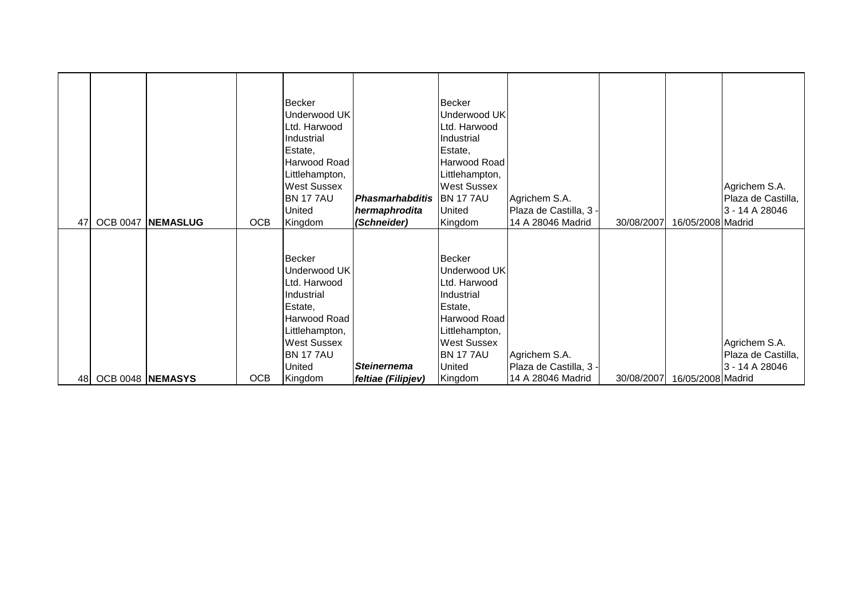|    |                  |                 |            | <b>Becker</b><br>Underwood UK<br>Ltd. Harwood<br>Industrial<br>Estate,<br>Harwood Road<br>Littlehampton,<br><b>West Sussex</b><br><b>BN 177AU</b><br>United | Phasmarhabditis<br>hermaphrodita | Becker<br>Underwood UK<br>Ltd. Harwood<br>Industrial<br>Estate,<br>Harwood Road<br>Littlehampton,<br><b>West Sussex</b><br><b>BN 177AU</b><br>United  | Agrichem S.A.<br>Plaza de Castilla, 3 - |            |                   | Agrichem S.A.<br>Plaza de Castilla,<br>3 - 14 A 28046 |
|----|------------------|-----------------|------------|-------------------------------------------------------------------------------------------------------------------------------------------------------------|----------------------------------|-------------------------------------------------------------------------------------------------------------------------------------------------------|-----------------------------------------|------------|-------------------|-------------------------------------------------------|
| 47 | <b>OCB 0047</b>  | <b>NEMASLUG</b> | <b>OCB</b> | Kingdom                                                                                                                                                     | (Schneider)                      | Kingdom                                                                                                                                               | 14 A 28046 Madrid                       | 30/08/2007 | 16/05/2008 Madrid |                                                       |
|    |                  |                 |            | Becker<br>Underwood UK<br>Ltd. Harwood<br>Industrial<br>Estate,<br>Harwood Road<br>Littlehampton,<br><b>West Sussex</b><br><b>BN 177AU</b><br>United        | <b>Steinernema</b>               | Becker<br>Underwood UK<br>Ltd. Harwood<br>Industrial<br>Estate,<br>Harwood Road<br>Littlehampton,<br><b>West Sussex</b><br><b>BN 17 7AU</b><br>United | Agrichem S.A.<br>Plaza de Castilla, 3 - |            |                   | Agrichem S.A.<br>Plaza de Castilla,<br>3 - 14 A 28046 |
| 48 | OCB 0048 NEMASYS |                 | <b>OCB</b> | Kingdom                                                                                                                                                     | feltiae (Filipjev)               | Kingdom                                                                                                                                               | 14 A 28046 Madrid                       | 30/08/2007 | 16/05/2008 Madrid |                                                       |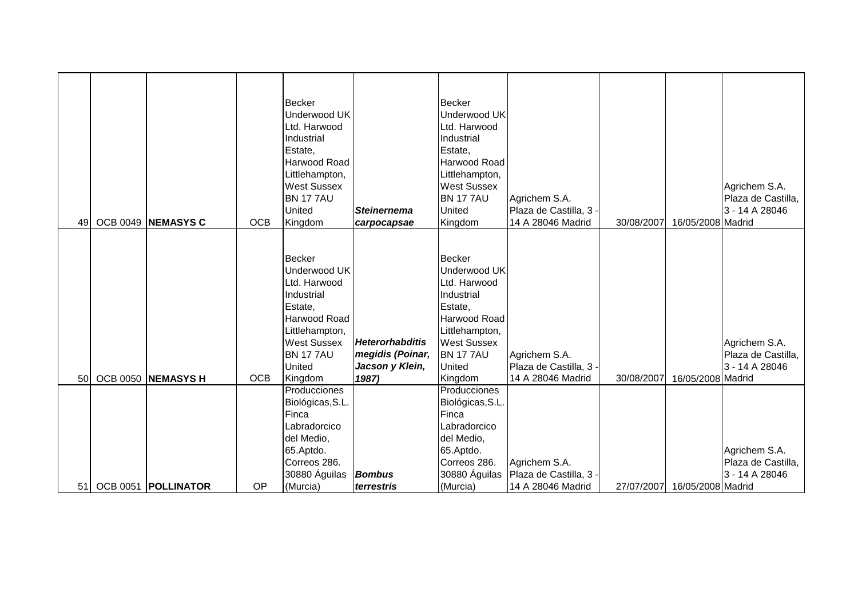|    |                       |            | <b>Becker</b><br>Underwood UK<br>Ltd. Harwood<br>Industrial<br>Estate,<br>Harwood Road<br>Littlehampton,<br><b>West Sussex</b><br><b>BN 1777AU</b><br>United           | <b>Steinernema</b>                                                     | <b>Becker</b><br><b>Underwood UK</b><br>Ltd. Harwood<br>Industrial<br>Estate,<br>Harwood Road<br>Littlehampton,<br><b>West Sussex</b><br><b>BN 1777AU</b><br>United     | Agrichem S.A.<br>Plaza de Castilla, 3                        |            |                   | Agrichem S.A.<br>Plaza de Castilla,<br>3 - 14 A 28046 |
|----|-----------------------|------------|------------------------------------------------------------------------------------------------------------------------------------------------------------------------|------------------------------------------------------------------------|-------------------------------------------------------------------------------------------------------------------------------------------------------------------------|--------------------------------------------------------------|------------|-------------------|-------------------------------------------------------|
| 49 | OCB 0049 NEMASYS C    | <b>OCB</b> | Kingdom                                                                                                                                                                | carpocapsae                                                            | Kingdom                                                                                                                                                                 | 14 A 28046 Madrid                                            | 30/08/2007 | 16/05/2008 Madrid |                                                       |
| 50 | OCB 0050 NEMASYS H    | <b>OCB</b> | <b>Becker</b><br>Underwood UK<br>Ltd. Harwood<br>Industrial<br>Estate.<br>Harwood Road<br>Littlehampton,<br><b>West Sussex</b><br><b>BN 177AU</b><br>United<br>Kingdom | <b>Heterorhabditis</b><br>megidis (Poinar,<br>Jacson y Klein,<br>1987) | <b>Becker</b><br>Underwood UK<br>Ltd. Harwood<br>Industrial<br>Estate,<br>Harwood Road<br>Littlehampton,<br><b>West Sussex</b><br><b>BN 17 7AU</b><br>United<br>Kingdom | Agrichem S.A.<br>Plaza de Castilla, 3 -<br>14 A 28046 Madrid | 30/08/2007 | 16/05/2008 Madrid | Agrichem S.A.<br>Plaza de Castilla,<br>3 - 14 A 28046 |
|    |                       |            | Producciones<br>Biológicas, S.L.                                                                                                                                       |                                                                        | Producciones<br>Biológicas, S.L                                                                                                                                         |                                                              |            |                   |                                                       |
|    |                       |            | Finca<br>Labradorcico                                                                                                                                                  |                                                                        | Finca<br>Labradorcico                                                                                                                                                   |                                                              |            |                   |                                                       |
|    |                       |            | del Medio,<br>65.Aptdo.                                                                                                                                                |                                                                        | del Medio,<br>65.Aptdo.                                                                                                                                                 |                                                              |            |                   | Agrichem S.A.                                         |
|    |                       |            | Correos 286.<br>30880 Águilas                                                                                                                                          | <b>Bombus</b>                                                          | Correos 286.<br>30880 Águilas                                                                                                                                           | Agrichem S.A.<br>Plaza de Castilla, 3 -                      |            |                   | Plaza de Castilla,<br>3 - 14 A 28046                  |
| 51 | OCB 0051   POLLINATOR | OP         | (Murcia)                                                                                                                                                               | terrestris                                                             | (Murcia)                                                                                                                                                                | 14 A 28046 Madrid                                            | 27/07/2007 | 16/05/2008 Madrid |                                                       |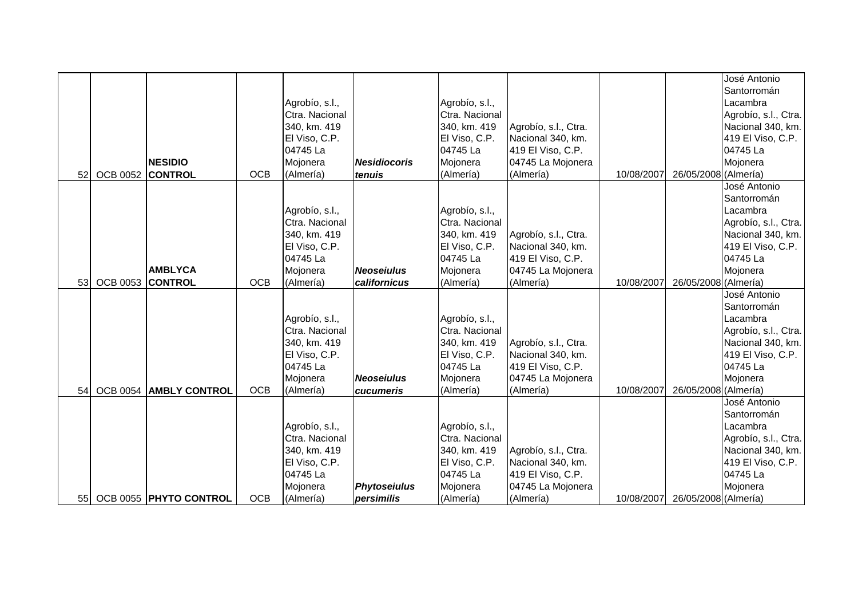|    |                  |                        |            |                           |                     |                           |                      |            |                      | José Antonio                  |
|----|------------------|------------------------|------------|---------------------------|---------------------|---------------------------|----------------------|------------|----------------------|-------------------------------|
|    |                  |                        |            |                           |                     |                           |                      |            |                      | Santorromán                   |
|    |                  |                        |            | Agrobío, s.l.,            |                     | Agrobío, s.l.,            |                      |            |                      | Lacambra                      |
|    |                  |                        |            | Ctra. Nacional            |                     | Ctra. Nacional            |                      |            |                      | Agrobío, s.l., Ctra.          |
|    |                  |                        |            | 340, km. 419              |                     | 340, km. 419              | Agrobío, s.l., Ctra. |            |                      | Nacional 340, km.             |
|    |                  |                        |            | El Viso, C.P.             |                     | El Viso, C.P.             | Nacional 340, km.    |            |                      | 419 El Viso, C.P.             |
|    |                  |                        |            | 04745 La                  |                     | 04745 La                  | 419 El Viso, C.P.    |            |                      | 04745 La                      |
|    |                  | <b>NESIDIO</b>         |            | Mojonera                  | <b>Nesidiocoris</b> | Mojonera                  | 04745 La Mojonera    |            |                      | Mojonera                      |
| 52 | <b>OCB 0052</b>  | <b>CONTROL</b>         | <b>OCB</b> | (Almería)                 | tenuis              | (Almería)                 | (Almería)            | 10/08/2007 | 26/05/2008 (Almería) |                               |
|    |                  |                        |            |                           |                     |                           |                      |            |                      | José Antonio                  |
|    |                  |                        |            |                           |                     |                           |                      |            |                      | Santorromán                   |
|    |                  |                        |            | Agrobío, s.l.,            |                     | Agrobío, s.l.,            |                      |            |                      | Lacambra                      |
|    |                  |                        |            | Ctra. Nacional            |                     | Ctra. Nacional            |                      |            |                      | Agrobío, s.l., Ctra.          |
|    |                  |                        |            | 340, km. 419              |                     | 340, km. 419              | Agrobío, s.l., Ctra. |            |                      | Nacional 340, km.             |
|    |                  |                        |            | El Viso, C.P.             |                     | El Viso, C.P.             | Nacional 340, km.    |            |                      | 419 El Viso, C.P.             |
|    |                  |                        |            | 04745 La                  |                     | 04745 La                  | 419 El Viso, C.P.    |            |                      | 04745 La                      |
|    |                  | <b>AMBLYCA</b>         |            | Mojonera                  | <b>Neoseiulus</b>   | Mojonera                  | 04745 La Mojonera    |            |                      | Mojonera                      |
| 53 | OCB 0053 CONTROL |                        | <b>OCB</b> | (Almería)                 | californicus        | (Almería)                 | (Almería)            | 10/08/2007 | 26/05/2008 (Almería) |                               |
|    |                  |                        |            |                           |                     |                           |                      |            |                      | José Antonio                  |
|    |                  |                        |            |                           |                     |                           |                      |            |                      | Santorromán                   |
|    |                  |                        |            | Agrobío, s.l.,            |                     | Agrobío, s.l.,            |                      |            |                      | Lacambra                      |
|    |                  |                        |            | Ctra. Nacional            |                     | Ctra. Nacional            |                      |            |                      | Agrobío, s.l., Ctra.          |
|    |                  |                        |            | 340, km. 419              |                     | 340, km. 419              |                      |            |                      |                               |
|    |                  |                        |            |                           |                     |                           | Agrobío, s.l., Ctra. |            |                      | Nacional 340, km.             |
|    |                  |                        |            | El Viso, C.P.<br>04745 La |                     | El Viso, C.P.<br>04745 La | Nacional 340, km.    |            |                      | 419 El Viso, C.P.<br>04745 La |
|    |                  |                        |            |                           |                     |                           | 419 El Viso, C.P.    |            |                      |                               |
| 54 | <b>OCB 0054</b>  | <b>AMBLY CONTROL</b>   | <b>OCB</b> | Mojonera                  | <b>Neoseiulus</b>   | Mojonera                  | 04745 La Mojonera    | 10/08/2007 |                      | Mojonera                      |
|    |                  |                        |            | (Almería)                 | cucumeris           | (Almería)                 | (Almería)            |            | 26/05/2008 (Almería) | José Antonio                  |
|    |                  |                        |            |                           |                     |                           |                      |            |                      |                               |
|    |                  |                        |            |                           |                     |                           |                      |            |                      | Santorromán<br>Lacambra       |
|    |                  |                        |            | Agrobío, s.l.,            |                     | Agrobío, s.l.,            |                      |            |                      |                               |
|    |                  |                        |            | Ctra. Nacional            |                     | Ctra. Nacional            |                      |            |                      | Agrobío, s.l., Ctra.          |
|    |                  |                        |            | 340, km. 419              |                     | 340, km. 419              | Agrobío, s.l., Ctra. |            |                      | Nacional 340, km.             |
|    |                  |                        |            | El Viso, C.P.             |                     | El Viso, C.P.             | Nacional 340, km.    |            |                      | 419 El Viso, C.P.             |
|    |                  |                        |            | 04745 La                  |                     | 04745 La                  | 419 El Viso, C.P.    |            |                      | 04745 La                      |
|    |                  |                        |            | Mojonera                  | <b>Phytoseiulus</b> | Mojonera                  | 04745 La Mojonera    |            |                      | Mojonera                      |
| 55 |                  | OCB 0055 PHYTO CONTROL | <b>OCB</b> | (Almería)                 | persimilis          | (Almería)                 | (Almería)            | 10/08/2007 | 26/05/2008 (Almería) |                               |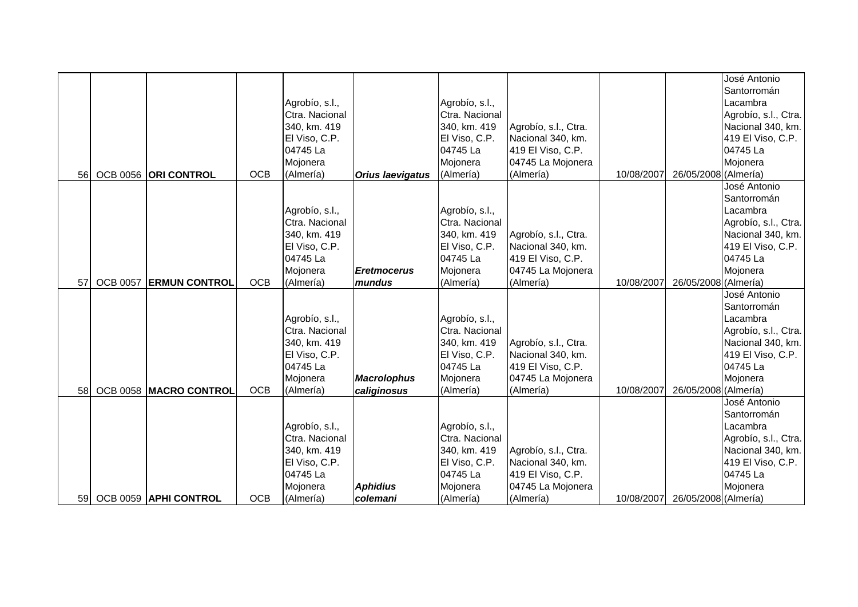|    |                 |                        |            |                           |                         |                           |                                        |            |                      | José Antonio                  |
|----|-----------------|------------------------|------------|---------------------------|-------------------------|---------------------------|----------------------------------------|------------|----------------------|-------------------------------|
|    |                 |                        |            |                           |                         |                           |                                        |            |                      | Santorromán                   |
|    |                 |                        |            | Agrobío, s.l.,            |                         | Agrobío, s.l.,            |                                        |            |                      | Lacambra                      |
|    |                 |                        |            | Ctra. Nacional            |                         | Ctra. Nacional            |                                        |            |                      | Agrobío, s.l., Ctra.          |
|    |                 |                        |            | 340, km. 419              |                         | 340, km. 419              | Agrobío, s.l., Ctra.                   |            |                      | Nacional 340, km.             |
|    |                 |                        |            | El Viso, C.P.             |                         | El Viso, C.P.             | Nacional 340, km.                      |            |                      | 419 El Viso, C.P.             |
|    |                 |                        |            | 04745 La                  |                         | 04745 La                  | 419 El Viso, C.P.                      |            |                      | 04745 La                      |
|    |                 |                        |            | Mojonera                  |                         | Mojonera                  | 04745 La Mojonera                      |            |                      | Mojonera                      |
| 56 |                 | OCB 0056 ORI CONTROL   | <b>OCB</b> | (Almería)                 | <b>Orius laevigatus</b> | (Almería)                 | (Almería)                              | 10/08/2007 | 26/05/2008 (Almería) |                               |
|    |                 |                        |            |                           |                         |                           |                                        |            |                      | José Antonio                  |
|    |                 |                        |            |                           |                         |                           |                                        |            |                      | Santorromán                   |
|    |                 |                        |            | Agrobío, s.l.,            |                         | Agrobío, s.l.,            |                                        |            |                      | Lacambra                      |
|    |                 |                        |            | Ctra. Nacional            |                         | Ctra. Nacional            |                                        |            |                      | Agrobío, s.l., Ctra.          |
|    |                 |                        |            | 340, km. 419              |                         | 340, km. 419              | Agrobío, s.l., Ctra.                   |            |                      | Nacional 340, km.             |
|    |                 |                        |            | El Viso, C.P.             |                         | El Viso, C.P.             | Nacional 340, km.                      |            |                      | 419 El Viso, C.P.             |
|    |                 |                        |            | 04745 La                  |                         | 04745 La                  | 419 El Viso, C.P.                      |            |                      | 04745 La                      |
|    |                 |                        |            | Mojonera                  | <b>Eretmocerus</b>      | Mojonera                  | 04745 La Mojonera                      |            |                      | Mojonera                      |
| 57 | <b>OCB 0057</b> | <b>ERMUN CONTROL</b>   | <b>OCB</b> | (Almería)                 | mundus                  | (Almería)                 | (Almería)                              | 10/08/2007 | 26/05/2008 (Almería) |                               |
|    |                 |                        |            |                           |                         |                           |                                        |            |                      | José Antonio                  |
|    |                 |                        |            |                           |                         |                           |                                        |            |                      | Santorromán                   |
|    |                 |                        |            | Agrobío, s.l.,            |                         | Agrobío, s.l.,            |                                        |            |                      | Lacambra                      |
|    |                 |                        |            | Ctra. Nacional            |                         | Ctra. Nacional            |                                        |            |                      | Agrobío, s.l., Ctra.          |
|    |                 |                        |            | 340, km. 419              |                         | 340, km. 419              |                                        |            |                      |                               |
|    |                 |                        |            |                           |                         |                           | Agrobío, s.l., Ctra.                   |            |                      | Nacional 340, km.             |
|    |                 |                        |            | El Viso, C.P.<br>04745 La |                         | El Viso, C.P.<br>04745 La | Nacional 340, km.<br>419 El Viso, C.P. |            |                      | 419 El Viso, C.P.<br>04745 La |
|    |                 |                        |            |                           |                         |                           |                                        |            |                      |                               |
| 58 |                 |                        | <b>OCB</b> | Mojonera                  | <b>Macrolophus</b>      | Mojonera                  | 04745 La Mojonera                      | 10/08/2007 |                      | Mojonera                      |
|    |                 | OCB 0058 MACRO CONTROL |            | (Almería)                 | caliginosus             | (Almería)                 | (Almería)                              |            | 26/05/2008 (Almería) | José Antonio                  |
|    |                 |                        |            |                           |                         |                           |                                        |            |                      |                               |
|    |                 |                        |            |                           |                         |                           |                                        |            |                      | Santorromán<br>Lacambra       |
|    |                 |                        |            | Agrobío, s.l.,            |                         | Agrobío, s.l.,            |                                        |            |                      |                               |
|    |                 |                        |            | Ctra. Nacional            |                         | Ctra. Nacional            |                                        |            |                      | Agrobío, s.l., Ctra.          |
|    |                 |                        |            | 340, km. 419              |                         | 340, km. 419              | Agrobío, s.l., Ctra.                   |            |                      | Nacional 340, km.             |
|    |                 |                        |            | El Viso, C.P.             |                         | El Viso, C.P.             | Nacional 340, km.                      |            |                      | 419 El Viso, C.P.             |
|    |                 |                        |            | 04745 La                  |                         | 04745 La                  | 419 El Viso, C.P.                      |            |                      | 04745 La                      |
|    |                 |                        |            | Mojonera                  | <b>Aphidius</b>         | Mojonera                  | 04745 La Mojonera                      |            |                      | Mojonera                      |
| 59 |                 | OCB 0059 APHI CONTROL  | <b>OCB</b> | (Almería)                 | colemani                | (Almería)                 | (Almería)                              | 10/08/2007 | 26/05/2008 (Almería) |                               |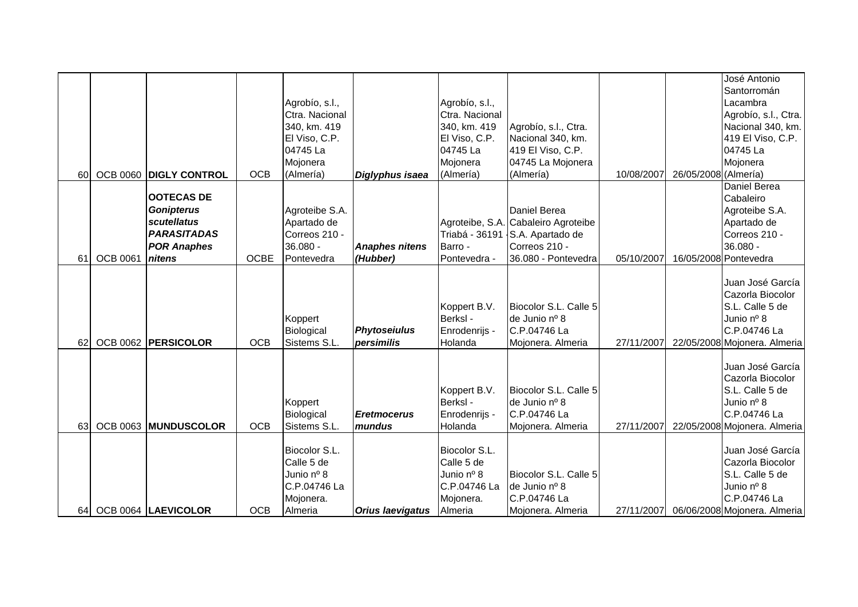|    |                 |                        |             |                             |                         |                             |                                        |            |                      | José Antonio                         |
|----|-----------------|------------------------|-------------|-----------------------------|-------------------------|-----------------------------|----------------------------------------|------------|----------------------|--------------------------------------|
|    |                 |                        |             |                             |                         |                             |                                        |            |                      | Santorromán                          |
|    |                 |                        |             | Agrobío, s.l.,              |                         | Agrobío, s.l.,              |                                        |            |                      | Lacambra                             |
|    |                 |                        |             | Ctra. Nacional              |                         | Ctra. Nacional              |                                        |            |                      | Agrobío, s.l., Ctra.                 |
|    |                 |                        |             | 340, km. 419                |                         | 340, km. 419                | Agrobío, s.l., Ctra.                   |            |                      | Nacional 340, km.                    |
|    |                 |                        |             | El Viso, C.P.               |                         | El Viso, C.P.               | Nacional 340, km.                      |            |                      | 419 El Viso, C.P.                    |
|    |                 |                        |             | 04745 La                    |                         | 04745 La                    | 419 El Viso, C.P.                      |            |                      | 04745 La                             |
|    |                 |                        |             | Mojonera                    |                         | Mojonera                    | 04745 La Mojonera                      |            |                      | Mojonera                             |
| 60 |                 | OCB 0060 DIGLY CONTROL | <b>OCB</b>  | (Almería)                   | Diglyphus isaea         | (Almería)                   | (Almería)                              | 10/08/2007 | 26/05/2008 (Almería) |                                      |
|    |                 |                        |             |                             |                         |                             |                                        |            |                      | Daniel Berea                         |
|    |                 | <b>OOTECAS DE</b>      |             |                             |                         |                             |                                        |            |                      | Cabaleiro                            |
|    |                 | <b>Gonipterus</b>      |             | Agroteibe S.A.              |                         |                             | Daniel Berea                           |            |                      | Agroteibe S.A.                       |
|    |                 | scutellatus            |             | Apartado de                 |                         |                             | Agroteibe, S.A. Cabaleiro Agroteibe    |            |                      | Apartado de                          |
|    |                 | <b>PARASITADAS</b>     |             | Correos 210 -               |                         |                             | Triabá - 36191 S.A. Apartado de        |            |                      | Correos 210 -                        |
|    |                 | <b>POR Anaphes</b>     |             | 36.080 -                    | <b>Anaphes nitens</b>   | Barro -                     | Correos 210 -                          |            |                      | 36.080 -                             |
| 61 | <b>OCB 0061</b> | nitens                 | <b>OCBE</b> | Pontevedra                  | (Hubber)                | Pontevedra -                | 36.080 - Pontevedra                    | 05/10/2007 |                      | 16/05/2008 Pontevedra                |
|    |                 |                        |             |                             |                         |                             |                                        |            |                      |                                      |
|    |                 |                        |             |                             |                         |                             |                                        |            |                      | Juan José García                     |
|    |                 |                        |             |                             |                         |                             |                                        |            |                      | Cazorla Biocolor                     |
|    |                 |                        |             |                             |                         | Koppert B.V.                | Biocolor S.L. Calle 5                  |            |                      | S.L. Calle 5 de                      |
|    |                 |                        |             | Koppert                     |                         | Berksl -                    | de Junio nº 8                          |            |                      | Junio nº 8                           |
|    |                 |                        |             | Biological                  | <b>Phytoseiulus</b>     | Enrodenrijs -               | C.P.04746 La                           |            |                      | C.P.04746 La                         |
| 62 |                 | OCB 0062 PERSICOLOR    | <b>OCB</b>  | Sistems S.L.                | persimilis              | Holanda                     | Moionera, Almeria                      | 27/11/2007 |                      | 22/05/2008 Mojonera. Almeria         |
|    |                 |                        |             |                             |                         |                             |                                        |            |                      |                                      |
|    |                 |                        |             |                             |                         |                             |                                        |            |                      | Juan José García                     |
|    |                 |                        |             |                             |                         |                             |                                        |            |                      | Cazorla Biocolor                     |
|    |                 |                        |             |                             |                         | Koppert B.V.                | Biocolor S.L. Calle 5                  |            |                      | S.L. Calle 5 de                      |
|    |                 |                        |             | Koppert                     |                         | Berksl -                    | de Junio nº 8                          |            |                      | Junio nº 8                           |
|    |                 |                        |             | Biological                  | <b>Eretmocerus</b>      | Enrodenrijs -               | C.P.04746 La                           |            |                      | C.P.04746 La                         |
| 63 |                 | OCB 0063 MUNDUSCOLOR   | <b>OCB</b>  | Sistems S.L.                | mundus                  | Holanda                     | Mojonera. Almeria                      | 27/11/2007 |                      | 22/05/2008 Mojonera. Almeria         |
|    |                 |                        |             |                             |                         |                             |                                        |            |                      |                                      |
|    |                 |                        |             | Biocolor S.L.<br>Calle 5 de |                         | Biocolor S.L.<br>Calle 5 de |                                        |            |                      | Juan José García<br>Cazorla Biocolor |
|    |                 |                        |             |                             |                         |                             |                                        |            |                      |                                      |
|    |                 |                        |             | Junio nº 8<br>C.P.04746 La  |                         | Junio nº 8<br>C.P.04746 La  | Biocolor S.L. Calle 5<br>de Junio nº 8 |            |                      | S.L. Calle 5 de<br>Junio nº 8        |
|    |                 |                        |             |                             |                         |                             | C.P.04746 La                           |            |                      | C.P.04746 La                         |
|    |                 |                        |             | Mojonera.                   |                         | Mojonera.                   |                                        |            |                      |                                      |
| 64 |                 | OCB 0064  LAEVICOLOR   | <b>OCB</b>  | Almeria                     | <b>Orius laevigatus</b> | Almeria                     | Mojonera. Almeria                      | 27/11/2007 |                      | 06/06/2008 Mojonera. Almeria         |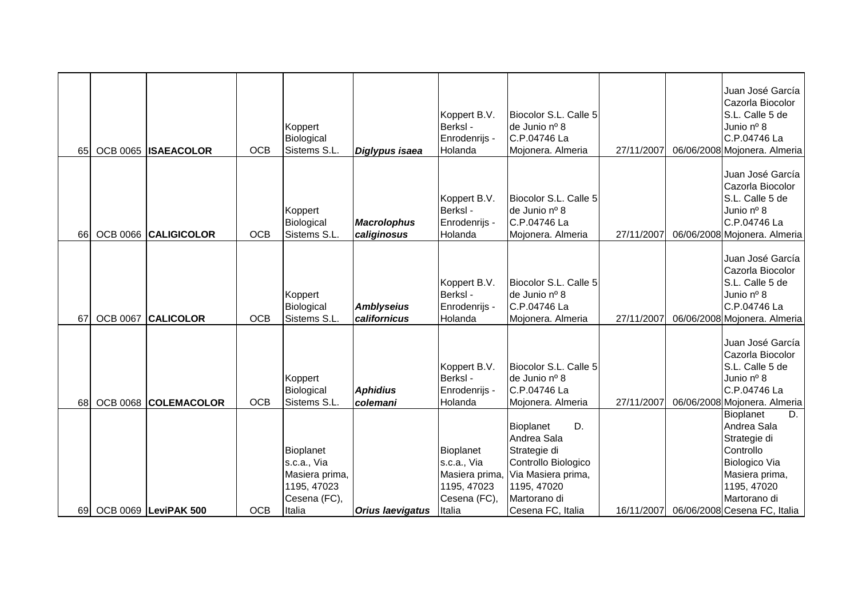| 65  |                 | OCB 0065 ISAEACOLOR         | <b>OCB</b> | Koppert<br>Biological<br>Sistems S.L.                                               | Diglypus isaea                    | Koppert B.V.<br>Berksl -<br>Enrodenrijs -<br>Holanda                                | Biocolor S.L. Calle 5<br>de Junio nº 8<br>C.P.04746 La<br>Mojonera. Almeria                                                                     | 27/11/2007 | Juan José García<br>Cazorla Biocolor<br>S.L. Calle 5 de<br>Junio nº 8<br>C.P.04746 La<br>06/06/2008 Mojonera. Almeria                                                |
|-----|-----------------|-----------------------------|------------|-------------------------------------------------------------------------------------|-----------------------------------|-------------------------------------------------------------------------------------|-------------------------------------------------------------------------------------------------------------------------------------------------|------------|----------------------------------------------------------------------------------------------------------------------------------------------------------------------|
| 66  |                 | OCB 0066 CALIGICOLOR        | <b>OCB</b> | Koppert<br>Biological<br>Sistems S.L.                                               | <b>Macrolophus</b><br>caliginosus | Koppert B.V.<br>Berksl -<br>Enrodenrijs -<br>Holanda                                | Biocolor S.L. Calle 5<br>de Junio nº 8<br>C.P.04746 La<br>Mojonera. Almeria                                                                     | 27/11/2007 | Juan José García<br>Cazorla Biocolor<br>S.L. Calle 5 de<br>Junio nº 8<br>C.P.04746 La<br>06/06/2008 Mojonera. Almeria                                                |
| 67  | <b>OCB 0067</b> | <b>CALICOLOR</b>            | <b>OCB</b> | Koppert<br>Biological<br>Sistems S.L.                                               | <b>Amblyseius</b><br>californicus | Koppert B.V.<br>Berksl -<br>Enrodenrijs -<br>Holanda                                | Biocolor S.L. Calle 5<br>de Junio nº 8<br>C.P.04746 La<br>Mojonera. Almeria                                                                     | 27/11/2007 | Juan José García<br>Cazorla Biocolor<br>S.L. Calle 5 de<br>Junio nº 8<br>C.P.04746 La<br>06/06/2008 Mojonera. Almeria                                                |
| 68  |                 | OCB 0068 COLEMACOLOR        | <b>OCB</b> | Koppert<br>Biological<br>Sistems S.L.                                               | <b>Aphidius</b><br>colemani       | Koppert B.V.<br>Berksl -<br>Enrodenrijs -<br>Holanda                                | Biocolor S.L. Calle 5<br>de Junio nº 8<br>C.P.04746 La<br>Mojonera. Almeria                                                                     | 27/11/2007 | Juan José García<br>Cazorla Biocolor<br>S.L. Calle 5 de<br>Junio nº 8<br>C.P.04746 La<br>06/06/2008 Mojonera. Almeria                                                |
| 69I |                 | <b>OCB 0069 LeviPAK 500</b> | <b>OCB</b> | Bioplanet<br>s.c.a., Via<br>Masiera prima,<br>1195, 47023<br>Cesena (FC),<br>Italia | <b>Orius laevigatus</b>           | Bioplanet<br>s.c.a., Via<br>Masiera prima,<br>1195, 47023<br>Cesena (FC),<br>Italia | D.<br>Bioplanet<br>Andrea Sala<br>Strategie di<br>Controllo Biologico<br>Via Masiera prima,<br>1195, 47020<br>Martorano di<br>Cesena FC, Italia | 16/11/2007 | <b>Bioplanet</b><br>D.<br>Andrea Sala<br>Strategie di<br>Controllo<br>Biologico Via<br>Masiera prima,<br>1195, 47020<br>Martorano di<br>06/06/2008 Cesena FC, Italia |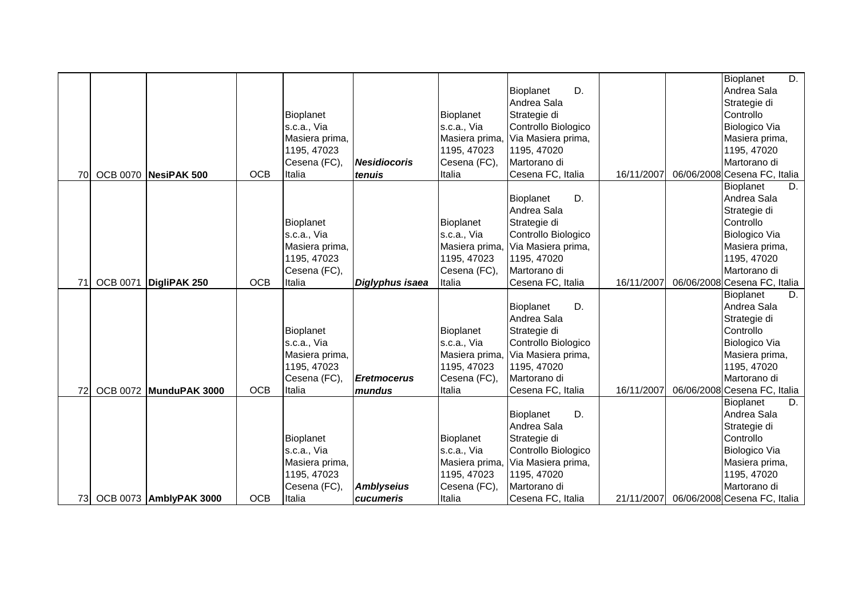|           |                 |                               |            |                  |                     |                  |                     |            | $\overline{D}$ .<br>Bioplanet |
|-----------|-----------------|-------------------------------|------------|------------------|---------------------|------------------|---------------------|------------|-------------------------------|
|           |                 |                               |            |                  |                     |                  | D.<br>Bioplanet     |            | Andrea Sala                   |
|           |                 |                               |            |                  |                     |                  | Andrea Sala         |            | Strategie di                  |
|           |                 |                               |            | <b>Bioplanet</b> |                     | <b>Bioplanet</b> | Strategie di        |            | Controllo                     |
|           |                 |                               |            | s.c.a., Via      |                     | s.c.a., Via      | Controllo Biologico |            | Biologico Via                 |
|           |                 |                               |            | Masiera prima,   |                     | Masiera prima    | Via Masiera prima,  |            | Masiera prima,                |
|           |                 |                               |            | 1195, 47023      |                     | 1195, 47023      | 1195, 47020         |            | 1195, 47020                   |
|           |                 |                               |            | Cesena (FC),     | <b>Nesidiocoris</b> | Cesena (FC),     | Martorano di        |            | Martorano di                  |
| <b>70</b> |                 | OCB 0070 NesiPAK 500          | <b>OCB</b> | Italia           | tenuis              | Italia           | Cesena FC, Italia   | 16/11/2007 | 06/06/2008 Cesena FC, Italia  |
|           |                 |                               |            |                  |                     |                  |                     |            | Bioplanet<br>D.               |
|           |                 |                               |            |                  |                     |                  | D.<br>Bioplanet     |            | Andrea Sala                   |
|           |                 |                               |            |                  |                     |                  | Andrea Sala         |            | Strategie di                  |
|           |                 |                               |            | <b>Bioplanet</b> |                     | Bioplanet        | Strategie di        |            | Controllo                     |
|           |                 |                               |            | s.c.a., Via      |                     | s.c.a., Via      | Controllo Biologico |            | Biologico Via                 |
|           |                 |                               |            | Masiera prima,   |                     | Masiera prima    | Via Masiera prima,  |            | Masiera prima,                |
|           |                 |                               |            | 1195, 47023      |                     | 1195, 47023      | 1195, 47020         |            | 1195, 47020                   |
|           |                 |                               |            | Cesena (FC),     |                     | Cesena (FC),     | Martorano di        |            | Martorano di                  |
| 71        | <b>OCB 0071</b> | DigliPAK 250                  | <b>OCB</b> | Italia           | Diglyphus isaea     | Italia           | Cesena FC, Italia   | 16/11/2007 | 06/06/2008 Cesena FC, Italia  |
|           |                 |                               |            |                  |                     |                  |                     |            | Bioplanet<br>D.               |
|           |                 |                               |            |                  |                     |                  | D.<br>Bioplanet     |            | Andrea Sala                   |
|           |                 |                               |            |                  |                     |                  | Andrea Sala         |            | Strategie di                  |
|           |                 |                               |            | Bioplanet        |                     | Bioplanet        | Strategie di        |            | Controllo                     |
|           |                 |                               |            | s.c.a., Via      |                     | s.c.a., Via      | Controllo Biologico |            | Biologico Via                 |
|           |                 |                               |            | Masiera prima,   |                     | Masiera prima    | Via Masiera prima,  |            | Masiera prima,                |
|           |                 |                               |            | 1195, 47023      |                     | 1195, 47023      | 1195, 47020         |            | 1195, 47020                   |
|           |                 |                               |            | Cesena (FC),     | <b>Eretmocerus</b>  | Cesena (FC),     | Martorano di        |            | Martorano di                  |
| 72        |                 | <b>OCB 0072 MunduPAK 3000</b> | <b>OCB</b> | Italia           | mundus              | Italia           | Cesena FC, Italia   | 16/11/2007 | 06/06/2008 Cesena FC, Italia  |
|           |                 |                               |            |                  |                     |                  |                     |            | Bioplanet<br>D.               |
|           |                 |                               |            |                  |                     |                  | D.<br>Bioplanet     |            | Andrea Sala                   |
|           |                 |                               |            |                  |                     |                  | Andrea Sala         |            | Strategie di                  |
|           |                 |                               |            | Bioplanet        |                     | <b>Bioplanet</b> | Strategie di        |            | Controllo                     |
|           |                 |                               |            | s.c.a., Via      |                     | s.c.a., Via      | Controllo Biologico |            | Biologico Via                 |
|           |                 |                               |            | Masiera prima,   |                     | Masiera prima    | Via Masiera prima,  |            | Masiera prima,                |
|           |                 |                               |            | 1195, 47023      |                     | 1195, 47023      | 1195, 47020         |            | 1195, 47020                   |
|           |                 |                               |            | Cesena (FC),     | <b>Amblyseius</b>   | Cesena (FC),     | Martorano di        |            | Martorano di                  |
|           |                 | 73 OCB 0073 AmblyPAK 3000     | <b>OCB</b> | Italia           | cucumeris           | Italia           | Cesena FC, Italia   | 21/11/2007 | 06/06/2008 Cesena FC, Italia  |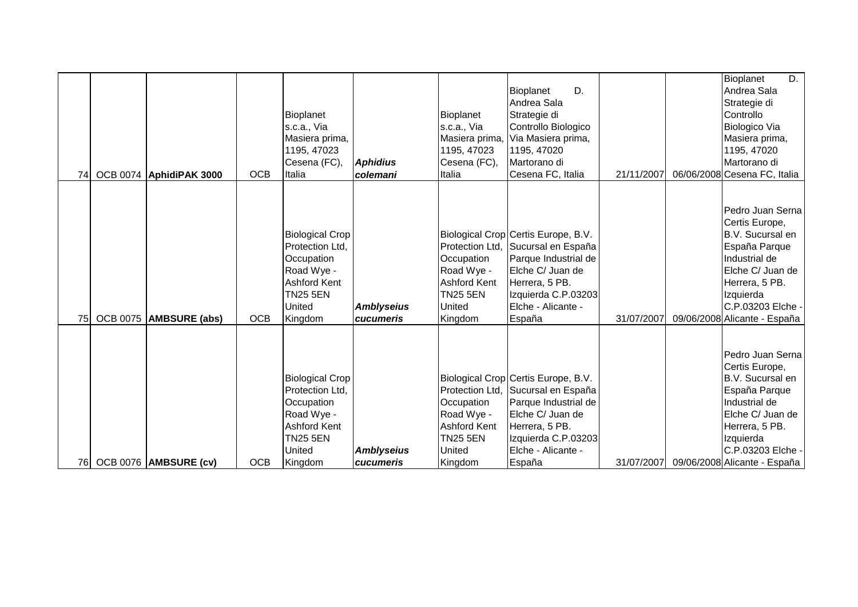| 74 | OCB 0074 AphidiPAK 3000 | <b>OCB</b> | Bioplanet<br>s.c.a., Via<br>Masiera prima,<br>1195, 47023<br>Cesena (FC),<br>Italia                                                         | <b>Aphidius</b><br>colemani    | Bioplanet<br>s.c.a., Via<br>Masiera prima<br>1195, 47023<br>Cesena (FC),<br>Italia             | D.<br>Bioplanet<br>Andrea Sala<br>Strategie di<br>Controllo Biologico<br>Via Masiera prima,<br>1195, 47020<br>Martorano di<br>Cesena FC, Italia                                                | 21/11/2007 | D.<br>Bioplanet<br>Andrea Sala<br>Strategie di<br>Controllo<br>Biologico Via<br>Masiera prima,<br>1195, 47020<br>Martorano di<br>06/06/2008 Cesena FC, Italia                                               |
|----|-------------------------|------------|---------------------------------------------------------------------------------------------------------------------------------------------|--------------------------------|------------------------------------------------------------------------------------------------|------------------------------------------------------------------------------------------------------------------------------------------------------------------------------------------------|------------|-------------------------------------------------------------------------------------------------------------------------------------------------------------------------------------------------------------|
| 75 | OCB 0075 AMBSURE (abs)  | <b>OCB</b> | <b>Biological Crop</b><br>Protection Ltd.<br>Occupation<br>Road Wye -<br>Ashford Kent<br><b>TN25 5EN</b><br>United<br>Kingdom               | <b>Amblyseius</b><br>cucumeris | Occupation<br>Road Wye -<br><b>Ashford Kent</b><br><b>TN25 5EN</b><br><b>United</b><br>Kingdom | Biological Crop Certis Europe, B.V.<br>Protection Ltd, Sucursal en España<br>Parque Industrial de<br>Elche C/ Juan de<br>Herrera, 5 PB.<br>Izquierda C.P.03203<br>Elche - Alicante -<br>España | 31/07/2007 | Pedro Juan Serna<br>Certis Europe,<br>B.V. Sucursal en<br>España Parque<br>Industrial de<br>Elche C/ Juan de<br>Herrera, 5 PB.<br>Izquierda<br>C.P.03203 Elche -<br>09/06/2008 Alicante - España            |
| 76 | OCB 0076 AMBSURE (cv)   | <b>OCB</b> | <b>Biological Crop</b><br>Protection Ltd.<br>Occupation<br>Road Wye -<br><b>Ashford Kent</b><br><b>TN25 5EN</b><br><b>United</b><br>Kingdom | <b>Amblyseius</b><br>cucumeris | Occupation<br>Road Wye -<br><b>Ashford Kent</b><br><b>TN25 5EN</b><br><b>United</b><br>Kingdom | Biological Crop Certis Europe, B.V.<br>Protection Ltd, Sucursal en España<br>Parque Industrial de<br>Elche C/ Juan de<br>Herrera, 5 PB.<br>Izquierda C.P.03203<br>Elche - Alicante -<br>España |            | Pedro Juan Serna<br>Certis Europe,<br>B.V. Sucursal en<br>España Parque<br>Industrial de<br>Elche C/ Juan de<br>Herrera, 5 PB.<br>Izquierda<br>C.P.03203 Elche -<br>31/07/2007 09/06/2008 Alicante - España |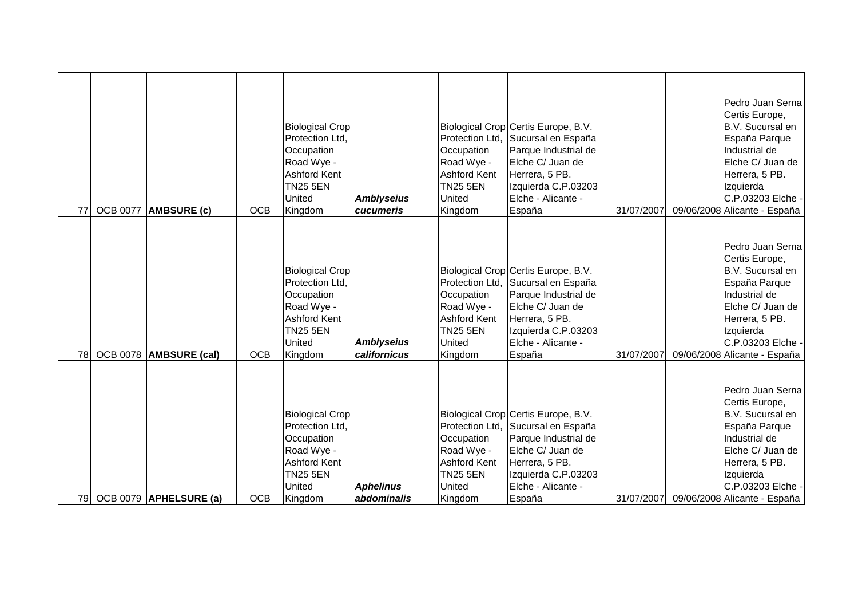| 77        | <b>OCB 0077</b> | <b>AMBSURE (c)</b>     | <b>OCB</b> | <b>Biological Crop</b><br>Protection Ltd.<br>Occupation<br>Road Wye -<br>Ashford Kent<br><b>TN25 5EN</b><br>United<br>Kingdom        | <b>Amblyseius</b><br>cucumeris    | Protection Ltd.<br>Occupation<br>Road Wye -<br><b>Ashford Kent</b><br><b>TN25 5EN</b><br>United<br>Kingdom        | Biological Crop Certis Europe, B.V.<br>Sucursal en España<br>Parque Industrial de<br>Elche C/ Juan de<br>Herrera, 5 PB.<br>Izquierda C.P.03203<br>Elche - Alicante -<br>España | 31/07/2007 | Pedro Juan Serna<br>Certis Europe,<br>B.V. Sucursal en<br>España Parque<br>Industrial de<br>Elche C/ Juan de<br>Herrera, 5 PB.<br>Izquierda<br>C.P.03203 Elche -<br>09/06/2008 Alicante - España |
|-----------|-----------------|------------------------|------------|--------------------------------------------------------------------------------------------------------------------------------------|-----------------------------------|-------------------------------------------------------------------------------------------------------------------|--------------------------------------------------------------------------------------------------------------------------------------------------------------------------------|------------|--------------------------------------------------------------------------------------------------------------------------------------------------------------------------------------------------|
| <b>78</b> |                 | OCB 0078 AMBSURE (cal) | <b>OCB</b> | <b>Biological Crop</b><br>Protection Ltd,<br>Occupation<br>Road Wye -<br><b>Ashford Kent</b><br><b>TN25 5EN</b><br>United<br>Kingdom | <b>Amblyseius</b><br>californicus | Protection Ltd,<br>Occupation<br>Road Wye -<br><b>Ashford Kent</b><br><b>TN25 5EN</b><br><b>United</b><br>Kingdom | Biological Crop Certis Europe, B.V.<br>Sucursal en España<br>Parque Industrial de<br>Elche C/ Juan de<br>Herrera, 5 PB.<br>Izquierda C.P.03203<br>Elche - Alicante -<br>España | 31/07/2007 | Pedro Juan Serna<br>Certis Europe,<br>B.V. Sucursal en<br>España Parque<br>Industrial de<br>Elche C/ Juan de<br>Herrera, 5 PB.<br>Izquierda<br>C.P.03203 Elche -<br>09/06/2008 Alicante - España |
| 79        |                 | OCB 0079 APHELSURE (a) | <b>OCB</b> | <b>Biological Crop</b><br>Protection Ltd.<br>Occupation<br>Road Wye -<br><b>Ashford Kent</b><br><b>TN25 5EN</b><br>United<br>Kingdom | <b>Aphelinus</b><br>abdominalis   | Protection Ltd,<br>Occupation<br>Road Wye -<br><b>Ashford Kent</b><br><b>TN25 5EN</b><br>United<br>Kingdom        | Biological Crop Certis Europe, B.V.<br>Sucursal en España<br>Parque Industrial de<br>Elche C/ Juan de<br>Herrera, 5 PB.<br>Izquierda C.P.03203<br>Elche - Alicante -<br>España | 31/07/2007 | Pedro Juan Serna<br>Certis Europe,<br>B.V. Sucursal en<br>España Parque<br>Industrial de<br>Elche C/ Juan de<br>Herrera, 5 PB.<br>Izquierda<br>C.P.03203 Elche -<br>09/06/2008 Alicante - España |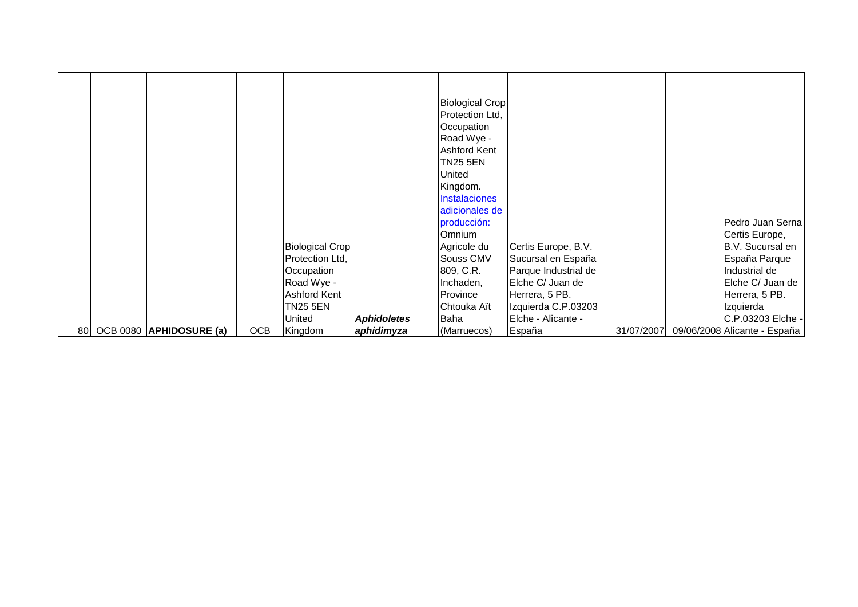|  |                            |            |                        |                    | <b>Biological Crop</b><br>Protection Ltd, |                      |            |                              |
|--|----------------------------|------------|------------------------|--------------------|-------------------------------------------|----------------------|------------|------------------------------|
|  |                            |            |                        |                    | Occupation                                |                      |            |                              |
|  |                            |            |                        |                    | Road Wye -                                |                      |            |                              |
|  |                            |            |                        |                    | <b>Ashford Kent</b>                       |                      |            |                              |
|  |                            |            |                        |                    | TN25 5EN                                  |                      |            |                              |
|  |                            |            |                        |                    | United                                    |                      |            |                              |
|  |                            |            |                        |                    | Kingdom.                                  |                      |            |                              |
|  |                            |            |                        |                    | <b>Instalaciones</b>                      |                      |            |                              |
|  |                            |            |                        |                    | adicionales de                            |                      |            |                              |
|  |                            |            |                        |                    | producción:                               |                      |            | Pedro Juan Serna             |
|  |                            |            |                        |                    | <b>Omnium</b>                             |                      |            | Certis Europe,               |
|  |                            |            | <b>Biological Crop</b> |                    | Agricole du                               | Certis Europe, B.V.  |            | B.V. Sucursal en             |
|  |                            |            | Protection Ltd,        |                    | Souss CMV                                 | Sucursal en España   |            | España Parque                |
|  |                            |            | Occupation             |                    | 809, C.R.                                 | Parque Industrial de |            | Industrial de                |
|  |                            |            | Road Wye -             |                    | Inchaden,                                 | Elche C/ Juan de     |            | Elche C/ Juan de             |
|  |                            |            | Ashford Kent           |                    | Province                                  | Herrera, 5 PB.       |            | Herrera, 5 PB.               |
|  |                            |            | <b>TN25 5EN</b>        |                    | Chtouka Aït                               | Izquierda C.P.03203  |            | Izquierda                    |
|  |                            |            | United                 | <b>Aphidoletes</b> | Baha                                      | Elche - Alicante -   |            | C.P.03203 Elche -            |
|  | 80 OCB 0080 APHIDOSURE (a) | <b>OCB</b> | Kingdom                | aphidimyza         | (Marruecos)                               | España               | 31/07/2007 | 09/06/2008 Alicante - España |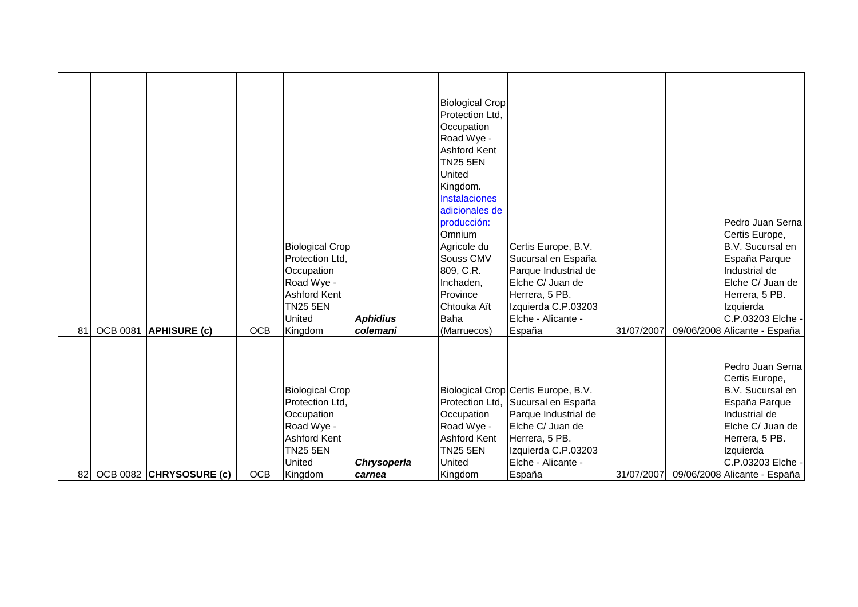|    |                 |                            |            | <b>Biological Crop</b><br>Protection Ltd,<br>Occupation<br>Road Wye -<br><b>Ashford Kent</b><br>TN <sub>25</sub> 5EN<br>United | <b>Aphidius</b> | <b>Biological Crop</b><br>Protection Ltd.<br>Occupation<br>Road Wye -<br><b>Ashford Kent</b><br>TN <sub>25</sub> 5EN<br><b>United</b><br>Kingdom.<br><b>Instalaciones</b><br>adicionales de<br>producción:<br>Omnium<br>Agricole du<br>Souss CMV<br>809, C.R.<br>Inchaden,<br>Province<br>Chtouka Aït<br><b>Baha</b> | Certis Europe, B.V.<br>Sucursal en España<br>Parque Industrial de<br>Elche C/ Juan de<br>Herrera, 5 PB.<br>Izquierda C.P.03203<br>Elche - Alicante -                 |            | Pedro Juan Serna<br>Certis Europe,<br>B.V. Sucursal en<br>España Parque<br>Industrial de<br>Elche C/ Juan de<br>Herrera, 5 PB.<br>Izquierda<br>C.P.03203 Elche - |
|----|-----------------|----------------------------|------------|--------------------------------------------------------------------------------------------------------------------------------|-----------------|----------------------------------------------------------------------------------------------------------------------------------------------------------------------------------------------------------------------------------------------------------------------------------------------------------------------|----------------------------------------------------------------------------------------------------------------------------------------------------------------------|------------|------------------------------------------------------------------------------------------------------------------------------------------------------------------|
| 81 | <b>OCB 0081</b> | <b>APHISURE (c)</b>        | <b>OCB</b> | Kingdom                                                                                                                        | colemani        | (Marruecos)                                                                                                                                                                                                                                                                                                          | España                                                                                                                                                               | 31/07/2007 | 09/06/2008 Alicante - España                                                                                                                                     |
|    |                 |                            |            | <b>Biological Crop</b><br>Protection Ltd,<br>Occupation<br>Road Wye -<br><b>Ashford Kent</b><br><b>TN25 5EN</b><br>United      | Chrysoperla     | Protection Ltd,<br>Occupation<br>Road Wye -<br><b>Ashford Kent</b><br><b>TN25 5EN</b><br><b>United</b>                                                                                                                                                                                                               | Biological Crop Certis Europe, B.V.<br>Sucursal en España<br>Parque Industrial de<br>Elche C/ Juan de<br>Herrera, 5 PB.<br>Izquierda C.P.03203<br>Elche - Alicante - |            | Pedro Juan Serna<br>Certis Europe,<br>B.V. Sucursal en<br>España Parque<br>Industrial de<br>Elche C/ Juan de<br>Herrera, 5 PB.<br>Izquierda<br>C.P.03203 Elche - |
|    |                 | 82 OCB 0082 CHRYSOSURE (c) | <b>OCB</b> | Kingdom                                                                                                                        | carnea          | Kingdom                                                                                                                                                                                                                                                                                                              | España                                                                                                                                                               | 31/07/2007 | 09/06/2008 Alicante - España                                                                                                                                     |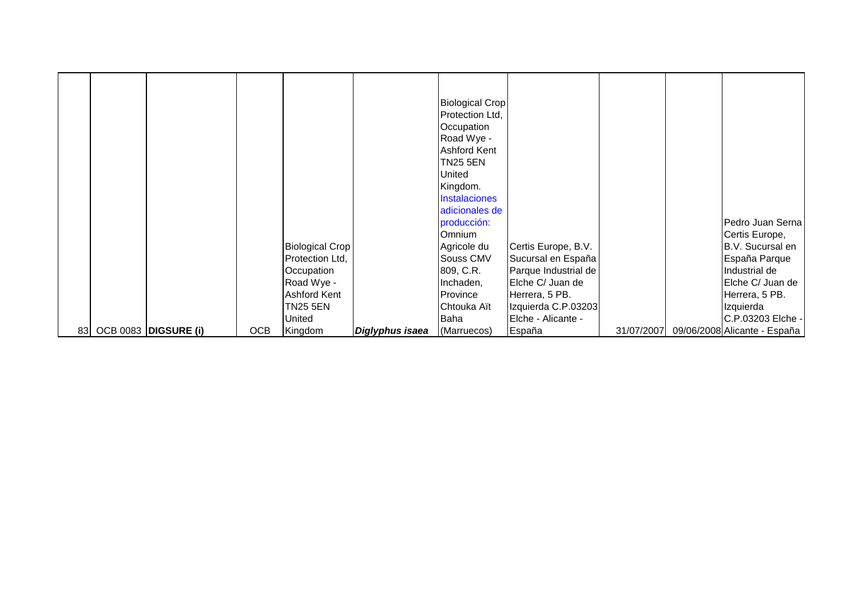|  |                         |            |                        |                 | <b>Biological Crop</b><br>Protection Ltd, |                      |            |                              |
|--|-------------------------|------------|------------------------|-----------------|-------------------------------------------|----------------------|------------|------------------------------|
|  |                         |            |                        |                 | Occupation                                |                      |            |                              |
|  |                         |            |                        |                 | Road Wye -                                |                      |            |                              |
|  |                         |            |                        |                 | <b>Ashford Kent</b>                       |                      |            |                              |
|  |                         |            |                        |                 | <b>TN25 5EN</b>                           |                      |            |                              |
|  |                         |            |                        |                 | United                                    |                      |            |                              |
|  |                         |            |                        |                 | Kingdom.                                  |                      |            |                              |
|  |                         |            |                        |                 | <b>Instalaciones</b>                      |                      |            |                              |
|  |                         |            |                        |                 | adicionales de                            |                      |            |                              |
|  |                         |            |                        |                 | producción:                               |                      |            | Pedro Juan Serna             |
|  |                         |            |                        |                 | Omnium                                    |                      |            | Certis Europe,               |
|  |                         |            | <b>Biological Crop</b> |                 | Agricole du                               | Certis Europe, B.V.  |            | B.V. Sucursal en             |
|  |                         |            | Protection Ltd,        |                 | Souss CMV                                 | Sucursal en España   |            | España Parque                |
|  |                         |            | Occupation             |                 | 809, C.R.                                 | Parque Industrial de |            | Industrial de                |
|  |                         |            | Road Wye -             |                 | Inchaden,                                 | Elche C/ Juan de     |            | Elche C/ Juan de             |
|  |                         |            | Ashford Kent           |                 | Province                                  | Herrera, 5 PB.       |            | Herrera, 5 PB.               |
|  |                         |            | TN25 5EN               |                 | Chtouka Aït                               | Izquierda C.P.03203  |            | Izquierda                    |
|  |                         |            | United                 |                 | Baha                                      | Elche - Alicante -   |            | C.P.03203 Elche -            |
|  | 83 OCB 0083 DIGSURE (i) | <b>OCB</b> | Kingdom                | Diglyphus isaea | (Marruecos)                               | España               | 31/07/2007 | 09/06/2008 Alicante - España |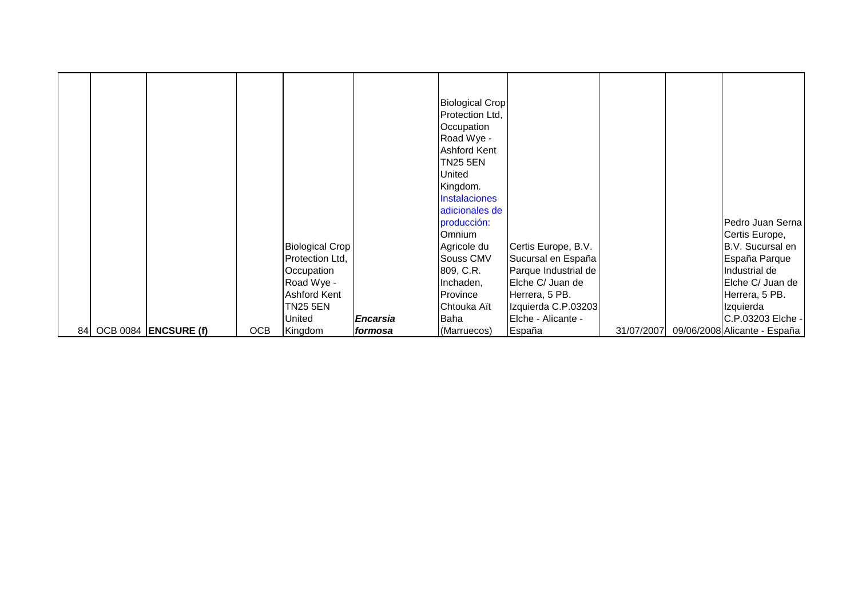|    |                      |            |                        |                 | <b>Biological Crop</b><br>Protection Ltd,<br>Occupation<br>Road Wye -<br><b>Ashford Kent</b><br>TN25 5EN<br>United |                      |            |                              |
|----|----------------------|------------|------------------------|-----------------|--------------------------------------------------------------------------------------------------------------------|----------------------|------------|------------------------------|
|    |                      |            |                        |                 | Kingdom.<br><b>Instalaciones</b>                                                                                   |                      |            |                              |
|    |                      |            |                        |                 | adicionales de                                                                                                     |                      |            |                              |
|    |                      |            |                        |                 | producción:                                                                                                        |                      |            | Pedro Juan Serna             |
|    |                      |            |                        |                 | <b>Omnium</b>                                                                                                      |                      |            | Certis Europe,               |
|    |                      |            | <b>Biological Crop</b> |                 | Agricole du                                                                                                        | Certis Europe, B.V.  |            | B.V. Sucursal en             |
|    |                      |            | Protection Ltd,        |                 | Souss CMV                                                                                                          | Sucursal en España   |            | España Parque                |
|    |                      |            | Occupation             |                 | 809, C.R.                                                                                                          | Parque Industrial de |            | Industrial de                |
|    |                      |            | Road Wye -             |                 | Inchaden,                                                                                                          | Elche C/ Juan de     |            | Elche C/ Juan de             |
|    |                      |            | Ashford Kent           |                 | Province                                                                                                           | Herrera, 5 PB.       |            | Herrera, 5 PB.               |
|    |                      |            | <b>TN25 5EN</b>        |                 | Chtouka Aït                                                                                                        | Izquierda C.P.03203  |            | Izquierda                    |
|    |                      |            | United                 | <b>Encarsia</b> | Baha                                                                                                               | Elche - Alicante -   |            | C.P.03203 Elche -            |
| 84 | OCB 0084 ENCSURE (f) | <b>OCB</b> | Kingdom                | formosa         | (Marruecos)                                                                                                        | España               | 31/07/2007 | 09/06/2008 Alicante - España |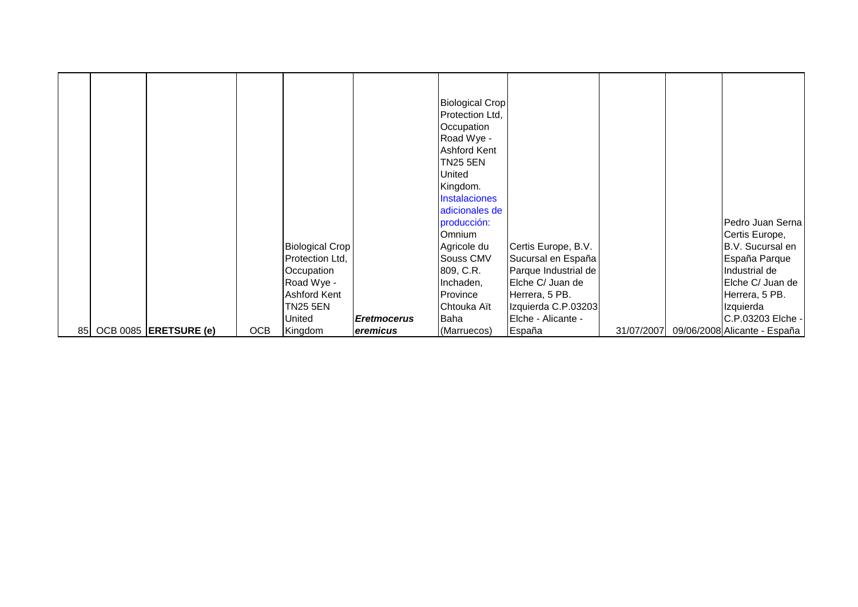|  |                          |            |                        |                    | <b>Biological Crop</b><br>Protection Ltd,<br>Occupation<br>Road Wye - |                      |            |                              |
|--|--------------------------|------------|------------------------|--------------------|-----------------------------------------------------------------------|----------------------|------------|------------------------------|
|  |                          |            |                        |                    | <b>Ashford Kent</b>                                                   |                      |            |                              |
|  |                          |            |                        |                    | TN25 5EN                                                              |                      |            |                              |
|  |                          |            |                        |                    | United                                                                |                      |            |                              |
|  |                          |            |                        |                    | Kingdom.                                                              |                      |            |                              |
|  |                          |            |                        |                    | <b>Instalaciones</b>                                                  |                      |            |                              |
|  |                          |            |                        |                    | adicionales de                                                        |                      |            |                              |
|  |                          |            |                        |                    | producción:                                                           |                      |            | Pedro Juan Serna             |
|  |                          |            |                        |                    | <b>Omnium</b>                                                         |                      |            | Certis Europe,               |
|  |                          |            | <b>Biological Crop</b> |                    | Agricole du                                                           | Certis Europe, B.V.  |            | B.V. Sucursal en             |
|  |                          |            | Protection Ltd,        |                    | Souss CMV                                                             | Sucursal en España   |            | España Parque                |
|  |                          |            | Occupation             |                    | 809, C.R.                                                             | Parque Industrial de |            | Industrial de                |
|  |                          |            | Road Wye -             |                    | Inchaden,                                                             | Elche C/ Juan de     |            | Elche C/ Juan de             |
|  |                          |            | Ashford Kent           |                    | Province                                                              | Herrera, 5 PB.       |            | Herrera, 5 PB.               |
|  |                          |            | <b>TN25 5EN</b>        |                    | Chtouka Aït                                                           | Izquierda C.P.03203  |            | Izquierda                    |
|  |                          |            | United                 | <b>Eretmocerus</b> | Baha                                                                  | Elche - Alicante -   |            | C.P.03203 Elche -            |
|  | 85 OCB 0085 ERETSURE (e) | <b>OCB</b> | Kingdom                | eremicus           | (Marruecos)                                                           | España               | 31/07/2007 | 09/06/2008 Alicante - España |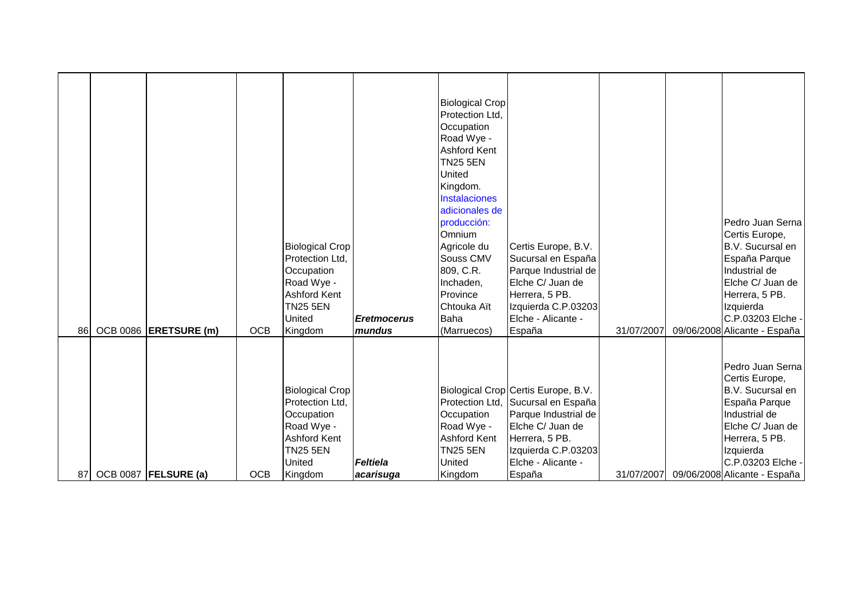|    |                        |            | <b>Biological Crop</b><br>Protection Ltd,<br>Occupation<br>Road Wye -<br><b>Ashford Kent</b><br>TN <sub>25</sub> 5EN<br>United       | <b>Eretmocerus</b>           | <b>Biological Crop</b><br>Protection Ltd.<br>Occupation<br>Road Wye -<br><b>Ashford Kent</b><br>TN <sub>25</sub> 5EN<br><b>United</b><br>Kingdom.<br><b>Instalaciones</b><br>adicionales de<br>producción:<br>Omnium<br>Agricole du<br>Souss CMV<br>809, C.R.<br>Inchaden,<br>Province<br>Chtouka Aït<br><b>Baha</b> | Certis Europe, B.V.<br>Sucursal en España<br>Parque Industrial de<br>Elche C/ Juan de<br>Herrera, 5 PB.<br>Izquierda C.P.03203<br>Elche - Alicante -                                           |            | Pedro Juan Serna<br>Certis Europe,<br>B.V. Sucursal en<br>España Parque<br>Industrial de<br>Elche C/ Juan de<br>Herrera, 5 PB.<br>Izquierda<br>C.P.03203 Elche -                                 |
|----|------------------------|------------|--------------------------------------------------------------------------------------------------------------------------------------|------------------------------|----------------------------------------------------------------------------------------------------------------------------------------------------------------------------------------------------------------------------------------------------------------------------------------------------------------------|------------------------------------------------------------------------------------------------------------------------------------------------------------------------------------------------|------------|--------------------------------------------------------------------------------------------------------------------------------------------------------------------------------------------------|
| 86 | OCB 0086 ERETSURE (m)  | <b>OCB</b> | Kingdom                                                                                                                              | mundus                       | (Marruecos)                                                                                                                                                                                                                                                                                                          | España                                                                                                                                                                                         | 31/07/2007 | 09/06/2008 Alicante - España                                                                                                                                                                     |
| 87 | OCB 0087   FELSURE (a) | <b>OCB</b> | <b>Biological Crop</b><br>Protection Ltd,<br>Occupation<br>Road Wye -<br><b>Ashford Kent</b><br><b>TN25 5EN</b><br>United<br>Kingdom | <b>Feltiela</b><br>acarisuga | Occupation<br>Road Wye -<br><b>Ashford Kent</b><br><b>TN25 5EN</b><br><b>United</b><br>Kingdom                                                                                                                                                                                                                       | Biological Crop Certis Europe, B.V.<br>Protection Ltd, Sucursal en España<br>Parque Industrial de<br>Elche C/ Juan de<br>Herrera, 5 PB.<br>Izquierda C.P.03203<br>Elche - Alicante -<br>España | 31/07/2007 | Pedro Juan Serna<br>Certis Europe,<br>B.V. Sucursal en<br>España Parque<br>Industrial de<br>Elche C/ Juan de<br>Herrera, 5 PB.<br>Izquierda<br>C.P.03203 Elche -<br>09/06/2008 Alicante - España |
|    |                        |            |                                                                                                                                      |                              |                                                                                                                                                                                                                                                                                                                      |                                                                                                                                                                                                |            |                                                                                                                                                                                                  |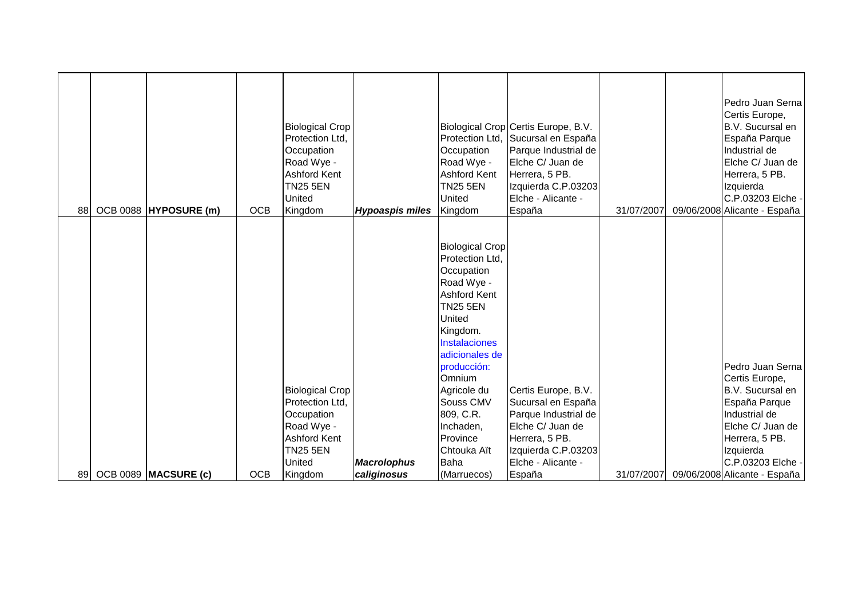| 88 | OCB 0088  HYPOSURE (m) | <b>OCB</b> | <b>Biological Crop</b><br>Protection Ltd.<br>Occupation<br>Road Wye -<br>Ashford Kent<br><b>TN25 5EN</b><br>United<br>Kingdom | <b>Hypoaspis miles</b>            | Protection Ltd,<br>Occupation<br>Road Wye -<br><b>Ashford Kent</b><br><b>TN25 5EN</b><br>United<br>Kingdom                                                                                                      | Biological Crop Certis Europe, B.V.<br>Sucursal en España<br>Parque Industrial de<br>Elche C/ Juan de<br>Herrera, 5 PB.<br>Izquierda C.P.03203<br>Elche - Alicante -<br>España | 31/07/2007 | Pedro Juan Serna<br>Certis Europe,<br>B.V. Sucursal en<br>España Parque<br>Industrial de<br>Elche C/ Juan de<br>Herrera, 5 PB.<br>Izquierda<br>C.P.03203 Elche -<br>09/06/2008 Alicante - España |
|----|------------------------|------------|-------------------------------------------------------------------------------------------------------------------------------|-----------------------------------|-----------------------------------------------------------------------------------------------------------------------------------------------------------------------------------------------------------------|--------------------------------------------------------------------------------------------------------------------------------------------------------------------------------|------------|--------------------------------------------------------------------------------------------------------------------------------------------------------------------------------------------------|
|    |                        |            |                                                                                                                               |                                   | <b>Biological Crop</b><br>Protection Ltd,<br>Occupation<br>Road Wye -<br><b>Ashford Kent</b><br><b>TN25 5EN</b><br><b>United</b><br>Kingdom.<br><b>Instalaciones</b><br>adicionales de<br>producción:<br>Omnium |                                                                                                                                                                                |            | Pedro Juan Serna<br>Certis Europe,                                                                                                                                                               |
|    |                        |            | <b>Biological Crop</b><br>Protection Ltd,<br>Occupation<br>Road Wye -<br>Ashford Kent                                         |                                   | Agricole du<br>Souss CMV<br>809, C.R.<br>Inchaden,<br>Province                                                                                                                                                  | Certis Europe, B.V.<br>Sucursal en España<br>Parque Industrial de<br>Elche C/ Juan de<br>Herrera, 5 PB.                                                                        |            | B.V. Sucursal en<br>España Parque<br>Industrial de<br>Elche C/ Juan de<br>Herrera, 5 PB.                                                                                                         |
| 89 | OCB 0089   MACSURE (c) | <b>OCB</b> | <b>TN25 5EN</b><br>United<br>Kingdom                                                                                          | <b>Macrolophus</b><br>caliginosus | Chtouka Aït<br><b>Baha</b><br>(Marruecos)                                                                                                                                                                       | Izquierda C.P.03203<br>Elche - Alicante -<br>España                                                                                                                            | 31/07/2007 | Izquierda<br>C.P.03203 Elche -<br>09/06/2008 Alicante - España                                                                                                                                   |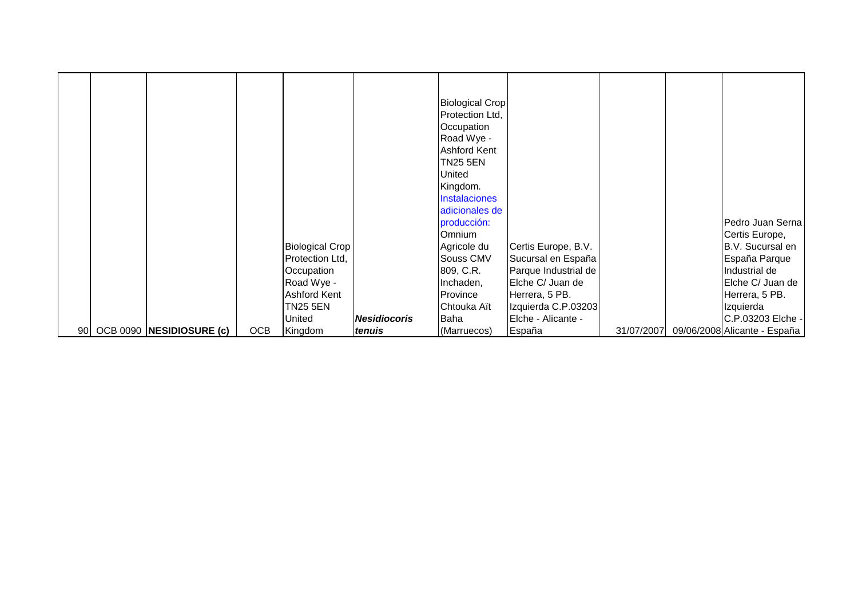|  |                             |            |                        |                     | <b>Biological Crop</b> |                      |            |                              |
|--|-----------------------------|------------|------------------------|---------------------|------------------------|----------------------|------------|------------------------------|
|  |                             |            |                        |                     | Protection Ltd,        |                      |            |                              |
|  |                             |            |                        |                     | Occupation             |                      |            |                              |
|  |                             |            |                        |                     | Road Wye -             |                      |            |                              |
|  |                             |            |                        |                     | <b>Ashford Kent</b>    |                      |            |                              |
|  |                             |            |                        |                     | TN25 5EN               |                      |            |                              |
|  |                             |            |                        |                     | <b>United</b>          |                      |            |                              |
|  |                             |            |                        |                     | Kingdom.               |                      |            |                              |
|  |                             |            |                        |                     | <b>Instalaciones</b>   |                      |            |                              |
|  |                             |            |                        |                     | adicionales de         |                      |            |                              |
|  |                             |            |                        |                     | producción:            |                      |            | Pedro Juan Serna             |
|  |                             |            |                        |                     | <b>Omnium</b>          |                      |            | Certis Europe,               |
|  |                             |            | <b>Biological Crop</b> |                     | Agricole du            | Certis Europe, B.V.  |            | B.V. Sucursal en             |
|  |                             |            | Protection Ltd,        |                     | Souss CMV              | Sucursal en España   |            | España Parque                |
|  |                             |            | Occupation             |                     | 809, C.R.              | Parque Industrial de |            | Industrial de                |
|  |                             |            | Road Wye -             |                     | Inchaden,              | Elche C/ Juan de     |            | Elche C/ Juan de             |
|  |                             |            | Ashford Kent           |                     | Province               | Herrera, 5 PB.       |            | Herrera, 5 PB.               |
|  |                             |            | <b>TN25 5EN</b>        |                     | Chtouka Aït            | Izquierda C.P.03203  |            | Izquierda                    |
|  |                             |            | United                 | <b>Nesidiocoris</b> | Baha                   | Elche - Alicante -   |            | C.P.03203 Elche -            |
|  | 90 OCB 0090 NESIDIOSURE (c) | <b>OCB</b> | Kingdom                | tenuis              | (Marruecos)            | España               | 31/07/2007 | 09/06/2008 Alicante - España |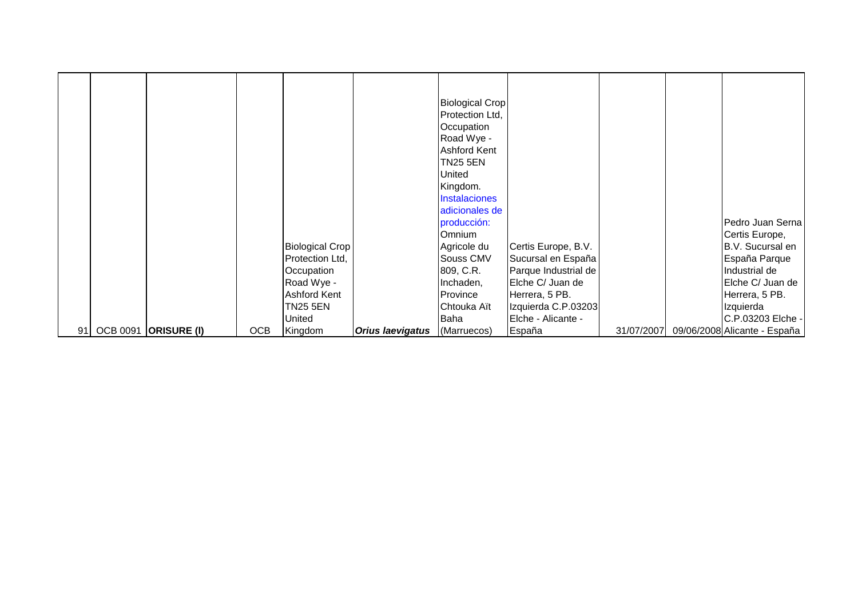|  |                         |            |                        |                         | <b>Biological Crop</b><br>Protection Ltd,<br>Occupation<br>Road Wye -<br><b>Ashford Kent</b><br><b>TN25 5EN</b><br>United<br>Kingdom.<br><b>Instalaciones</b><br>adicionales de<br>producción: |                      |            | Pedro Juan Serna             |
|--|-------------------------|------------|------------------------|-------------------------|------------------------------------------------------------------------------------------------------------------------------------------------------------------------------------------------|----------------------|------------|------------------------------|
|  |                         |            |                        |                         |                                                                                                                                                                                                |                      |            |                              |
|  |                         |            |                        |                         |                                                                                                                                                                                                |                      |            |                              |
|  |                         |            |                        |                         |                                                                                                                                                                                                |                      |            |                              |
|  |                         |            |                        |                         |                                                                                                                                                                                                |                      |            |                              |
|  |                         |            |                        |                         | Omnium                                                                                                                                                                                         |                      |            | Certis Europe,               |
|  |                         |            | <b>Biological Crop</b> |                         | Agricole du                                                                                                                                                                                    | Certis Europe, B.V.  |            | B.V. Sucursal en             |
|  |                         |            | Protection Ltd,        |                         | <b>Souss CMV</b>                                                                                                                                                                               | Sucursal en España   |            | España Parque                |
|  |                         |            | Occupation             |                         | 809, C.R.                                                                                                                                                                                      | Parque Industrial de |            | Industrial de                |
|  |                         |            | Road Wye -             |                         | Inchaden,                                                                                                                                                                                      | Elche C/ Juan de     |            | Elche C/ Juan de             |
|  |                         |            | Ashford Kent           |                         | Province                                                                                                                                                                                       | Herrera, 5 PB.       |            | Herrera, 5 PB.               |
|  |                         |            | TN25 5EN               |                         | Chtouka Aït                                                                                                                                                                                    | Izquierda C.P.03203  |            | Izquierda                    |
|  |                         |            | United                 |                         | Baha                                                                                                                                                                                           | Elche - Alicante -   |            | C.P.03203 Elche -            |
|  | 91 OCB 0091 ORISURE (I) | <b>OCB</b> | Kingdom                | <b>Orius laevigatus</b> | (Marruecos)                                                                                                                                                                                    | España               | 31/07/2007 | 09/06/2008 Alicante - España |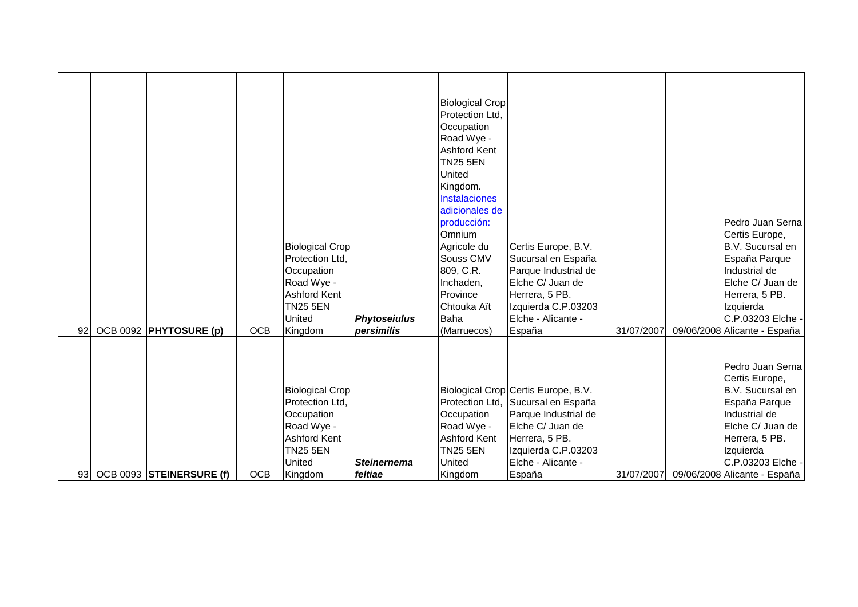|    |                             |            | <b>Biological Crop</b><br>Protection Ltd.<br>Occupation<br>Road Wye -<br><b>Ashford Kent</b><br><b>TN25 5EN</b><br>United | <b>Phytoseiulus</b> | <b>Biological Crop</b><br>Protection Ltd.<br>Occupation<br>Road Wye -<br><b>Ashford Kent</b><br>TN <sub>25</sub> 5EN<br><b>United</b><br>Kingdom.<br><b>Instalaciones</b><br>adicionales de<br>producción:<br>Omnium<br>Agricole du<br>Souss CMV<br>809, C.R.<br>Inchaden,<br>Province<br>Chtouka Aït<br><b>Baha</b> | Certis Europe, B.V.<br>Sucursal en España<br>Parque Industrial de<br>Elche C/ Juan de<br>Herrera, 5 PB.<br>Izquierda C.P.03203<br>Elche - Alicante -                                 |            | Pedro Juan Serna<br>Certis Europe,<br>B.V. Sucursal en<br>España Parque<br>Industrial de<br>Elche C/ Juan de<br>Herrera, 5 PB.<br>Izquierda<br>C.P.03203 Elche - |
|----|-----------------------------|------------|---------------------------------------------------------------------------------------------------------------------------|---------------------|----------------------------------------------------------------------------------------------------------------------------------------------------------------------------------------------------------------------------------------------------------------------------------------------------------------------|--------------------------------------------------------------------------------------------------------------------------------------------------------------------------------------|------------|------------------------------------------------------------------------------------------------------------------------------------------------------------------|
| 92 | OCB 0092 PHYTOSURE (p)      | <b>OCB</b> | Kingdom                                                                                                                   | persimilis          | (Marruecos)                                                                                                                                                                                                                                                                                                          | España                                                                                                                                                                               | 31/07/2007 | 09/06/2008 Alicante - España                                                                                                                                     |
|    |                             |            | <b>Biological Crop</b><br>Protection Ltd,<br>Occupation<br>Road Wye -<br><b>Ashford Kent</b><br><b>TN25 5EN</b><br>United | <b>Steinernema</b>  | Occupation<br>Road Wye -<br><b>Ashford Kent</b><br><b>TN25 5EN</b><br><b>United</b>                                                                                                                                                                                                                                  | Biological Crop Certis Europe, B.V.<br>Protection Ltd, Sucursal en España<br>Parque Industrial de<br>Elche C/ Juan de<br>Herrera, 5 PB.<br>Izquierda C.P.03203<br>Elche - Alicante - |            | Pedro Juan Serna<br>Certis Europe,<br>B.V. Sucursal en<br>España Parque<br>Industrial de<br>Elche C/ Juan de<br>Herrera, 5 PB.<br>Izquierda<br>C.P.03203 Elche - |
|    | 93 OCB 0093 STEINERSURE (f) | <b>OCB</b> | Kingdom                                                                                                                   | feltiae             | Kingdom                                                                                                                                                                                                                                                                                                              | España                                                                                                                                                                               | 31/07/2007 | 09/06/2008 Alicante - España                                                                                                                                     |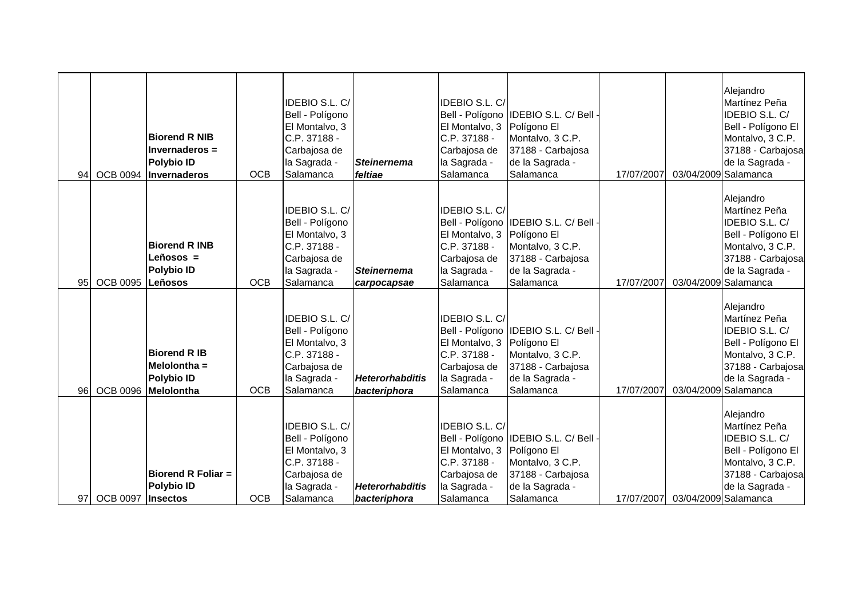| 94 | <b>OCB 0094</b>      | <b>Biorend R NIB</b><br>Invernaderos =<br><b>Polybio ID</b><br>Invernaderos | <b>OCB</b> | IDEBIO S.L. C/<br>Bell - Polígono<br>El Montalvo, 3<br>C.P. 37188 -<br>Carbajosa de<br>la Sagrada -<br>Salamanca | <b>Steinernema</b><br>feltiae          | IDEBIO S.L. C/<br>El Montalvo, 3<br>C.P. 37188 -<br>Carbajosa de<br>la Sagrada -<br>Salamanca | Bell - Polígono IDEBIO S.L. C/ Bell<br>Polígono El<br>Montalvo, 3 C.P.<br>37188 - Carbajosa<br>de la Sagrada -<br>Salamanca | 17/07/2007 | Alejandro<br>Martínez Peña<br>IDEBIO S.L. C/<br>Bell - Polígono El<br>Montalvo, 3 C.P.<br>37188 - Carbajosa<br>de la Sagrada -<br>03/04/2009 Salamanca        |
|----|----------------------|-----------------------------------------------------------------------------|------------|------------------------------------------------------------------------------------------------------------------|----------------------------------------|-----------------------------------------------------------------------------------------------|-----------------------------------------------------------------------------------------------------------------------------|------------|---------------------------------------------------------------------------------------------------------------------------------------------------------------|
| 95 | OCB 0095 Leñosos     | <b>Biorend R INB</b><br>Leñosos =<br><b>Polybio ID</b>                      | <b>OCB</b> | IDEBIO S.L. C/<br>Bell - Polígono<br>El Montalvo, 3<br>C.P. 37188 -<br>Carbajosa de<br>la Sagrada -<br>Salamanca | <b>Steinernema</b><br>carpocapsae      | IDEBIO S.L. C/<br>El Montalvo, 3<br>C.P. 37188 -<br>Carbajosa de<br>la Sagrada -<br>Salamanca | Bell - Polígono IDEBIO S.L. C/ Bell<br>Polígono El<br>Montalvo, 3 C.P.<br>37188 - Carbajosa<br>de la Sagrada -<br>Salamanca | 17/07/2007 | Alejandro<br>Martínez Peña<br>IDEBIO S.L. C/<br>Bell - Polígono El<br>Montalvo, 3 C.P.<br>37188 - Carbajosa<br>de la Sagrada -<br>03/04/2009 Salamanca        |
| 96 | <b>OCB 0096</b>      | <b>Biorend R IB</b><br>Melolontha =<br><b>Polybio ID</b><br>Melolontha      | <b>OCB</b> | IDEBIO S.L. C/<br>Bell - Polígono<br>El Montalvo, 3<br>C.P. 37188 -<br>Carbajosa de<br>la Sagrada -<br>Salamanca | <b>Heterorhabditis</b><br>bacteriphora | IDEBIO S.L. C/<br>El Montalvo, 3<br>C.P. 37188 -<br>Carbajosa de<br>la Sagrada -<br>Salamanca | Bell - Polígono IDEBIO S.L. C/ Bell<br>Polígono El<br>Montalvo, 3 C.P.<br>37188 - Carbajosa<br>de la Sagrada -<br>Salamanca | 17/07/2007 | Alejandro<br>Martínez Peña<br><b>IDEBIO S.L. C/</b><br>Bell - Polígono El<br>Montalvo, 3 C.P.<br>37188 - Carbajosa<br>de la Sagrada -<br>03/04/2009 Salamanca |
|    | 97 OCB 0097 Insectos | <b>Biorend R Foliar =</b><br><b>Polybio ID</b>                              | <b>OCB</b> | IDEBIO S.L. C/<br>Bell - Polígono<br>El Montalvo, 3<br>C.P. 37188 -<br>Carbajosa de<br>la Sagrada -<br>Salamanca | <b>Heterorhabditis</b><br>bacteriphora | IDEBIO S.L. C/<br>El Montalvo, 3<br>C.P. 37188 -<br>Carbajosa de<br>la Sagrada -<br>Salamanca | Bell - Polígono IDEBIO S.L. C/ Bell<br>Polígono El<br>Montalvo, 3 C.P.<br>37188 - Carbajosa<br>de la Sagrada -<br>Salamanca | 17/07/2007 | Alejandro<br>Martínez Peña<br>IDEBIO S.L. C/<br>Bell - Polígono El<br>Montalvo, 3 C.P.<br>37188 - Carbajosa<br>de la Sagrada -<br>03/04/2009 Salamanca        |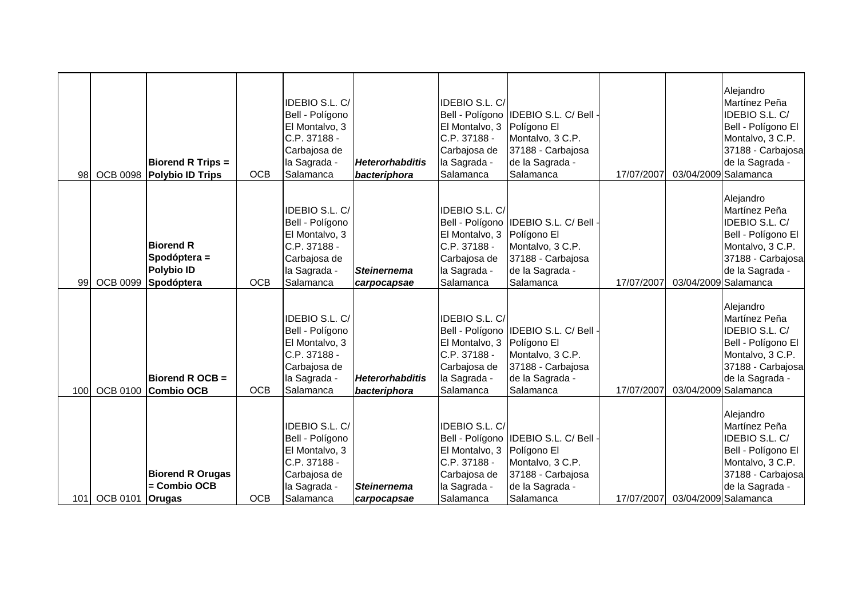| 98  |                 | <b>Biorend R Trips =</b><br>OCB 0098 Polybio ID Trips               | <b>OCB</b> | <b>IDEBIO S.L. C/</b><br>Bell - Polígono<br>El Montalvo, 3<br>C.P. 37188 -<br>Carbajosa de<br>la Sagrada -<br>Salamanca | <b>Heterorhabditis</b><br>bacteriphora | IDEBIO S.L. C/<br>El Montalvo, 3 Polígono El<br>C.P. 37188 -<br>Carbajosa de<br>la Sagrada -<br>Salamanca        | Bell - Polígono IDEBIO S.L. C/ Bell ·<br>Montalvo, 3 C.P.<br>37188 - Carbajosa<br>de la Sagrada -<br>Salamanca | 17/07/2007 | Alejandro<br>Martínez Peña<br>IDEBIO S.L. C/<br>Bell - Polígono El<br>Montalvo, 3 C.P.<br>37188 - Carbajosa<br>de la Sagrada -<br>03/04/2009 Salamanca |
|-----|-----------------|---------------------------------------------------------------------|------------|-------------------------------------------------------------------------------------------------------------------------|----------------------------------------|------------------------------------------------------------------------------------------------------------------|----------------------------------------------------------------------------------------------------------------|------------|--------------------------------------------------------------------------------------------------------------------------------------------------------|
| 99  | <b>OCB 0099</b> | <b>Biorend R</b><br>Spodóptera =<br><b>Polybio ID</b><br>Spodóptera | <b>OCB</b> | <b>IDEBIO S.L. C/</b><br>Bell - Polígono<br>El Montalvo, 3<br>C.P. 37188 -<br>Carbajosa de<br>la Sagrada -<br>Salamanca | <b>Steinernema</b><br>carpocapsae      | <b>IDEBIO S.L. C/</b><br>El Montalvo, 3 Polígono El<br>C.P. 37188 -<br>Carbajosa de<br>la Sagrada -<br>Salamanca | Bell - Polígono IDEBIO S.L. C/ Bell -<br>Montalvo, 3 C.P.<br>37188 - Carbajosa<br>de la Sagrada -<br>Salamanca | 17/07/2007 | Alejandro<br>Martínez Peña<br>IDEBIO S.L. C/<br>Bell - Polígono El<br>Montalvo, 3 C.P.<br>37188 - Carbajosa<br>de la Sagrada -<br>03/04/2009 Salamanca |
| 100 |                 | Biorend R OCB =<br>OCB 0100 Combio OCB                              | <b>OCB</b> | <b>IDEBIO S.L. C/</b><br>Bell - Polígono<br>El Montalvo, 3<br>C.P. 37188 -<br>Carbajosa de<br>la Sagrada -<br>Salamanca | <b>Heterorhabditis</b><br>bacteriphora | <b>IDEBIO S.L. C/</b><br>El Montalvo, 3 Polígono El<br>C.P. 37188 -<br>Carbajosa de<br>la Sagrada -<br>Salamanca | Bell - Polígono IDEBIO S.L. C/ Bell<br>Montalvo, 3 C.P.<br>37188 - Carbajosa<br>de la Sagrada -<br>Salamanca   | 17/07/2007 | Alejandro<br>Martínez Peña<br>IDEBIO S.L. C/<br>Bell - Polígono El<br>Montalvo, 3 C.P.<br>37188 - Carbajosa<br>de la Sagrada -<br>03/04/2009 Salamanca |
| 101 | <b>OCB 0101</b> | <b>Biorend R Orugas</b><br>= Combio OCB<br><b>Orugas</b>            | <b>OCB</b> | <b>IDEBIO S.L. C/</b><br>Bell - Polígono<br>El Montalvo, 3<br>C.P. 37188 -<br>Carbajosa de<br>la Sagrada -<br>Salamanca | <b>Steinernema</b><br>carpocapsae      | IDEBIO S.L. C/<br>El Montalvo, 3 Polígono El<br>C.P. 37188 -<br>Carbajosa de<br>la Sagrada -<br>Salamanca        | Bell - Polígono IDEBIO S.L. C/ Bell -<br>Montalvo, 3 C.P.<br>37188 - Carbajosa<br>de la Sagrada -<br>Salamanca | 17/07/2007 | Alejandro<br>Martínez Peña<br>IDEBIO S.L. C/<br>Bell - Polígono El<br>Montalvo, 3 C.P.<br>37188 - Carbajosa<br>de la Sagrada -<br>03/04/2009 Salamanca |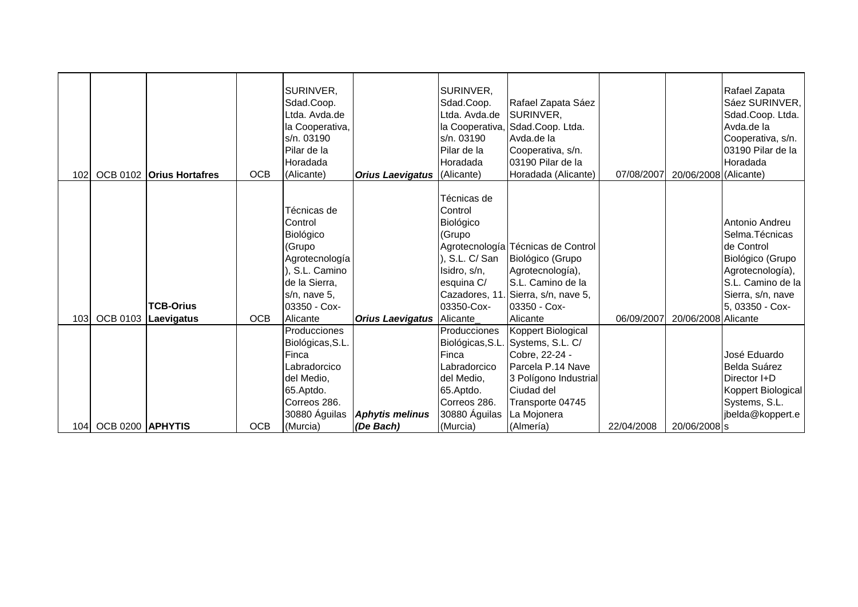| 102 |                  | OCB 0102 Orius Hortafres       | <b>OCB</b> | SURINVER,<br>Sdad.Coop.<br>Ltda. Avda.de<br>la Cooperativa,<br>s/n. 03190<br>Pilar de la<br>Horadada<br>(Alicante)                          | <b>Orius Laevigatus</b> (Alicante)  | SURINVER,<br>Sdad.Coop.<br>Ltda. Avda.de<br>s/n. 03190<br>Pilar de la<br>Horadada                                            | Rafael Zapata Sáez<br>SURINVER,<br>la Cooperativa, Sdad.Coop. Ltda.<br>Avda.de la<br>Cooperativa, s/n.<br>03190 Pilar de la<br>Horadada (Alicante)                                    | 07/08/2007 | 20/06/2008 (Alicante) | Rafael Zapata<br>Sáez SURINVER,<br>Sdad.Coop. Ltda.<br>Avda.de la<br>Cooperativa, s/n.<br>03190 Pilar de la<br>Horadada                              |
|-----|------------------|--------------------------------|------------|---------------------------------------------------------------------------------------------------------------------------------------------|-------------------------------------|------------------------------------------------------------------------------------------------------------------------------|---------------------------------------------------------------------------------------------------------------------------------------------------------------------------------------|------------|-----------------------|------------------------------------------------------------------------------------------------------------------------------------------------------|
| 103 | <b>OCB 0103</b>  | <b>TCB-Orius</b><br>Laevigatus | <b>OCB</b> | Técnicas de<br>Control<br>Biológico<br>(Grupo<br>Agrotecnología<br>S.L. Camino<br>de la Sierra,<br>s/n, nave 5,<br>03350 - Cox-<br>Alicante | <b>Orius Laevigatus   Alicante_</b> | Técnicas de<br>Control<br>Biológico<br>(Grupo<br>), S.L. C/ San<br>Isidro, s/n,<br>esquina C/<br>Cazadores, 11<br>03350-Cox- | Agrotecnología Técnicas de Control<br>Biológico (Grupo<br>Agrotecnología),<br>S.L. Camino de la<br>Sierra, s/n, nave 5,<br>03350 - Cox-<br>Alicante                                   | 06/09/2007 | 20/06/2008 Alicante   | Antonio Andreu<br>Selma. Técnicas<br>de Control<br>Biológico (Grupo<br>Agrotecnología),<br>S.L. Camino de la<br>Sierra, s/n, nave<br>5, 03350 - Cox- |
| 104 | OCB 0200 APHYTIS |                                | <b>OCB</b> | <b>Producciones</b><br>Biológicas, S.L.<br>Finca<br>Labradorcico<br>del Medio.<br>65.Aptdo.<br>Correos 286.<br>30880 Águilas<br>(Murcia)    | <b>Aphytis melinus</b><br>(De Bach) | Producciones<br>Finca<br>Labradorcico<br>del Medio.<br>65.Aptdo.<br>Correos 286.<br>30880 Águilas<br>(Murcia)                | Koppert Biological<br>Biológicas, S.L. Systems, S.L. C/<br>Cobre, 22-24 -<br>Parcela P.14 Nave<br>3 Polígono Industrial<br>Ciudad del<br>Transporte 04745<br>La Mojonera<br>(Almería) | 22/04/2008 | 20/06/2008 s          | José Eduardo<br>Belda Suárez<br>Director I+D<br>Koppert Biological<br>Systems, S.L.<br>jbelda@koppert.e                                              |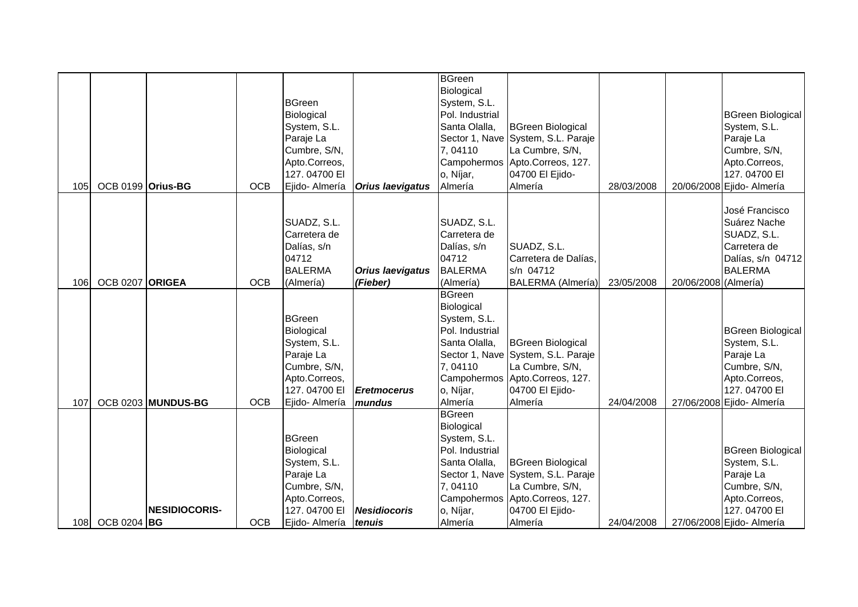| 105 | OCB 0199 Orius-BG |                      | <b>OCB</b> | <b>BGreen</b><br>Biological<br>System, S.L.<br>Paraje La<br>Cumbre, S/N,<br>Apto.Correos,<br>127.04700 EI<br>Ejido- Almería | <b>Orius laevigatus</b>             | <b>BGreen</b><br>Biological<br>System, S.L.<br>Pol. Industrial<br>Santa Olalla,<br>7,04110<br>o, Níjar,<br>Almería | <b>BGreen Biological</b><br>Sector 1, Nave System, S.L. Paraje<br>La Cumbre, S/N,<br>Campohermos Apto.Correos, 127.<br>04700 El Ejido-<br>Almería | 28/03/2008 |                      | <b>BGreen Biological</b><br>System, S.L.<br>Paraje La<br>Cumbre, S/N,<br>Apto.Correos,<br>127.04700 EI<br>20/06/2008 Ejido- Almería |
|-----|-------------------|----------------------|------------|-----------------------------------------------------------------------------------------------------------------------------|-------------------------------------|--------------------------------------------------------------------------------------------------------------------|---------------------------------------------------------------------------------------------------------------------------------------------------|------------|----------------------|-------------------------------------------------------------------------------------------------------------------------------------|
| 106 | OCB 0207 ORIGEA   |                      | <b>OCB</b> | SUADZ, S.L.<br>Carretera de<br>Dalías, s/n<br>04712<br><b>BALERMA</b><br>(Almería)                                          | <b>Orius laevigatus</b><br>(Fieber) | SUADZ, S.L.<br>Carretera de<br>Dalías, s/n<br>04712<br><b>BALERMA</b><br>(Almería)                                 | SUADZ, S.L.<br>Carretera de Dalías,<br>s/n 04712<br><b>BALERMA</b> (Almería)                                                                      | 23/05/2008 | 20/06/2008 (Almería) | José Francisco<br>Suárez Nache<br>SUADZ, S.L.<br>Carretera de<br>Dalías, s/n 04712<br><b>BALERMA</b>                                |
| 107 |                   | OCB 0203 MUNDUS-BG   | <b>OCB</b> | <b>BGreen</b><br>Biological<br>System, S.L.<br>Paraje La<br>Cumbre, S/N,<br>Apto.Correos,<br>127.04700 EI<br>Ejido- Almería | <b>Eretmocerus</b><br>mundus        | <b>BGreen</b><br>Biological<br>System, S.L.<br>Pol. Industrial<br>Santa Olalla,<br>7,04110<br>o, Níjar,<br>Almería | <b>BGreen Biological</b><br>Sector 1, Nave System, S.L. Paraje<br>La Cumbre, S/N,<br>Campohermos Apto.Correos, 127.<br>04700 El Ejido-<br>Almería | 24/04/2008 |                      | <b>BGreen Biological</b><br>System, S.L.<br>Paraje La<br>Cumbre, S/N,<br>Apto.Correos,<br>127.04700 EI<br>27/06/2008 Ejido- Almería |
|     | 108 OCB 0204 BG   | <b>NESIDIOCORIS-</b> | <b>OCB</b> | <b>BGreen</b><br>Biological<br>System, S.L.<br>Paraje La<br>Cumbre, S/N,<br>Apto.Correos,<br>127.04700 EI<br>Ejido- Almería | <b>Nesidiocoris</b><br>tenuis       | <b>BGreen</b><br>Biological<br>System, S.L.<br>Pol. Industrial<br>Santa Olalla,<br>7,04110<br>o, Níjar,<br>Almería | <b>BGreen Biological</b><br>Sector 1, Nave System, S.L. Paraje<br>La Cumbre, S/N,<br>Campohermos Apto.Correos, 127.<br>04700 El Ejido-<br>Almería | 24/04/2008 |                      | <b>BGreen Biological</b><br>System, S.L.<br>Paraje La<br>Cumbre, S/N,<br>Apto.Correos,<br>127.04700 EI<br>27/06/2008 Ejido- Almería |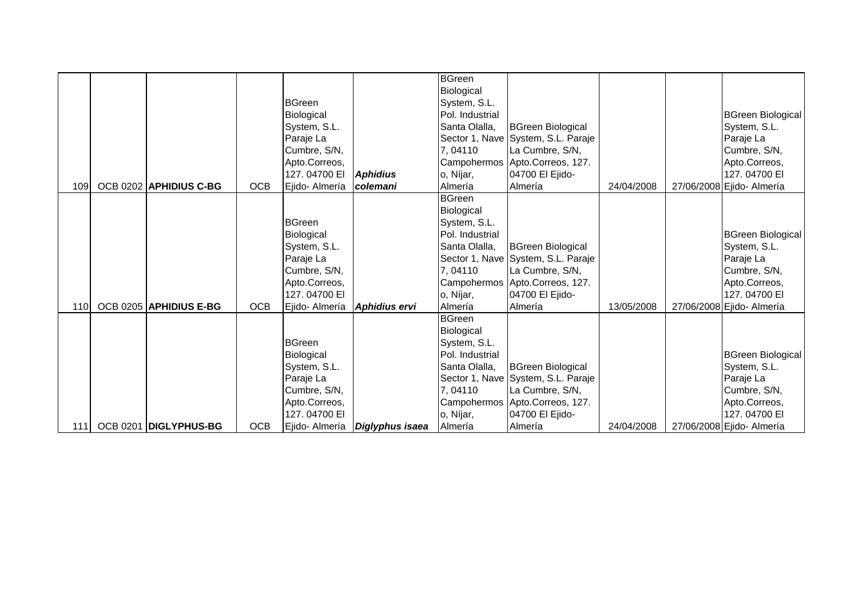|     |                        |            |                            |                                | <b>BGreen</b><br>Biological     |                                                       |            |                                          |
|-----|------------------------|------------|----------------------------|--------------------------------|---------------------------------|-------------------------------------------------------|------------|------------------------------------------|
|     |                        |            | <b>BGreen</b>              |                                | System, S.L.                    |                                                       |            |                                          |
|     |                        |            | Biological                 |                                | Pol. Industrial                 |                                                       |            | <b>BGreen Biological</b>                 |
|     |                        |            | System, S.L.<br>Paraje La  |                                | Santa Olalla,                   | <b>BGreen Biological</b>                              |            | System, S.L.<br>Paraje La                |
|     |                        |            | Cumbre, S/N,               |                                | 7,04110                         | Sector 1, Nave System, S.L. Paraje<br>La Cumbre, S/N, |            | Cumbre, S/N,                             |
|     |                        |            | Apto.Correos,              |                                |                                 | Campohermos Apto.Correos, 127.                        |            | Apto.Correos,                            |
|     |                        |            | 127.04700 EI               | <b>Aphidius</b>                | o, Níjar,                       | 04700 El Ejido-                                       |            | 127.04700 EI                             |
| 109 | OCB 0202 APHIDIUS C-BG | <b>OCB</b> | Ejido- Almería             | colemani                       | Almería                         | Almería                                               | 24/04/2008 | 27/06/2008 Ejido- Almería                |
|     |                        |            |                            |                                | <b>BGreen</b>                   |                                                       |            |                                          |
|     |                        |            |                            |                                | Biological                      |                                                       |            |                                          |
|     |                        |            | <b>BGreen</b>              |                                | System, S.L.                    |                                                       |            |                                          |
|     |                        |            | Biological                 |                                | Pol. Industrial                 |                                                       |            | <b>BGreen Biological</b>                 |
|     |                        |            | System, S.L.               |                                | Santa Olalla,                   | <b>BGreen Biological</b>                              |            | System, S.L.                             |
|     |                        |            | Paraje La                  |                                |                                 | Sector 1, Nave System, S.L. Paraje                    |            | Paraje La                                |
|     |                        |            | Cumbre, S/N,               |                                | 7,04110                         | La Cumbre, S/N,                                       |            | Cumbre, S/N,                             |
|     |                        |            | Apto.Correos,              |                                |                                 | Campohermos Apto.Correos, 127.                        |            | Apto.Correos,                            |
|     |                        |            | 127.04700 EI               |                                | o, Níjar,                       | 04700 El Ejido-                                       |            | 127.04700 EI                             |
| 110 | OCB 0205 APHIDIUS E-BG | <b>OCB</b> | Ejido- Almería             | <b>Aphidius ervi</b>           | Almería                         | Almería                                               | 13/05/2008 | 27/06/2008 Ejido- Almería                |
|     |                        |            |                            |                                | <b>BGreen</b>                   |                                                       |            |                                          |
|     |                        |            |                            |                                | Biological                      |                                                       |            |                                          |
|     |                        |            | <b>BGreen</b>              |                                | System, S.L.<br>Pol. Industrial |                                                       |            |                                          |
|     |                        |            | Biological<br>System, S.L. |                                | Santa Olalla,                   | <b>BGreen Biological</b>                              |            | <b>BGreen Biological</b><br>System, S.L. |
|     |                        |            | Paraje La                  |                                |                                 | Sector 1, Nave System, S.L. Paraje                    |            | Paraje La                                |
|     |                        |            | Cumbre, S/N,               |                                | 7,04110                         | La Cumbre, S/N,                                       |            | Cumbre, S/N,                             |
|     |                        |            | Apto.Correos,              |                                |                                 | Campohermos Apto.Correos, 127.                        |            | Apto.Correos,                            |
|     |                        |            | 127.04700 EI               |                                | o, Níjar,                       | 04700 El Ejido-                                       |            | 127.04700 EI                             |
| 111 | OCB 0201 DIGLYPHUS-BG  | <b>OCB</b> |                            | Ejido- Almería Diglyphus isaea | Almería                         | Almería                                               | 24/04/2008 | 27/06/2008 Ejido- Almería                |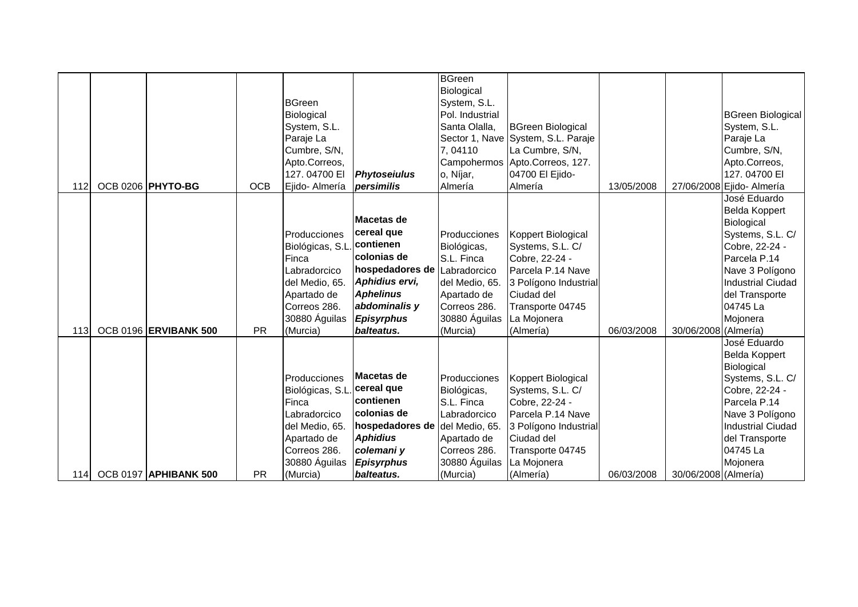|      |                              |            | <b>BGreen</b><br>Biological<br>System, S.L.<br>Paraje La<br>Cumbre, S/N,<br>Apto.Correos,                                                          |                                                                                                                                                                    | <b>BGreen</b><br>Biological<br>System, S.L.<br>Pol. Industrial<br>Santa Olalla,<br>7,04110                                              | <b>BGreen Biological</b><br>Sector 1, Nave System, S.L. Paraje<br>La Cumbre, S/N,<br>Campohermos Apto.Correos, 127.                                                  |            |                      | <b>BGreen Biological</b><br>System, S.L.<br>Paraje La<br>Cumbre, S/N,<br>Apto.Correos,                                                                                                            |
|------|------------------------------|------------|----------------------------------------------------------------------------------------------------------------------------------------------------|--------------------------------------------------------------------------------------------------------------------------------------------------------------------|-----------------------------------------------------------------------------------------------------------------------------------------|----------------------------------------------------------------------------------------------------------------------------------------------------------------------|------------|----------------------|---------------------------------------------------------------------------------------------------------------------------------------------------------------------------------------------------|
| 112  | OCB 0206 PHYTO-BG            | <b>OCB</b> | 127.04700 EI<br>Ejido- Almería                                                                                                                     | <b>Phytoseiulus</b><br>persimilis                                                                                                                                  | o, Níjar,<br>Almería                                                                                                                    | 04700 El Ejido-<br>Almería                                                                                                                                           | 13/05/2008 |                      | 127.04700 EI<br>27/06/2008 Ejido- Almería                                                                                                                                                         |
| 113I | OCB 0196 ERVIBANK 500        | <b>PR</b>  | Producciones<br>Biológicas, S.L.<br>Finca<br>Labradorcico<br>del Medio, 65.<br>Apartado de<br>Correos 286.<br>30880 Águilas<br>(Murcia)            | Macetas de<br>cereal que<br>contienen<br>Icolonias de<br>hospedadores de<br>Aphidius ervi,<br><b>Aphelinus</b><br>abdominalis y<br><b>Episyrphus</b><br>balteatus. | Producciones<br>Biológicas,<br>S.L. Finca<br>Labradorcico<br>del Medio, 65.<br>Apartado de<br>Correos 286.<br>30880 Águilas<br>(Murcia) | Koppert Biological<br>Systems, S.L. C/<br>Cobre, 22-24 -<br>Parcela P.14 Nave<br>3 Polígono Industrial<br>Ciudad del<br>Transporte 04745<br>La Mojonera<br>(Almería) | 06/03/2008 | 30/06/2008 (Almería) | José Eduardo<br>Belda Koppert<br>Biological<br>Systems, S.L. C/<br>Cobre, 22-24 -<br>Parcela P.14<br>Nave 3 Polígono<br><b>Industrial Ciudad</b><br>del Transporte<br>04745 La<br>Mojonera        |
| 114I | <b>OCB 0197 APHIBANK 500</b> | <b>PR</b>  | Producciones<br>Biológicas, S.L. cereal que<br>Finca<br>Labradorcico<br>del Medio, 65.<br>Apartado de<br>Correos 286.<br>30880 Águilas<br>(Murcia) | <b>IMacetas de</b><br><b>contienen</b><br>colonias de<br>hospedadores de del Medio, 65.<br><b>Aphidius</b><br>colemani y<br><b>Episyrphus</b><br>balteatus.        | Producciones<br>Biológicas,<br>S.L. Finca<br>Labradorcico<br>Apartado de<br>Correos 286.<br>30880 Águilas<br>(Murcia)                   | Koppert Biological<br>Systems, S.L. C/<br>Cobre, 22-24 -<br>Parcela P.14 Nave<br>3 Polígono Industrial<br>Ciudad del<br>Transporte 04745<br>La Mojonera<br>(Almería) | 06/03/2008 | 30/06/2008 (Almería) | José Eduardo<br><b>Belda Koppert</b><br>Biological<br>Systems, S.L. C/<br>Cobre, 22-24 -<br>Parcela P.14<br>Nave 3 Polígono<br><b>Industrial Ciudad</b><br>del Transporte<br>04745 La<br>Mojonera |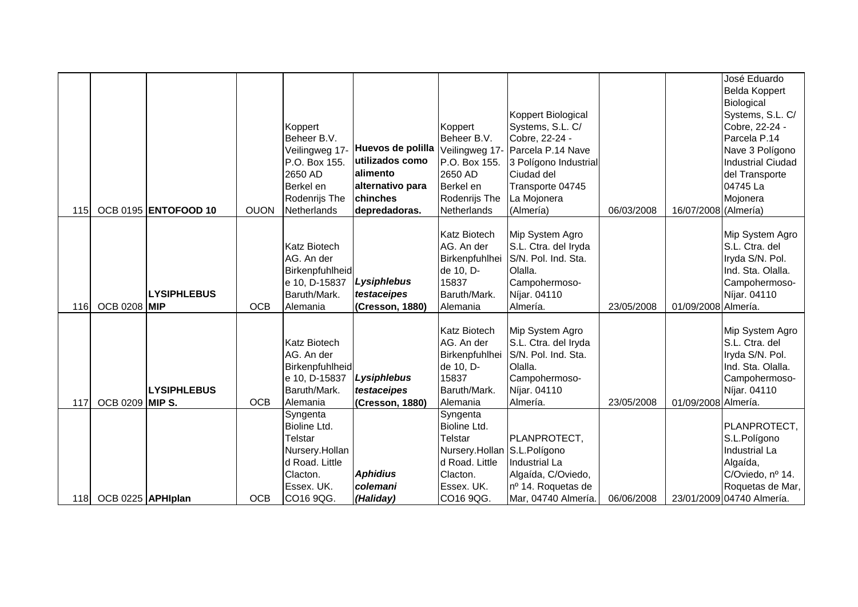|            |                        |                             |             |                                   |                   |                             |                                             |            |                      | José Eduardo                       |
|------------|------------------------|-----------------------------|-------------|-----------------------------------|-------------------|-----------------------------|---------------------------------------------|------------|----------------------|------------------------------------|
|            |                        |                             |             |                                   |                   |                             |                                             |            |                      | <b>Belda Koppert</b>               |
|            |                        |                             |             |                                   |                   |                             |                                             |            |                      | Biological                         |
|            |                        |                             |             |                                   |                   | Koppert                     | Koppert Biological<br>Systems, S.L. C/      |            |                      | Systems, S.L. C/<br>Cobre, 22-24 - |
|            |                        |                             |             | Koppert<br>Beheer B.V.            |                   | Beheer B.V.                 | Cobre, 22-24 -                              |            |                      | Parcela P.14                       |
|            |                        |                             |             | Veilingweg 17-                    | Huevos de polilla |                             | Veilingweg 17- Parcela P.14 Nave            |            |                      | Nave 3 Polígono                    |
|            |                        |                             |             | P.O. Box 155.                     | utilizados como   | P.O. Box 155.               | 3 Polígono Industrial                       |            |                      | <b>Industrial Ciudad</b>           |
|            |                        |                             |             | 2650 AD                           | alimento          | 2650 AD                     | Ciudad del                                  |            |                      | del Transporte                     |
|            |                        |                             |             | Berkel en                         | alternativo para  | Berkel en                   | Transporte 04745                            |            |                      | 04745 La                           |
|            |                        |                             |             | Rodenrijs The                     | chinches          | Rodenrijs The               | La Mojonera                                 |            |                      | Mojonera                           |
| <b>115</b> |                        | <b>OCB 0195 ENTOFOOD 10</b> | <b>OUON</b> | Netherlands                       | depredadoras.     | <b>Netherlands</b>          | (Almería)                                   | 06/03/2008 | 16/07/2008 (Almería) |                                    |
|            |                        |                             |             |                                   |                   |                             |                                             |            |                      |                                    |
|            |                        |                             |             |                                   |                   | <b>Katz Biotech</b>         | Mip System Agro                             |            |                      | Mip System Agro                    |
|            |                        |                             |             | <b>Katz Biotech</b><br>AG. An der |                   | AG. An der                  | S.L. Ctra. del Iryda<br>S/N. Pol. Ind. Sta. |            |                      | S.L. Ctra. del<br>Iryda S/N. Pol.  |
|            |                        |                             |             | Birkenpfuhlheid                   |                   | Birkenpfuhlhei<br>de 10, D- | Olalla.                                     |            |                      | Ind. Sta. Olalla.                  |
|            |                        |                             |             | e 10, D-15837                     | Lysiphlebus       | 15837                       | Campohermoso-                               |            |                      | Campohermoso-                      |
|            |                        | <b>LYSIPHLEBUS</b>          |             | Baruth/Mark.                      | testaceipes       | Baruth/Mark.                | Níjar. 04110                                |            |                      | Níjar. 04110                       |
| <b>116</b> | <b>OCB 0208 MIP</b>    |                             | <b>OCB</b>  | Alemania                          | (Cresson, 1880)   | Alemania                    | Almería.                                    | 23/05/2008 | 01/09/2008 Almería.  |                                    |
|            |                        |                             |             |                                   |                   |                             |                                             |            |                      |                                    |
|            |                        |                             |             |                                   |                   | <b>Katz Biotech</b>         | Mip System Agro                             |            |                      | Mip System Agro                    |
|            |                        |                             |             | <b>Katz Biotech</b>               |                   | AG. An der                  | S.L. Ctra. del Iryda                        |            |                      | S.L. Ctra. del                     |
|            |                        |                             |             | AG. An der                        |                   | Birkenpfuhlhei              | S/N. Pol. Ind. Sta.                         |            |                      | Iryda S/N. Pol.                    |
|            |                        |                             |             | Birkenpfuhlheid                   |                   | de 10, D-                   | Olalla.                                     |            |                      | Ind. Sta. Olalla.                  |
|            |                        |                             |             | e 10, D-15837                     | Lysiphlebus       | 15837                       | Campohermoso-                               |            |                      | Campohermoso-                      |
|            |                        | <b>LYSIPHLEBUS</b>          |             | Baruth/Mark.                      | testaceipes       | Baruth/Mark.                | Níjar. 04110                                |            |                      | Níjar. 04110                       |
| 117        | <b>OCB 0209 MIP S.</b> |                             | <b>OCB</b>  | Alemania                          | (Cresson, 1880)   | Alemania                    | Almería.                                    | 23/05/2008 | 01/09/2008 Almería.  |                                    |
|            |                        |                             |             | Syngenta<br>Bioline Ltd.          |                   | Syngenta<br>Bioline Ltd.    |                                             |            |                      | PLANPROTECT,                       |
|            |                        |                             |             | Telstar                           |                   | Telstar                     | PLANPROTECT,                                |            |                      | S.L.Polígono                       |
|            |                        |                             |             | Nursery.Hollan                    |                   | Nursery.Hollan S.L.Polígono |                                             |            |                      | <b>Industrial La</b>               |
|            |                        |                             |             | d Road. Little                    |                   | d Road. Little              | Industrial La                               |            |                      | Algaída,                           |
|            |                        |                             |             | Clacton.                          | <b>Aphidius</b>   | Clacton.                    | Algaída, C/Oviedo,                          |            |                      | C/Oviedo, nº 14.                   |
|            |                        |                             |             | Essex. UK.                        | colemani          | Essex. UK.                  | nº 14. Roquetas de                          |            |                      | Roquetas de Mar,                   |
| 118        | OCB 0225 APHIplan      |                             | <b>OCB</b>  | CO16 9QG.                         | (Haliday)         | CO16 9QG.                   | Mar, 04740 Almería.                         | 06/06/2008 |                      | 23/01/2009 04740 Almería.          |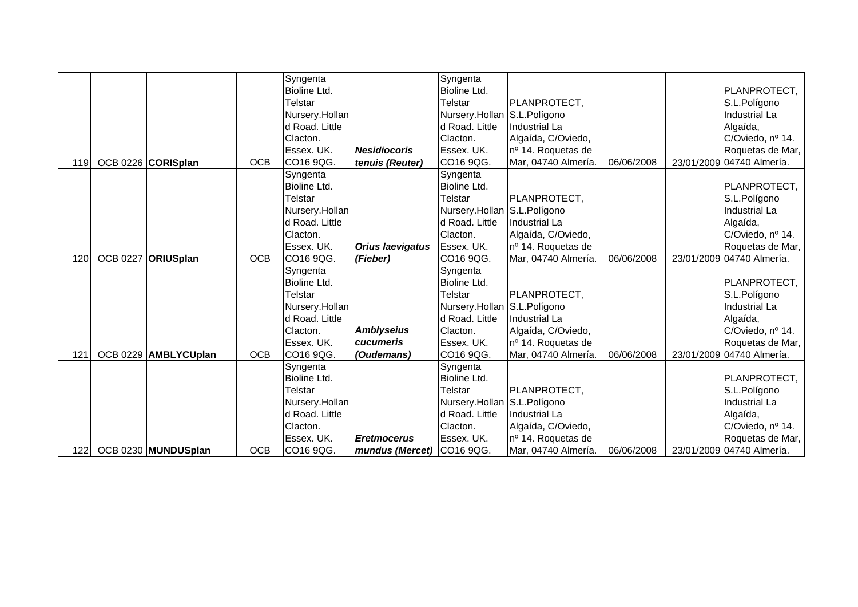|     |                      |            | Syngenta       |                           | Syngenta                    |                     |            |                           |
|-----|----------------------|------------|----------------|---------------------------|-----------------------------|---------------------|------------|---------------------------|
|     |                      |            | Bioline Ltd.   |                           | Bioline Ltd.                |                     |            | PLANPROTECT,              |
|     |                      |            | Telstar        |                           | Telstar                     | PLANPROTECT,        |            | S.L.Polígono              |
|     |                      |            | Nursery.Hollan |                           | Nursery.Hollan S.L.Polígono |                     |            | <b>Industrial La</b>      |
|     |                      |            | d Road. Little |                           | d Road. Little              | Industrial La       |            | Algaída,                  |
|     |                      |            | Clacton.       |                           | Clacton.                    | Algaída, C/Oviedo,  |            | C/Oviedo, nº 14.          |
|     |                      |            | Essex. UK.     | <b>Nesidiocoris</b>       | Essex. UK.                  | nº 14. Roquetas de  |            | Roquetas de Mar,          |
| 119 | OCB 0226 CORISplan   | <b>OCB</b> | CO16 9QG.      | tenuis (Reuter)           | CO16 9QG.                   | Mar, 04740 Almería. | 06/06/2008 | 23/01/2009 04740 Almería. |
|     |                      |            | Syngenta       |                           | Syngenta                    |                     |            |                           |
|     |                      |            | Bioline Ltd.   |                           | <b>Bioline Ltd.</b>         |                     |            | PLANPROTECT,              |
|     |                      |            | Telstar        |                           | Telstar                     | <b>PLANPROTECT,</b> |            | S.L.Polígono              |
|     |                      |            | Nursery.Hollan |                           | Nursery.Hollan S.L.Polígono |                     |            | Industrial La             |
|     |                      |            | d Road. Little |                           | d Road. Little              | Industrial La       |            | Algaída,                  |
|     |                      |            | Clacton.       |                           | Clacton.                    | Algaída, C/Oviedo,  |            | C/Oviedo, nº 14.          |
|     |                      |            | Essex. UK.     | <b>Orius laevigatus</b>   | Essex. UK.                  | nº 14. Roquetas de  |            | Roquetas de Mar,          |
| 120 | OCB 0227 ORIUSplan   | <b>OCB</b> | CO16 9QG.      | (Fieber)                  | CO16 9QG.                   | Mar, 04740 Almería. | 06/06/2008 | 23/01/2009 04740 Almería. |
|     |                      |            | Syngenta       |                           | Syngenta                    |                     |            |                           |
|     |                      |            | Bioline Ltd.   |                           | Bioline Ltd.                |                     |            | PLANPROTECT,              |
|     |                      |            | <b>Telstar</b> |                           | <b>Telstar</b>              | PLANPROTECT,        |            | S.L.Polígono              |
|     |                      |            | Nursery.Hollan |                           | Nursery.Hollan S.L.Polígono |                     |            | <b>Industrial La</b>      |
|     |                      |            | d Road. Little |                           | d Road. Little              | Industrial La       |            | Algaída,                  |
|     |                      |            | Clacton.       | <b>Amblyseius</b>         | Clacton.                    | Algaída, C/Oviedo,  |            | C/Oviedo, nº 14.          |
|     |                      |            | Essex. UK.     | cucumeris                 | Essex. UK.                  | nº 14. Roquetas de  |            | Roquetas de Mar,          |
| 121 | OCB 0229 AMBLYCUplan | <b>OCB</b> | CO16 9QG.      | (Oudemans)                | CO16 9QG.                   | Mar, 04740 Almería. | 06/06/2008 | 23/01/2009 04740 Almería. |
|     |                      |            | Syngenta       |                           | Syngenta                    |                     |            |                           |
|     |                      |            | Bioline Ltd.   |                           | Bioline Ltd.                |                     |            | PLANPROTECT,              |
|     |                      |            | Telstar        |                           | Telstar                     | PLANPROTECT,        |            | S.L.Polígono              |
|     |                      |            | Nursery.Hollan |                           | Nursery.Hollan S.L.Polígono |                     |            | Industrial La             |
|     |                      |            | d Road. Little |                           | d Road. Little              | Industrial La       |            | Algaída,                  |
|     |                      |            | Clacton.       |                           | Clacton.                    | Algaída, C/Oviedo,  |            | C/Oviedo, nº 14.          |
|     |                      |            | Essex. UK.     | <b>Eretmocerus</b>        | Essex. UK.                  | nº 14. Roquetas de  |            | Roquetas de Mar,          |
| 122 | OCB 0230 MUNDUSplan  | <b>OCB</b> | CO16 9QG.      | mundus (Mercet) CO16 9QG. |                             | Mar, 04740 Almería. | 06/06/2008 | 23/01/2009 04740 Almería. |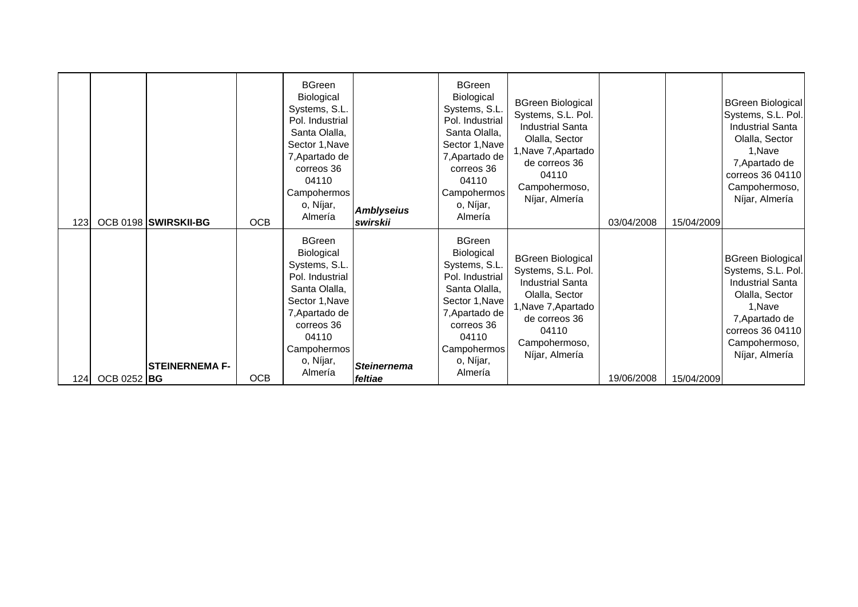| 123 <sub>l</sub> |             | OCB 0198 SWIRSKII-BG  | <b>OCB</b> | 7, Apartado de<br>correos 36<br>04110<br>Campohermos<br>o, Níjar,<br>Almería                                                                                                       | <b>Amblyseius</b><br>swirskii | Sector 1, Nave<br>7, Apartado de<br>correos 36<br>04110<br>Campohermos<br>o, Níjar,<br>Almería                                                                                     | Olalla, Sector<br>1, Nave 7, Apartado<br>de correos 36<br>04110<br>Campohermoso,<br>Níjar, Almería                                                                              | 03/04/2008 | 15/04/2009 | Olalla, Sector<br>1, Nave<br>7, Apartado de<br>correos 36 04110<br>Campohermoso,<br>Níjar, Almería                                                                             |
|------------------|-------------|-----------------------|------------|------------------------------------------------------------------------------------------------------------------------------------------------------------------------------------|-------------------------------|------------------------------------------------------------------------------------------------------------------------------------------------------------------------------------|---------------------------------------------------------------------------------------------------------------------------------------------------------------------------------|------------|------------|--------------------------------------------------------------------------------------------------------------------------------------------------------------------------------|
| 1241             | OCB 0252 BG | <b>STEINERNEMA F-</b> | <b>OCB</b> | <b>BGreen</b><br>Biological<br>Systems, S.L.<br>Pol. Industrial<br>Santa Olalla,<br>Sector 1, Nave<br>7, Apartado de<br>correos 36<br>04110<br>Campohermos<br>o, Níjar,<br>Almería | <b>Steinernema</b><br>feltiae | <b>BGreen</b><br>Biological<br>Systems, S.L.<br>Pol. Industrial<br>Santa Olalla,<br>Sector 1, Nave<br>7, Apartado de<br>correos 36<br>04110<br>Campohermos<br>o, Níjar,<br>Almería | <b>BGreen Biological</b><br>Systems, S.L. Pol.<br><b>Industrial Santa</b><br>Olalla, Sector<br>1, Nave 7, Apartado<br>de correos 36<br>04110<br>Campohermoso,<br>Níjar, Almería | 19/06/2008 | 15/04/2009 | <b>BGreen Biological</b><br>Systems, S.L. Pol.<br><b>Industrial Santa</b><br>Olalla, Sector<br>1.Nave<br>7, Apartado de<br>correos 36 04110<br>Campohermoso,<br>Níjar, Almería |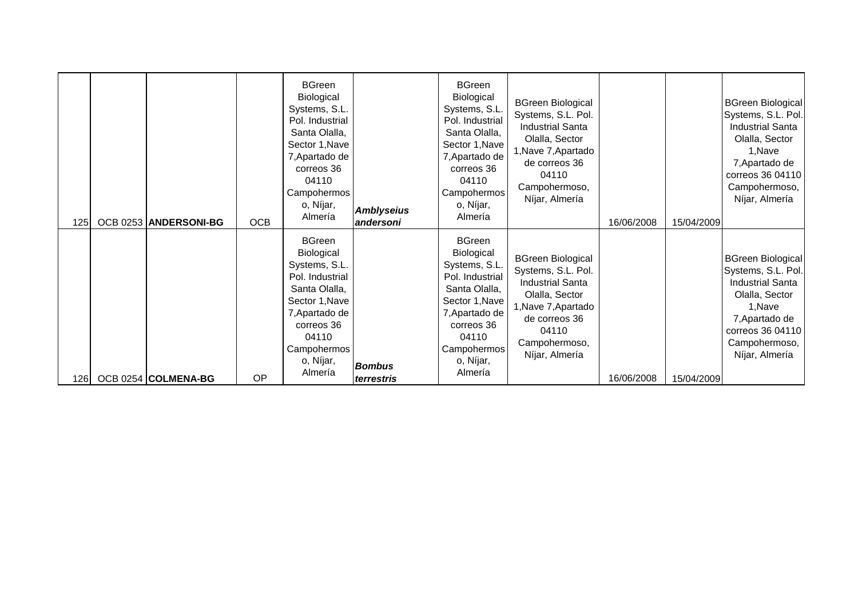| 125  | OCB 0253 ANDERSONI-BG | <b>OCB</b> | <b>BGreen</b><br>Biological<br>Systems, S.L.<br>Pol. Industrial<br>Santa Olalla,<br>Sector 1, Nave<br>7, Apartado de<br>correos 36<br>04110<br>Campohermos<br>o, Níjar,<br>Almería | <b>Amblyseius</b><br>andersoni | <b>BGreen</b><br><b>Biological</b><br>Systems, S.L.<br>Pol. Industrial<br>Santa Olalla,<br>Sector 1, Nave<br>7, Apartado de<br>correos 36<br>04110<br>Campohermos<br>o, Níjar,<br>Almería | <b>BGreen Biological</b><br>Systems, S.L. Pol.<br><b>Industrial Santa</b><br>Olalla, Sector<br>1, Nave 7, Apartado<br>de correos 36<br>04110<br>Campohermoso,<br>Níjar, Almería | 16/06/2008 | 15/04/2009 | <b>BGreen Biological</b><br>Systems, S.L. Pol.<br><b>Industrial Santa</b><br>Olalla, Sector<br>1, Nave<br>7, Apartado de<br>correos 36 04110<br>Campohermoso,<br>Níjar, Almería |
|------|-----------------------|------------|------------------------------------------------------------------------------------------------------------------------------------------------------------------------------------|--------------------------------|-------------------------------------------------------------------------------------------------------------------------------------------------------------------------------------------|---------------------------------------------------------------------------------------------------------------------------------------------------------------------------------|------------|------------|---------------------------------------------------------------------------------------------------------------------------------------------------------------------------------|
| 1261 | OCB 0254 COLMENA-BG   | OP         | <b>BGreen</b><br>Biological<br>Systems, S.L.<br>Pol. Industrial<br>Santa Olalla,<br>Sector 1, Nave<br>7, Apartado de<br>correos 36<br>04110<br>Campohermos<br>o, Níjar,<br>Almería | <b>Bombus</b><br>terrestris    | <b>BGreen</b><br>Biological<br>Systems, S.L.<br>Pol. Industrial<br>Santa Olalla,<br>Sector 1, Nave<br>7, Apartado de<br>correos 36<br>04110<br>Campohermos<br>o, Níjar,<br>Almería        | <b>BGreen Biological</b><br>Systems, S.L. Pol.<br><b>Industrial Santa</b><br>Olalla, Sector<br>1, Nave 7, Apartado<br>de correos 36<br>04110<br>Campohermoso,<br>Níjar, Almería | 16/06/2008 | 15/04/2009 | <b>BGreen Biological</b><br>Systems, S.L. Pol.<br><b>Industrial Santa</b><br>Olalla, Sector<br>1.Nave<br>7, Apartado de<br>correos 36 04110<br>Campohermoso,<br>Níjar, Almería  |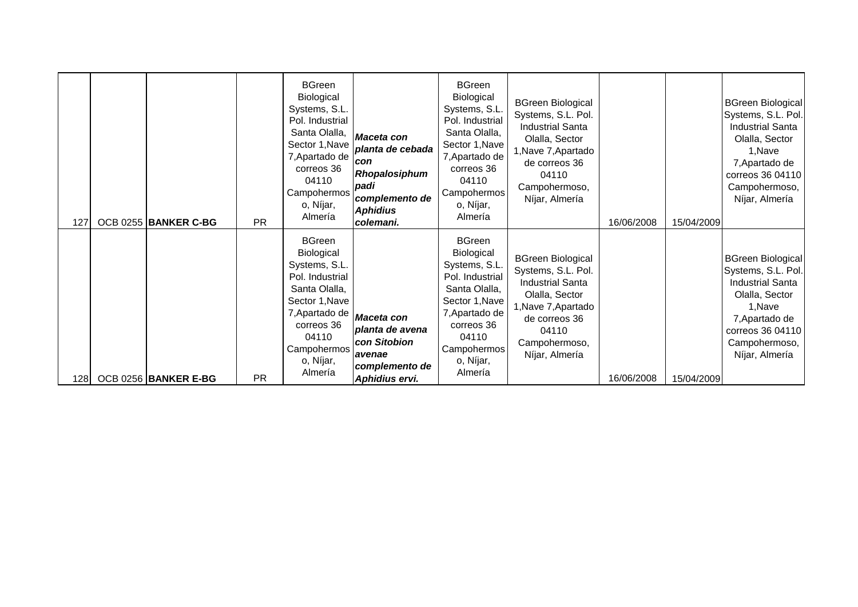| 127 | OCB 0255 BANKER C-BG | <b>PR</b> | <b>BGreen</b><br>Biological<br>Systems, S.L.<br>Pol. Industrial<br>Santa Olalla,<br>Sector 1, Nave<br>7, Apartado de<br>correos 36<br>04110<br>Campohermos<br>o, Níjar,<br>Almería                   | Maceta con<br>planta de cebada<br>con<br>Rhopalosiphum<br>padi<br>complemento de<br><b>Aphidius</b><br>colemani. | <b>BGreen</b><br>Biological<br>Systems, S.L.<br>Pol. Industrial<br>Santa Olalla,<br>Sector 1, Nave<br>7, Apartado de<br>correos 36<br>04110<br>Campohermos<br>o, Níjar,<br>Almería | <b>BGreen Biological</b><br>Systems, S.L. Pol.<br><b>Industrial Santa</b><br>Olalla, Sector<br>1, Nave 7, Apartado<br>de correos 36<br>04110<br>Campohermoso,<br>Níjar, Almería | 16/06/2008 | 15/04/2009 | <b>BGreen Biological</b><br>Systems, S.L. Pol.<br><b>Industrial Santa</b><br>Olalla, Sector<br>1, Nave<br>7, Apartado de<br>correos 36 04110<br>Campohermoso,<br>Níjar, Almería |
|-----|----------------------|-----------|------------------------------------------------------------------------------------------------------------------------------------------------------------------------------------------------------|------------------------------------------------------------------------------------------------------------------|------------------------------------------------------------------------------------------------------------------------------------------------------------------------------------|---------------------------------------------------------------------------------------------------------------------------------------------------------------------------------|------------|------------|---------------------------------------------------------------------------------------------------------------------------------------------------------------------------------|
|     |                      | <b>PR</b> | <b>BGreen</b><br>Biological<br>Systems, S.L.<br>Pol. Industrial<br>Santa Olalla,<br>Sector 1, Nave<br>7, Apartado de <i>Maceta con</i><br>correos 36<br>04110<br>Campohermos<br>o, Níjar,<br>Almería | planta de avena<br>con Sitobion<br>lavenae<br>complemento de                                                     | <b>BGreen</b><br>Biological<br>Systems, S.L.<br>Pol. Industrial<br>Santa Olalla,<br>Sector 1, Nave<br>7, Apartado de<br>correos 36<br>04110<br>Campohermos<br>o, Níjar,<br>Almería | <b>BGreen Biological</b><br>Systems, S.L. Pol.<br><b>Industrial Santa</b><br>Olalla, Sector<br>1, Nave 7, Apartado<br>de correos 36<br>04110<br>Campohermoso,<br>Níjar, Almería |            |            | <b>BGreen Biological</b><br>Systems, S.L. Pol.<br><b>Industrial Santa</b><br>Olalla, Sector<br>1.Nave<br>7, Apartado de<br>correos 36 04110<br>Campohermoso,<br>Níjar, Almería  |
| 128 | OCB 0256 BANKER E-BG |           |                                                                                                                                                                                                      | Aphidius ervi.                                                                                                   |                                                                                                                                                                                    |                                                                                                                                                                                 | 16/06/2008 | 15/04/2009 |                                                                                                                                                                                 |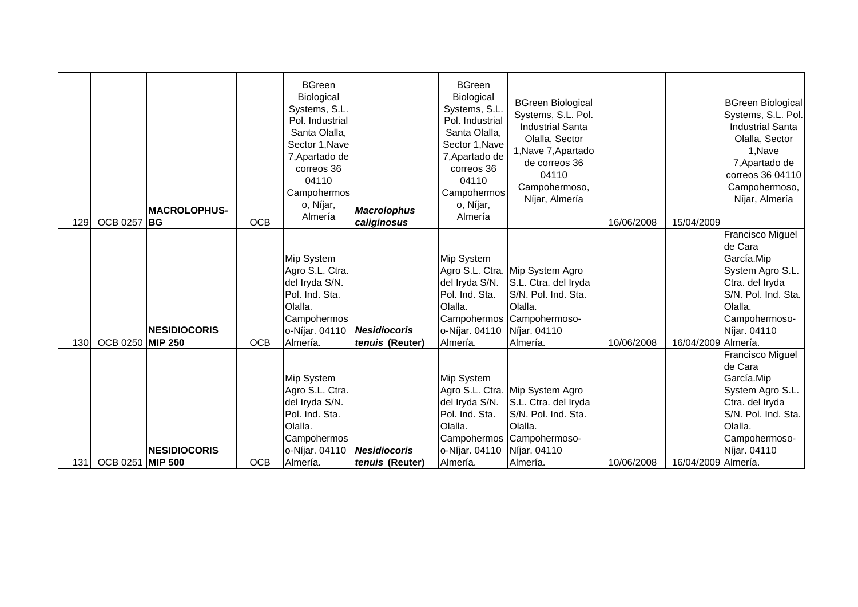| 129 | <b>OCB 0257</b>  | <b>MACROLOPHUS-</b><br>' IBG | <b>OCB</b> | <b>BGreen</b><br>Biological<br>Systems, S.L.<br>Pol. Industrial<br>Santa Olalla,<br>Sector 1, Nave<br>7, Apartado de<br>correos 36<br>04110<br>Campohermos<br>o, Níjar,<br>Almería | <b>Macrolophus</b><br>caliginosus      | <b>BGreen</b><br>Biological<br>Systems, S.L.<br>Pol. Industrial<br>Santa Olalla,<br>Sector 1, Nave<br>7, Apartado de<br>correos 36<br>04110<br>Campohermos<br>o, Níjar,<br>Almería | <b>BGreen Biological</b><br>Systems, S.L. Pol.<br><b>Industrial Santa</b><br>Olalla, Sector<br>1, Nave 7, Apartado<br>de correos 36<br>04110<br>Campohermoso,<br>Níjar, Almería | 16/06/2008 | 15/04/2009          | <b>BGreen Biological</b><br>Systems, S.L. Pol.<br><b>Industrial Santa</b><br>Olalla, Sector<br>1, Nave<br>7, Apartado de<br>correos 36 04110<br>Campohermoso,<br>Níjar, Almería |
|-----|------------------|------------------------------|------------|------------------------------------------------------------------------------------------------------------------------------------------------------------------------------------|----------------------------------------|------------------------------------------------------------------------------------------------------------------------------------------------------------------------------------|---------------------------------------------------------------------------------------------------------------------------------------------------------------------------------|------------|---------------------|---------------------------------------------------------------------------------------------------------------------------------------------------------------------------------|
| 130 | OCB 0250 MIP 250 | <b>NESIDIOCORIS</b>          | <b>OCB</b> | Mip System<br>Agro S.L. Ctra.<br>del Iryda S/N.<br>Pol. Ind. Sta.<br>Olalla.<br>Campohermos<br>o-Níjar. 04110<br>Almería.                                                          | <b>Nesidiocoris</b><br>tenuis (Reuter) | Mip System<br>del Iryda S/N.<br>Pol. Ind. Sta.<br>Olalla.<br>o-Níjar. 04110 Níjar. 04110<br>Almería.                                                                               | Agro S.L. Ctra. Mip System Agro<br>S.L. Ctra. del Iryda<br>S/N. Pol. Ind. Sta.<br>Olalla.<br>Campohermos Campohermoso-<br>Almería.                                              | 10/06/2008 | 16/04/2009 Almería. | <b>Francisco Miguel</b><br>de Cara<br>García.Mip<br>System Agro S.L.<br>Ctra. del Iryda<br>S/N. Pol. Ind. Sta.<br>Olalla.<br>Campohermoso-<br>Níjar. 04110                      |
| 131 | OCB 0251 MIP 500 | <b>NESIDIOCORIS</b>          | <b>OCB</b> | Mip System<br>Agro S.L. Ctra.<br>del Iryda S/N.<br>Pol. Ind. Sta.<br>Olalla.<br>Campohermos<br>o-Níjar. 04110<br>Almería.                                                          | <b>Nesidiocoris</b><br>tenuis (Reuter) | Mip System<br>del Iryda S/N.<br>Pol. Ind. Sta.<br>Olalla.<br>o-Níjar. 04110 Níjar. 04110<br>Almería.                                                                               | Agro S.L. Ctra. Mip System Agro<br>S.L. Ctra. del Iryda<br>S/N. Pol. Ind. Sta.<br>Olalla.<br>Campohermos Campohermoso-<br>Almería.                                              | 10/06/2008 | 16/04/2009 Almería. | Francisco Miguel<br>de Cara<br>García.Mip<br>System Agro S.L.<br>Ctra. del Iryda<br>S/N. Pol. Ind. Sta.<br>Olalla.<br>Campohermoso-<br>Níjar. 04110                             |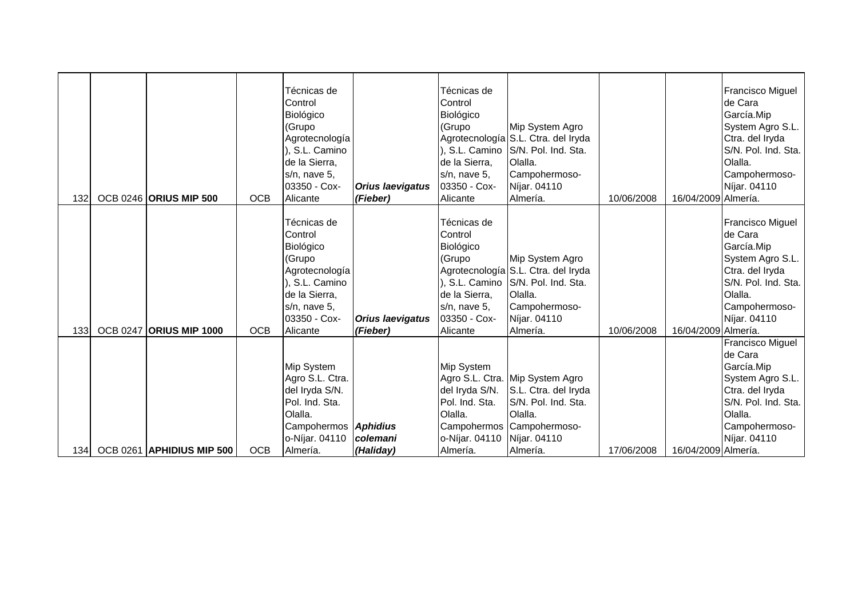| 132              | <b>OCB 0246 ORIUS MIP 500</b>  | <b>OCB</b> | Técnicas de<br>Control<br>Biológico<br>(Grupo<br>Agrotecnología<br>), S.L. Camino<br>de la Sierra,<br>s/n, nave 5,<br>03350 - Cox-<br>Alicante | <b>Orius laevigatus</b><br>(Fieber) | Técnicas de<br>Control<br>Biológico<br>(Grupo<br>de la Sierra,<br>s/n, nave 5,<br>03350 - Cox-<br>Alicante | Mip System Agro<br>Agrotecnología S.L. Ctra. del Iryda<br>), S.L. Camino S/N. Pol. Ind. Sta.<br>Olalla.<br>Campohermoso-<br>Níjar. 04110<br>Almería. | 10/06/2008 | 16/04/2009 Almería. | <b>Francisco Miguel</b><br>de Cara<br>García.Mip<br>System Agro S.L.<br>Ctra. del Iryda<br>S/N. Pol. Ind. Sta.<br>Olalla.<br>Campohermoso-<br>Níjar. 04110 |
|------------------|--------------------------------|------------|------------------------------------------------------------------------------------------------------------------------------------------------|-------------------------------------|------------------------------------------------------------------------------------------------------------|------------------------------------------------------------------------------------------------------------------------------------------------------|------------|---------------------|------------------------------------------------------------------------------------------------------------------------------------------------------------|
| 133 <sub>l</sub> | <b>OCB 0247 ORIUS MIP 1000</b> | <b>OCB</b> | Técnicas de<br>Control<br>Biológico<br>(Grupo<br>Agrotecnología<br>S.L. Camino<br>de la Sierra,<br>s/n, nave 5,<br>03350 - Cox-<br>Alicante    | <b>Orius laevigatus</b><br>(Fieber) | Técnicas de<br>Control<br>Biológico<br>(Grupo<br>de la Sierra,<br>s/n, nave 5,<br>03350 - Cox-<br>Alicante | Mip System Agro<br>Agrotecnología S.L. Ctra. del Iryda<br>), S.L. Camino S/N. Pol. Ind. Sta.<br>Olalla.<br>Campohermoso-<br>Níjar. 04110<br>Almería. | 10/06/2008 | 16/04/2009 Almería. | <b>Francisco Miguel</b><br>de Cara<br>García.Mip<br>System Agro S.L.<br>Ctra. del Iryda<br>S/N. Pol. Ind. Sta.<br>Olalla.<br>Campohermoso-<br>Níjar. 04110 |
| 134              | OCB 0261 APHIDIUS MIP 500      | <b>OCB</b> | Mip System<br>Agro S.L. Ctra.<br>del Iryda S/N.<br>Pol. Ind. Sta.<br>Olalla.<br>Campohermos <b>Aphidius</b><br>o-Níjar. 04110<br>Almería.      | colemani<br>(Haliday)               | Mip System<br>del Iryda S/N.<br>Pol. Ind. Sta.<br>Olalla.<br>o-Níjar. 04110<br>Almería.                    | Agro S.L. Ctra. Mip System Agro<br>S.L. Ctra. del Iryda<br>S/N. Pol. Ind. Sta.<br>Olalla.<br>Campohermos Campohermoso-<br>Níjar. 04110<br>Almería.   | 17/06/2008 | 16/04/2009 Almería. | <b>Francisco Miguel</b><br>de Cara<br>García.Mip<br>System Agro S.L.<br>Ctra. del Iryda<br>S/N. Pol. Ind. Sta.<br>Olalla.<br>Campohermoso-<br>Níjar. 04110 |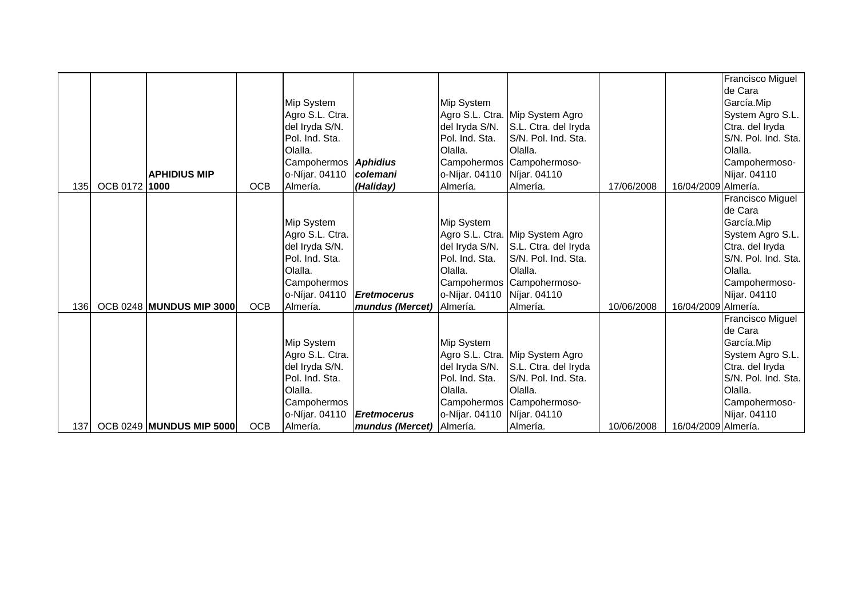|      |               |                                 |            |                             |                          |                             |                                 |            |                     | Francisco Miguel    |
|------|---------------|---------------------------------|------------|-----------------------------|--------------------------|-----------------------------|---------------------------------|------------|---------------------|---------------------|
|      |               |                                 |            |                             |                          |                             |                                 |            |                     | de Cara             |
|      |               |                                 |            | Mip System                  |                          | <b>Mip System</b>           |                                 |            |                     | García.Mip          |
|      |               |                                 |            | Agro S.L. Ctra.             |                          |                             | Agro S.L. Ctra. Mip System Agro |            |                     | System Agro S.L.    |
|      |               |                                 |            | del Iryda S/N.              |                          | del Iryda S/N.              | S.L. Ctra. del Iryda            |            |                     | Ctra. del Iryda     |
|      |               |                                 |            | Pol. Ind. Sta.              |                          | Pol. Ind. Sta.              | S/N. Pol. Ind. Sta.             |            |                     | S/N. Pol. Ind. Sta. |
|      |               |                                 |            | Olalla.                     |                          | Olalla.                     | Olalla.                         |            |                     | Olalla.             |
|      |               |                                 |            | Campohermos <b>Aphidius</b> |                          |                             | Campohermos Campohermoso-       |            |                     | Campohermoso-       |
|      |               | <b>APHIDIUS MIP</b>             |            | o-Níjar. 04110              | colemani                 | o-Níjar. 04110 Níjar. 04110 |                                 |            |                     | Níjar. 04110        |
| 135I | OCB 0172 1000 |                                 | <b>OCB</b> | Almería.                    | (Haliday)                | Almería.                    | Almería.                        | 17/06/2008 | 16/04/2009 Almería. |                     |
|      |               |                                 |            |                             |                          |                             |                                 |            |                     | Francisco Miguel    |
|      |               |                                 |            |                             |                          |                             |                                 |            |                     | de Cara             |
|      |               |                                 |            | Mip System                  |                          | Mip System                  |                                 |            |                     | García.Mip          |
|      |               |                                 |            | Agro S.L. Ctra.             |                          |                             | Agro S.L. Ctra. Mip System Agro |            |                     | System Agro S.L.    |
|      |               |                                 |            | del Iryda S/N.              |                          | del Iryda S/N.              | S.L. Ctra. del Iryda            |            |                     | Ctra. del Iryda     |
|      |               |                                 |            | Pol. Ind. Sta.              |                          | Pol. Ind. Sta.              | S/N. Pol. Ind. Sta.             |            |                     | S/N. Pol. Ind. Sta. |
|      |               |                                 |            | Olalla.                     |                          | Olalla.                     | Olalla.                         |            |                     | Olalla.             |
|      |               |                                 |            | Campohermos                 |                          |                             | Campohermos Campohermoso-       |            |                     | Campohermoso-       |
|      |               |                                 |            | o-Níjar. 04110              | <b>Eretmocerus</b>       | o-Níjar. 04110 Níjar. 04110 |                                 |            |                     | Níjar. 04110        |
| 136  |               | <b>OCB 0248 MUNDUS MIP 3000</b> | <b>OCB</b> | Almería.                    | mundus (Mercet)          | Almería.                    | Almería.                        | 10/06/2008 | 16/04/2009 Almería. |                     |
|      |               |                                 |            |                             |                          |                             |                                 |            |                     | Francisco Miguel    |
|      |               |                                 |            |                             |                          |                             |                                 |            |                     | de Cara             |
|      |               |                                 |            | Mip System                  |                          | Mip System                  |                                 |            |                     | García.Mip          |
|      |               |                                 |            | Agro S.L. Ctra.             |                          |                             | Agro S.L. Ctra. Mip System Agro |            |                     | System Agro S.L.    |
|      |               |                                 |            | del Iryda S/N.              |                          | del Iryda S/N.              | S.L. Ctra. del Iryda            |            |                     | Ctra. del Iryda     |
|      |               |                                 |            | Pol. Ind. Sta.              |                          | Pol. Ind. Sta.              | S/N. Pol. Ind. Sta.             |            |                     | S/N. Pol. Ind. Sta. |
|      |               |                                 |            | Olalla.                     |                          | Olalla.                     | Olalla.                         |            |                     | Olalla.             |
|      |               |                                 |            | Campohermos                 |                          |                             | Campohermos Campohermoso-       |            |                     | Campohermoso-       |
|      |               |                                 |            | o-Níjar. 04110              | <b>Eretmocerus</b>       | o-Níjar. 04110 Níjar. 04110 |                                 |            |                     | Níjar. 04110        |
| 137  |               | <b>OCB 0249 MUNDUS MIP 5000</b> | <b>OCB</b> | Almería.                    | mundus (Mercet) Almería. |                             | Almería.                        | 10/06/2008 | 16/04/2009 Almería. |                     |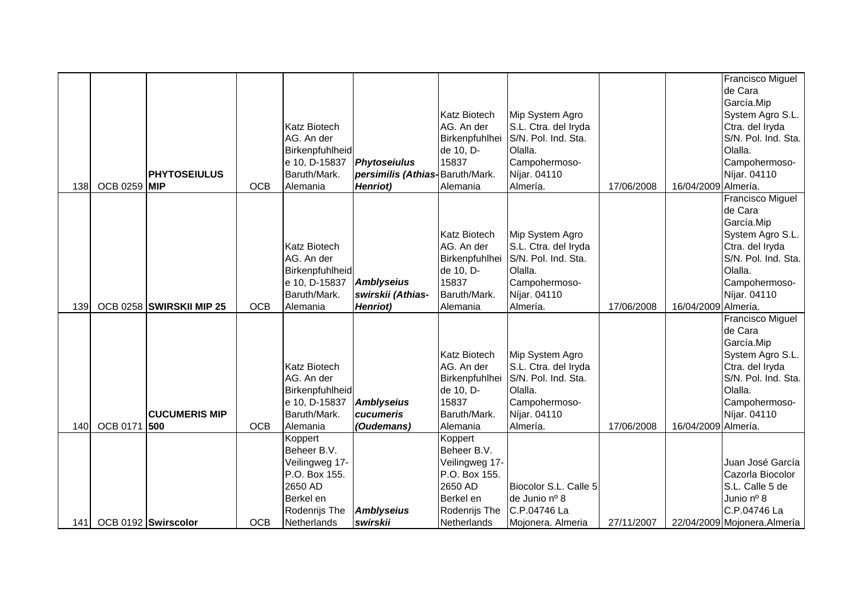|     |                     |                          |            |                          |                                 |                          |                                        |            |                     | Francisco Miguel              |
|-----|---------------------|--------------------------|------------|--------------------------|---------------------------------|--------------------------|----------------------------------------|------------|---------------------|-------------------------------|
|     |                     |                          |            |                          |                                 |                          |                                        |            |                     | de Cara                       |
|     |                     |                          |            |                          |                                 |                          |                                        |            |                     | García.Mip                    |
|     |                     |                          |            |                          |                                 | <b>Katz Biotech</b>      | Mip System Agro                        |            |                     | System Agro S.L.              |
|     |                     |                          |            | <b>Katz Biotech</b>      |                                 | AG. An der               | S.L. Ctra. del Iryda                   |            |                     | Ctra. del Iryda               |
|     |                     |                          |            | AG. An der               |                                 | Birkenpfuhlhei           | S/N. Pol. Ind. Sta.                    |            |                     | S/N. Pol. Ind. Sta.           |
|     |                     |                          |            | Birkenpfuhlheid          |                                 | de 10, D-                | Olalla.                                |            |                     | Olalla.                       |
|     |                     |                          |            | e 10, D-15837            | <b>Phytoseiulus</b>             | 15837                    | Campohermoso-                          |            |                     | Campohermoso-                 |
|     |                     | <b>PHYTOSEIULUS</b>      |            | Baruth/Mark.             | persimilis (Athias-Baruth/Mark. |                          | Níjar. 04110                           |            |                     | Níjar. 04110                  |
| 138 | <b>OCB 0259 MIP</b> |                          | <b>OCB</b> | Alemania                 | Henriot)                        | Alemania                 | Almería.                               | 17/06/2008 | 16/04/2009 Almería. |                               |
|     |                     |                          |            |                          |                                 |                          |                                        |            |                     | Francisco Miguel              |
|     |                     |                          |            |                          |                                 |                          |                                        |            |                     | de Cara                       |
|     |                     |                          |            |                          |                                 |                          |                                        |            |                     | García.Mip                    |
|     |                     |                          |            |                          |                                 | <b>Katz Biotech</b>      | Mip System Agro                        |            |                     | System Agro S.L.              |
|     |                     |                          |            | <b>Katz Biotech</b>      |                                 | AG. An der               | S.L. Ctra. del Iryda                   |            |                     | Ctra. del Iryda               |
|     |                     |                          |            | AG. An der               |                                 | Birkenpfuhlhei           | S/N. Pol. Ind. Sta.                    |            |                     | S/N. Pol. Ind. Sta.           |
|     |                     |                          |            | Birkenpfuhlheid          |                                 | de 10, D-                | Olalla.                                |            |                     | Olalla.                       |
|     |                     |                          |            | e 10, D-15837            | <b>Amblyseius</b>               | 15837                    | Campohermoso-                          |            |                     | Campohermoso-                 |
|     |                     |                          |            | Baruth/Mark.             | swirskii (Athias-               | Baruth/Mark.             | Níjar. 04110                           |            |                     | Níjar. 04110                  |
| 139 |                     | OCB 0258 SWIRSKII MIP 25 | <b>OCB</b> | Alemania                 | Henriot)                        | Alemania                 | Almería.                               | 17/06/2008 | 16/04/2009 Almería. |                               |
|     |                     |                          |            |                          |                                 |                          |                                        |            |                     | Francisco Miguel              |
|     |                     |                          |            |                          |                                 |                          |                                        |            |                     | de Cara                       |
|     |                     |                          |            |                          |                                 |                          |                                        |            |                     | García.Mip                    |
|     |                     |                          |            |                          |                                 | <b>Katz Biotech</b>      | Mip System Agro                        |            |                     | System Agro S.L.              |
|     |                     |                          |            | <b>Katz Biotech</b>      |                                 | AG. An der               | S.L. Ctra. del Iryda                   |            |                     | Ctra. del Iryda               |
|     |                     |                          |            | AG. An der               |                                 | Birkenpfuhlhei           | S/N. Pol. Ind. Sta.                    |            |                     | S/N. Pol. Ind. Sta.           |
|     |                     |                          |            | Birkenpfuhlheid          |                                 | de 10, D-                | Olalla.                                |            |                     | Olalla.                       |
|     |                     |                          |            | e 10, D-15837            | Amblyseius                      | 15837                    | Campohermoso-                          |            |                     | Campohermoso-                 |
|     |                     | <b>CUCUMERIS MIP</b>     |            | Baruth/Mark.             | cucumeris                       | Baruth/Mark.             | Níjar. 04110                           |            |                     | Níjar. 04110                  |
| 140 | <b>OCB 0171</b>     | 500                      | <b>OCB</b> | Alemania                 | (Oudemans)                      | Alemania                 | Almería.                               | 17/06/2008 | 16/04/2009 Almería. |                               |
|     |                     |                          |            | Koppert                  |                                 | Koppert                  |                                        |            |                     |                               |
|     |                     |                          |            | Beheer B.V.              |                                 | Beheer B.V.              |                                        |            |                     |                               |
|     |                     |                          |            | Veilingweg 17-           |                                 | Veilingweg 17-           |                                        |            |                     | Juan José García              |
|     |                     |                          |            | P.O. Box 155.<br>2650 AD |                                 | P.O. Box 155.<br>2650 AD |                                        |            |                     | Cazorla Biocolor              |
|     |                     |                          |            |                          |                                 | Berkel en                | Biocolor S.L. Calle 5<br>de Junio nº 8 |            |                     | S.L. Calle 5 de<br>Junio nº 8 |
|     |                     |                          |            | Berkel en                | <b>Amblyseius</b>               |                          | C.P.04746 La                           |            |                     | C.P.04746 La                  |
|     |                     |                          |            | Rodenrijs The            |                                 | Rodenrijs The            |                                        |            |                     |                               |
| 141 |                     | OCB 0192 Swirscolor      | <b>OCB</b> | Netherlands              | swirskii                        | Netherlands              | Mojonera. Almeria                      | 27/11/2007 |                     | 22/04/2009 Mojonera.Almería   |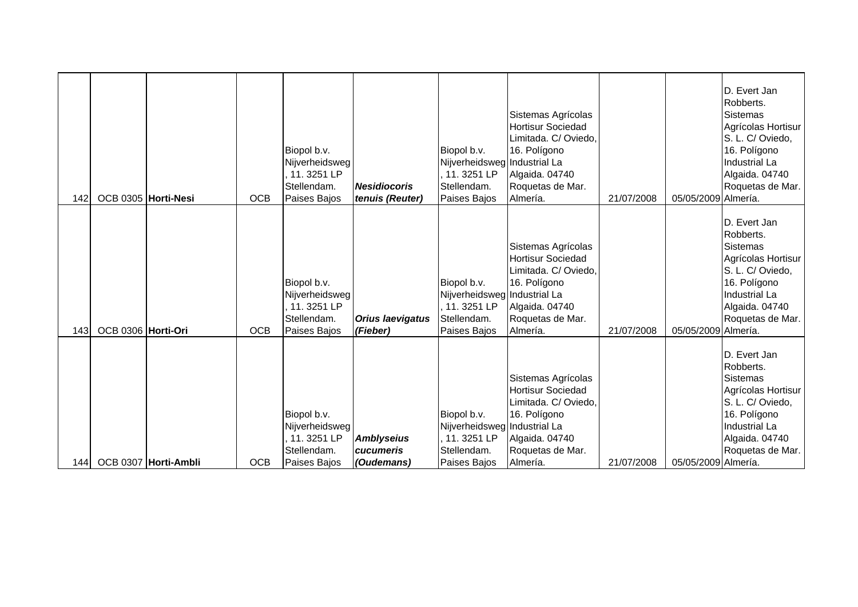| 142  | OCB 0305 Horti-Nesi |                      | <b>OCB</b> | Biopol b.v.<br>Nijverheidsweg<br>11. 3251 LP<br>Stellendam.<br>Paises Bajos | <b>Nesidiocoris</b><br>tenuis (Reuter)       | Biopol b.v.<br>Nijverheidsweg Industrial La<br>11.3251 LP<br>Stellendam.<br>Paises Bajos  | Sistemas Agrícolas<br><b>Hortisur Sociedad</b><br>Limitada. C/ Oviedo,<br>16. Polígono<br>Algaida. 04740<br>Roquetas de Mar.<br>Almería. | 21/07/2008 | 05/05/2009 Almería. | D. Evert Jan<br>Robberts.<br><b>Sistemas</b><br>Agrícolas Hortisur<br>S. L. C/ Oviedo,<br>16. Polígono<br>Industrial La<br>Algaida. 04740<br>Roquetas de Mar. |
|------|---------------------|----------------------|------------|-----------------------------------------------------------------------------|----------------------------------------------|-------------------------------------------------------------------------------------------|------------------------------------------------------------------------------------------------------------------------------------------|------------|---------------------|---------------------------------------------------------------------------------------------------------------------------------------------------------------|
| 143  | OCB 0306 Horti-Ori  |                      | <b>OCB</b> | Biopol b.v.<br>Nijverheidsweg<br>11.3251 LP<br>Stellendam.<br>Paises Bajos  | <b>Orius laevigatus</b><br>(Fieber)          | Biopol b.v.<br>Nijverheidsweg Industrial La<br>11.3251 LP<br>Stellendam.<br>Paises Bajos  | Sistemas Agrícolas<br><b>Hortisur Sociedad</b><br>Limitada. C/ Oviedo,<br>16. Polígono<br>Algaida. 04740<br>Roquetas de Mar.<br>Almería. | 21/07/2008 | 05/05/2009 Almería. | D. Evert Jan<br>Robberts.<br>Sistemas<br>Agrícolas Hortisur<br>S. L. C/ Oviedo,<br>16. Polígono<br>Industrial La<br>Algaida. 04740<br>Roquetas de Mar.        |
| 1441 |                     | OCB 0307 Horti-Ambli | <b>OCB</b> | Biopol b.v.<br>Nijverheidsweg<br>11.3251 LP<br>Stellendam.<br>Paises Bajos  | <b>Amblyseius</b><br>cucumeris<br>(Oudemans) | Biopol b.v.<br>Nijverheidsweg Industrial La<br>11. 3251 LP<br>Stellendam.<br>Paises Bajos | Sistemas Agrícolas<br>Hortisur Sociedad<br>Limitada. C/ Oviedo,<br>16. Polígono<br>Algaida. 04740<br>Roquetas de Mar.<br>Almería.        | 21/07/2008 | 05/05/2009 Almería. | D. Evert Jan<br>Robberts.<br><b>Sistemas</b><br>Agrícolas Hortisur<br>S. L. C/ Oviedo,<br>16. Polígono<br>Industrial La<br>Algaida. 04740<br>Roquetas de Mar. |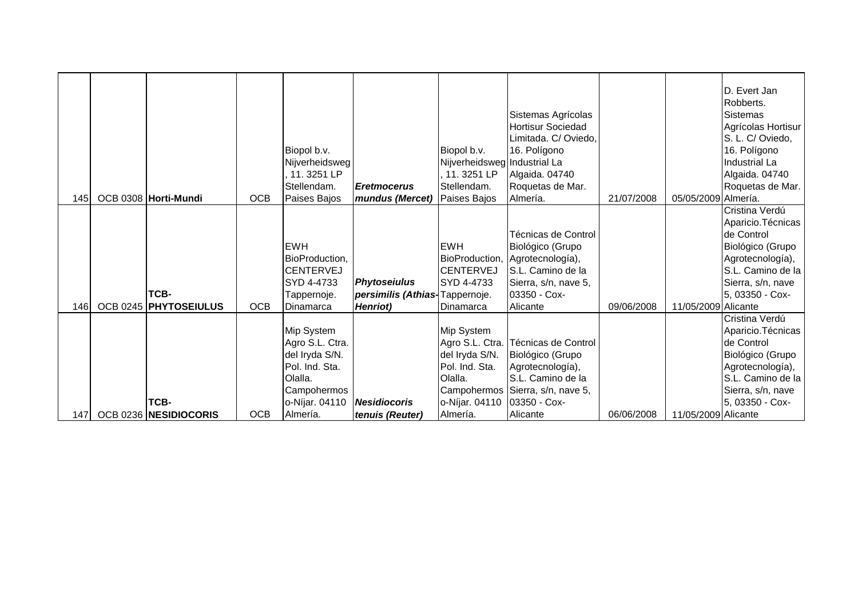|     |                               |            | Biopol b.v.<br>Nijverheidsweg<br>11.3251 LP<br>Stellendam.                                                                | <b>Eretmocerus</b>                                                        | Biopol b.v.<br>Nijverheidsweg Industrial La<br>, 11. 3251 LP<br>Stellendam.                          | Sistemas Agrícolas<br><b>Hortisur Sociedad</b><br>Limitada. C/ Oviedo,<br>16. Polígono<br>Algaida. 04740<br>Roquetas de Mar.                        |            |                     | D. Evert Jan<br>Robberts.<br><b>Sistemas</b><br>Agrícolas Hortisur  <br>S. L. C/ Oviedo,<br>16. Polígono<br>Industrial La<br>Algaida. 04740<br>Roquetas de Mar. |
|-----|-------------------------------|------------|---------------------------------------------------------------------------------------------------------------------------|---------------------------------------------------------------------------|------------------------------------------------------------------------------------------------------|-----------------------------------------------------------------------------------------------------------------------------------------------------|------------|---------------------|-----------------------------------------------------------------------------------------------------------------------------------------------------------------|
| 145 | OCB 0308 Horti-Mundi          | <b>OCB</b> | Paises Bajos                                                                                                              | mundus (Mercet)                                                           | Paises Bajos                                                                                         | Almería.                                                                                                                                            | 21/07/2008 | 05/05/2009 Almería. |                                                                                                                                                                 |
| 146 | TCB-<br>OCB 0245 PHYTOSEIULUS | <b>OCB</b> | <b>EWH</b><br>BioProduction,<br><b>CENTERVEJ</b><br>SYD 4-4733<br>Tappernoje.<br>Dinamarca                                | <b>Phytoseiulus</b><br>persimilis (Athias-Tappernoje.<br><b>Henriot</b> ) | <b>EWH</b><br><b>CENTERVEJ</b><br>SYD 4-4733<br><b>IDinamarca</b>                                    | Técnicas de Control<br>Biológico (Grupo<br>BioProduction, Agrotecnología),<br>S.L. Camino de la<br>Sierra, s/n, nave 5,<br>03350 - Cox-<br>Alicante | 09/06/2008 | 11/05/2009 Alicante | Cristina Verdú<br>Aparicio. Técnicas<br>de Control<br>Biológico (Grupo<br>Agrotecnología),<br>S.L. Camino de la<br>Sierra, s/n, nave<br>5, 03350 - Cox-         |
| 147 | TCB-<br>OCB 0236 NESIDIOCORIS | OCB        | Mip System<br>Agro S.L. Ctra.<br>del Iryda S/N.<br>Pol. Ind. Sta.<br>Olalla.<br>Campohermos<br>o-Níjar. 04110<br>Almería. | <b>Nesidiocoris</b><br>tenuis (Reuter)                                    | Mip System<br>del Iryda S/N.<br>Pol. Ind. Sta.<br>Olalla.<br>o-Níjar. 04110 03350 - Cox-<br>Almería. | Agro S.L. Ctra. Técnicas de Control<br>Biológico (Grupo<br>Agrotecnología),<br>S.L. Camino de la<br>Campohermos Sierra, s/n, nave 5,<br>Alicante    | 06/06/2008 | 11/05/2009 Alicante | Cristina Verdú<br>Aparicio. Técnicas<br>de Control<br>Biológico (Grupo<br>Agrotecnología),<br>S.L. Camino de la<br>Sierra, s/n, nave<br>5, 03350 - Cox-         |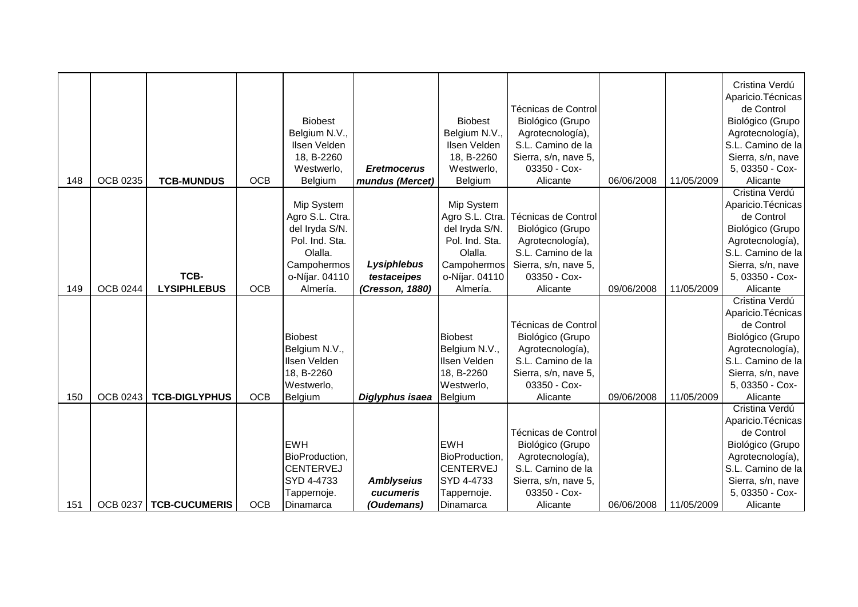| 148 | <b>OCB 0235</b> | <b>TCB-MUNDUS</b>          | <b>OCB</b> | <b>Biobest</b><br>Belgium N.V.,<br>Ilsen Velden<br>18, B-2260<br>Westwerlo.<br>Belgium                                    | <b>Eretmocerus</b><br>mundus (Mercet)               | <b>Biobest</b><br>Belgium N.V.,<br>Ilsen Velden<br>18, B-2260<br>Westwerlo,<br>Belgium                                    | Técnicas de Control<br>Biológico (Grupo<br>Agrotecnología),<br>S.L. Camino de la<br>Sierra, s/n, nave 5,<br>03350 - Cox-<br>Alicante | 06/06/2008 | 11/05/2009 | Cristina Verdú<br>Aparicio. Técnicas<br>de Control<br>Biológico (Grupo<br>Agrotecnología),<br>S.L. Camino de la<br>Sierra, s/n, nave<br>5, 03350 - Cox-<br>Alicante |
|-----|-----------------|----------------------------|------------|---------------------------------------------------------------------------------------------------------------------------|-----------------------------------------------------|---------------------------------------------------------------------------------------------------------------------------|--------------------------------------------------------------------------------------------------------------------------------------|------------|------------|---------------------------------------------------------------------------------------------------------------------------------------------------------------------|
| 149 | <b>OCB 0244</b> | TCB-<br><b>LYSIPHLEBUS</b> | <b>OCB</b> | Mip System<br>Agro S.L. Ctra.<br>del Iryda S/N.<br>Pol. Ind. Sta.<br>Olalla.<br>Campohermos<br>o-Níjar. 04110<br>Almería. | Lysiphlebus<br>testaceipes<br>(Cresson, 1880)       | Mip System<br>Agro S.L. Ctra.<br>del Iryda S/N.<br>Pol. Ind. Sta.<br>Olalla.<br>Campohermos<br>o-Níjar. 04110<br>Almería. | Técnicas de Control<br>Biológico (Grupo<br>Agrotecnología),<br>S.L. Camino de la<br>Sierra, s/n, nave 5,<br>03350 - Cox-<br>Alicante | 09/06/2008 | 11/05/2009 | Cristina Verdú<br>Aparicio. Técnicas<br>de Control<br>Biológico (Grupo<br>Agrotecnología),<br>S.L. Camino de la<br>Sierra, s/n, nave<br>5, 03350 - Cox-<br>Alicante |
| 150 | OCB 0243        | <b>TCB-DIGLYPHUS</b>       | <b>OCB</b> | <b>Biobest</b><br>Belgium N.V.,<br>Ilsen Velden<br>18, B-2260<br>Westwerlo,<br>Belgium                                    | Diglyphus isaea                                     | <b>Biobest</b><br>Belgium N.V.,<br>Ilsen Velden<br>18, B-2260<br>Westwerlo,<br>Belgium                                    | Técnicas de Control<br>Biológico (Grupo<br>Agrotecnología),<br>S.L. Camino de la<br>Sierra, s/n, nave 5,<br>03350 - Cox-<br>Alicante | 09/06/2008 | 11/05/2009 | Cristina Verdú<br>Aparicio. Técnicas<br>de Control<br>Biológico (Grupo<br>Agrotecnología),<br>S.L. Camino de la<br>Sierra, s/n, nave<br>5, 03350 - Cox-<br>Alicante |
| 151 |                 | OCB 0237   TCB-CUCUMERIS   | <b>OCB</b> | <b>EWH</b><br>BioProduction,<br><b>CENTERVEJ</b><br>SYD 4-4733<br>Tappernoje.<br>Dinamarca                                | <b>Amblyseius</b><br>cucumeris<br><i>(Oudemans)</i> | <b>EWH</b><br>BioProduction,<br><b>CENTERVEJ</b><br>SYD 4-4733<br>Tappernoje.<br>Dinamarca                                | Técnicas de Control<br>Biológico (Grupo<br>Agrotecnología),<br>S.L. Camino de la<br>Sierra, s/n, nave 5,<br>03350 - Cox-<br>Alicante | 06/06/2008 | 11/05/2009 | Cristina Verdú<br>Aparicio. Técnicas<br>de Control<br>Biológico (Grupo<br>Agrotecnología),<br>S.L. Camino de la<br>Sierra, s/n, nave<br>5, 03350 - Cox-<br>Alicante |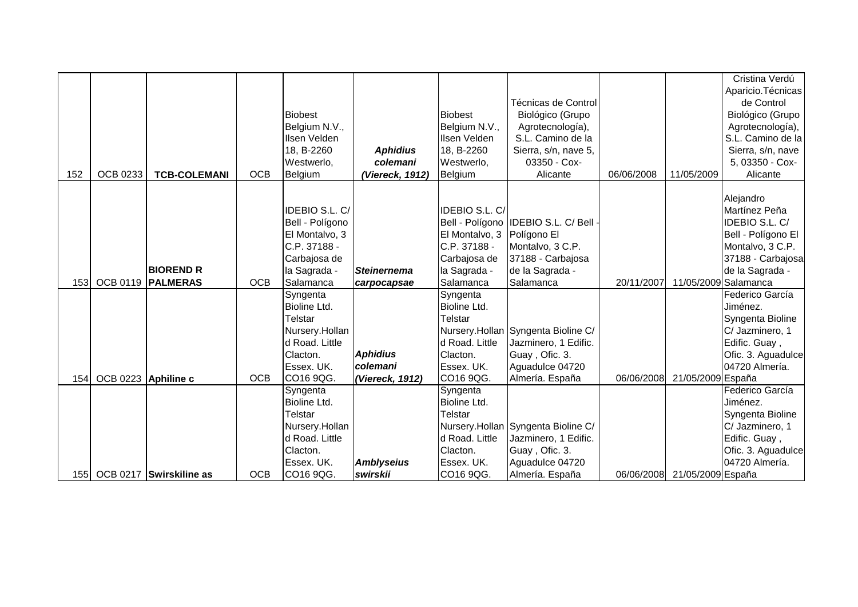|             |                     |                         |            |                     |                    |                |                                     |            |                              | Cristina Verdú       |
|-------------|---------------------|-------------------------|------------|---------------------|--------------------|----------------|-------------------------------------|------------|------------------------------|----------------------|
|             |                     |                         |            |                     |                    |                |                                     |            |                              | Aparicio. Técnicas   |
|             |                     |                         |            |                     |                    |                | Técnicas de Control                 |            |                              | de Control           |
|             |                     |                         |            | <b>Biobest</b>      |                    | <b>Biobest</b> | Biológico (Grupo                    |            |                              | Biológico (Grupo     |
|             |                     |                         |            | Belgium N.V.,       |                    | Belgium N.V.,  | Agrotecnología),                    |            |                              | Agrotecnología),     |
|             |                     |                         |            | Ilsen Velden        |                    | Ilsen Velden   | S.L. Camino de la                   |            |                              | S.L. Camino de la    |
|             |                     |                         |            | 18, B-2260          | <b>Aphidius</b>    | 18, B-2260     | Sierra, s/n, nave 5,                |            |                              | Sierra, s/n, nave    |
|             |                     |                         |            | Westwerlo,          | colemani           | Westwerlo,     | 03350 - Cox-                        |            |                              | 5, 03350 - Cox-      |
| 152         | <b>OCB 0233</b>     | <b>TCB-COLEMANI</b>     | <b>OCB</b> | Belgium             | (Viereck, 1912)    | Belgium        | Alicante                            | 06/06/2008 | 11/05/2009                   | Alicante             |
|             |                     |                         |            |                     |                    |                |                                     |            |                              |                      |
|             |                     |                         |            |                     |                    |                |                                     |            |                              | Alejandro            |
|             |                     |                         |            | IDEBIO S.L. C/      |                    | IDEBIO S.L. C/ |                                     |            |                              | Martínez Peña        |
|             |                     |                         |            | Bell - Polígono     |                    |                | Bell - Polígono IDEBIO S.L. C/ Bell |            |                              | IDEBIO S.L. C/       |
|             |                     |                         |            | El Montalvo, 3      |                    | El Montalvo, 3 | Polígono El                         |            |                              | Bell - Polígono El   |
|             |                     |                         |            | C.P. 37188 -        |                    | C.P. 37188 -   | Montalvo, 3 C.P.                    |            |                              | Montalvo, 3 C.P.     |
|             |                     |                         |            | Carbajosa de        |                    | Carbajosa de   | 37188 - Carbajosa                   |            |                              | 37188 - Carbajosa    |
|             |                     | <b>BIOREND R</b>        |            | la Sagrada -        | <b>Steinernema</b> | la Sagrada -   | de la Sagrada -                     |            |                              | de la Sagrada -      |
| <b>1531</b> |                     | OCB 0119   PALMERAS     | <b>OCB</b> | Salamanca           | carpocapsae        | Salamanca      | Salamanca                           | 20/11/2007 |                              | 11/05/2009 Salamanca |
|             |                     |                         |            | Syngenta            |                    | Syngenta       |                                     |            |                              | Federico García      |
|             |                     |                         |            | <b>Bioline Ltd.</b> |                    | Bioline Ltd.   |                                     |            |                              | Jiménez.             |
|             |                     |                         |            | Telstar             |                    | Telstar        |                                     |            |                              | Syngenta Bioline     |
|             |                     |                         |            | Nursery.Hollan      |                    |                | Nursery.Hollan Syngenta Bioline C/  |            |                              | C/ Jazminero, 1      |
|             |                     |                         |            | d Road. Little      |                    | d Road. Little | Jazminero, 1 Edific.                |            |                              | Edific. Guay,        |
|             |                     |                         |            | Clacton.            | <b>Aphidius</b>    | Clacton.       | Guay, Ofic. 3.                      |            |                              | Ofic. 3. Aguadulce   |
|             |                     |                         |            | Essex. UK.          | colemani           | Essex. UK.     | Aguadulce 04720                     |            |                              | 04720 Almería.       |
| 154         | OCB 0223 Aphiline c |                         | <b>OCB</b> | CO16 9QG.           | (Viereck, 1912)    | CO16 9QG.      | Almería. España                     | 06/06/2008 | 21/05/2009 España            |                      |
|             |                     |                         |            | Syngenta            |                    | Syngenta       |                                     |            |                              | Federico García      |
|             |                     |                         |            | Bioline Ltd.        |                    | Bioline Ltd.   |                                     |            |                              | Jiménez.             |
|             |                     |                         |            | Telstar             |                    | <b>Telstar</b> |                                     |            |                              | Syngenta Bioline     |
|             |                     |                         |            | Nursery.Hollan      |                    |                | Nursery.Hollan Syngenta Bioline C/  |            |                              | C/ Jazminero, 1      |
|             |                     |                         |            | d Road. Little      |                    | d Road. Little | Jazminero, 1 Edific.                |            |                              | Edific. Guay,        |
|             |                     |                         |            | Clacton.            |                    | Clacton.       | Guay, Ofic. 3.                      |            |                              | Ofic. 3. Aguadulce   |
|             |                     |                         |            | Essex. UK.          | <b>Amblyseius</b>  | Essex. UK.     | Aguadulce 04720                     |            |                              | 04720 Almería.       |
| 1551        |                     | OCB 0217 Swirskiline as | <b>OCB</b> | CO16 9QG.           | swirskii           | CO16 9QG.      | Almería. España                     |            | 06/06/2008 21/05/2009 España |                      |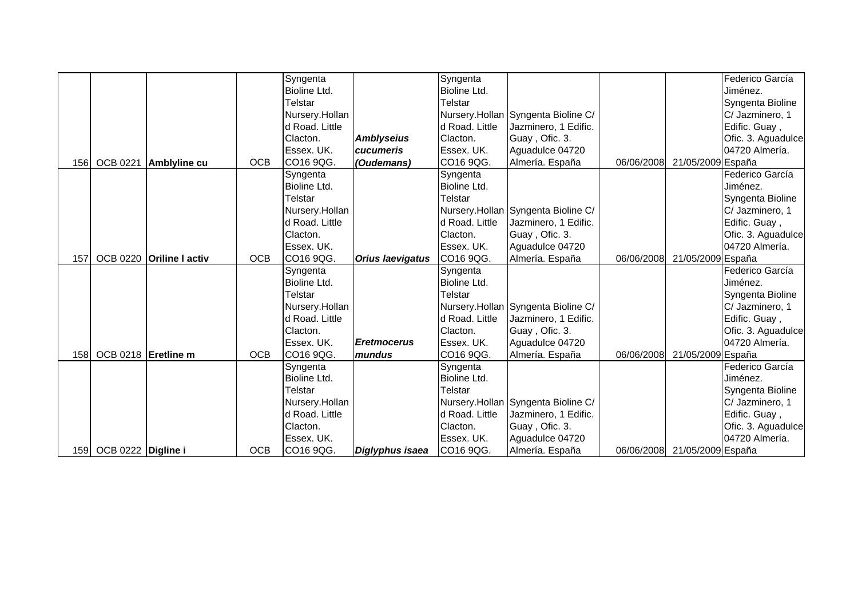|            |                        |                          |            | Syngenta       |                         | Syngenta            |                                    |            |                              | Federico García    |
|------------|------------------------|--------------------------|------------|----------------|-------------------------|---------------------|------------------------------------|------------|------------------------------|--------------------|
|            |                        |                          |            | Bioline Ltd.   |                         | <b>Bioline Ltd.</b> |                                    |            |                              | Jiménez.           |
|            |                        |                          |            | Telstar        |                         | Telstar             |                                    |            |                              | Syngenta Bioline   |
|            |                        |                          |            | Nursery.Hollan |                         |                     | Nursery.Hollan Syngenta Bioline C/ |            |                              | C/ Jazminero, 1    |
|            |                        |                          |            | d Road. Little |                         | d Road. Little      | Jazminero, 1 Edific.               |            |                              | Edific. Guay,      |
|            |                        |                          |            | Clacton.       | <b>Amblyseius</b>       | Clacton.            | Guay, Ofic. 3.                     |            |                              | Ofic. 3. Aguadulce |
|            |                        |                          |            | Essex. UK.     | cucumeris               | Essex. UK.          | Aguadulce 04720                    |            |                              | 04720 Almería.     |
|            | 156 OCB 0221           | Amblyline cu             | <b>OCB</b> | CO16 9QG.      | (Oudemans)              | CO16 9QG.           | Almería. España                    | 06/06/2008 | 21/05/2009 España            |                    |
|            |                        |                          |            | Syngenta       |                         | Syngenta            |                                    |            |                              | Federico García    |
|            |                        |                          |            | Bioline Ltd.   |                         | Bioline Ltd.        |                                    |            |                              | Jiménez.           |
|            |                        |                          |            | Telstar        |                         | Telstar             |                                    |            |                              | Syngenta Bioline   |
|            |                        |                          |            | Nursery.Hollan |                         |                     | Nursery.Hollan Syngenta Bioline C/ |            |                              | C/ Jazminero, 1    |
|            |                        |                          |            | d Road. Little |                         | d Road. Little      | Jazminero, 1 Edific.               |            |                              | Edific. Guay,      |
|            |                        |                          |            | Clacton.       |                         | Clacton.            | Guay, Ofic. 3.                     |            |                              | Ofic. 3. Aguadulce |
|            |                        |                          |            | Essex. UK.     |                         | Essex. UK.          | Aguadulce 04720                    |            |                              | 04720 Almería.     |
| 157        |                        | OCB 0220 Oriline I activ | <b>OCB</b> | CO16 9QG.      | <b>Orius laevigatus</b> | CO16 9QG.           | Almería. España                    | 06/06/2008 | 21/05/2009 España            |                    |
|            |                        |                          |            | Syngenta       |                         | Syngenta            |                                    |            |                              | Federico García    |
|            |                        |                          |            | Bioline Ltd.   |                         | Bioline Ltd.        |                                    |            |                              | Jiménez.           |
|            |                        |                          |            | Telstar        |                         | Telstar             |                                    |            |                              | Syngenta Bioline   |
|            |                        |                          |            | Nursery.Hollan |                         |                     | Nursery.Hollan Syngenta Bioline C/ |            |                              | C/ Jazminero, 1    |
|            |                        |                          |            | d Road. Little |                         | d Road. Little      | Jazminero, 1 Edific.               |            |                              | Edific. Guay,      |
|            |                        |                          |            | Clacton.       |                         | Clacton.            | Guay, Ofic. 3.                     |            |                              | Ofic. 3. Aguadulce |
|            |                        |                          |            | Essex. UK.     | <b>Eretmocerus</b>      | Essex. UK.          | Aguadulce 04720                    |            |                              | 04720 Almería.     |
| <b>158</b> | OCB 0218 Eretline m    |                          | <b>OCB</b> | CO16 9QG.      | mundus                  | CO16 9QG.           | Almería. España                    | 06/06/2008 | 21/05/2009 España            |                    |
|            |                        |                          |            | Syngenta       |                         | Syngenta            |                                    |            |                              | Federico García    |
|            |                        |                          |            | Bioline Ltd.   |                         | Bioline Ltd.        |                                    |            |                              | Jiménez.           |
|            |                        |                          |            | Telstar        |                         | Telstar             |                                    |            |                              | Syngenta Bioline   |
|            |                        |                          |            | Nursery.Hollan |                         |                     | Nursery.Hollan Syngenta Bioline C/ |            |                              | C/ Jazminero, 1    |
|            |                        |                          |            | d Road. Little |                         | d Road. Little      | Jazminero, 1 Edific.               |            |                              | Edific. Guay,      |
|            |                        |                          |            | Clacton.       |                         | Clacton.            | Guay, Ofic. 3.                     |            |                              | Ofic. 3. Aguadulce |
|            |                        |                          |            | Essex. UK.     |                         | Essex. UK.          | Aguadulce 04720                    |            |                              | 04720 Almería.     |
|            | 159 OCB 0222 Digline i |                          | <b>OCB</b> | CO16 9QG.      | Diglyphus isaea         | CO16 9QG.           | Almería. España                    |            | 06/06/2008 21/05/2009 España |                    |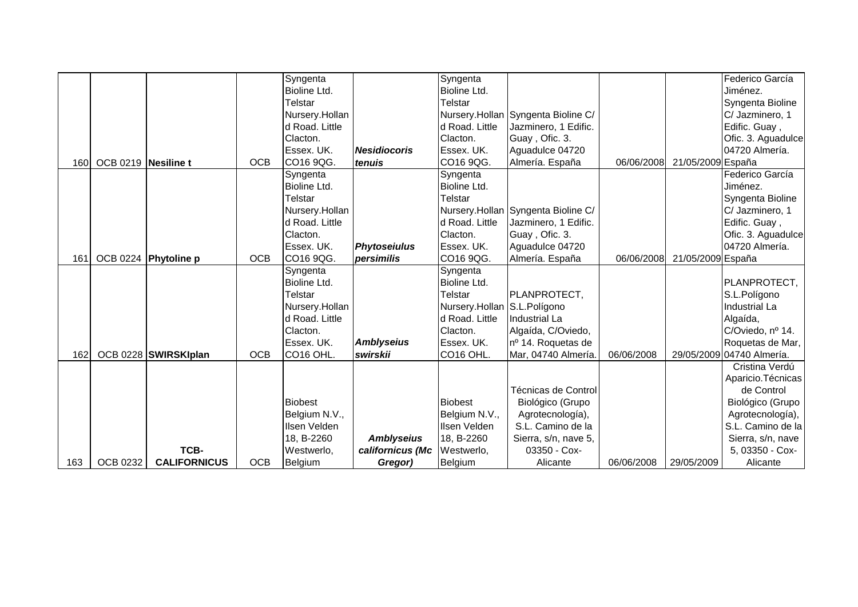|     |                     |                      |            | Syngenta              |                                       | Syngenta                    |                                      |            |                   | Federico García           |
|-----|---------------------|----------------------|------------|-----------------------|---------------------------------------|-----------------------------|--------------------------------------|------------|-------------------|---------------------------|
|     |                     |                      |            | Bioline Ltd.          |                                       | Bioline Ltd.                |                                      |            |                   | Jiménez.                  |
|     |                     |                      |            | Telstar               |                                       | <b>Telstar</b>              |                                      |            |                   | Syngenta Bioline          |
|     |                     |                      |            | Nursery.Hollan        |                                       |                             | Nursery.Hollan Syngenta Bioline C/   |            |                   | C/ Jazminero, 1           |
|     |                     |                      |            | d Road. Little        |                                       | d Road. Little              | Jazminero, 1 Edific.                 |            |                   | Edific. Guay,             |
|     |                     |                      |            | Clacton.              |                                       | Clacton.                    | Guay, Ofic. 3.                       |            |                   | Ofic. 3. Aguadulce        |
|     |                     |                      |            | Essex. UK.            | <b>Nesidiocoris</b>                   | Essex. UK.                  | Aguadulce 04720                      |            |                   | 04720 Almería.            |
| 160 | OCB 0219 Nesiline t |                      | <b>OCB</b> | CO16 9QG.             | tenuis                                | CO16 9QG.                   | Almería. España                      | 06/06/2008 | 21/05/2009 España |                           |
|     |                     |                      |            | Syngenta              |                                       | Syngenta                    |                                      |            |                   | Federico García           |
|     |                     |                      |            | Bioline Ltd.          |                                       | Bioline Ltd.                |                                      |            |                   | Jiménez.                  |
|     |                     |                      |            | <b>Telstar</b>        |                                       | <b>Telstar</b>              |                                      |            |                   | Syngenta Bioline          |
|     |                     |                      |            | Nursery.Hollan        |                                       |                             | Nursery.Hollan Syngenta Bioline C/   |            |                   | C/ Jazminero, 1           |
|     |                     |                      |            | d Road. Little        |                                       | d Road. Little              | Jazminero, 1 Edific.                 |            |                   | Edific. Guay,             |
|     |                     |                      |            | Clacton.              |                                       | Clacton.                    | Guay, Ofic. 3.                       |            |                   | Ofic. 3. Aguadulce        |
|     |                     |                      |            | Essex. UK.            | <b>Phytoseiulus</b>                   | Essex. UK.                  | Aguadulce 04720                      |            |                   | 04720 Almería.            |
| 161 |                     | OCB 0224 Phytoline p | <b>OCB</b> | CO16 9QG.             | persimilis                            | CO16 9QG.                   | Almería. España                      | 06/06/2008 | 21/05/2009 España |                           |
|     |                     |                      |            | Syngenta              |                                       | Syngenta                    |                                      |            |                   |                           |
|     |                     |                      |            | Bioline Ltd.          |                                       | Bioline Ltd.                |                                      |            |                   | PLANPROTECT,              |
|     |                     |                      |            | Telstar               |                                       | Telstar                     | PLANPROTECT,                         |            |                   | S.L.Polígono              |
|     |                     |                      |            | Nursery.Hollan        |                                       | Nursery.Hollan S.L.Polígono |                                      |            |                   | Industrial La             |
|     |                     |                      |            | d Road. Little        |                                       | d Road. Little              | Industrial La                        |            |                   | Algaída,                  |
|     |                     |                      |            | Clacton.              |                                       | Clacton.                    | Algaída, C/Oviedo,                   |            |                   | C/Oviedo, nº 14.          |
|     |                     |                      |            | Essex. UK.            | <b>Amblyseius</b>                     | Essex. UK.                  | nº 14. Roquetas de                   |            |                   | Roquetas de Mar,          |
| 162 |                     | OCB 0228 SWIRSKIplan | <b>OCB</b> | CO <sub>16</sub> OHL. | swirskii                              | CO16 OHL.                   | Mar, 04740 Almería.                  | 06/06/2008 |                   | 29/05/2009 04740 Almería. |
|     |                     |                      |            |                       |                                       |                             |                                      |            |                   | Cristina Verdú            |
|     |                     |                      |            |                       |                                       |                             |                                      |            |                   | Aparicio. Técnicas        |
|     |                     |                      |            |                       |                                       |                             | Técnicas de Control                  |            |                   | de Control                |
|     |                     |                      |            | <b>Biobest</b>        |                                       | <b>Biobest</b>              | Biológico (Grupo                     |            |                   | Biológico (Grupo          |
|     |                     |                      |            | Belgium N.V.,         |                                       | Belgium N.V.,               | Agrotecnología),                     |            |                   | Agrotecnología),          |
|     |                     |                      |            | Ilsen Velden          |                                       | Ilsen Velden                | S.L. Camino de la                    |            |                   | S.L. Camino de la         |
|     |                     | TCB-                 |            | 18, B-2260            | <b>Amblyseius</b><br>californicus (Mc | 18, B-2260                  | Sierra, s/n, nave 5,<br>03350 - Cox- |            |                   | Sierra, s/n, nave         |
|     |                     |                      |            | Westwerlo,            |                                       | Westwerlo,                  |                                      |            |                   | 5, 03350 - Cox-           |
| 163 | <b>OCB 0232</b>     | <b>CALIFORNICUS</b>  | <b>OCB</b> | Belgium               | Gregor)                               | Belgium                     | Alicante                             | 06/06/2008 | 29/05/2009        | Alicante                  |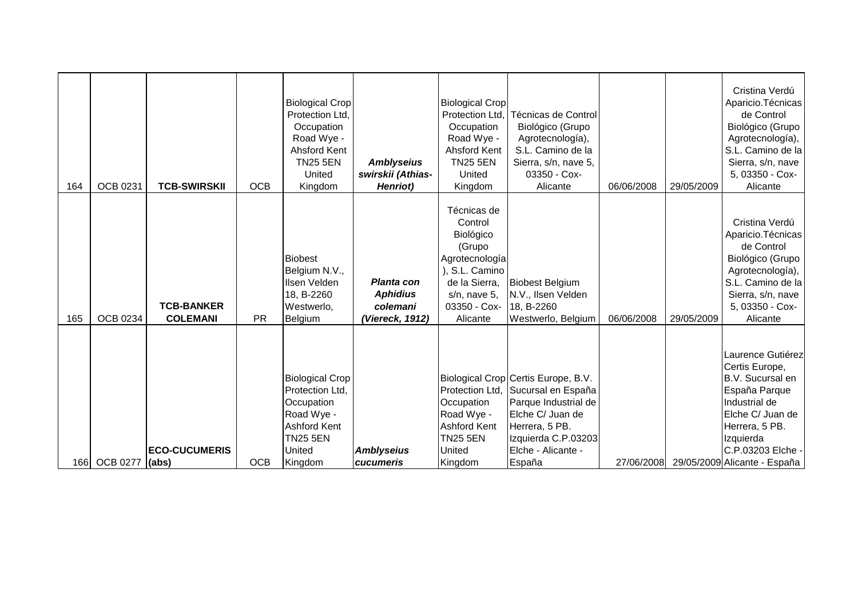| 164  | <b>OCB 0231</b> | <b>TCB-SWIRSKII</b>                  | <b>OCB</b> | <b>Biological Crop</b><br>Protection Ltd,<br>Occupation<br>Road Wye -<br>Ahsford Kent<br><b>TN25 5EN</b><br>United<br>Kingdom | <b>Amblyseius</b><br>swirskii (Athias-<br><b>Henriot</b> )   | <b>Biological Crop</b><br>Protection Ltd.<br>Occupation<br>Road Wye -<br>Ahsford Kent<br><b>TN25 5EN</b><br>United<br>Kingdom                  | <b>Técnicas de Control</b><br>Biológico (Grupo<br>Agrotecnología),<br>S.L. Camino de la<br>Sierra, s/n, nave 5,<br>03350 - Cox-<br>Alicante                                    | 06/06/2008 | 29/05/2009 | Cristina Verdú<br>Aparicio. Técnicas  <br>de Control<br>Biológico (Grupo<br>Agrotecnología),<br>S.L. Camino de la<br>Sierra, s/n, nave<br>5, 03350 - Cox-<br>Alicante                                        |
|------|-----------------|--------------------------------------|------------|-------------------------------------------------------------------------------------------------------------------------------|--------------------------------------------------------------|------------------------------------------------------------------------------------------------------------------------------------------------|--------------------------------------------------------------------------------------------------------------------------------------------------------------------------------|------------|------------|--------------------------------------------------------------------------------------------------------------------------------------------------------------------------------------------------------------|
| 165  | <b>OCB 0234</b> | <b>TCB-BANKER</b><br><b>COLEMANI</b> | <b>PR</b>  | <b>Biobest</b><br>Belgium N.V.,<br>Ilsen Velden<br>18, B-2260<br>Westwerlo,<br>Belgium                                        | Planta con<br><b>Aphidius</b><br>colemani<br>(Viereck, 1912) | Técnicas de<br>Control<br>Biológico<br>(Grupo<br>Agrotecnología<br>), S.L. Camino<br>de la Sierra,<br>s/n, nave 5,<br>03350 - Cox-<br>Alicante | <b>Biobest Belgium</b><br>N.V., Ilsen Velden<br>18, B-2260<br>Westwerlo, Belgium                                                                                               | 06/06/2008 | 29/05/2009 | Cristina Verdú<br>Aparicio. Técnicas<br>de Control<br>Biológico (Grupo<br>Agrotecnología),<br>S.L. Camino de la<br>Sierra, s/n, nave<br>5, 03350 - Cox-<br>Alicante                                          |
| 166I | <b>OCB 0277</b> | <b>ECO-CUCUMERIS</b><br>$ $ (abs)    | <b>OCB</b> | <b>Biological Crop</b><br>Protection Ltd.<br>Occupation<br>Road Wye -<br><b>Ashford Kent</b><br>TN25 5EN<br>United<br>Kingdom | <b>Amblyseius</b><br><b>cucumeris</b>                        | Protection Ltd.<br>Occupation<br>Road Wye -<br><b>Ashford Kent</b><br><b>TN25 5EN</b><br>United<br>Kingdom                                     | Biological Crop Certis Europe, B.V.<br>Sucursal en España<br>Parque Industrial de<br>Elche C/ Juan de<br>Herrera, 5 PB.<br>Izquierda C.P.03203<br>Elche - Alicante -<br>España |            |            | Laurence Gutiérez<br>Certis Europe,<br>B.V. Sucursal en<br>España Parque<br>Industrial de<br>Elche C/ Juan de<br>Herrera, 5 PB.<br>Izquierda<br>C.P.03203 Elche -<br>27/06/2008 29/05/2009 Alicante - España |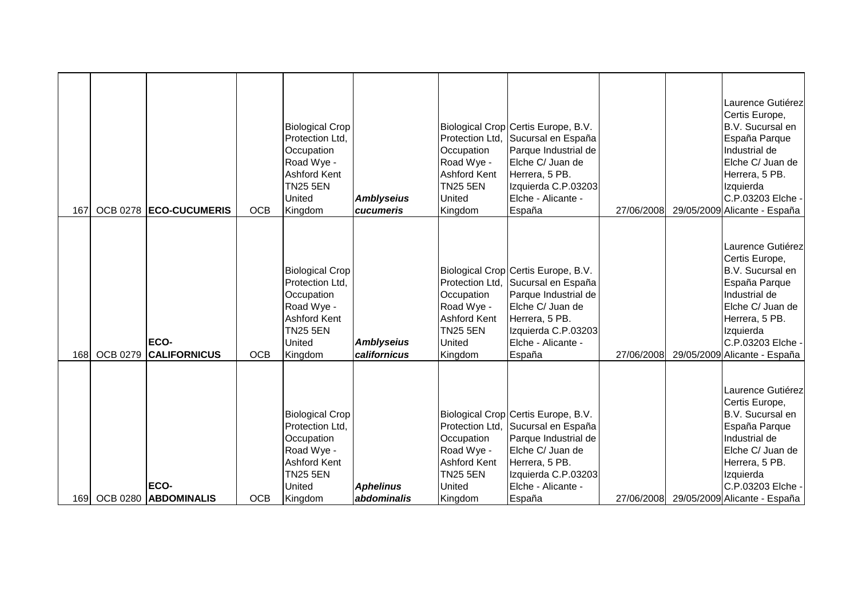| 167         |                 | OCB 0278 ECO-CUCUMERIS                              | <b>OCB</b>               | <b>Biological Crop</b><br>Protection Ltd.<br>Occupation<br>Road Wye -<br><b>Ashford Kent</b><br><b>TN25 5EN</b><br>United<br>Kingdom            | <b>Amblyseius</b><br>cucumeris                  | Protection Ltd.<br>Occupation<br>Road Wye -<br><b>Ashford Kent</b><br><b>TN25 5EN</b><br>United<br>Kingdom | Biological Crop Certis Europe, B.V.<br>Sucursal en España<br>Parque Industrial de<br>Elche C/ Juan de<br>Herrera, 5 PB.<br>Izquierda C.P.03203<br>Elche - Alicante -<br>España                           | 27/06/2008 | Laurence Gutiérez<br>Certis Europe,<br>B.V. Sucursal en<br>España Parque<br>Industrial de<br>Elche C/ Juan de<br>Herrera, 5 PB.<br>Izquierda<br>C.P.03203 Elche -<br>29/05/2009 Alicante - España                                            |
|-------------|-----------------|-----------------------------------------------------|--------------------------|-------------------------------------------------------------------------------------------------------------------------------------------------|-------------------------------------------------|------------------------------------------------------------------------------------------------------------|----------------------------------------------------------------------------------------------------------------------------------------------------------------------------------------------------------|------------|----------------------------------------------------------------------------------------------------------------------------------------------------------------------------------------------------------------------------------------------|
|             |                 | <b>ECO-</b>                                         |                          | <b>Biological Crop</b><br>Protection Ltd.<br>Occupation<br>Road Wye -<br><b>Ashford Kent</b><br><b>TN25 5EN</b><br>United                       | <b>Amblyseius</b>                               | Occupation<br>Road Wye -<br><b>Ashford Kent</b><br><b>TN25 5EN</b><br>United                               | Biological Crop Certis Europe, B.V.<br>Protection Ltd, Sucursal en España<br>Parque Industrial de<br>Elche C/ Juan de<br>Herrera, 5 PB.<br>Izquierda C.P.03203<br>Elche - Alicante -                     |            | Laurence Gutiérez<br>Certis Europe,<br>B.V. Sucursal en<br>España Parque<br>Industrial de<br>Elche C/ Juan de<br>Herrera, 5 PB.<br>Izquierda<br>C.P.03203 Elche -                                                                            |
| 168<br>169I | <b>OCB 0279</b> | <b>CALIFORNICUS</b><br>ECO-<br>OCB 0280 ABDOMINALIS | <b>OCB</b><br><b>OCB</b> | Kingdom<br><b>Biological Crop</b><br>Protection Ltd,<br>Occupation<br>Road Wye -<br><b>Ashford Kent</b><br><b>TN25 5EN</b><br>United<br>Kingdom | californicus<br><b>Aphelinus</b><br>abdominalis | Kingdom<br>Occupation<br>Road Wye -<br><b>Ashford Kent</b><br><b>TN25 5EN</b><br>United<br>Kingdom         | España<br>Biological Crop Certis Europe, B.V.<br>Protection Ltd, Sucursal en España<br>Parque Industrial de<br>Elche C/ Juan de<br>Herrera, 5 PB.<br>Izquierda C.P.03203<br>Elche - Alicante -<br>España | 27/06/2008 | 29/05/2009 Alicante - España<br>Laurence Gutiérez<br>Certis Europe,<br>B.V. Sucursal en<br>España Parque<br>Industrial de<br>Elche C/ Juan de<br>Herrera, 5 PB.<br>Izquierda<br>C.P.03203 Elche -<br>27/06/2008 29/05/2009 Alicante - España |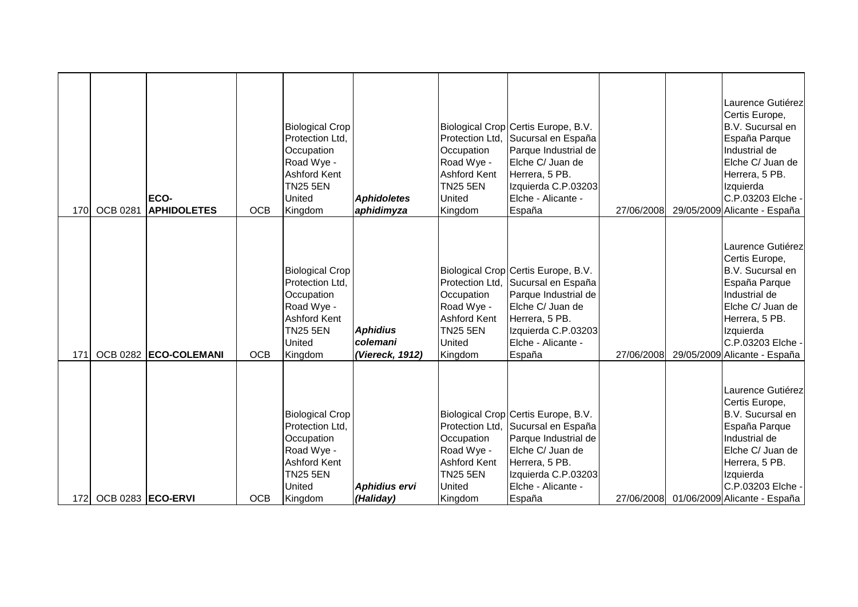| 170 <b>1</b> | <b>OCB 0281</b>       | ECO-<br><b>APHIDOLETES</b> | <b>OCB</b> | <b>Biological Crop</b><br>Protection Ltd.<br>Occupation<br>Road Wye -<br>Ashford Kent<br><b>TN25 5EN</b><br>United<br>Kingdom        | <b>Aphidoletes</b><br>aphidimyza               | Protection Ltd.<br>Occupation<br>Road Wye -<br><b>Ashford Kent</b><br><b>TN25 5EN</b><br><b>United</b><br>Kingdom | Biological Crop Certis Europe, B.V.<br>Sucursal en España<br>Parque Industrial de<br>Elche C/ Juan de<br>Herrera, 5 PB.<br>Izquierda C.P.03203<br>Elche - Alicante -<br>España | 27/06/2008 | Laurence Gutiérez<br>Certis Europe,<br>B.V. Sucursal en<br>España Parque<br>Industrial de<br>Elche C/ Juan de<br>Herrera, 5 PB.<br>Izquierda<br>C.P.03203 Elche -<br>29/05/2009 Alicante - España            |
|--------------|-----------------------|----------------------------|------------|--------------------------------------------------------------------------------------------------------------------------------------|------------------------------------------------|-------------------------------------------------------------------------------------------------------------------|--------------------------------------------------------------------------------------------------------------------------------------------------------------------------------|------------|--------------------------------------------------------------------------------------------------------------------------------------------------------------------------------------------------------------|
| 171          | <b>OCB 0282</b>       | <b>ECO-COLEMANI</b>        | <b>OCB</b> | <b>Biological Crop</b><br>Protection Ltd.<br>Occupation<br>Road Wye -<br><b>Ashford Kent</b><br><b>TN25 5EN</b><br>United<br>Kingdom | <b>Aphidius</b><br>colemani<br>(Viereck, 1912) | Protection Ltd.<br>Occupation<br>Road Wye -<br><b>Ashford Kent</b><br><b>TN25 5EN</b><br><b>United</b><br>Kingdom | Biological Crop Certis Europe, B.V.<br>Sucursal en España<br>Parque Industrial de<br>Elche C/ Juan de<br>Herrera, 5 PB.<br>Izquierda C.P.03203<br>Elche - Alicante -<br>España | 27/06/2008 | Laurence Gutiérez<br>Certis Europe,<br>B.V. Sucursal en<br>España Parque<br>Industrial de<br>Elche C/ Juan de<br>Herrera, 5 PB.<br>Izquierda<br>C.P.03203 Elche -<br>29/05/2009 Alicante - España            |
|              | 172 OCB 0283 ECO-ERVI |                            | <b>OCB</b> | <b>Biological Crop</b><br>Protection Ltd.<br>Occupation<br>Road Wye -<br><b>Ashford Kent</b><br><b>TN25 5EN</b><br>United<br>Kingdom | <b>Aphidius ervi</b><br>(Haliday)              | Protection Ltd.<br>Occupation<br>Road Wye -<br><b>Ashford Kent</b><br>TN25 5EN<br>United<br>Kingdom               | Biological Crop Certis Europe, B.V.<br>Sucursal en España<br>Parque Industrial de<br>Elche C/ Juan de<br>Herrera, 5 PB.<br>Izquierda C.P.03203<br>Elche - Alicante -<br>España |            | Laurence Gutiérez<br>Certis Europe,<br>B.V. Sucursal en<br>España Parque<br>Industrial de<br>Elche C/ Juan de<br>Herrera, 5 PB.<br>Izquierda<br>C.P.03203 Elche -<br>27/06/2008 01/06/2009 Alicante - España |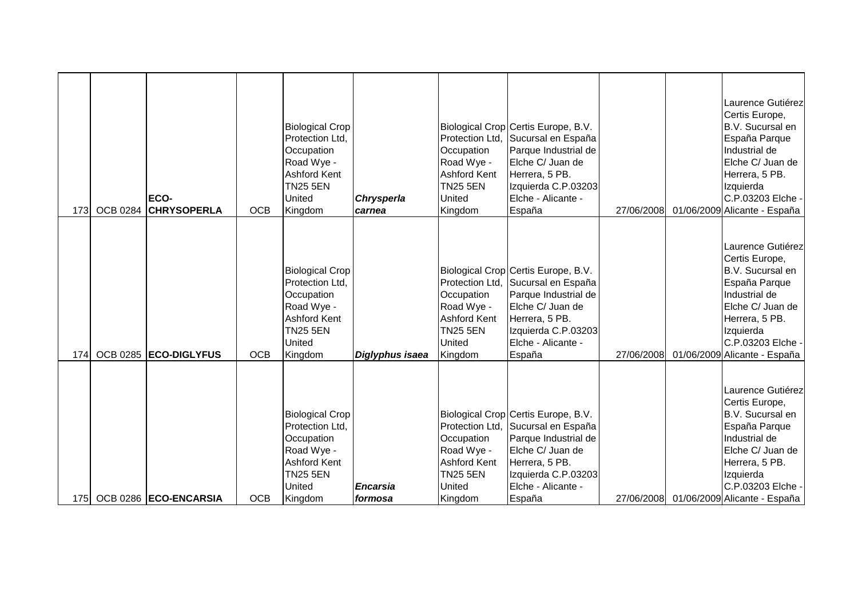| 173  | <b>OCB 0284</b> | ECO-<br><b>CHRYSOPERLA</b> | <b>OCB</b> | <b>Biological Crop</b><br>Protection Ltd,<br>Occupation<br>Road Wye -<br><b>Ashford Kent</b><br><b>TN25 5EN</b><br>United<br>Kingdom | <b>Chrysperla</b><br>carnea | Protection Ltd,<br>Occupation<br>Road Wye -<br><b>Ashford Kent</b><br><b>TN25 5EN</b><br>United<br>Kingdom | Biological Crop Certis Europe, B.V.<br>Sucursal en España<br>Parque Industrial de<br>Elche C/ Juan de<br>Herrera, 5 PB.<br>Izquierda C.P.03203<br>Elche - Alicante -<br>España                 | 27/06/2008 | Laurence Gutiérez<br>Certis Europe,<br>B.V. Sucursal en<br>España Parque<br>Industrial de<br>Elche C/ Juan de<br>Herrera, 5 PB.<br>Izquierda<br>C.P.03203 Elche -<br>01/06/2009 Alicante - España            |
|------|-----------------|----------------------------|------------|--------------------------------------------------------------------------------------------------------------------------------------|-----------------------------|------------------------------------------------------------------------------------------------------------|------------------------------------------------------------------------------------------------------------------------------------------------------------------------------------------------|------------|--------------------------------------------------------------------------------------------------------------------------------------------------------------------------------------------------------------|
| 174  |                 | OCB 0285 ECO-DIGLYFUS      | <b>OCB</b> | <b>Biological Crop</b><br>Protection Ltd.<br>Occupation<br>Road Wye -<br>Ashford Kent<br><b>TN25 5EN</b><br>United<br>Kingdom        | Diglyphus isaea             | Occupation<br>Road Wye -<br><b>Ashford Kent</b><br><b>TN25 5EN</b><br><b>United</b><br>Kingdom             | Biological Crop Certis Europe, B.V.<br>Protection Ltd, Sucursal en España<br>Parque Industrial de<br>Elche C/ Juan de<br>Herrera, 5 PB.<br>Izquierda C.P.03203<br>Elche - Alicante -<br>España | 27/06/2008 | Laurence Gutiérez<br>Certis Europe,<br>B.V. Sucursal en<br>España Parque<br>Industrial de<br>Elche C/ Juan de<br>Herrera, 5 PB.<br>Izquierda<br>C.P.03203 Elche -<br>01/06/2009 Alicante - España            |
| 175I |                 | OCB 0286 ECO-ENCARSIA      | <b>OCB</b> | <b>Biological Crop</b><br>Protection Ltd,<br>Occupation<br>Road Wye -<br><b>Ashford Kent</b><br><b>TN25 5EN</b><br>United<br>Kingdom | <b>Encarsia</b><br>formosa  | Occupation<br>Road Wye -<br><b>Ashford Kent</b><br><b>TN25 5EN</b><br>United<br>Kingdom                    | Biological Crop Certis Europe, B.V.<br>Protection Ltd, Sucursal en España<br>Parque Industrial de<br>Elche C/ Juan de<br>Herrera, 5 PB.<br>Izquierda C.P.03203<br>Elche - Alicante -<br>España |            | Laurence Gutiérez<br>Certis Europe,<br>B.V. Sucursal en<br>España Parque<br>Industrial de<br>Elche C/ Juan de<br>Herrera, 5 PB.<br>Izquierda<br>C.P.03203 Elche -<br>27/06/2008 01/06/2009 Alicante - España |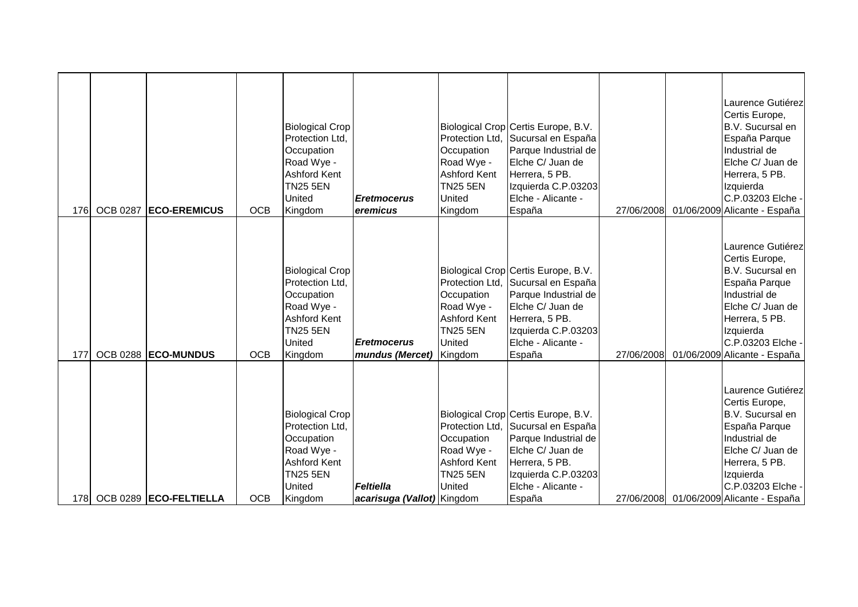| 176  | <b>OCB 0287</b> | <b>ECO-EREMICUS</b>    | <b>OCB</b> | <b>Biological Crop</b><br>Protection Ltd,<br>Occupation<br>Road Wye -<br><b>Ashford Kent</b><br><b>TN25 5EN</b><br>United<br>Kingdom        | <b>Eretmocerus</b><br>eremicus                 | Protection Ltd,<br>Occupation<br>Road Wye -<br><b>Ashford Kent</b><br><b>TN25 5EN</b><br>United<br>Kingdom | Biological Crop Certis Europe, B.V.<br>Sucursal en España<br>Parque Industrial de<br>Elche C/ Juan de<br>Herrera, 5 PB.<br>Izquierda C.P.03203<br>Elche - Alicante -<br>España                 | 27/06/2008 | Laurence Gutiérez<br>Certis Europe,<br>B.V. Sucursal en<br>España Parque<br>Industrial de<br>Elche C/ Juan de<br>Herrera, 5 PB.<br>Izquierda<br>C.P.03203 Elche -<br>01/06/2009 Alicante - España            |
|------|-----------------|------------------------|------------|---------------------------------------------------------------------------------------------------------------------------------------------|------------------------------------------------|------------------------------------------------------------------------------------------------------------|------------------------------------------------------------------------------------------------------------------------------------------------------------------------------------------------|------------|--------------------------------------------------------------------------------------------------------------------------------------------------------------------------------------------------------------|
| 177  |                 | OCB 0288 ECO-MUNDUS    | <b>OCB</b> | <b>Biological Crop</b><br>Protection Ltd.<br>Occupation<br>Road Wye -<br>Ashford Kent<br><b>TN25 5EN</b><br>United<br>Kingdom               | <b>Eretmocerus</b><br>mundus (Mercet) Kingdom  | Occupation<br>Road Wye -<br><b>Ashford Kent</b><br><b>TN25 5EN</b><br>United                               | Biological Crop Certis Europe, B.V.<br>Protection Ltd, Sucursal en España<br>Parque Industrial de<br>Elche C/ Juan de<br>Herrera, 5 PB.<br>Izquierda C.P.03203<br>Elche - Alicante -<br>España | 27/06/2008 | Laurence Gutiérez<br>Certis Europe,<br>B.V. Sucursal en<br>España Parque<br>Industrial de<br>Elche C/ Juan de<br>Herrera, 5 PB.<br>Izquierda<br>C.P.03203 Elche -<br>01/06/2009 Alicante - España            |
| 178I |                 | OCB 0289 ECO-FELTIELLA | <b>OCB</b> | <b>Biological Crop</b><br>Protection Ltd,<br>Occupation<br>Road Wye -<br><b>Ashford Kent</b><br><b>TN25 5EN</b><br><b>United</b><br>Kingdom | <b>Feltiella</b><br>acarisuga (Vallot) Kingdom | Occupation<br>Road Wye -<br><b>Ashford Kent</b><br><b>TN25 5EN</b><br>United                               | Biological Crop Certis Europe, B.V.<br>Protection Ltd, Sucursal en España<br>Parque Industrial de<br>Elche C/ Juan de<br>Herrera, 5 PB.<br>Izquierda C.P.03203<br>Elche - Alicante -<br>España |            | Laurence Gutiérez<br>Certis Europe,<br>B.V. Sucursal en<br>España Parque<br>Industrial de<br>Elche C/ Juan de<br>Herrera, 5 PB.<br>Izquierda<br>C.P.03203 Elche -<br>27/06/2008 01/06/2009 Alicante - España |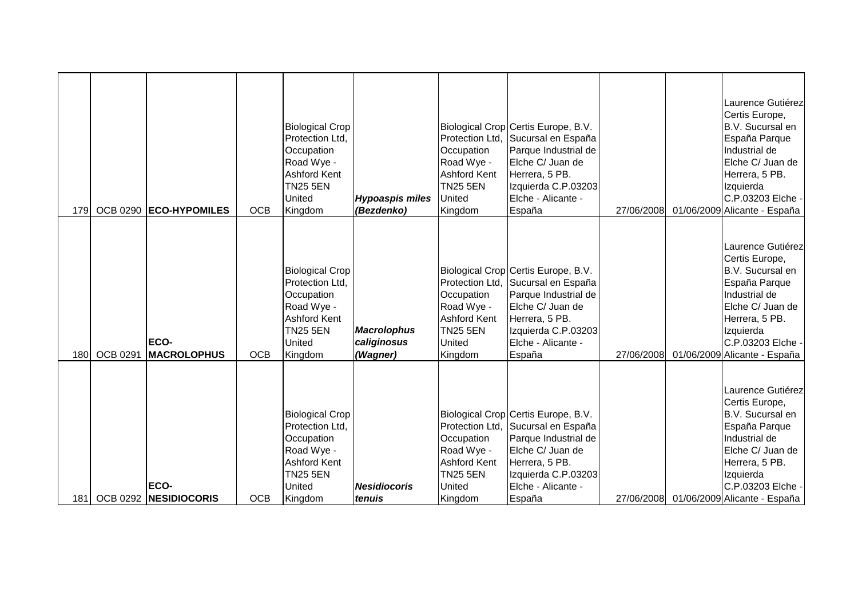| 179I             |                 | OCB 0290 ECO-HYPOMILES            | <b>OCB</b> | <b>Biological Crop</b><br>Protection Ltd,<br>Occupation<br>Road Wye -<br><b>Ashford Kent</b><br><b>TN25 5EN</b><br>United<br>Kingdom | <b>Hypoaspis miles</b><br>(Bezdenko)          | Protection Ltd,<br>Occupation<br>Road Wye -<br><b>Ashford Kent</b><br><b>TN25 5EN</b><br>United<br>Kingdom        | Biological Crop Certis Europe, B.V.<br>Sucursal en España<br>Parque Industrial de<br>Elche C/ Juan de<br>Herrera, 5 PB.<br>Izquierda C.P.03203<br>Elche - Alicante -<br>España                 | 27/06/2008 | Laurence Gutiérez<br>Certis Europe,<br>B.V. Sucursal en<br>España Parque<br>Industrial de<br>Elche C/ Juan de<br>Herrera, 5 PB.<br>Izquierda<br>C.P.03203 Elche -<br>01/06/2009 Alicante - España            |
|------------------|-----------------|-----------------------------------|------------|--------------------------------------------------------------------------------------------------------------------------------------|-----------------------------------------------|-------------------------------------------------------------------------------------------------------------------|------------------------------------------------------------------------------------------------------------------------------------------------------------------------------------------------|------------|--------------------------------------------------------------------------------------------------------------------------------------------------------------------------------------------------------------|
| 180              | <b>OCB 0291</b> | <b>ECO-</b><br><b>MACROLOPHUS</b> | <b>OCB</b> | <b>Biological Crop</b><br>Protection Ltd.<br>Occupation<br>Road Wye -<br><b>Ashford Kent</b><br><b>TN25 5EN</b><br>United<br>Kingdom | <b>Macrolophus</b><br>caliginosus<br>(Wagner) | Protection Ltd,<br>Occupation<br>Road Wye -<br><b>Ashford Kent</b><br><b>TN25 5EN</b><br><b>United</b><br>Kingdom | Biological Crop Certis Europe, B.V.<br>Sucursal en España<br>Parque Industrial de<br>Elche C/ Juan de<br>Herrera, 5 PB.<br>Izquierda C.P.03203<br>Elche - Alicante -<br>España                 | 27/06/2008 | Laurence Gutiérez<br>Certis Europe,<br>B.V. Sucursal en<br>España Parque<br>Industrial de<br>Elche C/ Juan de<br>Herrera, 5 PB.<br>Izquierda<br>C.P.03203 Elche -<br>01/06/2009 Alicante - España            |
| 181 <sup>1</sup> |                 | ECO-<br>OCB 0292 NESIDIOCORIS     | <b>OCB</b> | <b>Biological Crop</b><br>Protection Ltd,<br>Occupation<br>Road Wye -<br><b>Ashford Kent</b><br><b>TN25 5EN</b><br>United<br>Kingdom | <b>Nesidiocoris</b><br>tenuis                 | Occupation<br>Road Wye -<br><b>Ashford Kent</b><br><b>TN25 5EN</b><br>United<br>Kingdom                           | Biological Crop Certis Europe, B.V.<br>Protection Ltd, Sucursal en España<br>Parque Industrial de<br>Elche C/ Juan de<br>Herrera, 5 PB.<br>Izquierda C.P.03203<br>Elche - Alicante -<br>España |            | Laurence Gutiérez<br>Certis Europe,<br>B.V. Sucursal en<br>España Parque<br>Industrial de<br>Elche C/ Juan de<br>Herrera, 5 PB.<br>Izquierda<br>C.P.03203 Elche -<br>27/06/2008 01/06/2009 Alicante - España |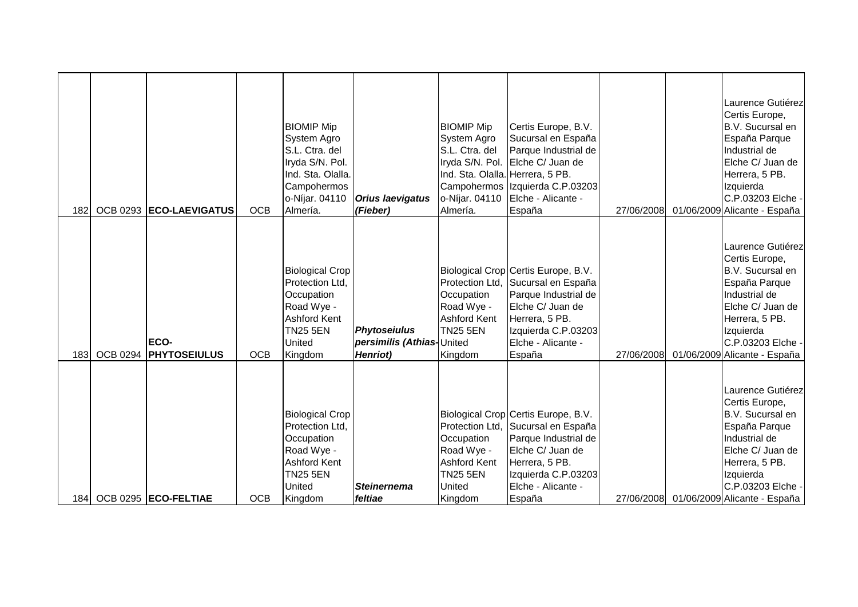| 182 |                 | OCB 0293 ECO-LAEVIGATUS                         | <b>OCB</b>               | <b>BIOMIP Mip</b><br>System Agro<br>S.L. Ctra. del<br>Iryda S/N. Pol.<br>Ind. Sta. Olalla.<br>Campohermos<br>o-Níjar. 04110<br>Almería.         | <b>Orius laevigatus</b><br>(Fieber)              | <b>BIOMIP Mip</b><br>System Agro<br>S.L. Ctra. del<br>Ind. Sta. Olalla. Herrera, 5 PB.<br>o-Níjar. 04110<br>Almería. | Certis Europe, B.V.<br>Sucursal en España<br>Parque Industrial de<br>Iryda S/N. Pol. Elche C/ Juan de<br>Campohermos Izquierda C.P.03203<br>Elche - Alicante -<br>España                                 | 27/06/2008 | Laurence Gutiérez<br>Certis Europe,<br>B.V. Sucursal en<br>España Parque<br>Industrial de<br>Elche C/ Juan de<br>Herrera, 5 PB.<br>Izquierda<br>C.P.03203 Elche -<br>01/06/2009 Alicante - España                                            |
|-----|-----------------|-------------------------------------------------|--------------------------|-------------------------------------------------------------------------------------------------------------------------------------------------|--------------------------------------------------|----------------------------------------------------------------------------------------------------------------------|----------------------------------------------------------------------------------------------------------------------------------------------------------------------------------------------------------|------------|----------------------------------------------------------------------------------------------------------------------------------------------------------------------------------------------------------------------------------------------|
|     |                 | <b>ECO-</b>                                     |                          | <b>Biological Crop</b><br>Protection Ltd.<br>Occupation<br>Road Wye -<br><b>Ashford Kent</b><br><b>TN25 5EN</b><br>United                       | <b>Phytoseiulus</b><br>persimilis (Athias-United | Occupation<br>Road Wye -<br><b>Ashford Kent</b><br><b>TN25 5EN</b>                                                   | Biological Crop Certis Europe, B.V.<br>Protection Ltd, Sucursal en España<br>Parque Industrial de<br>Elche C/ Juan de<br>Herrera, 5 PB.<br>Izquierda C.P.03203<br>Elche - Alicante -                     |            | Laurence Gutiérez<br>Certis Europe,<br>B.V. Sucursal en<br>España Parque<br>Industrial de<br>Elche C/ Juan de<br>Herrera, 5 PB.<br>Izquierda<br>C.P.03203 Elche -                                                                            |
| 183 | <b>OCB 0294</b> | <b>PHYTOSEIULUS</b><br>184 OCB 0295 ECO-FELTIAE | <b>OCB</b><br><b>OCB</b> | Kingdom<br><b>Biological Crop</b><br>Protection Ltd,<br>Occupation<br>Road Wye -<br><b>Ashford Kent</b><br><b>TN25 5EN</b><br>United<br>Kingdom | Henriot)<br><b>Steinernema</b><br>feltiae        | Kingdom<br>Occupation<br>Road Wye -<br><b>Ashford Kent</b><br><b>TN25 5EN</b><br>United<br>Kingdom                   | España<br>Biological Crop Certis Europe, B.V.<br>Protection Ltd, Sucursal en España<br>Parque Industrial de<br>Elche C/ Juan de<br>Herrera, 5 PB.<br>Izquierda C.P.03203<br>Elche - Alicante -<br>España | 27/06/2008 | 01/06/2009 Alicante - España<br>Laurence Gutiérez<br>Certis Europe,<br>B.V. Sucursal en<br>España Parque<br>Industrial de<br>Elche C/ Juan de<br>Herrera, 5 PB.<br>Izquierda<br>C.P.03203 Elche -<br>27/06/2008 01/06/2009 Alicante - España |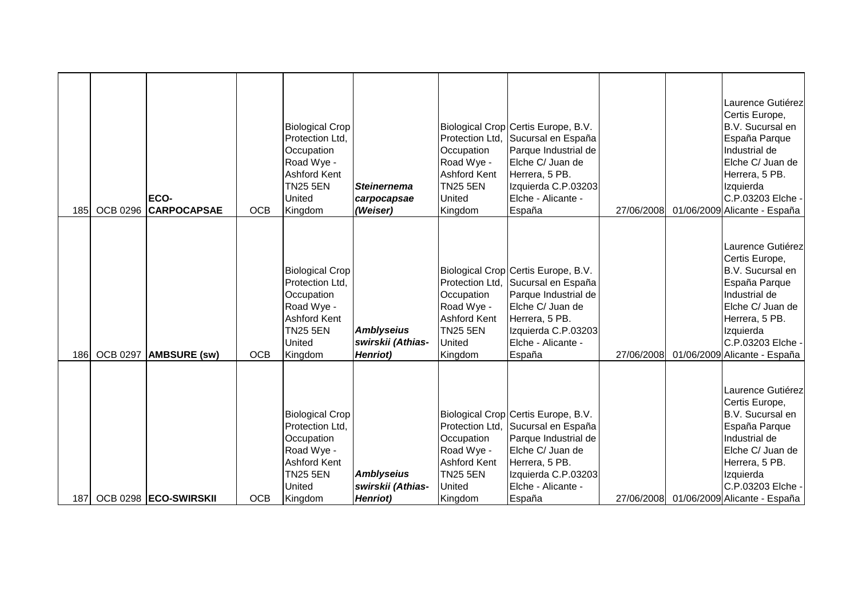| 185 <sup>1</sup> | <b>OCB 0296</b> | ECO-<br><b>CARPOCAPSAE</b> | <b>OCB</b> | <b>Biological Crop</b><br>Protection Ltd.<br>Occupation<br>Road Wye -<br>Ashford Kent<br><b>TN25 5EN</b><br>United<br>Kingdom | <b>Steinernema</b><br>carpocapsae<br>(Weiser)              | Protection Ltd.<br>Occupation<br>Road Wye -<br><b>Ashford Kent</b><br><b>TN25 5EN</b><br><b>United</b><br>Kingdom | Biological Crop Certis Europe, B.V.<br>Sucursal en España<br>Parque Industrial de<br>Elche C/ Juan de<br>Herrera, 5 PB.<br>Izquierda C.P.03203<br>Elche - Alicante -<br>España | 27/06/2008 | Laurence Gutiérez<br>Certis Europe,<br>B.V. Sucursal en<br>España Parque<br>Industrial de<br>Elche C/ Juan de<br>Herrera, 5 PB.<br>Izquierda<br>C.P.03203 Elche -<br>01/06/2009 Alicante - España            |
|------------------|-----------------|----------------------------|------------|-------------------------------------------------------------------------------------------------------------------------------|------------------------------------------------------------|-------------------------------------------------------------------------------------------------------------------|--------------------------------------------------------------------------------------------------------------------------------------------------------------------------------|------------|--------------------------------------------------------------------------------------------------------------------------------------------------------------------------------------------------------------|
| 186              | <b>OCB 0297</b> | <b>AMBSURE (SW)</b>        | <b>OCB</b> | <b>Biological Crop</b><br>Protection Ltd.<br>Occupation<br>Road Wye -<br>Ashford Kent<br><b>TN25 5EN</b><br>United<br>Kingdom | <b>Amblyseius</b><br>swirskii (Athias-<br><b>Henriot</b> ) | Protection Ltd.<br>Occupation<br>Road Wye -<br><b>Ashford Kent</b><br><b>TN25 5EN</b><br>United<br>Kingdom        | Biological Crop Certis Europe, B.V.<br>Sucursal en España<br>Parque Industrial de<br>Elche C/ Juan de<br>Herrera, 5 PB.<br>Izquierda C.P.03203<br>Elche - Alicante -<br>España | 27/06/2008 | Laurence Gutiérez<br>Certis Europe,<br>B.V. Sucursal en<br>España Parque<br>Industrial de<br>Elche C/ Juan de<br>Herrera, 5 PB.<br>Izquierda<br>C.P.03203 Elche -<br>01/06/2009 Alicante - España            |
|                  |                 | 187 OCB 0298 ECO-SWIRSKII  | <b>OCB</b> | <b>Biological Crop</b><br>Protection Ltd.<br>Occupation<br>Road Wye -<br>Ashford Kent<br><b>TN25 5EN</b><br>United<br>Kingdom | <b>Amblyseius</b><br>swirskii (Athias-<br>Henriot)         | Protection Ltd.<br>Occupation<br>Road Wye -<br><b>Ashford Kent</b><br><b>TN25 5EN</b><br>United<br>Kingdom        | Biological Crop Certis Europe, B.V.<br>Sucursal en España<br>Parque Industrial de<br>Elche C/ Juan de<br>Herrera, 5 PB.<br>Izquierda C.P.03203<br>Elche - Alicante -<br>España |            | Laurence Gutiérez<br>Certis Europe,<br>B.V. Sucursal en<br>España Parque<br>Industrial de<br>Elche C/ Juan de<br>Herrera, 5 PB.<br>Izquierda<br>C.P.03203 Elche -<br>27/06/2008 01/06/2009 Alicante - España |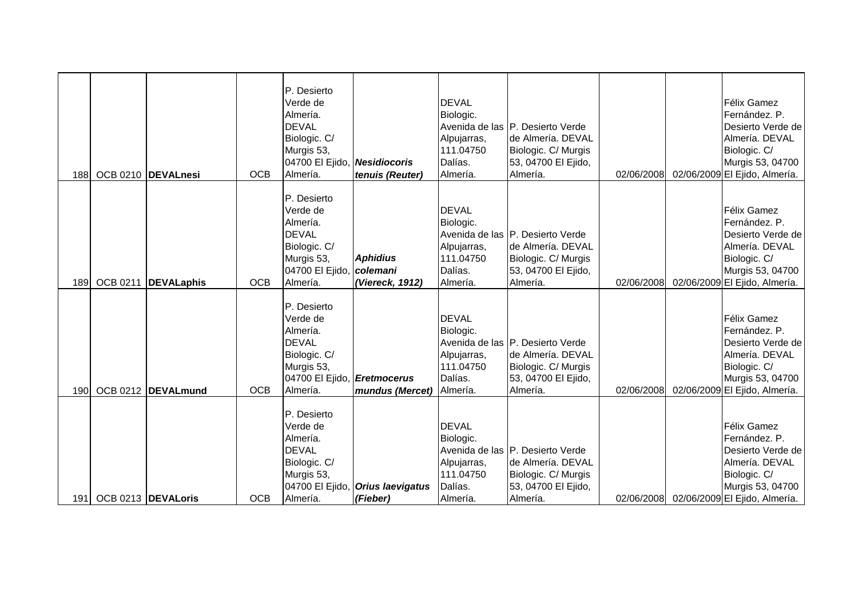| 188              |                        | OCB 0210  DEVALnesi | <b>OCB</b> | P. Desierto<br>Verde de<br>Almería.<br><b>DEVAL</b><br>Biologic. C/<br>Murgis 53,<br>04700 El Ejido, Nesidiocoris<br>Almería. | tenuis (Reuter)                                     | <b>DEVAL</b><br>Biologic.<br>Alpujarras,<br>111.04750<br>Dalías.<br>Almería. | Avenida de las P. Desierto Verde<br>de Almería. DEVAL<br>Biologic. C/ Murgis<br>53, 04700 El Ejido,<br>Almería. | 02/06/2008 | Félix Gamez<br>Fernández, P.<br>Desierto Verde de<br>Almería. DEVAL<br>Biologic. C/<br>Murgis 53, 04700<br>02/06/2009 El Ejido, Almería.            |
|------------------|------------------------|---------------------|------------|-------------------------------------------------------------------------------------------------------------------------------|-----------------------------------------------------|------------------------------------------------------------------------------|-----------------------------------------------------------------------------------------------------------------|------------|-----------------------------------------------------------------------------------------------------------------------------------------------------|
| 189              | <b>OCB 0211</b>        | <b>DEVALaphis</b>   | <b>OCB</b> | P. Desierto<br>Verde de<br>Almería.<br><b>DEVAL</b><br>Biologic. C/<br>Murgis 53,<br>04700 El Ejido,<br>Almería.              | <b>Aphidius</b><br>colemani<br>(Viereck, 1912)      | <b>DEVAL</b><br>Biologic.<br>Alpujarras,<br>111.04750<br>Dalías.<br>Almería. | Avenida de las P. Desierto Verde<br>de Almería. DEVAL<br>Biologic. C/ Murgis<br>53, 04700 El Ejido,<br>Almería. | 02/06/2008 | Félix Gamez<br>Fernández. P.<br>Desierto Verde de<br>Almería. DEVAL<br>Biologic. C/<br>Murgis 53, 04700<br>02/06/2009 El Ejido, Almería.            |
| 190 <sup>1</sup> |                        | OCB 0212 DEVALmund  | <b>OCB</b> | P. Desierto<br>Verde de<br>Almería.<br><b>DEVAL</b><br>Biologic. C/<br>Murgis 53,<br>04700 El Ejido, Eretmocerus<br>Almería.  | mundus (Mercet)                                     | <b>DEVAL</b><br>Biologic.<br>Alpujarras,<br>111.04750<br>Dalías.<br>Almería. | Avenida de las P. Desierto Verde<br>de Almería. DEVAL<br>Biologic. C/ Murgis<br>53, 04700 El Ejido,<br>Almería. | 02/06/2008 | Félix Gamez<br>Fernández. P.<br>Desierto Verde de<br>Almería. DEVAL<br>Biologic. C/<br>Murgis 53, 04700<br>02/06/2009 El Ejido, Almería.            |
|                  | 191 OCB 0213 DEVALoris |                     | <b>OCB</b> | P. Desierto<br>Verde de<br>Almería.<br><b>DEVAL</b><br>Biologic. C/<br>Murgis 53,<br>Almería.                                 | 04700 El Ejido, <b>Orius laevigatus</b><br>(Fieber) | <b>DEVAL</b><br>Biologic.<br>Alpujarras,<br>111.04750<br>Dalías.<br>Almería. | Avenida de las P. Desierto Verde<br>de Almería. DEVAL<br>Biologic. C/ Murgis<br>53, 04700 El Ejido,<br>Almería. |            | Félix Gamez<br>Fernández. P.<br>Desierto Verde de<br>Almería. DEVAL<br>Biologic. C/<br>Murgis 53, 04700<br>02/06/2008 02/06/2009 El Ejido, Almería. |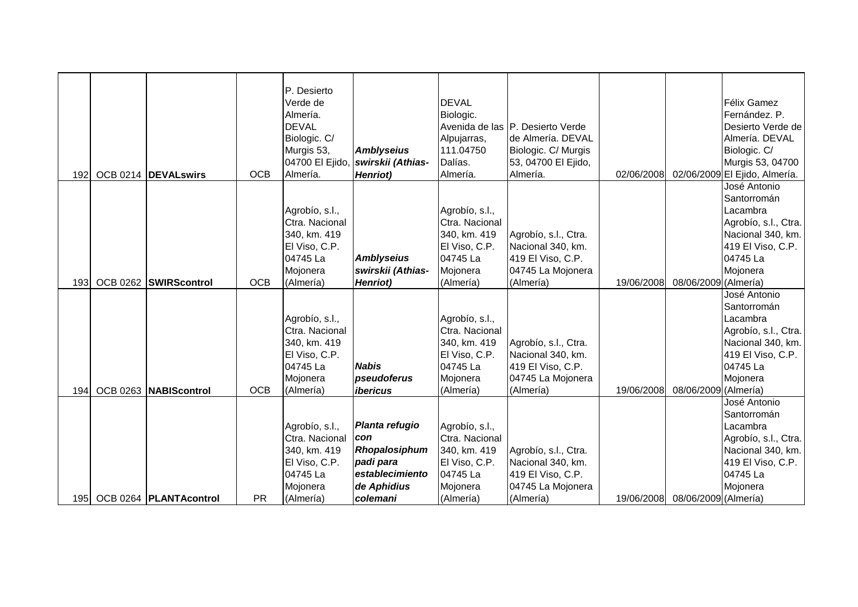| 192              | OCB 0214 DEVALswirs      | <b>OCB</b> | P. Desierto<br>Verde de<br>Almería.<br><b>DEVAL</b><br>Biologic. C/<br>Murgis 53,<br>04700 El Ejido,<br>Almería. | <b>Amblyseius</b><br>swirskii (Athias-<br><b>Henriot</b> )                            | <b>DEVAL</b><br>Biologic.<br>Alpujarras,<br>111.04750<br>Dalías.<br>Almería.                           | Avenida de las P. Desierto Verde<br>de Almería. DEVAL<br>Biologic. C/ Murgis<br>53, 04700 El Ejido,<br>Almería. | 02/06/2008 |                      | Félix Gamez<br>Fernández. P.<br>Desierto Verde de<br>Almería. DEVAL<br>Biologic. C/<br>Murgis 53, 04700<br>02/06/2009 El Ejido, Almería. |
|------------------|--------------------------|------------|------------------------------------------------------------------------------------------------------------------|---------------------------------------------------------------------------------------|--------------------------------------------------------------------------------------------------------|-----------------------------------------------------------------------------------------------------------------|------------|----------------------|------------------------------------------------------------------------------------------------------------------------------------------|
| 193 <sub>l</sub> | OCB 0262 SWIRScontrol    | <b>OCB</b> | Agrobío, s.l.,<br>Ctra. Nacional<br>340, km. 419<br>El Viso, C.P.<br>04745 La<br>Mojonera<br>(Almería)           | <b>Amblyseius</b><br>swirskii (Athias-                                                | Agrobío, s.l.,<br>Ctra. Nacional<br>340, km. 419<br>El Viso, C.P.<br>04745 La<br>Mojonera<br>(Almería) | Agrobío, s.l., Ctra.<br>Nacional 340, km.<br>419 El Viso, C.P.<br>04745 La Mojonera                             | 19/06/2008 | 08/06/2009 (Almería) | José Antonio<br>Santorromán<br>Lacambra<br>Agrobío, s.l., Ctra.<br>Nacional 340, km.<br>419 El Viso, C.P.<br>04745 La<br>Mojonera        |
|                  |                          |            | Agrobío, s.l.,<br>Ctra. Nacional<br>340, km. 419<br>El Viso, C.P.<br>04745 La<br>Mojonera                        | <b>Henriot</b> )<br><b>Nabis</b><br>pseudoferus                                       | Agrobío, s.l.,<br>Ctra. Nacional<br>340, km. 419<br>El Viso, C.P.<br>04745 La<br>Mojonera              | (Almería)<br>Agrobío, s.l., Ctra.<br>Nacional 340, km.<br>419 El Viso, C.P.<br>04745 La Mojonera                |            |                      | José Antonio<br>Santorromán<br>Lacambra<br>Agrobío, s.l., Ctra.<br>Nacional 340, km.<br>419 El Viso, C.P.<br>04745 La<br>Mojonera        |
| 194              | OCB 0263 NABIScontrol    | <b>OCB</b> | (Almería)                                                                                                        | ibericus                                                                              | (Almería)                                                                                              | (Almería)                                                                                                       | 19/06/2008 | 08/06/2009 (Almería) | José Antonio                                                                                                                             |
|                  |                          |            | Agrobío, s.l.,<br>Ctra. Nacional<br>340, km. 419<br>El Viso, C.P.<br>04745 La<br>Mojonera                        | Planta refugio<br>con<br>Rhopalosiphum<br>padi para<br>establecimiento<br>de Aphidius | Agrobío, s.l.,<br>Ctra. Nacional<br>340, km. 419<br>El Viso, C.P.<br>04745 La<br>Mojonera              | Agrobío, s.l., Ctra.<br>Nacional 340, km.<br>419 El Viso, C.P.<br>04745 La Mojonera                             |            |                      | Santorromán<br>Lacambra<br>Agrobío, s.l., Ctra.<br>Nacional 340, km.<br>419 El Viso, C.P.<br>04745 La<br>Mojonera                        |
| 195I             | OCB 0264   PLANTAcontrol | <b>PR</b>  | (Almería)                                                                                                        | colemani                                                                              | (Almería)                                                                                              | (Almería)                                                                                                       | 19/06/2008 | 08/06/2009 (Almería) |                                                                                                                                          |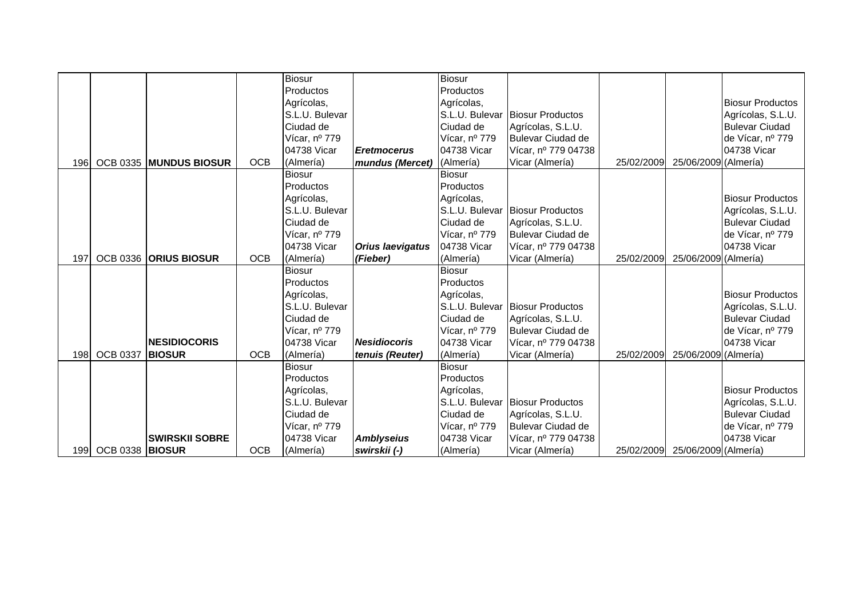|      |                        |                        |            | Biosur         |                         | <b>Biosur</b>  |                                 |            |                      |                         |
|------|------------------------|------------------------|------------|----------------|-------------------------|----------------|---------------------------------|------------|----------------------|-------------------------|
|      |                        |                        |            | Productos      |                         | Productos      |                                 |            |                      |                         |
|      |                        |                        |            | Agrícolas,     |                         | Agrícolas,     |                                 |            |                      | <b>Biosur Productos</b> |
|      |                        |                        |            | S.L.U. Bulevar |                         | S.L.U. Bulevar | <b>Biosur Productos</b>         |            |                      | Agrícolas, S.L.U.       |
|      |                        |                        |            | Ciudad de      |                         | Ciudad de      | Agrícolas, S.L.U.               |            |                      | <b>Bulevar Ciudad</b>   |
|      |                        |                        |            | Vícar, nº 779  |                         | Vícar, nº 779  | Bulevar Ciudad de               |            |                      | de Vícar, nº 779        |
|      |                        |                        |            | 04738 Vicar    | <b>Eretmocerus</b>      | 04738 Vicar    | Vícar, nº 779 04738             |            |                      | 04738 Vicar             |
| 196I |                        | OCB 0335 MUNDUS BIOSUR | <b>OCB</b> | (Almería)      | mundus (Mercet)         | (Almería)      | Vicar (Almería)                 | 25/02/2009 | 25/06/2009 (Almería) |                         |
|      |                        |                        |            | <b>Biosur</b>  |                         | <b>Biosur</b>  |                                 |            |                      |                         |
|      |                        |                        |            | Productos      |                         | Productos      |                                 |            |                      |                         |
|      |                        |                        |            | Agrícolas,     |                         | Agrícolas,     |                                 |            |                      | <b>Biosur Productos</b> |
|      |                        |                        |            | S.L.U. Bulevar |                         |                | S.L.U. Bulevar Biosur Productos |            |                      | Agrícolas, S.L.U.       |
|      |                        |                        |            | Ciudad de      |                         | Ciudad de      | Agrícolas, S.L.U.               |            |                      | <b>Bulevar Ciudad</b>   |
|      |                        |                        |            | Vícar, nº 779  |                         | Vícar, nº 779  | <b>Bulevar Ciudad de</b>        |            |                      | de Vícar, nº 779        |
|      |                        |                        |            | 04738 Vicar    | <b>Orius laevigatus</b> | 04738 Vicar    | Vícar, nº 779 04738             |            |                      | 04738 Vicar             |
| 197  |                        | OCB 0336 ORIUS BIOSUR  | <b>OCB</b> | (Almería)      | (Fieber)                | (Almería)      | Vicar (Almería)                 | 25/02/2009 | 25/06/2009 (Almería) |                         |
|      |                        |                        |            | <b>Biosur</b>  |                         | <b>Biosur</b>  |                                 |            |                      |                         |
|      |                        |                        |            | Productos      |                         | Productos      |                                 |            |                      |                         |
|      |                        |                        |            | Agrícolas,     |                         | Agrícolas,     |                                 |            |                      | <b>Biosur Productos</b> |
|      |                        |                        |            | S.L.U. Bulevar |                         |                | S.L.U. Bulevar Biosur Productos |            |                      | Agrícolas, S.L.U.       |
|      |                        |                        |            | Ciudad de      |                         | Ciudad de      | Agrícolas, S.L.U.               |            |                      | <b>Bulevar Ciudad</b>   |
|      |                        |                        |            | Vícar, nº 779  |                         | Vícar, nº 779  | Bulevar Ciudad de               |            |                      | de Vícar, nº 779        |
|      |                        | <b>INESIDIOCORIS</b>   |            | 04738 Vicar    | <b>Nesidiocoris</b>     | 04738 Vicar    | Vícar, nº 779 04738             |            |                      | 04738 Vicar             |
|      | 198 OCB 0337           | <b>BIOSUR</b>          | <b>OCB</b> | (Almería)      | tenuis (Reuter)         | (Almería)      | Vicar (Almería)                 | 25/02/2009 | 25/06/2009 (Almería) |                         |
|      |                        |                        |            | <b>Biosur</b>  |                         | <b>Biosur</b>  |                                 |            |                      |                         |
|      |                        |                        |            | Productos      |                         | Productos      |                                 |            |                      |                         |
|      |                        |                        |            | Agrícolas,     |                         | Agrícolas,     |                                 |            |                      | <b>Biosur Productos</b> |
|      |                        |                        |            | S.L.U. Bulevar |                         |                | S.L.U. Bulevar Biosur Productos |            |                      | Agrícolas, S.L.U.       |
|      |                        |                        |            | Ciudad de      |                         | Ciudad de      | Agrícolas, S.L.U.               |            |                      | <b>Bulevar Ciudad</b>   |
|      |                        |                        |            | Vícar, nº 779  |                         | Vícar, nº 779  | Bulevar Ciudad de               |            |                      | de Vícar, nº 779        |
|      |                        | <b>SWIRSKII SOBRE</b>  |            | 04738 Vicar    | <b>Amblyseius</b>       | 04738 Vicar    | Vícar, nº 779 04738             |            |                      | 04738 Vicar             |
| 1991 | <b>OCB 0338 BIOSUR</b> |                        | <b>OCB</b> | (Almería)      | swirskii (-)            | (Almería)      | Vicar (Almería)                 | 25/02/2009 | 25/06/2009 (Almería) |                         |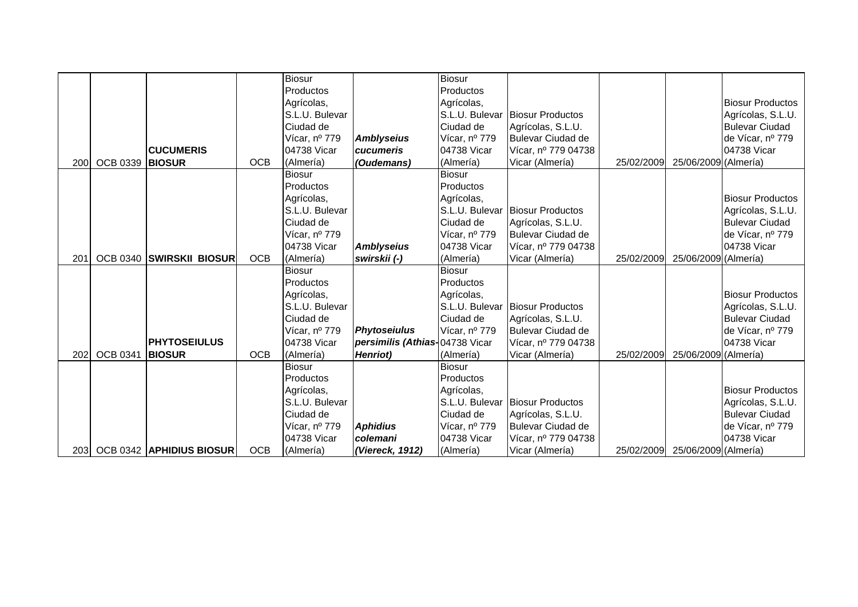|     |                        |                          |            | <b>Biosur</b>  |                                | <b>Biosur</b>  |                                 |            |                      |                         |
|-----|------------------------|--------------------------|------------|----------------|--------------------------------|----------------|---------------------------------|------------|----------------------|-------------------------|
|     |                        |                          |            | Productos      |                                | Productos      |                                 |            |                      |                         |
|     |                        |                          |            | Agrícolas,     |                                | Agrícolas,     |                                 |            |                      | <b>Biosur Productos</b> |
|     |                        |                          |            | S.L.U. Bulevar |                                | S.L.U. Bulevar | <b>Biosur Productos</b>         |            |                      | Agrícolas, S.L.U.       |
|     |                        |                          |            | Ciudad de      |                                | Ciudad de      | Agrícolas, S.L.U.               |            |                      | <b>Bulevar Ciudad</b>   |
|     |                        |                          |            | Vícar, nº 779  | <b>Amblyseius</b>              | Vícar, nº 779  | Bulevar Ciudad de               |            |                      | de Vícar, nº 779        |
|     |                        | <b>CUCUMERIS</b>         |            | 04738 Vicar    | cucumeris                      | 04738 Vicar    | Vícar, nº 779 04738             |            |                      | 04738 Vicar             |
| 200 | <b>OCB 0339 BIOSUR</b> |                          | <b>OCB</b> | (Almería)      | (Oudemans)                     | (Almería)      | Vicar (Almería)                 | 25/02/2009 | 25/06/2009 (Almería) |                         |
|     |                        |                          |            | <b>Biosur</b>  |                                | Biosur         |                                 |            |                      |                         |
|     |                        |                          |            | Productos      |                                | Productos      |                                 |            |                      |                         |
|     |                        |                          |            | Agrícolas,     |                                | Agrícolas,     |                                 |            |                      | <b>Biosur Productos</b> |
|     |                        |                          |            | S.L.U. Bulevar |                                |                | S.L.U. Bulevar Biosur Productos |            |                      | Agrícolas, S.L.U.       |
|     |                        |                          |            | Ciudad de      |                                | Ciudad de      | Agrícolas, S.L.U.               |            |                      | <b>Bulevar Ciudad</b>   |
|     |                        |                          |            | Vícar, nº 779  |                                | Vícar, nº 779  | <b>Bulevar Ciudad de</b>        |            |                      | de Vícar, nº 779        |
|     |                        |                          |            | 04738 Vicar    | <b>Amblyseius</b>              | 04738 Vicar    | Vícar, nº 779 04738             |            |                      | 04738 Vicar             |
| 201 |                        | OCB 0340 SWIRSKII BIOSUR | <b>OCB</b> | (Almería)      | swirskii (-)                   | (Almería)      | Vicar (Almería)                 | 25/02/2009 | 25/06/2009 (Almería) |                         |
|     |                        |                          |            | <b>Biosur</b>  |                                | <b>Biosur</b>  |                                 |            |                      |                         |
|     |                        |                          |            | Productos      |                                | Productos      |                                 |            |                      |                         |
|     |                        |                          |            | Agrícolas,     |                                | Agrícolas,     |                                 |            |                      | <b>Biosur Productos</b> |
|     |                        |                          |            | S.L.U. Bulevar |                                |                | S.L.U. Bulevar Biosur Productos |            |                      | Agrícolas, S.L.U.       |
|     |                        |                          |            | Ciudad de      |                                | Ciudad de      | Agrícolas, S.L.U.               |            |                      | <b>Bulevar Ciudad</b>   |
|     |                        |                          |            | Vícar, nº 779  | <b>Phytoseiulus</b>            | Vícar, nº 779  | Bulevar Ciudad de               |            |                      | de Vícar, nº 779        |
|     |                        | <b>IPHYTOSEIULUS</b>     |            | 04738 Vicar    | persimilis (Athias-04738 Vicar |                | Vícar, nº 779 04738             |            |                      | 04738 Vicar             |
| 202 | <b>OCB 0341</b>        | <b>BIOSUR</b>            | <b>OCB</b> | (Almería)      | Henriot)                       | (Almería)      | Vicar (Almería)                 | 25/02/2009 | 25/06/2009 (Almería) |                         |
|     |                        |                          |            | <b>Biosur</b>  |                                | <b>Biosur</b>  |                                 |            |                      |                         |
|     |                        |                          |            | Productos      |                                | Productos      |                                 |            |                      |                         |
|     |                        |                          |            | Agrícolas,     |                                | Agrícolas,     |                                 |            |                      | <b>Biosur Productos</b> |
|     |                        |                          |            | S.L.U. Bulevar |                                |                | S.L.U. Bulevar Biosur Productos |            |                      | Agrícolas, S.L.U.       |
|     |                        |                          |            | Ciudad de      |                                | Ciudad de      | Agrícolas, S.L.U.               |            |                      | <b>Bulevar Ciudad</b>   |
|     |                        |                          |            | Vícar, nº 779  | <b>Aphidius</b>                | Vícar, nº 779  | <b>Bulevar Ciudad de</b>        |            |                      | de Vícar, nº 779        |
|     |                        |                          |            | 04738 Vicar    | colemani                       | 04738 Vicar    | Vícar, nº 779 04738             |            |                      | 04738 Vicar             |
| 203 |                        | OCB 0342 APHIDIUS BIOSUR | <b>OCB</b> | (Almería)      | (Viereck, 1912)                | (Almería)      | Vicar (Almería)                 | 25/02/2009 | 25/06/2009 (Almería) |                         |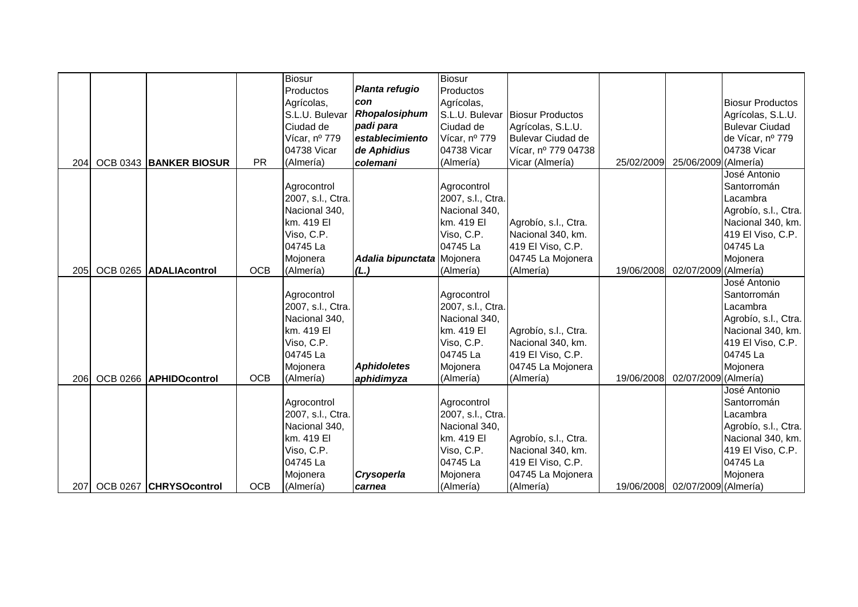|     |                        |            | <b>Biosur</b>     |                            | <b>Biosur</b>     |                                 |            |                                 |                         |
|-----|------------------------|------------|-------------------|----------------------------|-------------------|---------------------------------|------------|---------------------------------|-------------------------|
|     |                        |            | Productos         | Planta refugio             | Productos         |                                 |            |                                 |                         |
|     |                        |            | Agrícolas,        | con                        | Agrícolas,        |                                 |            |                                 | <b>Biosur Productos</b> |
|     |                        |            | S.L.U. Bulevar    | Rhopalosiphum              |                   | S.L.U. Bulevar Biosur Productos |            |                                 | Agrícolas, S.L.U.       |
|     |                        |            | Ciudad de         | padi para                  | Ciudad de         | Agrícolas, S.L.U.               |            |                                 | <b>Bulevar Ciudad</b>   |
|     |                        |            | Vícar, nº 779     | establecimiento            | Vícar, nº 779     | Bulevar Ciudad de               |            |                                 | de Vícar, nº 779        |
|     |                        |            | 04738 Vicar       | de Aphidius                | 04738 Vicar       | Vícar, nº 779 04738             |            |                                 | 04738 Vicar             |
| 204 | OCB 0343 BANKER BIOSUR | <b>PR</b>  | (Almería)         | colemani                   | (Almería)         | Vicar (Almería)                 | 25/02/2009 | 25/06/2009 (Almería)            |                         |
|     |                        |            |                   |                            |                   |                                 |            |                                 | José Antonio            |
|     |                        |            | Agrocontrol       |                            | Agrocontrol       |                                 |            |                                 | Santorromán             |
|     |                        |            | 2007, s.l., Ctra. |                            | 2007, s.l., Ctra. |                                 |            |                                 | Lacambra                |
|     |                        |            | Nacional 340,     |                            | Nacional 340,     |                                 |            |                                 | Agrobío, s.l., Ctra.    |
|     |                        |            | km. 419 El        |                            | km. 419 El        | Agrobío, s.l., Ctra.            |            |                                 | Nacional 340, km.       |
|     |                        |            | Viso, C.P.        |                            | Viso, C.P.        | Nacional 340, km.               |            |                                 | 419 El Viso, C.P.       |
|     |                        |            | 04745 La          |                            | 04745 La          | 419 El Viso, C.P.               |            |                                 | 04745 La                |
|     |                        |            | Mojonera          | Adalia bipunctata Mojonera |                   | 04745 La Mojonera               |            |                                 | Mojonera                |
| 205 | OCB 0265 ADALIAcontrol | <b>OCB</b> | (Almería)         | (L.)                       | (Almería)         | (Almería)                       | 19/06/2008 | 02/07/2009 (Almería)            |                         |
|     |                        |            |                   |                            |                   |                                 |            |                                 | José Antonio            |
|     |                        |            | Agrocontrol       |                            | Agrocontrol       |                                 |            |                                 | Santorromán             |
|     |                        |            | 2007, s.l., Ctra. |                            | 2007, s.l., Ctra. |                                 |            |                                 | Lacambra                |
|     |                        |            | Nacional 340,     |                            | Nacional 340,     |                                 |            |                                 | Agrobío, s.l., Ctra.    |
|     |                        |            | km. 419 El        |                            | km. 419 El        | Agrobío, s.l., Ctra.            |            |                                 | Nacional 340, km.       |
|     |                        |            | Viso, C.P.        |                            | Viso, C.P.        | Nacional 340, km.               |            |                                 | 419 El Viso, C.P.       |
|     |                        |            | 04745 La          |                            | 04745 La          | 419 El Viso, C.P.               |            |                                 | 04745 La                |
|     |                        |            | Mojonera          | <b>Aphidoletes</b>         | Mojonera          | 04745 La Mojonera               |            |                                 | Mojonera                |
| 206 | OCB 0266 APHIDOcontrol | <b>OCB</b> | (Almería)         | aphidimyza                 | (Almería)         | (Almería)                       | 19/06/2008 | 02/07/2009 (Almería)            |                         |
|     |                        |            |                   |                            |                   |                                 |            |                                 | José Antonio            |
|     |                        |            | Agrocontrol       |                            | Agrocontrol       |                                 |            |                                 | Santorromán             |
|     |                        |            | 2007, s.l., Ctra. |                            | 2007, s.l., Ctra. |                                 |            |                                 | Lacambra                |
|     |                        |            | Nacional 340,     |                            | Nacional 340,     |                                 |            |                                 | Agrobío, s.l., Ctra.    |
|     |                        |            | km. 419 El        |                            | km. 419 El        | Agrobío, s.l., Ctra.            |            |                                 | Nacional 340, km.       |
|     |                        |            | Viso, C.P.        |                            | Viso, C.P.        | Nacional 340, km.               |            |                                 | 419 El Viso, C.P.       |
|     |                        |            | 04745 La          |                            | 04745 La          | 419 El Viso, C.P.               |            |                                 | 04745 La                |
|     |                        |            | Mojonera          | Crysoperla                 | Mojonera          | 04745 La Mojonera               |            |                                 | Mojonera                |
| 207 | OCB 0267 CHRYSOcontrol | <b>OCB</b> | (Almería)         | carnea                     | (Almería)         | (Almería)                       |            | 19/06/2008 02/07/2009 (Almería) |                         |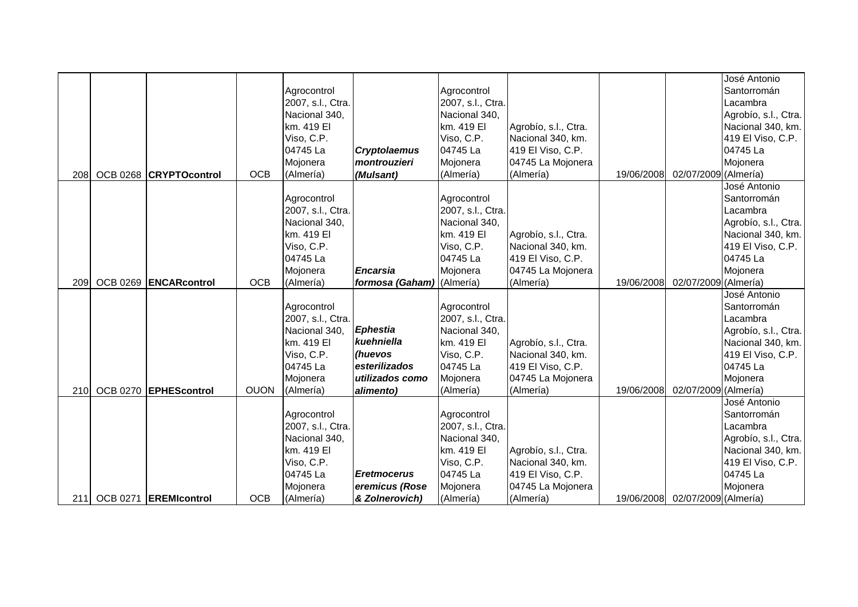|     |                           |             |                   |                           |                   |                      |            |                                 | José Antonio         |
|-----|---------------------------|-------------|-------------------|---------------------------|-------------------|----------------------|------------|---------------------------------|----------------------|
|     |                           |             | Agrocontrol       |                           | Agrocontrol       |                      |            |                                 | Santorromán          |
|     |                           |             | 2007, s.l., Ctra. |                           | 2007, s.l., Ctra. |                      |            |                                 | Lacambra             |
|     |                           |             | Nacional 340,     |                           | Nacional 340,     |                      |            |                                 | Agrobío, s.l., Ctra. |
|     |                           |             | km. 419 El        |                           | km. 419 El        | Agrobío, s.l., Ctra. |            |                                 | Nacional 340, km.    |
|     |                           |             | Viso, C.P.        |                           | Viso, C.P.        | Nacional 340, km.    |            |                                 | 419 El Viso, C.P.    |
|     |                           |             | 04745 La          | <b>Cryptolaemus</b>       | 04745 La          | 419 El Viso, C.P.    |            |                                 | 04745 La             |
|     |                           |             | Mojonera          | montrouzieri              | Mojonera          | 04745 La Mojonera    |            |                                 | Mojonera             |
| 208 | OCB 0268 CRYPTOcontrol    | <b>OCB</b>  | (Almería)         | (Mulsant)                 | (Almería)         | (Almería)            | 19/06/2008 | 02/07/2009 (Almería)            |                      |
|     |                           |             |                   |                           |                   |                      |            |                                 | José Antonio         |
|     |                           |             | Agrocontrol       |                           | Agrocontrol       |                      |            |                                 | Santorromán          |
|     |                           |             | 2007, s.l., Ctra. |                           | 2007, s.l., Ctra. |                      |            |                                 | Lacambra             |
|     |                           |             | Nacional 340,     |                           | Nacional 340,     |                      |            |                                 | Agrobío, s.l., Ctra. |
|     |                           |             | km. 419 El        |                           | km. 419 EI        | Agrobío, s.l., Ctra. |            |                                 | Nacional 340, km.    |
|     |                           |             | Viso, C.P.        |                           | Viso, C.P.        | Nacional 340, km.    |            |                                 | 419 El Viso, C.P.    |
|     |                           |             | 04745 La          |                           | 04745 La          | 419 El Viso, C.P.    |            |                                 | 04745 La             |
|     |                           |             | Mojonera          | <b>Encarsia</b>           | Mojonera          | 04745 La Mojonera    |            |                                 | Mojonera             |
| 209 | OCB 0269 ENCARcontrol     | <b>OCB</b>  | (Almería)         | formosa (Gaham) (Almería) |                   | (Almería)            | 19/06/2008 | 02/07/2009 (Almería)            |                      |
|     |                           |             |                   |                           |                   |                      |            |                                 | José Antonio         |
|     |                           |             | Agrocontrol       |                           | Agrocontrol       |                      |            |                                 | Santorromán          |
|     |                           |             | 2007, s.l., Ctra. |                           | 2007, s.l., Ctra. |                      |            |                                 | Lacambra             |
|     |                           |             | Nacional 340,     | <b>Ephestia</b>           | Nacional 340,     |                      |            |                                 | Agrobío, s.l., Ctra. |
|     |                           |             | km. 419 El        | kuehniella                | km. 419 El        | Agrobío, s.l., Ctra. |            |                                 | Nacional 340, km.    |
|     |                           |             | Viso, C.P.        | (huevos                   | Viso, C.P.        | Nacional 340, km.    |            |                                 | 419 El Viso, C.P.    |
|     |                           |             | 04745 La          | esterilizados             | 04745 La          | 419 El Viso, C.P.    |            |                                 | 04745 La             |
|     |                           |             | Mojonera          | utilizados como           | Mojonera          | 04745 La Mojonera    |            |                                 | Mojonera             |
| 210 | OCB 0270 EPHEScontrol     | <b>OUON</b> | (Almería)         | alimento)                 | (Almería)         | (Almería)            | 19/06/2008 | 02/07/2009 (Almería)            |                      |
|     |                           |             |                   |                           |                   |                      |            |                                 | José Antonio         |
|     |                           |             | Agrocontrol       |                           | Agrocontrol       |                      |            |                                 | Santorromán          |
|     |                           |             | 2007, s.l., Ctra. |                           | 2007, s.l., Ctra. |                      |            |                                 | Lacambra             |
|     |                           |             | Nacional 340,     |                           | Nacional 340,     |                      |            |                                 | Agrobío, s.l., Ctra. |
|     |                           |             | km. 419 El        |                           | km. 419 EI        | Agrobío, s.l., Ctra. |            |                                 | Nacional 340, km.    |
|     |                           |             | Viso, C.P.        |                           | Viso, C.P.        | Nacional 340, km.    |            |                                 | 419 El Viso, C.P.    |
|     |                           |             | 04745 La          | <b>Eretmocerus</b>        | 04745 La          | 419 El Viso, C.P.    |            |                                 | 04745 La             |
|     |                           |             | Mojonera          | eremicus (Rose            | Mojonera          | 04745 La Mojonera    |            |                                 | Mojonera             |
|     | 211 OCB 0271 EREMIcontrol | <b>OCB</b>  | (Almería)         | & Zolnerovich)            | (Almería)         | (Almería)            |            | 19/06/2008 02/07/2009 (Almería) |                      |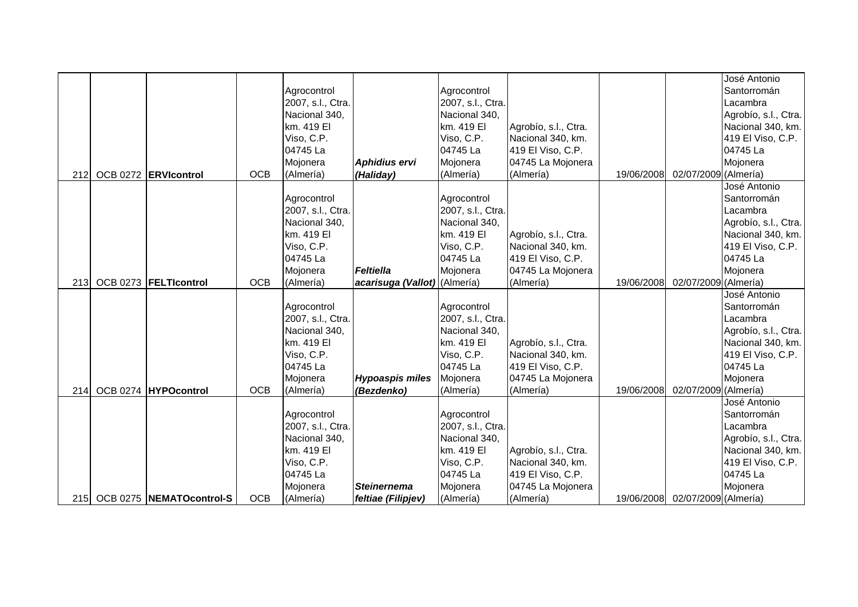|            |                              |            |                   |                              |                   |                      |            |                                 | José Antonio         |
|------------|------------------------------|------------|-------------------|------------------------------|-------------------|----------------------|------------|---------------------------------|----------------------|
|            |                              |            | Agrocontrol       |                              | Agrocontrol       |                      |            |                                 | Santorromán          |
|            |                              |            | 2007, s.l., Ctra. |                              | 2007, s.l., Ctra. |                      |            |                                 | Lacambra             |
|            |                              |            | Nacional 340,     |                              | Nacional 340,     |                      |            |                                 | Agrobío, s.l., Ctra. |
|            |                              |            | km. 419 El        |                              | km. 419 El        | Agrobío, s.l., Ctra. |            |                                 | Nacional 340, km.    |
|            |                              |            | Viso, C.P.        |                              | Viso, C.P.        | Nacional 340, km.    |            |                                 | 419 El Viso, C.P.    |
|            |                              |            | 04745 La          |                              | 04745 La          | 419 El Viso, C.P.    |            |                                 | 04745 La             |
|            |                              |            | Mojonera          | Aphidius ervi                | Mojonera          | 04745 La Mojonera    |            |                                 | Mojonera             |
| 212        | OCB 0272 ERVIcontrol         | <b>OCB</b> | (Almería)         | (Haliday)                    | (Almería)         | (Almería)            | 19/06/2008 | 02/07/2009 (Almería)            |                      |
|            |                              |            |                   |                              |                   |                      |            |                                 | José Antonio         |
|            |                              |            | Agrocontrol       |                              | Agrocontrol       |                      |            |                                 | Santorromán          |
|            |                              |            | 2007, s.l., Ctra. |                              | 2007, s.l., Ctra. |                      |            |                                 | Lacambra             |
|            |                              |            | Nacional 340,     |                              | Nacional 340,     |                      |            |                                 | Agrobío, s.l., Ctra. |
|            |                              |            | km. 419 El        |                              | km. 419 El        | Agrobío, s.l., Ctra. |            |                                 | Nacional 340, km.    |
|            |                              |            | Viso, C.P.        |                              | Viso, C.P.        | Nacional 340, km.    |            |                                 | 419 El Viso, C.P.    |
|            |                              |            | 04745 La          |                              | 04745 La          | 419 El Viso, C.P.    |            |                                 | 04745 La             |
|            |                              |            | Mojonera          | <b>Feltiella</b>             | Mojonera          | 04745 La Mojonera    |            |                                 | Mojonera             |
| <b>213</b> | OCB 0273  FELTIcontrol       | <b>OCB</b> | (Almería)         | acarisuga (Vallot) (Almería) |                   | (Almería)            | 19/06/2008 | 02/07/2009 (Almería)            |                      |
|            |                              |            |                   |                              |                   |                      |            |                                 | José Antonio         |
|            |                              |            | Agrocontrol       |                              | Agrocontrol       |                      |            |                                 | Santorromán          |
|            |                              |            | 2007, s.l., Ctra. |                              | 2007, s.l., Ctra. |                      |            |                                 | Lacambra             |
|            |                              |            | Nacional 340,     |                              | Nacional 340,     |                      |            |                                 | Agrobío, s.l., Ctra. |
|            |                              |            | km. 419 El        |                              | km. 419 El        | Agrobío, s.l., Ctra. |            |                                 | Nacional 340, km.    |
|            |                              |            | Viso, C.P.        |                              | Viso, C.P.        | Nacional 340, km.    |            |                                 | 419 El Viso, C.P.    |
|            |                              |            | 04745 La          |                              | 04745 La          | 419 El Viso, C.P.    |            |                                 | 04745 La             |
|            |                              |            | Mojonera          | <b>Hypoaspis miles</b>       | Mojonera          | 04745 La Mojonera    |            |                                 | Mojonera             |
| 214        | OCB 0274 HYPOcontrol         | <b>OCB</b> | (Almería)         | (Bezdenko)                   | (Almería)         | (Almería)            | 19/06/2008 | 02/07/2009 (Almería)            |                      |
|            |                              |            |                   |                              |                   |                      |            |                                 | José Antonio         |
|            |                              |            | Agrocontrol       |                              | Agrocontrol       |                      |            |                                 | Santorromán          |
|            |                              |            | 2007, s.l., Ctra. |                              | 2007, s.l., Ctra. |                      |            |                                 | Lacambra             |
|            |                              |            | Nacional 340,     |                              | Nacional 340,     |                      |            |                                 | Agrobío, s.l., Ctra. |
|            |                              |            | km. 419 El        |                              | km. 419 El        | Agrobío, s.l., Ctra. |            |                                 | Nacional 340, km.    |
|            |                              |            | Viso, C.P.        |                              | Viso, C.P.        | Nacional 340, km.    |            |                                 | 419 El Viso, C.P.    |
|            |                              |            | 04745 La          |                              | 04745 La          | 419 El Viso, C.P.    |            |                                 | 04745 La             |
|            |                              |            | Mojonera          | <b>Steinernema</b>           | Mojonera          | 04745 La Mojonera    |            |                                 | Mojonera             |
|            | 215 OCB 0275 NEMATOcontrol-S | <b>OCB</b> | (Almería)         | feltiae (Filipjev)           | (Almería)         | (Almería)            |            | 19/06/2008 02/07/2009 (Almería) |                      |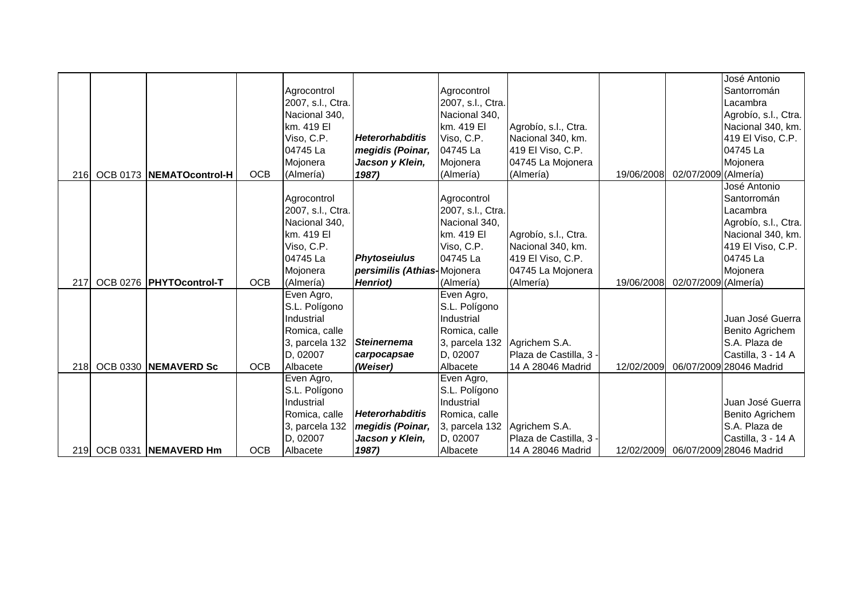|                  |                           |            |                             |                             |                             |                        |            |                      | José Antonio            |
|------------------|---------------------------|------------|-----------------------------|-----------------------------|-----------------------------|------------------------|------------|----------------------|-------------------------|
|                  |                           |            | Agrocontrol                 |                             | Agrocontrol                 |                        |            |                      | Santorromán             |
|                  |                           |            | 2007, s.l., Ctra.           |                             | 2007, s.l., Ctra.           |                        |            |                      | Lacambra                |
|                  |                           |            | Nacional 340,<br>km. 419 El |                             | Nacional 340,<br>km. 419 EI |                        |            |                      | Agrobío, s.l., Ctra.    |
|                  |                           |            |                             | Heterorhabditis             |                             | Agrobío, s.l., Ctra.   |            |                      | Nacional 340, km.       |
|                  |                           |            | Viso, C.P.                  |                             | Viso, C.P.                  | Nacional 340, km.      |            |                      | 419 El Viso, C.P.       |
|                  |                           |            | 04745 La                    | megidis (Poinar,            | 04745 La                    | 419 El Viso, C.P.      |            |                      | 04745 La                |
|                  |                           |            | Mojonera                    | Jacson y Klein,             | Mojonera                    | 04745 La Mojonera      |            |                      | Mojonera                |
| 216 <b>1</b>     | OCB 0173 NEMATOcontrol-H  | <b>OCB</b> | (Almería)                   | 1987)                       | (Almería)                   | (Almería)              | 19/06/2008 | 02/07/2009 (Almería) |                         |
|                  |                           |            |                             |                             |                             |                        |            |                      | José Antonio            |
|                  |                           |            | Agrocontrol                 |                             | Agrocontrol                 |                        |            |                      | Santorromán             |
|                  |                           |            | 2007, s.l., Ctra.           |                             | 2007, s.l., Ctra.           |                        |            |                      | Lacambra                |
|                  |                           |            | Nacional 340,<br>km. 419 El |                             | Nacional 340,               |                        |            |                      | Agrobío, s.l., Ctra.    |
|                  |                           |            |                             |                             | km. 419 EI                  | Agrobío, s.l., Ctra.   |            |                      | Nacional 340, km.       |
|                  |                           |            | Viso, C.P.                  |                             | Viso, C.P.                  | Nacional 340, km.      |            |                      | 419 El Viso, C.P.       |
|                  |                           |            | 04745 La                    | <b>Phytoseiulus</b>         | 04745 La                    | 419 El Viso, C.P.      |            |                      | 04745 La                |
|                  |                           |            | Mojonera                    | persimilis (Athias-Mojonera |                             | 04745 La Mojonera      |            |                      | Mojonera                |
| 217              | OCB 0276   PHYTOcontrol-T | <b>OCB</b> | (Almería)                   | Henriot)                    | (Almería)                   | (Almería)              | 19/06/2008 | 02/07/2009 (Almería) |                         |
|                  |                           |            | Even Agro,                  |                             | Even Agro,                  |                        |            |                      |                         |
|                  |                           |            | S.L. Polígono               |                             | S.L. Polígono               |                        |            |                      |                         |
|                  |                           |            | Industrial                  |                             | Industrial                  |                        |            |                      | Juan José Guerra        |
|                  |                           |            | Romica, calle               |                             | Romica, calle               |                        |            |                      | Benito Agrichem         |
|                  |                           |            | 3, parcela 132              | <b>Steinernema</b>          | 3, parcela 132              | Agrichem S.A.          |            |                      | S.A. Plaza de           |
|                  |                           |            | D, 02007                    | carpocapsae                 | D, 02007                    | Plaza de Castilla, 3 - |            |                      | Castilla, 3 - 14 A      |
| 218              | OCB 0330 NEMAVERD Sc      | <b>OCB</b> | Albacete                    | (Weiser)                    | Albacete                    | 14 A 28046 Madrid      | 12/02/2009 |                      | 06/07/2009 28046 Madrid |
|                  |                           |            | Even Agro,                  |                             | Even Agro,                  |                        |            |                      |                         |
|                  |                           |            | S.L. Polígono               |                             | S.L. Polígono               |                        |            |                      |                         |
|                  |                           |            | Industrial                  |                             | Industrial                  |                        |            |                      | Juan José Guerra        |
|                  |                           |            | Romica, calle               | <b>Heterorhabditis</b>      | Romica, calle               |                        |            |                      | Benito Agrichem         |
|                  |                           |            | 3, parcela 132              | megidis (Poinar,            | 3, parcela 132              | Agrichem S.A.          |            |                      | S.A. Plaza de           |
|                  |                           |            | D, 02007                    | Jacson y Klein,             | D, 02007                    | Plaza de Castilla, 3 - |            |                      | Castilla, 3 - 14 A      |
| 219 <sub>1</sub> | OCB 0331 NEMAVERD Hm      | <b>OCB</b> | Albacete                    | 1987)                       | Albacete                    | 14 A 28046 Madrid      | 12/02/2009 |                      | 06/07/2009 28046 Madrid |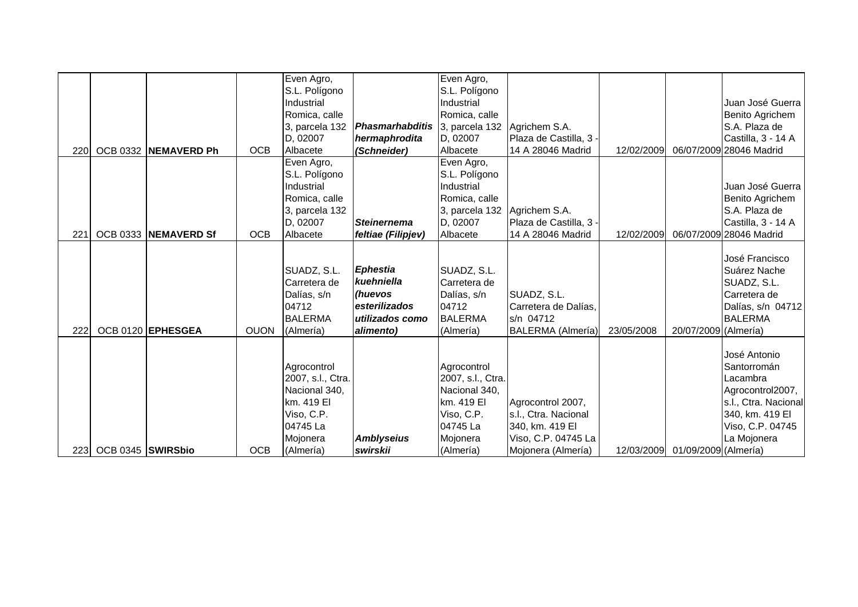|             |                   |                      |             | Even Agro,        |                                       | Even Agro,        |                          |            |                                 |                         |
|-------------|-------------------|----------------------|-------------|-------------------|---------------------------------------|-------------------|--------------------------|------------|---------------------------------|-------------------------|
|             |                   |                      |             | S.L. Polígono     |                                       | S.L. Polígono     |                          |            |                                 |                         |
|             |                   |                      |             | Industrial        |                                       | Industrial        |                          |            |                                 | Juan José Guerra        |
|             |                   |                      |             | Romica, calle     |                                       | Romica, calle     |                          |            |                                 | Benito Agrichem         |
|             |                   |                      |             | 3, parcela 132    | <b>Phasmarhabditis</b> 3, parcela 132 |                   | Agrichem S.A.            |            |                                 | S.A. Plaza de           |
|             |                   |                      |             | D, 02007          | hermaphrodita                         | D, 02007          | Plaza de Castilla, 3 -   |            |                                 | Castilla, 3 - 14 A      |
| <b>2201</b> |                   | OCB 0332 NEMAVERD Ph | <b>OCB</b>  | Albacete          | (Schneider)                           | Albacete          | 14 A 28046 Madrid        | 12/02/2009 |                                 | 06/07/2009 28046 Madrid |
|             |                   |                      |             | Even Agro,        |                                       | Even Agro,        |                          |            |                                 |                         |
|             |                   |                      |             | S.L. Polígono     |                                       | S.L. Polígono     |                          |            |                                 |                         |
|             |                   |                      |             | Industrial        |                                       | Industrial        |                          |            |                                 | Juan José Guerra        |
|             |                   |                      |             | Romica, calle     |                                       | Romica, calle     |                          |            |                                 | Benito Agrichem         |
|             |                   |                      |             | 3, parcela 132    |                                       | 3, parcela 132    | Agrichem S.A.            |            |                                 | S.A. Plaza de           |
|             |                   |                      |             | D, 02007          | <b>Steinernema</b>                    | D, 02007          | Plaza de Castilla, 3 -   |            |                                 | Castilla, 3 - 14 A      |
| 221         |                   | OCB 0333 NEMAVERD Sf | <b>OCB</b>  | Albacete          | feltiae (Filipjev)                    | Albacete          | 14 A 28046 Madrid        | 12/02/2009 |                                 | 06/07/2009 28046 Madrid |
|             |                   |                      |             |                   |                                       |                   |                          |            |                                 |                         |
|             |                   |                      |             |                   |                                       |                   |                          |            |                                 | José Francisco          |
|             |                   |                      |             | SUADZ, S.L.       | <b>Ephestia</b>                       | SUADZ, S.L.       |                          |            |                                 | Suárez Nache            |
|             |                   |                      |             | Carretera de      | kuehniella                            | Carretera de      |                          |            |                                 | SUADZ, S.L.             |
|             |                   |                      |             | Dalías, s/n       | (huevos                               | Dalías, s/n       | SUADZ, S.L.              |            |                                 | Carretera de            |
|             |                   |                      |             | 04712             | esterilizados                         | 04712             | Carretera de Dalías,     |            |                                 | Dalías, s/n 04712       |
|             |                   |                      |             | <b>BALERMA</b>    | utilizados como                       | <b>BALERMA</b>    | s/n 04712                |            |                                 | <b>BALERMA</b>          |
| 222         |                   | OCB 0120 EPHESGEA    | <b>OUON</b> | (Almería)         | alimento)                             | (Almería)         | <b>BALERMA</b> (Almería) | 23/05/2008 | 20/07/2009 (Almería)            |                         |
|             |                   |                      |             |                   |                                       |                   |                          |            |                                 |                         |
|             |                   |                      |             |                   |                                       |                   |                          |            |                                 | José Antonio            |
|             |                   |                      |             | Agrocontrol       |                                       | Agrocontrol       |                          |            |                                 | Santorromán             |
|             |                   |                      |             | 2007, s.l., Ctra. |                                       | 2007, s.l., Ctra. |                          |            |                                 | Lacambra                |
|             |                   |                      |             | Nacional 340,     |                                       | Nacional 340,     |                          |            |                                 | Agrocontrol2007,        |
|             |                   |                      |             | km. 419 El        |                                       | km. 419 EI        | Agrocontrol 2007,        |            |                                 | s.l., Ctra. Nacional    |
|             |                   |                      |             | Viso, C.P.        |                                       | Viso, C.P.        | s.l., Ctra. Nacional     |            |                                 | 340, km. 419 El         |
|             |                   |                      |             | 04745 La          |                                       | 04745 La          | 340, km. 419 El          |            |                                 | Viso, C.P. 04745        |
|             |                   |                      |             | Mojonera          | <b>Amblyseius</b>                     | Mojonera          | Viso, C.P. 04745 La      |            |                                 | La Mojonera             |
| <b>2231</b> | OCB 0345 SWIRSbio |                      | <b>OCB</b>  | (Almería)         | swirskii                              | (Almería)         | Mojonera (Almería)       |            | 12/03/2009 01/09/2009 (Almería) |                         |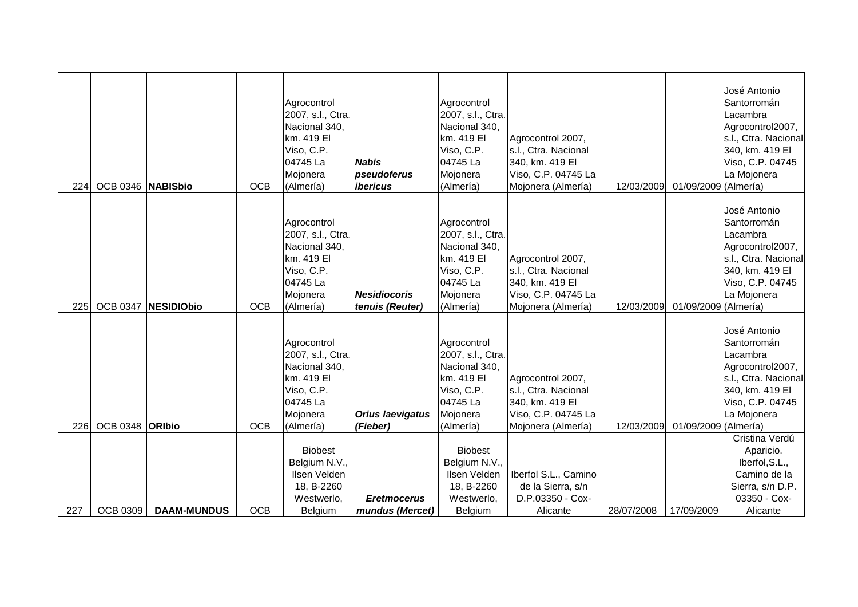| <b>224</b> | OCB 0346 NABISbio      |                    | <b>OCB</b> | Agrocontrol<br>2007, s.l., Ctra.<br>Nacional 340,<br>km. 419 El<br>Viso, C.P.<br>04745 La<br>Mojonera<br>(Almería) | <b>Nabis</b><br>pseudoferus<br>ibericus | Agrocontrol<br>2007, s.l., Ctra.<br>Nacional 340,<br>km. 419 EI<br>Viso, C.P.<br>04745 La<br>Mojonera<br>(Almería) | Agrocontrol 2007,<br>s.l., Ctra. Nacional<br>340, km. 419 El<br>Viso, C.P. 04745 La<br>Mojonera (Almería) | 12/03/2009 | 01/09/2009 (Almería) | José Antonio<br>Santorromán<br>Lacambra<br>Agrocontrol2007,<br>s.l., Ctra. Nacional<br>340, km. 419 El<br>Viso, C.P. 04745<br>La Mojonera |
|------------|------------------------|--------------------|------------|--------------------------------------------------------------------------------------------------------------------|-----------------------------------------|--------------------------------------------------------------------------------------------------------------------|-----------------------------------------------------------------------------------------------------------|------------|----------------------|-------------------------------------------------------------------------------------------------------------------------------------------|
| <b>225</b> | <b>OCB 0347</b>        | <b>NESIDIObio</b>  | <b>OCB</b> | Agrocontrol<br>2007, s.l., Ctra.<br>Nacional 340,<br>km. 419 El<br>Viso, C.P.<br>04745 La<br>Mojonera<br>(Almería) | <b>Nesidiocoris</b><br>tenuis (Reuter)  | Agrocontrol<br>2007, s.l., Ctra.<br>Nacional 340,<br>km. 419 EI<br>Viso, C.P.<br>04745 La<br>Mojonera<br>(Almería) | Agrocontrol 2007,<br>s.l., Ctra. Nacional<br>340, km. 419 El<br>Viso, C.P. 04745 La<br>Mojonera (Almería) | 12/03/2009 | 01/09/2009 (Almería) | José Antonio<br>Santorromán<br>Lacambra<br>Agrocontrol2007,<br>s.l., Ctra. Nacional<br>340, km. 419 El<br>Viso, C.P. 04745<br>La Mojonera |
| 226        | OCB 0348 <b>ORIbio</b> |                    | <b>OCB</b> | Agrocontrol<br>2007, s.l., Ctra.<br>Nacional 340,<br>km. 419 El<br>Viso, C.P.<br>04745 La<br>Mojonera<br>(Almería) | <b>Orius laevigatus</b><br>(Fieber)     | Agrocontrol<br>2007, s.l., Ctra.<br>Nacional 340,<br>km. 419 EI<br>Viso, C.P.<br>04745 La<br>Mojonera<br>(Almería) | Agrocontrol 2007,<br>s.l., Ctra. Nacional<br>340, km. 419 El<br>Viso, C.P. 04745 La<br>Mojonera (Almería) | 12/03/2009 | 01/09/2009 (Almería) | José Antonio<br>Santorromán<br>Lacambra<br>Agrocontrol2007,<br>s.l., Ctra. Nacional<br>340, km. 419 El<br>Viso, C.P. 04745<br>La Mojonera |
| 227        | <b>OCB 0309</b>        | <b>DAAM-MUNDUS</b> | <b>OCB</b> | <b>Biobest</b><br>Belgium N.V.,<br>Ilsen Velden<br>18, B-2260<br>Westwerlo.<br>Belgium                             | <b>Eretmocerus</b><br>mundus (Mercet)   | <b>Biobest</b><br>Belgium N.V.,<br>Ilsen Velden<br>18, B-2260<br>Westwerlo,<br>Belgium                             | Iberfol S.L., Camino<br>de la Sierra, s/n<br>D.P.03350 - Cox-<br>Alicante                                 | 28/07/2008 | 17/09/2009           | Cristina Verdú<br>Aparicio.<br>Iberfol, S.L.,<br>Camino de la<br>Sierra, s/n D.P.<br>03350 - Cox-<br>Alicante                             |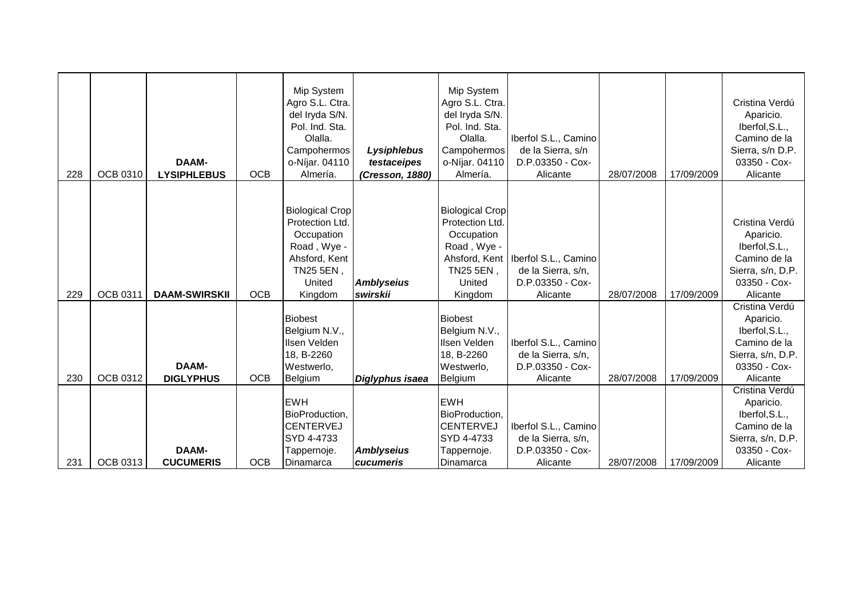| 228 | <b>OCB 0310</b> | <b>DAAM-</b><br><b>LYSIPHLEBUS</b> | <b>OCB</b> | Mip System<br>Agro S.L. Ctra.<br>del Iryda S/N.<br>Pol. Ind. Sta.<br>Olalla.<br>Campohermos<br>o-Níjar. 04110<br>Almería. | Lysiphlebus<br>testaceipes<br>(Cresson, 1880) | Mip System<br>Agro S.L. Ctra.<br>del Iryda S/N.<br>Pol. Ind. Sta.<br>Olalla.<br>Campohermos<br>o-Níjar. 04110<br>Almería. | Iberfol S.L., Camino<br>de la Sierra, s/n<br>D.P.03350 - Cox-<br>Alicante                  | 28/07/2008 | 17/09/2009 | Cristina Verdú<br>Aparicio.<br>Iberfol, S.L.,<br>Camino de la<br>Sierra, s/n D.P.<br>03350 - Cox-<br>Alicante  |
|-----|-----------------|------------------------------------|------------|---------------------------------------------------------------------------------------------------------------------------|-----------------------------------------------|---------------------------------------------------------------------------------------------------------------------------|--------------------------------------------------------------------------------------------|------------|------------|----------------------------------------------------------------------------------------------------------------|
| 229 | <b>OCB 0311</b> | <b>DAAM-SWIRSKII</b>               | <b>OCB</b> | <b>Biological Crop</b><br>Protection Ltd.<br>Occupation<br>Road, Wye -<br>Ahsford, Kent<br>TN25 5EN,<br>United<br>Kingdom | <b>Amblyseius</b><br>swirskii                 | <b>Biological Crop</b><br>Protection Ltd.<br>Occupation<br>Road, Wye -<br>TN25 5EN,<br>United<br>Kingdom                  | Ahsford, Kent   Iberfol S.L., Camino<br>de la Sierra, s/n,<br>D.P.03350 - Cox-<br>Alicante | 28/07/2008 | 17/09/2009 | Cristina Verdú<br>Aparicio.<br>Iberfol, S.L.,<br>Camino de la<br>Sierra, s/n, D.P.<br>03350 - Cox-<br>Alicante |
| 230 | OCB 0312        | <b>DAAM-</b><br><b>DIGLYPHUS</b>   | <b>OCB</b> | <b>Biobest</b><br>Belgium N.V.,<br>Ilsen Velden<br>18, B-2260<br>Westwerlo,<br>Belgium                                    | Diglyphus isaea                               | <b>Biobest</b><br>Belgium N.V.,<br>Ilsen Velden<br>18, B-2260<br>Westwerlo,<br>Belgium                                    | Iberfol S.L., Camino<br>de la Sierra, s/n,<br>D.P.03350 - Cox-<br>Alicante                 | 28/07/2008 | 17/09/2009 | Cristina Verdú<br>Aparicio.<br>Iberfol, S.L.,<br>Camino de la<br>Sierra, s/n, D.P.<br>03350 - Cox-<br>Alicante |
| 231 | <b>OCB 0313</b> | <b>DAAM-</b><br><b>CUCUMERIS</b>   | <b>OCB</b> | <b>EWH</b><br>BioProduction,<br><b>CENTERVEJ</b><br>SYD 4-4733<br>Tappernoje.<br>Dinamarca                                | <b>Amblyseius</b><br>cucumeris                | <b>EWH</b><br>BioProduction,<br><b>CENTERVEJ</b><br>SYD 4-4733<br>Tappernoje.<br>Dinamarca                                | Iberfol S.L., Camino<br>de la Sierra, s/n,<br>D.P.03350 - Cox-<br>Alicante                 | 28/07/2008 | 17/09/2009 | Cristina Verdú<br>Aparicio.<br>Iberfol, S.L.,<br>Camino de la<br>Sierra, s/n, D.P.<br>03350 - Cox-<br>Alicante |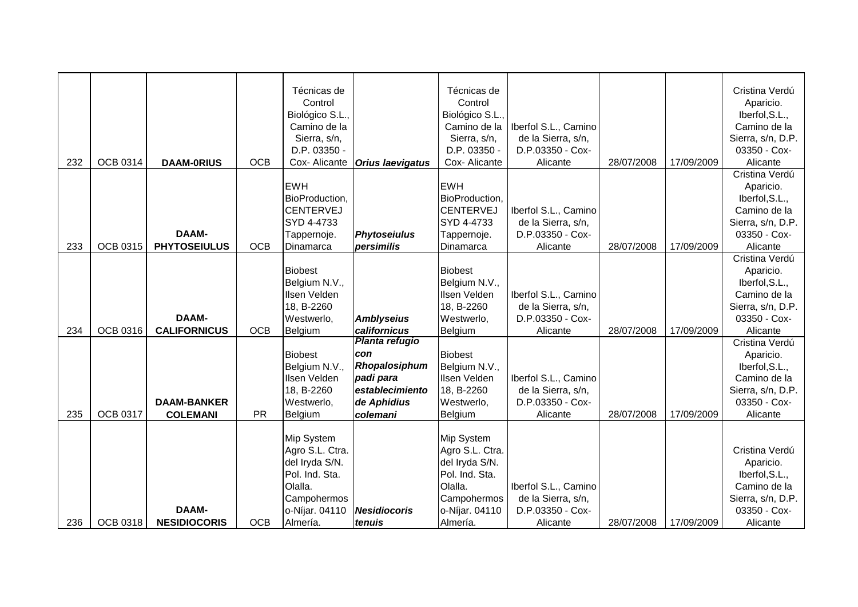|     |                 |                     |            | Técnicas de      |                         | Técnicas de                  |                              |            |            | Cristina Verdú           |
|-----|-----------------|---------------------|------------|------------------|-------------------------|------------------------------|------------------------------|------------|------------|--------------------------|
|     |                 |                     |            | Control          |                         | Control                      |                              |            |            | Aparicio.                |
|     |                 |                     |            | Biológico S.L.,  |                         | Biológico S.L.,              |                              |            |            | Iberfol, S.L.,           |
|     |                 |                     |            | Camino de la     |                         | Camino de la                 | Iberfol S.L., Camino         |            |            | Camino de la             |
|     |                 |                     |            | Sierra, s/n,     |                         | Sierra, s/n,                 | de la Sierra, s/n,           |            |            | Sierra, s/n, D.P.        |
| 232 | <b>OCB 0314</b> | <b>DAAM-0RIUS</b>   | <b>OCB</b> | D.P. 03350 -     |                         | D.P. 03350 -<br>Cox-Alicante | D.P.03350 - Cox-<br>Alicante | 28/07/2008 | 17/09/2009 | 03350 - Cox-<br>Alicante |
|     |                 |                     |            | Cox-Alicante     | <b>Orius laevigatus</b> |                              |                              |            |            | Cristina Verdú           |
|     |                 |                     |            | <b>EWH</b>       |                         | <b>EWH</b>                   |                              |            |            | Aparicio.                |
|     |                 |                     |            | BioProduction.   |                         | BioProduction,               |                              |            |            | Iberfol, S.L.,           |
|     |                 |                     |            | <b>CENTERVEJ</b> |                         | <b>CENTERVEJ</b>             | Iberfol S.L., Camino         |            |            | Camino de la             |
|     |                 |                     |            | SYD 4-4733       |                         | SYD 4-4733                   | de la Sierra, s/n,           |            |            | Sierra, s/n, D.P.        |
|     |                 | <b>DAAM-</b>        |            | Tappernoje.      | <b>Phytoseiulus</b>     | Tappernoje.                  | D.P.03350 - Cox-             |            |            | 03350 - Cox-             |
| 233 | <b>OCB 0315</b> | <b>PHYTOSEIULUS</b> | <b>OCB</b> | Dinamarca        | persimilis              | Dinamarca                    | Alicante                     | 28/07/2008 | 17/09/2009 | Alicante                 |
|     |                 |                     |            |                  |                         |                              |                              |            |            | Cristina Verdú           |
|     |                 |                     |            | <b>Biobest</b>   |                         | <b>Biobest</b>               |                              |            |            | Aparicio.                |
|     |                 |                     |            | Belgium N.V.,    |                         | Belgium N.V.,                |                              |            |            | Iberfol, S.L.,           |
|     |                 |                     |            | Ilsen Velden     |                         | Ilsen Velden                 | Iberfol S.L., Camino         |            |            | Camino de la             |
|     |                 |                     |            | 18, B-2260       |                         | 18, B-2260                   | de la Sierra, s/n,           |            |            | Sierra, s/n, D.P.        |
|     |                 | <b>DAAM-</b>        |            | Westwerlo,       | <b>Amblyseius</b>       | Westwerlo,                   | D.P.03350 - Cox-             |            |            | 03350 - Cox-             |
| 234 | <b>OCB 0316</b> | <b>CALIFORNICUS</b> | <b>OCB</b> | Belgium          | californicus            | Belgium                      | Alicante                     | 28/07/2008 | 17/09/2009 | Alicante                 |
|     |                 |                     |            |                  | <b>Planta refugio</b>   |                              |                              |            |            | Cristina Verdú           |
|     |                 |                     |            | <b>Biobest</b>   | con                     | <b>Biobest</b>               |                              |            |            | Aparicio.                |
|     |                 |                     |            | Belgium N.V.,    | Rhopalosiphum           | Belgium N.V.,                |                              |            |            | Iberfol, S.L.,           |
|     |                 |                     |            | Ilsen Velden     | padi para               | Ilsen Velden                 | Iberfol S.L., Camino         |            |            | Camino de la             |
|     |                 |                     |            | 18, B-2260       | establecimiento         | 18, B-2260                   | de la Sierra, s/n,           |            |            | Sierra, s/n, D.P.        |
|     |                 | <b>DAAM-BANKER</b>  |            | Westwerlo,       | de Aphidius             | Westwerlo,                   | D.P.03350 - Cox-             |            |            | 03350 - Cox-             |
| 235 | OCB 0317        | <b>COLEMANI</b>     | <b>PR</b>  | Belgium          | colemani                | Belgium                      | Alicante                     | 28/07/2008 | 17/09/2009 | Alicante                 |
|     |                 |                     |            | Mip System       |                         | Mip System                   |                              |            |            |                          |
|     |                 |                     |            | Agro S.L. Ctra.  |                         | Agro S.L. Ctra.              |                              |            |            | Cristina Verdú           |
|     |                 |                     |            | del Iryda S/N.   |                         | del Iryda S/N.               |                              |            |            | Aparicio.                |
|     |                 |                     |            | Pol. Ind. Sta.   |                         | Pol. Ind. Sta.               |                              |            |            | Iberfol, S.L.,           |
|     |                 |                     |            | Olalla.          |                         | Olalla.                      | Iberfol S.L., Camino         |            |            | Camino de la             |
|     |                 |                     |            | Campohermos      |                         | Campohermos                  | de la Sierra, s/n,           |            |            | Sierra, s/n, D.P.        |
|     |                 | <b>DAAM-</b>        |            | o-Níjar. 04110   | <b>Nesidiocoris</b>     | o-Níjar. 04110               | D.P.03350 - Cox-             |            |            | 03350 - Cox-             |
| 236 | <b>OCB 0318</b> | <b>NESIDIOCORIS</b> | <b>OCB</b> | Almería.         | tenuis                  | Almería.                     | Alicante                     | 28/07/2008 | 17/09/2009 | Alicante                 |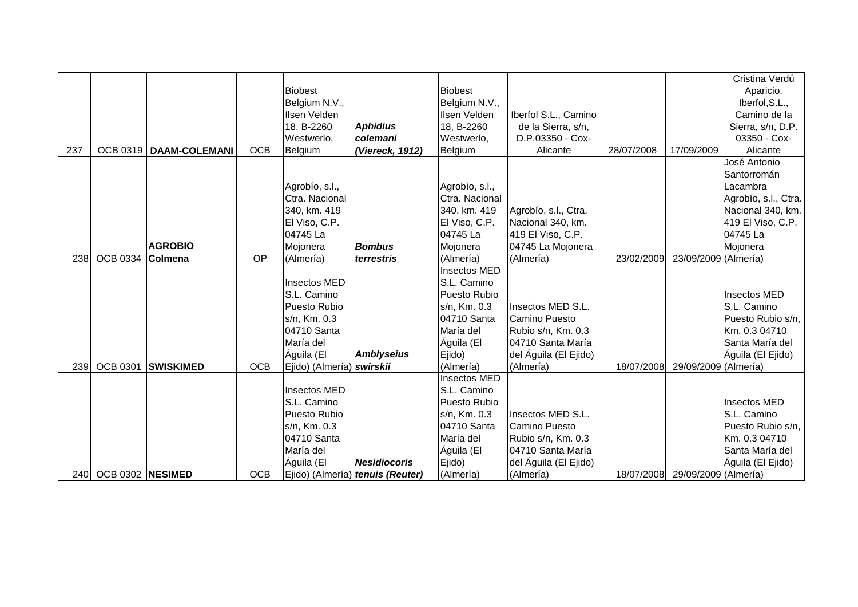|            |                  |                          |            |                           |                                  |                     |                       |            |                                 | Cristina Verdú       |
|------------|------------------|--------------------------|------------|---------------------------|----------------------------------|---------------------|-----------------------|------------|---------------------------------|----------------------|
|            |                  |                          |            | <b>Biobest</b>            |                                  | <b>Biobest</b>      |                       |            |                                 | Aparicio.            |
|            |                  |                          |            | Belgium N.V.,             |                                  | Belgium N.V.,       |                       |            |                                 | Iberfol, S.L.,       |
|            |                  |                          |            | Ilsen Velden              |                                  | Ilsen Velden        | Iberfol S.L., Camino  |            |                                 | Camino de la         |
|            |                  |                          |            | 18, B-2260                | <b>Aphidius</b>                  | 18, B-2260          | de la Sierra, s/n,    |            |                                 | Sierra, s/n, D.P.    |
|            |                  |                          |            | Westwerlo,                | colemani                         | Westwerlo,          | D.P.03350 - Cox-      |            |                                 | 03350 - Cox-         |
| 237        |                  | OCB 0319   DAAM-COLEMANI | <b>OCB</b> | Belgium                   | (Viereck, 1912)                  | Belgium             | Alicante              | 28/07/2008 | 17/09/2009                      | Alicante             |
|            |                  |                          |            |                           |                                  |                     |                       |            |                                 | José Antonio         |
|            |                  |                          |            |                           |                                  |                     |                       |            |                                 | Santorromán          |
|            |                  |                          |            | Agrobío, s.l.,            |                                  | Agrobío, s.l.,      |                       |            |                                 | Lacambra             |
|            |                  |                          |            | Ctra. Nacional            |                                  | Ctra. Nacional      |                       |            |                                 | Agrobío, s.l., Ctra. |
|            |                  |                          |            | 340, km. 419              |                                  | 340, km. 419        | Agrobío, s.l., Ctra.  |            |                                 | Nacional 340, km.    |
|            |                  |                          |            | El Viso, C.P.             |                                  | El Viso, C.P.       | Nacional 340, km.     |            |                                 | 419 El Viso, C.P.    |
|            |                  |                          |            | 04745 La                  |                                  | 04745 La            | 419 El Viso, C.P.     |            |                                 | 04745 La             |
|            |                  | <b>AGROBIO</b>           |            | Mojonera                  | <b>Bombus</b>                    | Mojonera            | 04745 La Mojonera     |            |                                 | Mojonera             |
| 238        | OCB 0334 Colmena |                          | OP         | (Almería)                 | terrestris                       | (Almería)           | (Almería)             | 23/02/2009 | 23/09/2009 (Almería)            |                      |
|            |                  |                          |            |                           |                                  | <b>Insectos MED</b> |                       |            |                                 |                      |
|            |                  |                          |            | Insectos MED              |                                  | S.L. Camino         |                       |            |                                 |                      |
|            |                  |                          |            | S.L. Camino               |                                  | Puesto Rubio        |                       |            |                                 | Insectos MED         |
|            |                  |                          |            | Puesto Rubio              |                                  | s/n, Km. 0.3        | Insectos MED S.L.     |            |                                 | S.L. Camino          |
|            |                  |                          |            | s/n, Km. 0.3              |                                  | 04710 Santa         | <b>Camino Puesto</b>  |            |                                 | Puesto Rubio s/n,    |
|            |                  |                          |            | 04710 Santa               |                                  | María del           | Rubio s/n, Km. 0.3    |            |                                 | Km. 0.3 04710        |
|            |                  |                          |            | María del                 |                                  | Águila (El          | 04710 Santa María     |            |                                 | Santa María del      |
|            |                  |                          |            | Águila (El                | <b>Amblyseius</b>                | Ejido)              | del Águila (El Ejido) |            |                                 | Águila (El Ejido)    |
| 239        | <b>OCB 0301</b>  | <b>SWISKIMED</b>         | <b>OCB</b> | Ejido) (Almería) swirskii |                                  | (Almería)           | (Almería)             | 18/07/2008 | 29/09/2009 (Almería)            |                      |
|            |                  |                          |            |                           |                                  | Insectos MED        |                       |            |                                 |                      |
|            |                  |                          |            | Insectos MED              |                                  | S.L. Camino         |                       |            |                                 |                      |
|            |                  |                          |            | S.L. Camino               |                                  | Puesto Rubio        |                       |            |                                 | Insectos MED         |
|            |                  |                          |            | Puesto Rubio              |                                  | s/n, Km. 0.3        | Insectos MED S.L.     |            |                                 | S.L. Camino          |
|            |                  |                          |            | s/n, Km. 0.3              |                                  | 04710 Santa         | Camino Puesto         |            |                                 | Puesto Rubio s/n,    |
|            |                  |                          |            | 04710 Santa               |                                  | María del           | Rubio s/n, Km. 0.3    |            |                                 | Km. 0.3 04710        |
|            |                  |                          |            | María del                 |                                  | Águila (El          | 04710 Santa María     |            |                                 | Santa María del      |
|            |                  |                          |            | Águila (El                | <b>Nesidiocoris</b>              | Ejido)              | del Águila (El Ejido) |            |                                 | Águila (El Ejido)    |
| <b>240</b> | OCB 0302 NESIMED |                          | <b>OCB</b> |                           | Ejido) (Almería) tenuis (Reuter) | (Almería)           | (Almería)             |            | 18/07/2008 29/09/2009 (Almería) |                      |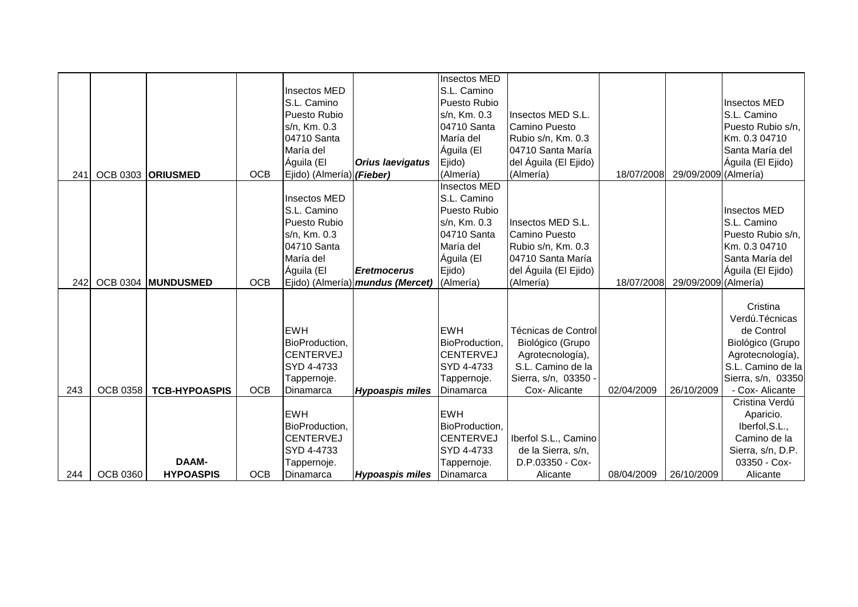|     |                 |                      |            |                           |                                         | Insectos MED        |                       |            |                      |                             |
|-----|-----------------|----------------------|------------|---------------------------|-----------------------------------------|---------------------|-----------------------|------------|----------------------|-----------------------------|
|     |                 |                      |            | Insectos MED              |                                         | S.L. Camino         |                       |            |                      |                             |
|     |                 |                      |            | S.L. Camino               |                                         | Puesto Rubio        |                       |            |                      | Insectos MED                |
|     |                 |                      |            | Puesto Rubio              |                                         | s/n, Km. 0.3        | Insectos MED S.L.     |            |                      | S.L. Camino                 |
|     |                 |                      |            | s/n, Km. 0.3              |                                         | 04710 Santa         | Camino Puesto         |            |                      | Puesto Rubio s/n,           |
|     |                 |                      |            | 04710 Santa               |                                         | María del           | Rubio s/n, Km. 0.3    |            |                      | Km. 0.3 04710               |
|     |                 |                      |            | María del                 |                                         | Águila (El          | 04710 Santa María     |            |                      | Santa María del             |
|     |                 |                      |            | Águila (El                | <b>Orius laevigatus</b>                 | Ejido)              | del Águila (El Ejido) |            |                      | Águila (El Ejido)           |
| 241 | <b>OCB 0303</b> | <b>ORIUSMED</b>      | <b>OCB</b> | Ejido) (Almería) (Fieber) |                                         | (Almería)           | (Almería)             | 18/07/2008 | 29/09/2009 (Almería) |                             |
|     |                 |                      |            |                           |                                         | <b>Insectos MED</b> |                       |            |                      |                             |
|     |                 |                      |            | Insectos MED              |                                         | S.L. Camino         |                       |            |                      |                             |
|     |                 |                      |            | S.L. Camino               |                                         | Puesto Rubio        |                       |            |                      | Insectos MED                |
|     |                 |                      |            | Puesto Rubio              |                                         | s/n, Km. 0.3        | Insectos MED S.L.     |            |                      | S.L. Camino                 |
|     |                 |                      |            | s/n, Km. 0.3              |                                         | 04710 Santa         | Camino Puesto         |            |                      | Puesto Rubio s/n,           |
|     |                 |                      |            | 04710 Santa               |                                         | María del           | Rubio s/n, Km. 0.3    |            |                      | Km. 0.3 04710               |
|     |                 |                      |            | María del                 |                                         | Águila (El          | 04710 Santa María     |            |                      | Santa María del             |
|     |                 |                      |            | Águila (El                | <b>Eretmocerus</b>                      | Ejido)              | del Águila (El Ejido) |            |                      | Águila (El Ejido)           |
| 242 | <b>OCB 0304</b> | <b>MUNDUSMED</b>     | <b>OCB</b> |                           | Ejido) (Almería) <i>mundus (Mercet)</i> | (Almería)           | (Almería)             | 18/07/2008 | 29/09/2009 (Almería) |                             |
|     |                 |                      |            |                           |                                         |                     |                       |            |                      |                             |
|     |                 |                      |            |                           |                                         |                     |                       |            |                      | Cristina                    |
|     |                 |                      |            |                           |                                         |                     |                       |            |                      | Verdú. Técnicas             |
|     |                 |                      |            | <b>EWH</b>                |                                         | <b>EWH</b>          | Técnicas de Control   |            |                      | de Control                  |
|     |                 |                      |            | BioProduction,            |                                         | BioProduction,      | Biológico (Grupo      |            |                      | Biológico (Grupo            |
|     |                 |                      |            | <b>CENTERVEJ</b>          |                                         | <b>CENTERVEJ</b>    | Agrotecnología),      |            |                      | Agrotecnología),            |
|     |                 |                      |            | SYD 4-4733                |                                         | SYD 4-4733          | S.L. Camino de la     |            |                      | S.L. Camino de la           |
|     |                 |                      |            | Tappernoje.               |                                         | Tappernoje.         | Sierra, s/n, 03350 -  |            |                      | Sierra, s/n, 03350          |
| 243 | <b>OCB 0358</b> | <b>TCB-HYPOASPIS</b> | <b>OCB</b> | Dinamarca                 | <b>Hypoaspis miles</b>                  | Dinamarca           | Cox-Alicante          | 02/04/2009 | 26/10/2009           | - Cox- Alicante             |
|     |                 |                      |            | <b>EWH</b>                |                                         | <b>EWH</b>          |                       |            |                      | Cristina Verdú              |
|     |                 |                      |            | BioProduction,            |                                         | BioProduction,      |                       |            |                      | Aparicio.<br>Iberfol, S.L., |
|     |                 |                      |            | <b>CENTERVEJ</b>          |                                         | <b>CENTERVEJ</b>    | Iberfol S.L., Camino  |            |                      | Camino de la                |
|     |                 |                      |            | SYD 4-4733                |                                         | SYD 4-4733          | de la Sierra, s/n,    |            |                      | Sierra, s/n, D.P.           |
|     |                 | <b>DAAM-</b>         |            | Tappernoje.               |                                         | Tappernoje.         | D.P.03350 - Cox-      |            |                      | 03350 - Cox-                |
| 244 | <b>OCB 0360</b> | <b>HYPOASPIS</b>     | <b>OCB</b> | Dinamarca                 | <b>Hypoaspis miles</b>                  | Dinamarca           | Alicante              | 08/04/2009 | 26/10/2009           | Alicante                    |
|     |                 |                      |            |                           |                                         |                     |                       |            |                      |                             |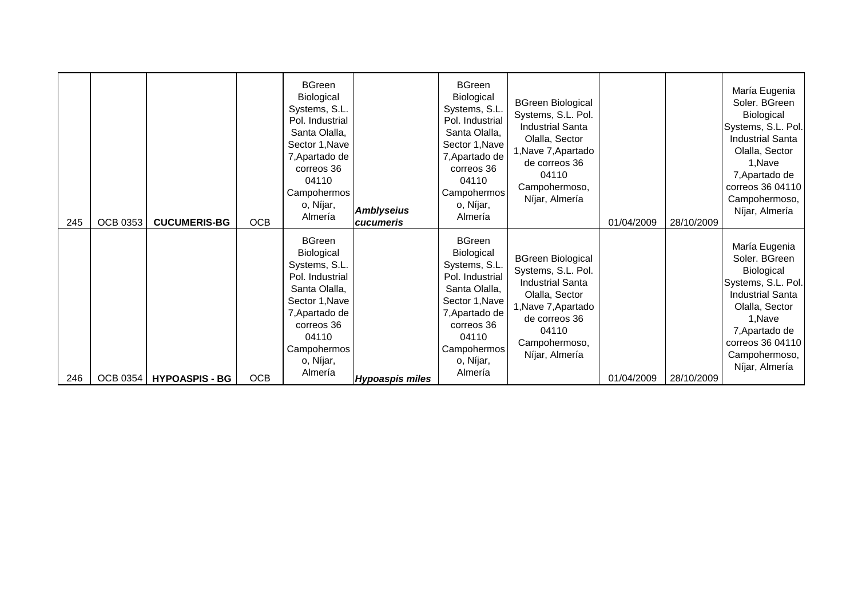| 245 | <b>OCB 0353</b> | <b>CUCUMERIS-BG</b>   | <b>OCB</b> | <b>BGreen</b><br>Biological<br>Systems, S.L.<br>Pol. Industrial<br>Santa Olalla,<br>Sector 1, Nave<br>7, Apartado de<br>correos 36<br>04110<br>Campohermos<br>o, Níjar,<br>Almería | <b>Amblyseius</b><br>cucumeris | <b>BGreen</b><br><b>Biological</b><br>Systems, S.L.<br>Pol. Industrial<br>Santa Olalla,<br>Sector 1, Nave<br>7, Apartado de<br>correos 36<br>04110<br>Campohermos<br>o, Níjar,<br>Almería | <b>BGreen Biological</b><br>Systems, S.L. Pol.<br><b>Industrial Santa</b><br>Olalla, Sector<br>1, Nave 7, Apartado<br>de correos 36<br>04110<br>Campohermoso,<br>Níjar, Almería | 01/04/2009 | 28/10/2009 | María Eugenia<br>Soler. BGreen<br>Biological<br>Systems, S.L. Pol.<br><b>Industrial Santa</b><br>Olalla, Sector<br>1, Nave<br>7, Apartado de<br>correos 36 04110<br>Campohermoso,<br>Níjar, Almería |
|-----|-----------------|-----------------------|------------|------------------------------------------------------------------------------------------------------------------------------------------------------------------------------------|--------------------------------|-------------------------------------------------------------------------------------------------------------------------------------------------------------------------------------------|---------------------------------------------------------------------------------------------------------------------------------------------------------------------------------|------------|------------|-----------------------------------------------------------------------------------------------------------------------------------------------------------------------------------------------------|
|     |                 |                       |            | <b>BGreen</b><br>Biological<br>Systems, S.L.<br>Pol. Industrial<br>Santa Olalla,<br>Sector 1, Nave<br>7, Apartado de<br>correos 36<br>04110<br>Campohermos<br>o, Níjar,<br>Almería |                                | <b>BGreen</b><br>Biological<br>Systems, S.L.<br>Pol. Industrial<br>Santa Olalla,<br>Sector 1, Nave<br>7, Apartado de<br>correos 36<br>04110<br>Campohermos<br>o, Níjar,<br>Almería        | <b>BGreen Biological</b><br>Systems, S.L. Pol.<br><b>Industrial Santa</b><br>Olalla, Sector<br>1, Nave 7, Apartado<br>de correos 36<br>04110<br>Campohermoso,<br>Níjar, Almería |            |            | María Eugenia<br>Soler. BGreen<br>Biological<br>Systems, S.L. Pol.<br><b>Industrial Santa</b><br>Olalla, Sector<br>1, Nave<br>7, Apartado de<br>correos 36 04110<br>Campohermoso,<br>Níjar, Almería |
| 246 | <b>OCB 0354</b> | <b>HYPOASPIS - BG</b> | <b>OCB</b> |                                                                                                                                                                                    | <b>Hypoaspis miles</b>         |                                                                                                                                                                                           |                                                                                                                                                                                 | 01/04/2009 | 28/10/2009 |                                                                                                                                                                                                     |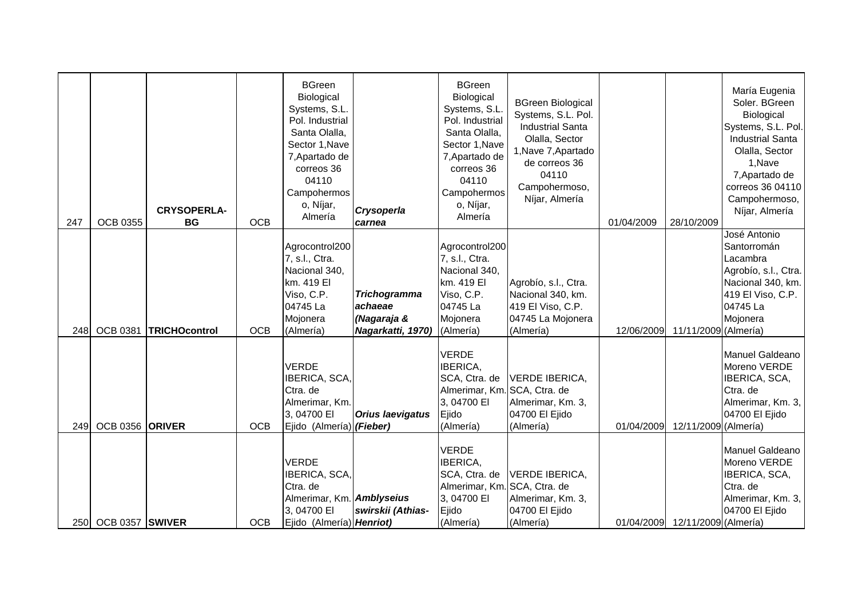| 247  | <b>OCB 0355</b>        | <b>CRYSOPERLA-</b><br>BG | <b>OCB</b> | <b>BGreen</b><br>Biological<br>Systems, S.L.<br>Pol. Industrial<br>Santa Olalla,<br>Sector 1, Nave<br>7, Apartado de<br>correos 36<br>04110<br>Campohermos<br>o, Níjar,<br>Almería | Crysoperla<br>carnea                                               | <b>BGreen</b><br>Biological<br>Systems, S.L.<br>Pol. Industrial<br>Santa Olalla,<br>Sector 1, Nave<br>7, Apartado de<br>correos 36<br>04110<br>Campohermos<br>o, Níjar,<br>Almería | <b>BGreen Biological</b><br>Systems, S.L. Pol.<br><b>Industrial Santa</b><br>Olalla, Sector<br>1, Nave 7, Apartado<br>de correos 36<br>04110<br>Campohermoso,<br>Níjar, Almería | 01/04/2009 | 28/10/2009                      | María Eugenia<br>Soler. BGreen<br>Biological<br>Systems, S.L. Pol.<br><b>Industrial Santa</b><br>Olalla, Sector<br>1, Nave<br>7, Apartado de<br>correos 36 04110<br>Campohermoso,<br>Níjar, Almería |
|------|------------------------|--------------------------|------------|------------------------------------------------------------------------------------------------------------------------------------------------------------------------------------|--------------------------------------------------------------------|------------------------------------------------------------------------------------------------------------------------------------------------------------------------------------|---------------------------------------------------------------------------------------------------------------------------------------------------------------------------------|------------|---------------------------------|-----------------------------------------------------------------------------------------------------------------------------------------------------------------------------------------------------|
| 248I | <b>OCB 0381</b>        | <b>TRICHOcontrol</b>     | <b>OCB</b> | Agrocontrol200<br>7, s.l., Ctra.<br>Nacional 340,<br>km. 419 El<br>Viso, C.P.<br>04745 La<br>Mojonera<br>(Almería)                                                                 | <b>Trichogramma</b><br>achaeae<br>(Nagaraja &<br>Nagarkatti, 1970) | Agrocontrol200<br>7, s.l., Ctra.<br>Nacional 340,<br>km. 419 El<br>Viso, C.P.<br>04745 La<br>Mojonera<br>(Almería)                                                                 | Agrobío, s.l., Ctra.<br>Nacional 340, km.<br>419 El Viso, C.P.<br>04745 La Mojonera<br>(Almería)                                                                                | 12/06/2009 | 11/11/2009 (Almería)            | José Antonio<br>Santorromán<br>Lacambra<br>Agrobío, s.l., Ctra.<br>Nacional 340, km.<br>419 El Viso, C.P.<br>04745 La<br>Mojonera                                                                   |
| 249  | OCB 0356 ORIVER        |                          | <b>OCB</b> | <b>VERDE</b><br>IBERICA, SCA,<br>Ctra. de<br>Almerimar, Km.<br>3,04700 EI<br>Ejido (Almería) (Fieber)                                                                              | <b>Orius laevigatus</b>                                            | <b>VERDE</b><br>IBERICA,<br>SCA, Ctra. de<br>Almerimar, Km. SCA, Ctra. de<br>3,04700 EI<br>Ejido<br>(Almería)                                                                      | VERDE IBERICA,<br>Almerimar, Km. 3,<br>04700 El Ejido<br>(Almería)                                                                                                              | 01/04/2009 | 12/11/2009 (Almería)            | Manuel Galdeano<br>Moreno VERDE<br>IBERICA, SCA,<br>Ctra, de<br>Almerimar, Km. 3,<br>04700 El Ejido                                                                                                 |
| 250I | <b>OCB 0357 SWIVER</b> |                          | <b>OCB</b> | <b>VERDE</b><br>IBERICA, SCA,<br>Ctra. de<br>Almerimar, Km. Amblyseius<br>3,04700 EI<br>Ejido (Almería) Henriot)                                                                   | swirskii (Athias-                                                  | <b>VERDE</b><br>IBERICA,<br>SCA, Ctra. de<br>Almerimar, Km. SCA, Ctra. de<br>3,04700 EI<br>Ejido<br>(Almería)                                                                      | <b>VERDE IBERICA,</b><br>Almerimar, Km. 3,<br>04700 El Ejido<br>(Almería)                                                                                                       |            | 01/04/2009 12/11/2009 (Almería) | Manuel Galdeano<br>Moreno VERDE<br>IBERICA, SCA,<br>Ctra. de<br>Almerimar, Km. 3,<br>04700 El Ejido                                                                                                 |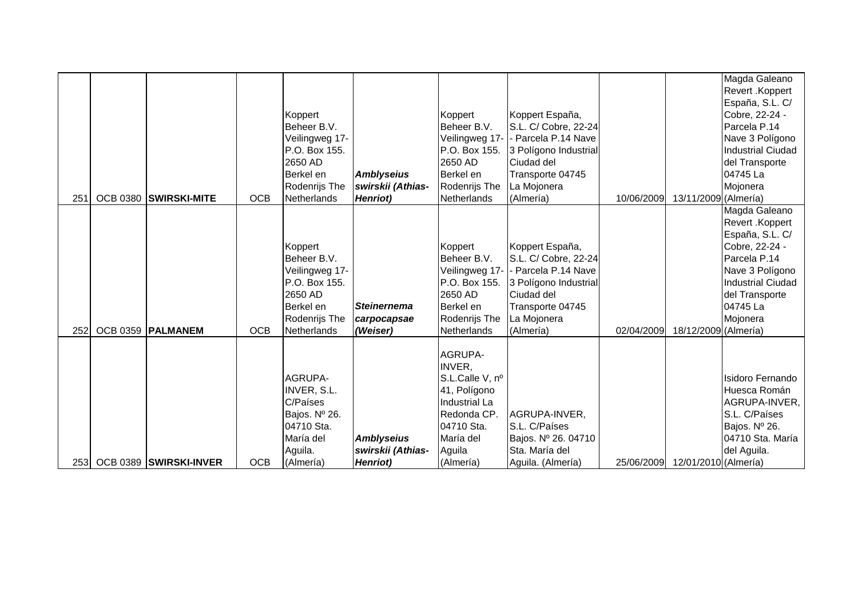| 251         | OCB 0380 SWIRSKI-MITE  | <b>OCB</b> | Koppert<br>Beheer B.V.<br>Veilingweg 17-<br>P.O. Box 155.<br>2650 AD<br>Berkel en<br>Rodenrijs The<br>Netherlands | <b>Amblyseius</b><br>swirskii (Athias-<br><b>Henriot</b> ) | Koppert<br>Beheer B.V.<br>P.O. Box 155.<br>2650 AD<br>Berkel en<br>Rodenrijs The<br>Netherlands                                        | Koppert España,<br>S.L. C/ Cobre, 22-24<br>Veilingweg 17- - Parcela P.14 Nave<br>3 Polígono Industrial<br>Ciudad del<br>Transporte 04745<br>La Mojonera<br>(Almería) | 10/06/2009 | 13/11/2009 (Almería) | Magda Galeano<br>Revert .Koppert<br>España, S.L. C/<br>Cobre, 22-24 -<br>Parcela P.14<br>Nave 3 Polígono<br>Industrial Ciudad<br>del Transporte<br>04745 La<br>Mojonera |
|-------------|------------------------|------------|-------------------------------------------------------------------------------------------------------------------|------------------------------------------------------------|----------------------------------------------------------------------------------------------------------------------------------------|----------------------------------------------------------------------------------------------------------------------------------------------------------------------|------------|----------------------|-------------------------------------------------------------------------------------------------------------------------------------------------------------------------|
| 252         | OCB 0359   PALMANEM    | <b>OCB</b> | Koppert<br>Beheer B.V.<br>Veilingweg 17-<br>P.O. Box 155.<br>2650 AD<br>Berkel en<br>Rodenrijs The<br>Netherlands | <b>Steinernema</b><br>carpocapsae<br>(Weiser)              | Koppert<br>Beheer B.V.<br>Veilingweg 17-<br>P.O. Box 155.<br>2650 AD<br>Berkel en<br>Rodenrijs The<br>Netherlands                      | Koppert España,<br>S.L. C/ Cobre, 22-24<br>Parcela P.14 Nave<br>3 Polígono Industrial<br>Ciudad del<br>Transporte 04745<br>La Mojonera<br>(Almería)                  | 02/04/2009 | 18/12/2009 (Almería) | Magda Galeano<br>Revert .Koppert<br>España, S.L. C/<br>Cobre, 22-24 -<br>Parcela P.14<br>Nave 3 Polígono<br>Industrial Ciudad<br>del Transporte<br>04745 La<br>Mojonera |
| <b>2531</b> | OCB 0389 SWIRSKI-INVER | <b>OCB</b> | AGRUPA-<br>INVER, S.L.<br>C/Países<br>Bajos. Nº 26.<br>04710 Sta.<br>María del<br>Aguila.<br>(Almería)            | <b>Amblyseius</b><br>swirskii (Athias-<br>Henriot)         | AGRUPA-<br>INVER,<br>S.L.Calle V, nº<br>41, Polígono<br>Industrial La<br>Redonda CP.<br>04710 Sta.<br>María del<br>Aguila<br>(Almería) | AGRUPA-INVER,<br>S.L. C/Países<br>Bajos. Nº 26. 04710<br>Sta. María del<br>Aguila. (Almería)                                                                         | 25/06/2009 | 12/01/2010 (Almería) | <b>Isidoro Fernando</b><br>Huesca Román<br>AGRUPA-INVER,<br>S.L. C/Países<br>Bajos. Nº 26.<br>04710 Sta. María<br>del Aguila.                                           |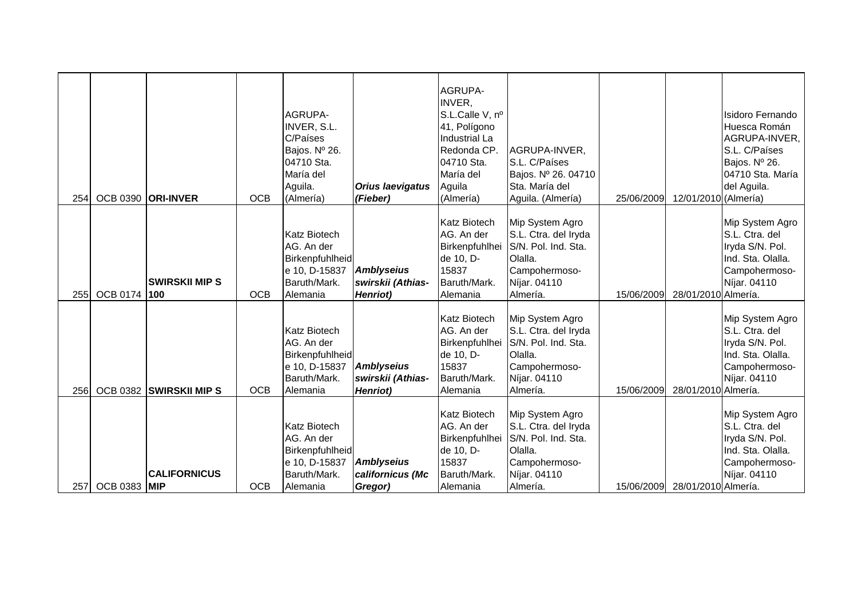| 254  |                     | OCB 0390 <b>ORI-INVER</b>   | <b>OCB</b> | AGRUPA-<br>INVER, S.L.<br>C/Países<br>Bajos. Nº 26.<br>04710 Sta.<br>María del<br>Aguila.<br>(Almería) | <b>Orius laevigatus</b><br>(Fieber)                        | <b>AGRUPA-</b><br>INVER,<br>S.L.Calle V, nº<br>41, Polígono<br>Industrial La<br>Redonda CP.<br>04710 Sta.<br>María del<br>Aguila<br>(Almería) | AGRUPA-INVER,<br>S.L. C/Países<br>Bajos. Nº 26. 04710<br>Sta. María del<br>Aguila. (Almería)                           | 25/06/2009 | 12/01/2010 (Almería)           | Isidoro Fernando<br>Huesca Román<br>AGRUPA-INVER,<br>S.L. C/Países<br>Bajos. Nº 26.<br>04710 Sta. María<br>del Aguila. |
|------|---------------------|-----------------------------|------------|--------------------------------------------------------------------------------------------------------|------------------------------------------------------------|-----------------------------------------------------------------------------------------------------------------------------------------------|------------------------------------------------------------------------------------------------------------------------|------------|--------------------------------|------------------------------------------------------------------------------------------------------------------------|
| 255  | <b>OCB 0174</b>     | <b>SWIRSKII MIPS</b><br>100 | <b>OCB</b> | <b>Katz Biotech</b><br>AG. An der<br>Birkenpfuhlheid<br>e 10, D-15837<br>Baruth/Mark.<br>Alemania      | <b>Amblyseius</b><br>swirskii (Athias-<br><b>Henriot</b> ) | <b>Katz Biotech</b><br>AG. An der<br>Birkenpfuhlhei<br>de 10, D-<br>15837<br>Baruth/Mark.<br>Alemania                                         | Mip System Agro<br>S.L. Ctra. del Iryda<br>S/N. Pol. Ind. Sta.<br>Olalla.<br>Campohermoso-<br>Níjar. 04110<br>Almería. | 15/06/2009 | 28/01/2010 Almería.            | Mip System Agro<br>S.L. Ctra. del<br>Iryda S/N. Pol.<br>Ind. Sta. Olalla.<br>Campohermoso-<br>Níjar. 04110             |
| 256  |                     | OCB 0382 SWIRSKII MIPS      | <b>OCB</b> | <b>Katz Biotech</b><br>AG. An der<br>Birkenpfuhlheid<br>e 10, D-15837<br>Baruth/Mark.<br>Alemania      | <b>Amblyseius</b><br>swirskii (Athias-<br><b>Henriot</b> ) | <b>Katz Biotech</b><br>AG. An der<br>Birkenpfuhlhei<br>de 10, D-<br>15837<br>Baruth/Mark.<br>Alemania                                         | Mip System Agro<br>S.L. Ctra. del Iryda<br>S/N. Pol. Ind. Sta.<br>Olalla.<br>Campohermoso-<br>Níjar. 04110<br>Almería. | 15/06/2009 | 28/01/2010 Almería.            | Mip System Agro<br>S.L. Ctra. del<br>Iryda S/N. Pol.<br>Ind. Sta. Olalla.<br>Campohermoso-<br>Níjar. 04110             |
| 257I | <b>OCB 0383 MIP</b> | <b>CALIFORNICUS</b>         | <b>OCB</b> | <b>Katz Biotech</b><br>AG. An der<br>Birkenpfuhlheid<br>e 10, D-15837<br>Baruth/Mark.<br>Alemania      | Amblyseius<br>californicus (Mc<br>Gregor)                  | <b>Katz Biotech</b><br>AG. An der<br>Birkenpfuhlhei<br>de 10, D-<br>15837<br>Baruth/Mark.<br>Alemania                                         | Mip System Agro<br>S.L. Ctra. del Iryda<br>S/N. Pol. Ind. Sta.<br>Olalla.<br>Campohermoso-<br>Níjar. 04110<br>Almería. |            | 15/06/2009 28/01/2010 Almería. | Mip System Agro<br>S.L. Ctra. del<br>Iryda S/N. Pol.<br>Ind. Sta. Olalla.<br>Campohermoso-<br>Níjar. 04110             |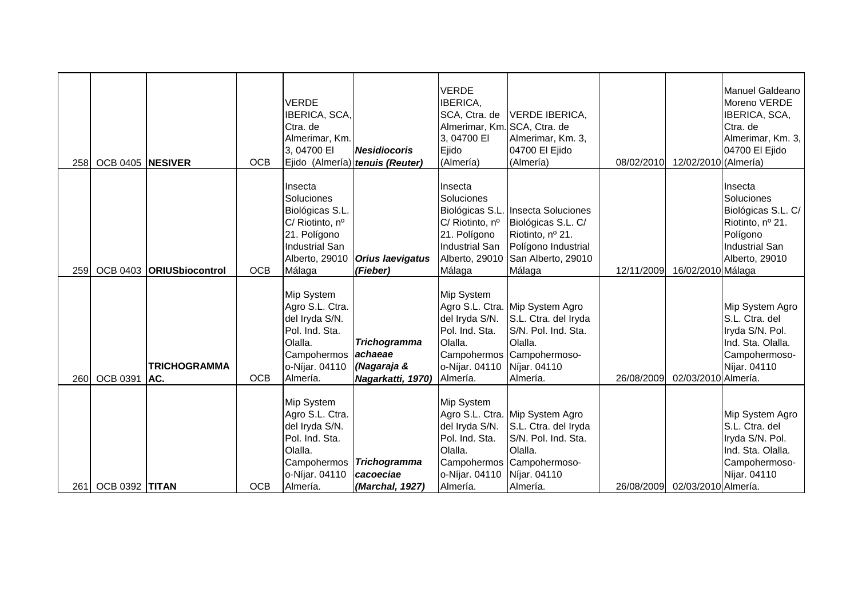| 258         | OCB 0405 NESIVER      |                            | <b>OCB</b> | <b>VERDE</b><br>IBERICA, SCA,<br>Ctra. de<br>Almerimar, Km.<br>3,04700 EI                                                 | <b>Nesidiocoris</b><br>Ejido (Almería) tenuis (Reuter)             | <b>VERDE</b><br><b>IBERICA,</b><br>SCA, Ctra. de<br>Almerimar, Km. SCA, Ctra. de<br>3,04700 EI<br>Ejido<br>(Almería) | VERDE IBERICA,<br>Almerimar, Km. 3,<br>04700 El Ejido<br>(Almería)                                                                                 | 08/02/2010 | 12/02/2010 (Almería) | Manuel Galdeano<br>Moreno VERDE<br>IBERICA, SCA,<br>Ctra. de<br>Almerimar, Km. 3,<br>04700 El Ejido                    |
|-------------|-----------------------|----------------------------|------------|---------------------------------------------------------------------------------------------------------------------------|--------------------------------------------------------------------|----------------------------------------------------------------------------------------------------------------------|----------------------------------------------------------------------------------------------------------------------------------------------------|------------|----------------------|------------------------------------------------------------------------------------------------------------------------|
| 259         | <b>OCB 0403</b>       | ORIUSbiocontrol            | <b>OCB</b> | Insecta<br>Soluciones<br>Biológicas S.L.<br>C/ Riotinto, nº<br>21. Polígono<br>Industrial San<br>Alberto, 29010<br>Málaga | <b>Orius laevigatus</b><br>(Fieber)                                | Insecta<br>Soluciones<br>C/ Riotinto, nº<br>21. Polígono<br>Industrial San<br>Málaga                                 | Biológicas S.L. Insecta Soluciones<br>Biológicas S.L. C/<br>Riotinto, nº 21.<br>Polígono Industrial<br>Alberto, 29010 San Alberto, 29010<br>Málaga | 12/11/2009 | 16/02/2010 Málaga    | Insecta<br>Soluciones<br>Biológicas S.L. C/<br>Riotinto, nº 21.<br>Polígono<br><b>Industrial San</b><br>Alberto, 29010 |
| <b>2601</b> | <b>OCB 0391</b>       | <b>TRICHOGRAMMA</b><br>AC. | <b>OCB</b> | Mip System<br>Agro S.L. Ctra.<br>del Iryda S/N.<br>Pol. Ind. Sta.<br>Olalla.<br>Campohermos<br>o-Níjar. 04110<br>Almería. | <b>Trichogramma</b><br>achaeae<br>(Nagaraja &<br>Nagarkatti, 1970) | <b>Mip System</b><br>del Iryda S/N.<br>Pol. Ind. Sta.<br>Olalla.<br>o-Níjar. 04110 Níjar. 04110<br>Almería.          | Agro S.L. Ctra. Mip System Agro<br>S.L. Ctra. del Iryda<br>S/N. Pol. Ind. Sta.<br>Olalla.<br>Campohermos Campohermoso-<br>Almería.                 | 26/08/2009 | 02/03/2010 Almería.  | Mip System Agro<br>S.L. Ctra. del<br>Iryda S/N. Pol.<br>Ind. Sta. Olalla.<br>Campohermoso-<br>Níjar. 04110             |
| 261         | <b>OCB 0392 TITAN</b> |                            | <b>OCB</b> | Mip System<br>Agro S.L. Ctra.<br>del Iryda S/N.<br>Pol. Ind. Sta.<br>Olalla.<br>Campohermos<br>o-Níjar. 04110<br>Almería. | Trichogramma<br>cacoeciae<br>(Marchal, 1927)                       | <b>Mip System</b><br>del Iryda S/N.<br>Pol. Ind. Sta.<br>Olalla.<br>o-Níjar. 04110 Níjar. 04110<br>Almería.          | Agro S.L. Ctra. Mip System Agro<br>S.L. Ctra. del Iryda<br>S/N. Pol. Ind. Sta.<br>Olalla.<br>Campohermos Campohermoso-<br>Almería.                 | 26/08/2009 | 02/03/2010 Almería.  | Mip System Agro<br>S.L. Ctra. del<br>Iryda S/N. Pol.<br>Ind. Sta. Olalla.<br>Campohermoso-<br>Níjar. 04110             |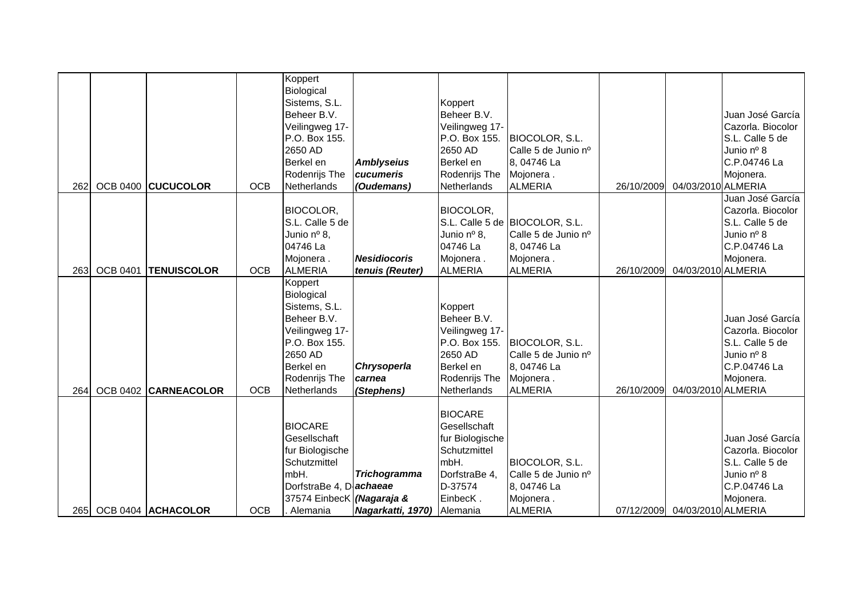| 262 |                 | OCB 0400 CUCUCOLOR   | <b>OCB</b> | Koppert<br>Biological<br>Sistems, S.L.<br>Beheer B.V.<br>Veilingweg 17-<br>P.O. Box 155.<br>2650 AD<br>Berkel en<br>Rodenrijs The<br>Netherlands | <b>Amblyseius</b><br>cucumeris<br>(Oudemans) | Koppert<br>Beheer B.V.<br>Veilingweg 17-<br>P.O. Box 155.<br>2650 AD<br>Berkel en<br>Rodenrijs The<br>Netherlands             | BIOCOLOR, S.L.<br>Calle 5 de Junio nº<br>8, 04746 La<br>Mojonera.<br><b>ALMERIA</b>                 | 26/10/2009 | 04/03/2010 ALMERIA            | Juan José García<br>Cazorla. Biocolor<br>S.L. Calle 5 de<br>Junio nº 8<br>C.P.04746 La<br>Mojonera. |
|-----|-----------------|----------------------|------------|--------------------------------------------------------------------------------------------------------------------------------------------------|----------------------------------------------|-------------------------------------------------------------------------------------------------------------------------------|-----------------------------------------------------------------------------------------------------|------------|-------------------------------|-----------------------------------------------------------------------------------------------------|
| 263 | <b>OCB 0401</b> | <b>TENUISCOLOR</b>   | <b>OCB</b> | BIOCOLOR,<br>S.L. Calle 5 de<br>Junio nº 8,<br>04746 La<br>Mojonera.<br><b>ALMERIA</b>                                                           | <b>Nesidiocoris</b><br>tenuis (Reuter)       | <b>BIOCOLOR,</b><br>Junio nº 8,<br>04746 La<br>Mojonera.<br><b>ALMERIA</b>                                                    | S.L. Calle 5 de BIOCOLOR, S.L.<br>Calle 5 de Junio nº<br>8, 04746 La<br>Mojonera.<br><b>ALMERIA</b> | 26/10/2009 | 04/03/2010 ALMERIA            | Juan José García<br>Cazorla. Biocolor<br>S.L. Calle 5 de<br>Junio nº 8<br>C.P.04746 La<br>Mojonera. |
| 264 |                 | OCB 0402 CARNEACOLOR | <b>OCB</b> | Koppert<br>Biological<br>Sistems, S.L.<br>Beheer B.V.<br>Veilingweg 17-<br>P.O. Box 155.<br>2650 AD<br>Berkel en<br>Rodenrijs The<br>Netherlands | Chrysoperla<br>carnea<br>(Stephens)          | Koppert<br>Beheer B.V.<br>Veilingweg 17-<br>P.O. Box 155.<br>2650 AD<br>Berkel en<br>Rodenrijs The<br>Netherlands             | BIOCOLOR, S.L.<br>Calle 5 de Junio nº<br>8, 04746 La<br>Mojonera.<br><b>ALMERIA</b>                 | 26/10/2009 | 04/03/2010 ALMERIA            | Juan José García<br>Cazorla. Biocolor<br>S.L. Calle 5 de<br>Junio nº 8<br>C.P.04746 La<br>Mojonera. |
| 265 |                 | OCB 0404 ACHACOLOR   | <b>OCB</b> | <b>BIOCARE</b><br>Gesellschaft<br>fur Biologische<br>Schutzmittel<br>mbH.<br>DorfstraBe 4, Dachaeae<br>37574 EinbecK (Nagaraja &<br>Alemania     | <b>Trichogramma</b><br>Nagarkatti, 1970)     | <b>BIOCARE</b><br>Gesellschaft<br>fur Biologische<br>Schutzmittel<br>mbH.<br>DorfstraBe 4,<br>D-37574<br>EinbecK.<br>Alemania | BIOCOLOR, S.L.<br>Calle 5 de Junio nº<br>8, 04746 La<br>Mojonera.<br><b>ALMERIA</b>                 |            | 07/12/2009 04/03/2010 ALMERIA | Juan José García<br>Cazorla. Biocolor<br>S.L. Calle 5 de<br>Junio nº 8<br>C.P.04746 La<br>Mojonera. |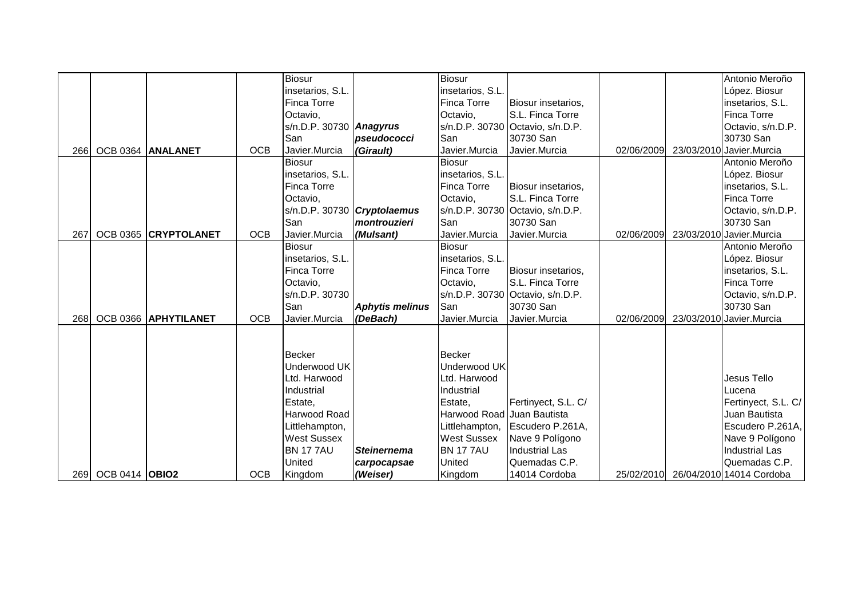|             |                       |                      |            | <b>Biosur</b>                        |                                      | <b>Biosur</b>                         |                                     |            | Antonio Meroño                      |
|-------------|-----------------------|----------------------|------------|--------------------------------------|--------------------------------------|---------------------------------------|-------------------------------------|------------|-------------------------------------|
|             |                       |                      |            | insetarios, S.L.                     |                                      | insetarios, S.L.                      |                                     |            | López. Biosur                       |
|             |                       |                      |            | Finca Torre                          |                                      | Finca Torre                           | Biosur insetarios,                  |            | insetarios, S.L.                    |
|             |                       |                      |            | Octavio,                             |                                      | Octavio,                              | S.L. Finca Torre                    |            | <b>Finca Torre</b>                  |
|             |                       |                      |            | $s/n.D.P. 30730$ Anagyrus            |                                      |                                       | s/n.D.P. 30730 Octavio, s/n.D.P.    |            | Octavio, s/n.D.P.                   |
|             |                       |                      |            | San                                  | pseudococci                          | San                                   | 30730 San                           |            | 30730 San                           |
| <b>2661</b> |                       | OCB 0364 ANALANET    | <b>OCB</b> | Javier.Murcia                        | (Girault)                            | Javier.Murcia                         | Javier.Murcia                       | 02/06/2009 | 23/03/2010 Javier.Murcia            |
|             |                       |                      |            | <b>Biosur</b>                        |                                      | <b>Biosur</b>                         |                                     |            | Antonio Meroño                      |
|             |                       |                      |            | insetarios, S.L.                     |                                      | insetarios, S.L.                      |                                     |            | López. Biosur                       |
|             |                       |                      |            | Finca Torre                          |                                      | <b>Finca Torre</b>                    | Biosur insetarios,                  |            | insetarios, S.L.                    |
|             |                       |                      |            | Octavio,                             |                                      | Octavio,                              | S.L. Finca Torre                    |            | <b>Finca Torre</b>                  |
|             |                       |                      |            |                                      | $s/n.D.P. 30730$ <i>Cryptolaemus</i> |                                       | s/n.D.P. 30730 Octavio, s/n.D.P.    |            | Octavio, s/n.D.P.                   |
|             |                       |                      |            | San                                  | montrouzieri                         | San                                   | 30730 San                           |            | 30730 San                           |
| 267         |                       | OCB 0365 CRYPTOLANET | <b>OCB</b> | Javier.Murcia                        | (Mulsant)                            | Javier.Murcia                         | Javier.Murcia                       | 02/06/2009 | 23/03/2010 Javier.Murcia            |
|             |                       |                      |            | <b>Biosur</b>                        |                                      | <b>Biosur</b>                         |                                     |            | Antonio Meroño                      |
|             |                       |                      |            | insetarios, S.L.                     |                                      | insetarios, S.L.                      |                                     |            | López. Biosur                       |
|             |                       |                      |            | Finca Torre                          |                                      | <b>Finca Torre</b>                    | Biosur insetarios,                  |            | insetarios, S.L.                    |
|             |                       |                      |            | Octavio,                             |                                      | Octavio,                              | S.L. Finca Torre                    |            | <b>Finca Torre</b>                  |
|             |                       |                      |            | s/n.D.P. 30730                       |                                      |                                       | s/n.D.P. 30730 Octavio, s/n.D.P.    |            | Octavio, s/n.D.P.                   |
|             |                       |                      |            | San                                  | <b>Aphytis melinus</b>               | San                                   | 30730 San                           |            | 30730 San                           |
| <b>2681</b> |                       | OCB 0366 APHYTILANET | <b>OCB</b> | Javier.Murcia                        | (DeBach)                             | Javier.Murcia                         | Javier.Murcia                       | 02/06/2009 | 23/03/2010 Javier.Murcia            |
|             |                       |                      |            |                                      |                                      |                                       |                                     |            |                                     |
|             |                       |                      |            |                                      |                                      |                                       |                                     |            |                                     |
|             |                       |                      |            | <b>Becker</b><br>Underwood UK        |                                      | <b>Becker</b><br>Underwood UK         |                                     |            |                                     |
|             |                       |                      |            |                                      |                                      |                                       |                                     |            |                                     |
|             |                       |                      |            | Ltd. Harwood                         |                                      | Ltd. Harwood                          |                                     |            | Jesus Tello                         |
|             |                       |                      |            | Industrial                           |                                      | Industrial                            |                                     |            | Lucena                              |
|             |                       |                      |            | Estate,                              |                                      | Estate,<br>Harwood Road Juan Bautista | Fertinyect, S.L. C/                 |            | Fertinyect, S.L. C/                 |
|             |                       |                      |            | Harwood Road                         |                                      |                                       |                                     |            | Juan Bautista                       |
|             |                       |                      |            | Littlehampton,<br><b>West Sussex</b> |                                      | Littlehampton,<br><b>West Sussex</b>  | Escudero P.261A,<br>Nave 9 Polígono |            | Escudero P.261A,<br>Nave 9 Polígono |
|             |                       |                      |            | <b>BN 1777AU</b>                     | <b>Steinernema</b>                   | <b>BN 1777AU</b>                      | <b>Industrial Las</b>               |            | <b>Industrial Las</b>               |
|             |                       |                      |            | United                               |                                      | United                                | Quemadas C.P.                       |            | Quemadas C.P.                       |
|             |                       |                      | <b>OCB</b> |                                      | carpocapsae                          |                                       |                                     |            |                                     |
| 269 I       | <b>OCB 0414 OBIO2</b> |                      |            | Kingdom                              | (Weiser)                             | Kingdom                               | 14014 Cordoba                       |            | 25/02/2010 26/04/2010 14014 Cordoba |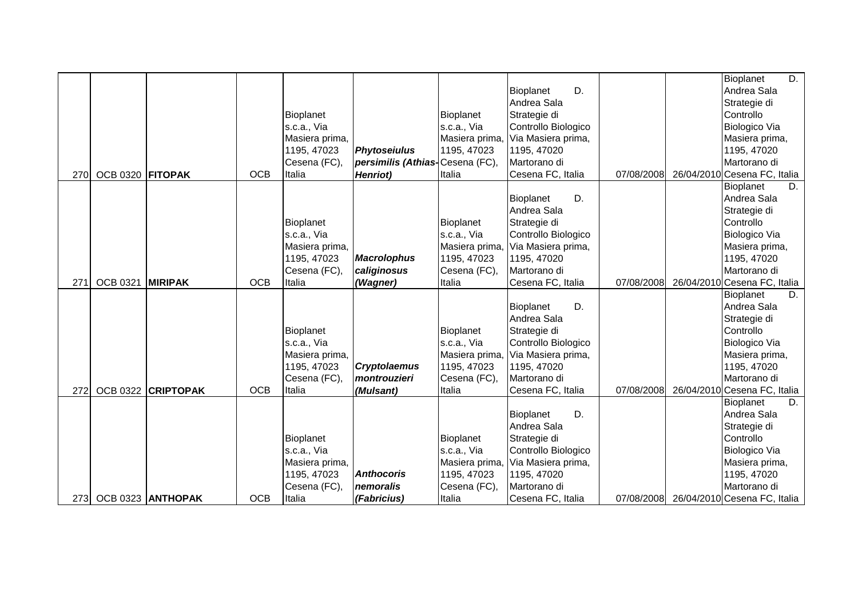|     |                  |                   |            |                |                                 |                |                        |            | Bioplanet<br>D.                         |
|-----|------------------|-------------------|------------|----------------|---------------------------------|----------------|------------------------|------------|-----------------------------------------|
|     |                  |                   |            |                |                                 |                | D.<br>Bioplanet        |            | Andrea Sala                             |
|     |                  |                   |            |                |                                 |                | Andrea Sala            |            | Strategie di                            |
|     |                  |                   |            | Bioplanet      |                                 | Bioplanet      | Strategie di           |            | Controllo                               |
|     |                  |                   |            | s.c.a., Via    |                                 | s.c.a., Via    | Controllo Biologico    |            | <b>Biologico Via</b>                    |
|     |                  |                   |            | Masiera prima, |                                 | Masiera prima, | , Via Masiera prima,   |            | Masiera prima,                          |
|     |                  |                   |            | 1195, 47023    | <b>Phytoseiulus</b>             | 1195, 47023    | 1195, 47020            |            | 1195, 47020                             |
|     |                  |                   |            | Cesena (FC),   | persimilis (Athias-Cesena (FC), |                | Martorano di           |            | Martorano di                            |
| 270 | OCB 0320 FITOPAK |                   | <b>OCB</b> | Italia         | <b>Henriot</b> )                | Italia         | Cesena FC, Italia      | 07/08/2008 | 26/04/2010 Cesena FC, Italia            |
|     |                  |                   |            |                |                                 |                |                        |            | Bioplanet<br>D.                         |
|     |                  |                   |            |                |                                 |                | <b>Bioplanet</b><br>D. |            | Andrea Sala                             |
|     |                  |                   |            |                |                                 |                | Andrea Sala            |            | Strategie di                            |
|     |                  |                   |            | Bioplanet      |                                 | Bioplanet      | Strategie di           |            | Controllo                               |
|     |                  |                   |            | s.c.a., Via    |                                 | s.c.a., Via    | Controllo Biologico    |            | Biologico Via                           |
|     |                  |                   |            | Masiera prima, |                                 | Masiera prima, | Via Masiera prima,     |            | Masiera prima,                          |
|     |                  |                   |            | 1195, 47023    | <b>Macrolophus</b>              | 1195, 47023    | 1195, 47020            |            | 1195, 47020                             |
|     |                  |                   |            | Cesena (FC),   | caliginosus                     | Cesena (FC),   | Martorano di           |            | Martorano di                            |
| 271 | <b>OCB 0321</b>  | <b>MIRIPAK</b>    | <b>OCB</b> | Italia         | (Wagner)                        | Italia         | Cesena FC, Italia      | 07/08/2008 | 26/04/2010 Cesena FC, Italia            |
|     |                  |                   |            |                |                                 |                |                        |            | Bioplanet<br>D.                         |
|     |                  |                   |            |                |                                 |                | D.<br>Bioplanet        |            | Andrea Sala                             |
|     |                  |                   |            |                |                                 |                | Andrea Sala            |            | Strategie di                            |
|     |                  |                   |            | Bioplanet      |                                 | Bioplanet      | Strategie di           |            | Controllo                               |
|     |                  |                   |            | s.c.a., Via    |                                 | s.c.a., Via    | Controllo Biologico    |            | Biologico Via                           |
|     |                  |                   |            | Masiera prima, |                                 | Masiera prima, | Via Masiera prima,     |            | Masiera prima,                          |
|     |                  |                   |            | 1195, 47023    | <b>Cryptolaemus</b>             | 1195, 47023    | 1195, 47020            |            | 1195, 47020                             |
|     |                  |                   |            | Cesena (FC),   | montrouzieri                    | Cesena (FC),   | Martorano di           |            | Martorano di                            |
| 272 | <b>OCB 0322</b>  | <b>CRIPTOPAK</b>  | <b>OCB</b> | Italia         | (Mulsant)                       | Italia         | Cesena FC, Italia      | 07/08/2008 | 26/04/2010 Cesena FC, Italia            |
|     |                  |                   |            |                |                                 |                |                        |            | Bioplanet<br>D.                         |
|     |                  |                   |            |                |                                 |                | D.<br>Bioplanet        |            | Andrea Sala                             |
|     |                  |                   |            |                |                                 |                | Andrea Sala            |            | Strategie di                            |
|     |                  |                   |            | Bioplanet      |                                 | Bioplanet      | Strategie di           |            | Controllo                               |
|     |                  |                   |            | s.c.a., Via    |                                 | s.c.a., Via    | Controllo Biologico    |            | Biologico Via                           |
|     |                  |                   |            | Masiera prima, |                                 | Masiera prima, | Via Masiera prima,     |            | Masiera prima,                          |
|     |                  |                   |            | 1195, 47023    | <b>Anthocoris</b>               | 1195, 47023    | 1195, 47020            |            | 1195, 47020                             |
|     |                  |                   |            | Cesena (FC),   | nemoralis                       | Cesena (FC),   | Martorano di           |            | Martorano di                            |
| 273 |                  | OCB 0323 ANTHOPAK | <b>OCB</b> | Italia         | (Fabricius)                     | Italia         | Cesena FC, Italia      |            | 07/08/2008 26/04/2010 Cesena FC, Italia |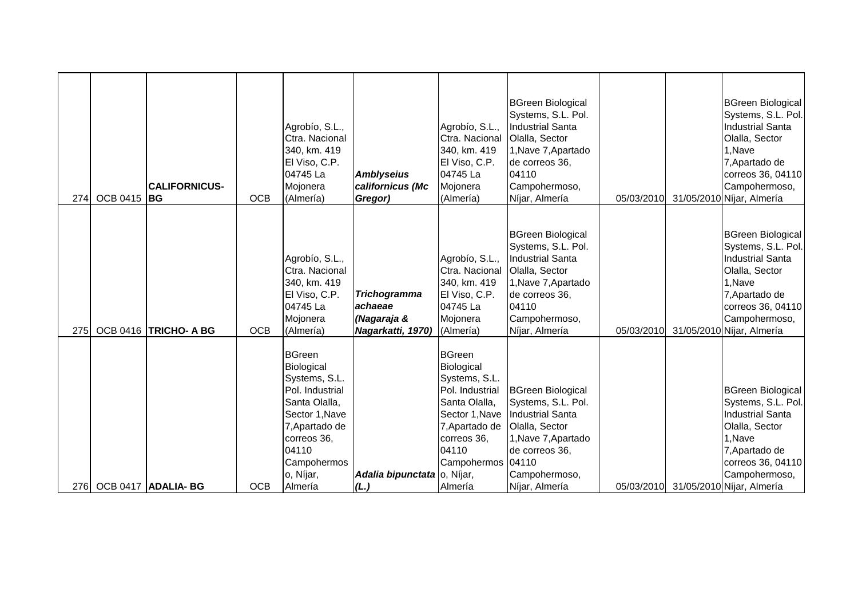| 274 | OCB 0415 BG | <b>CALIFORNICUS-</b>  | <b>OCB</b> | Agrobío, S.L.,<br>Ctra. Nacional<br>340, km. 419<br>El Viso, C.P.<br>04745 La<br>Mojonera<br>(Almería)                                                                              | <b>Amblyseius</b><br>californicus (Mc<br>Gregor)                   | Agrobío, S.L.,<br>Ctra. Nacional<br>340, km. 419<br>El Viso, C.P.<br>04745 La<br>Mojonera<br>(Almería)                                                                       | <b>BGreen Biological</b><br>Systems, S.L. Pol.<br>Industrial Santa<br>Olalla, Sector<br>1, Nave 7, Apartado<br>de correos 36,<br>04110<br>Campohermoso,<br>Níjar, Almería        | 05/03/2010 | <b>BGreen Biological</b><br>Systems, S.L. Pol.<br><b>Industrial Santa</b><br>Olalla, Sector<br>1, Nave<br>7, Apartado de<br>correos 36, 04110<br>Campohermoso,<br>31/05/2010 Níjar, Almería            |
|-----|-------------|-----------------------|------------|-------------------------------------------------------------------------------------------------------------------------------------------------------------------------------------|--------------------------------------------------------------------|------------------------------------------------------------------------------------------------------------------------------------------------------------------------------|----------------------------------------------------------------------------------------------------------------------------------------------------------------------------------|------------|--------------------------------------------------------------------------------------------------------------------------------------------------------------------------------------------------------|
| 275 |             | OCB 0416 TRICHO- A BG | <b>OCB</b> | Agrobío, S.L.,<br>Ctra. Nacional<br>340, km. 419<br>El Viso, C.P.<br>04745 La<br>Mojonera<br>(Almería)                                                                              | <b>Trichogramma</b><br>achaeae<br>(Nagaraja &<br>Nagarkatti, 1970) | Agrobío, S.L.,<br>Ctra. Nacional<br>340, km. 419<br>El Viso, C.P.<br>04745 La<br>Mojonera<br>(Almería)                                                                       | <b>BGreen Biological</b><br>Systems, S.L. Pol.<br><b>Industrial Santa</b><br>Olalla, Sector<br>1, Nave 7, Apartado<br>de correos 36,<br>04110<br>Campohermoso,<br>Níjar, Almería | 05/03/2010 | <b>BGreen Biological</b><br>Systems, S.L. Pol.<br><b>Industrial Santa</b><br>Olalla, Sector<br>1, Nave<br>7, Apartado de<br>correos 36, 04110<br>Campohermoso,<br>31/05/2010 Níjar, Almería            |
| 276 |             | OCB 0417 ADALIA-BG    | <b>OCB</b> | <b>BGreen</b><br>Biological<br>Systems, S.L.<br>Pol. Industrial<br>Santa Olalla,<br>Sector 1, Nave<br>7, Apartado de<br>correos 36,<br>04110<br>Campohermos<br>o, Níjar,<br>Almería | Adalia bipunctata o, Nijar,<br>(L.)                                | <b>BGreen</b><br>Biological<br>Systems, S.L.<br>Pol. Industrial<br>Santa Olalla,<br>Sector 1, Nave<br>7, Apartado de<br>correos 36,<br>04110<br>Campohermos 04110<br>Almería | <b>BGreen Biological</b><br>Systems, S.L. Pol.<br><b>Industrial Santa</b><br>Olalla, Sector<br>1, Nave 7, Apartado<br>de correos 36,<br>Campohermoso,<br>Níjar, Almería          |            | <b>BGreen Biological</b><br>Systems, S.L. Pol.<br><b>Industrial Santa</b><br>Olalla, Sector<br>1, Nave<br>7, Apartado de<br>correos 36, 04110<br>Campohermoso,<br>05/03/2010 31/05/2010 Níjar, Almería |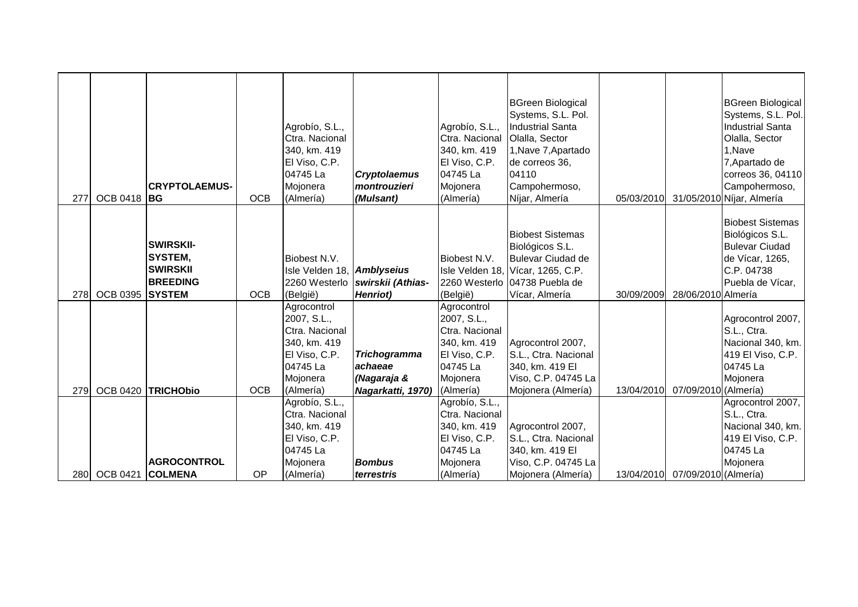| 277         | <b>OCB 0418 BG</b> | <b>CRYPTOLAEMUS-</b>                                                               | <b>OCB</b> | Agrobío, S.L.,<br>Ctra. Nacional<br>340, km. 419<br>El Viso, C.P.<br>04745 La<br>Mojonera<br>(Almería)             | <b>Cryptolaemus</b><br>montrouzieri<br>(Mulsant)                   | Agrobío, S.L.,<br>Ctra. Nacional<br>340, km. 419<br>El Viso, C.P.<br>04745 La<br>Mojonera<br>(Almería)             | <b>BGreen Biological</b><br>Systems, S.L. Pol.<br><b>Industrial Santa</b><br>Olalla, Sector<br>1, Nave 7, Apartado<br>de correos 36,<br>04110<br>Campohermoso,<br>Níjar, Almería | 05/03/2010 |                                 | <b>BGreen Biological</b><br>Systems, S.L. Pol.<br><b>Industrial Santa</b><br>Olalla, Sector<br>1, Nave<br>7, Apartado de<br>correos 36, 04110<br>Campohermoso,<br>31/05/2010 Níjar, Almería |
|-------------|--------------------|------------------------------------------------------------------------------------|------------|--------------------------------------------------------------------------------------------------------------------|--------------------------------------------------------------------|--------------------------------------------------------------------------------------------------------------------|----------------------------------------------------------------------------------------------------------------------------------------------------------------------------------|------------|---------------------------------|---------------------------------------------------------------------------------------------------------------------------------------------------------------------------------------------|
| 278I        | <b>OCB 0395</b>    | <b>SWIRSKII-</b><br>SYSTEM,<br><b>SWIRSKII</b><br><b>BREEDING</b><br><b>SYSTEM</b> | <b>OCB</b> | Biobest N.V.<br>Isle Velden 18, Amblyseius<br>2260 Westerlo<br>(België)                                            | swirskii (Athias-<br><b>Henriot</b> )                              | Biobest N.V.<br>(België)                                                                                           | <b>Biobest Sistemas</b><br>Biológicos S.L.<br>Bulevar Ciudad de<br>Isle Velden 18, Vícar, 1265, C.P.<br>2260 Westerlo 04738 Puebla de<br>Vícar, Almería                          | 30/09/2009 | 28/06/2010 Almería              | <b>Biobest Sistemas</b><br>Biológicos S.L.<br><b>Bulevar Ciudad</b><br>de Vícar, 1265,<br>C.P. 04738<br>Puebla de Vícar,                                                                    |
| 279         |                    | OCB 0420 TRICHObio                                                                 | <b>OCB</b> | Agrocontrol<br>2007, S.L.,<br>Ctra. Nacional<br>340, km. 419<br>El Viso, C.P.<br>04745 La<br>Mojonera<br>(Almería) | <b>Trichogramma</b><br>achaeae<br>(Nagaraja &<br>Nagarkatti, 1970) | Agrocontrol<br>2007, S.L.,<br>Ctra. Nacional<br>340, km. 419<br>El Viso, C.P.<br>04745 La<br>Mojonera<br>(Almería) | Agrocontrol 2007,<br>S.L., Ctra. Nacional<br>340, km. 419 El<br>Viso, C.P. 04745 La<br>Mojonera (Almería)                                                                        | 13/04/2010 | 07/09/2010 (Almería)            | Agrocontrol 2007,<br>S.L., Ctra.<br>Nacional 340, km.<br>419 El Viso, C.P.<br>04745 La<br>Mojonera                                                                                          |
| <b>2801</b> | <b>OCB 0421</b>    | <b>AGROCONTROL</b><br><b>COLMENA</b>                                               | OP         | Agrobío, S.L.,<br>Ctra. Nacional<br>340, km. 419<br>El Viso, C.P.<br>04745 La<br>Mojonera<br>(Almería)             | <b>Bombus</b><br>terrestris                                        | Agrobío, S.L.,<br>Ctra. Nacional<br>340, km. 419<br>El Viso, C.P.<br>04745 La<br>Mojonera<br>(Almería)             | Agrocontrol 2007,<br>S.L., Ctra. Nacional<br>340, km. 419 El<br>Viso, C.P. 04745 La<br>Mojonera (Almería)                                                                        |            | 13/04/2010 07/09/2010 (Almería) | Agrocontrol 2007,<br>S.L., Ctra.<br>Nacional 340, km.<br>419 El Viso, C.P.<br>04745 La<br>Mojonera                                                                                          |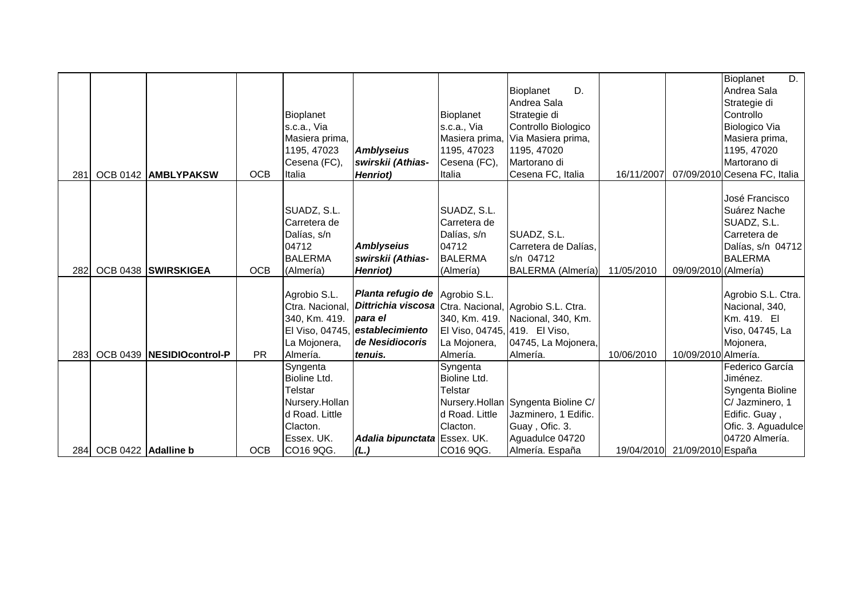|      |                     |                            |            |                  |                                                       |                               |                                    |            |                              | D.<br><b>Bioplanet</b>       |
|------|---------------------|----------------------------|------------|------------------|-------------------------------------------------------|-------------------------------|------------------------------------|------------|------------------------------|------------------------------|
|      |                     |                            |            |                  |                                                       |                               | D.<br>Bioplanet                    |            |                              | Andrea Sala                  |
|      |                     |                            |            |                  |                                                       |                               | Andrea Sala                        |            |                              | Strategie di                 |
|      |                     |                            |            | <b>Bioplanet</b> |                                                       | Bioplanet                     | Strategie di                       |            |                              | Controllo                    |
|      |                     |                            |            | s.c.a., Via      |                                                       | s.c.a., Via                   | Controllo Biologico                |            |                              | Biologico Via                |
|      |                     |                            |            | Masiera prima,   |                                                       | Masiera prima,                | , Via Masiera prima,               |            |                              | Masiera prima,               |
|      |                     |                            |            | 1195, 47023      | <b>Amblyseius</b>                                     | 1195, 47023                   | 1195, 47020                        |            |                              | 1195, 47020                  |
|      |                     |                            |            | Cesena (FC),     | swirskii (Athias-                                     | Cesena (FC),                  | Martorano di                       |            |                              | Martorano di                 |
| 281  |                     | OCB 0142 AMBLYPAKSW        | <b>OCB</b> | Italia           | <b>Henriot</b> )                                      | Italia                        | Cesena FC, Italia                  | 16/11/2007 |                              | 07/09/2010 Cesena FC, Italia |
|      |                     |                            |            |                  |                                                       |                               |                                    |            |                              |                              |
|      |                     |                            |            |                  |                                                       |                               |                                    |            |                              | José Francisco               |
|      |                     |                            |            | SUADZ, S.L.      |                                                       | SUADZ, S.L.                   |                                    |            |                              | Suárez Nache                 |
|      |                     |                            |            | Carretera de     |                                                       | Carretera de                  |                                    |            |                              | SUADZ, S.L.                  |
|      |                     |                            |            | Dalías, s/n      |                                                       | Dalías, s/n                   | SUADZ, S.L.                        |            |                              | Carretera de                 |
|      |                     |                            |            | 04712            | <b>Amblyseius</b>                                     | 04712                         | Carretera de Dalías,               |            |                              | Dalías, s/n 04712            |
|      |                     |                            |            | <b>BALERMA</b>   | swirskii (Athias-                                     | <b>BALERMA</b>                | s/n 04712                          |            |                              | <b>BALERMA</b>               |
| 282  |                     | OCB 0438 SWIRSKIGEA        | <b>OCB</b> | (Almería)        | <b>Henriot</b> )                                      | (Almería)                     | BALERMA (Almería)                  | 11/05/2010 | 09/09/2010 (Almería)         |                              |
|      |                     |                            |            |                  |                                                       |                               |                                    |            |                              |                              |
|      |                     |                            |            | Agrobio S.L.     | Planta refugio de Agrobio S.L.                        |                               |                                    |            |                              | Agrobio S.L. Ctra.           |
|      |                     |                            |            | Ctra. Nacional,  | Dittrichia viscosa Ctra. Nacional, Agrobio S.L. Ctra. |                               |                                    |            |                              | Nacional, 340,               |
|      |                     |                            |            | 340, Km. 419.    | para el                                               | 340, Km. 419.                 | Nacional, 340, Km.                 |            |                              | Km. 419. EI                  |
|      |                     |                            |            |                  | El Viso, 04745, establecimiento                       | El Viso, 04745, 419. El Viso, |                                    |            |                              | Viso, 04745, La              |
|      |                     |                            |            | La Mojonera,     | de Nesidiocoris                                       | La Mojonera,                  | 04745, La Mojonera,                |            |                              | Mojonera,                    |
| 283  |                     | OCB 0439  NESIDIOcontrol-P | <b>PR</b>  | Almería.         | tenuis.                                               | Almería.                      | Almería.                           | 10/06/2010 | 10/09/2010 Almería.          |                              |
|      |                     |                            |            | Syngenta         |                                                       | Syngenta                      |                                    |            |                              | Federico García              |
|      |                     |                            |            | Bioline Ltd.     |                                                       | Bioline Ltd.                  |                                    |            |                              | Jiménez.                     |
|      |                     |                            |            | Telstar          |                                                       | <b>Telstar</b>                |                                    |            |                              | Syngenta Bioline             |
|      |                     |                            |            | Nursery.Hollan   |                                                       |                               | Nursery.Hollan Syngenta Bioline C/ |            |                              | C/ Jazminero, 1              |
|      |                     |                            |            | d Road. Little   |                                                       | d Road. Little                | Jazminero, 1 Edific.               |            |                              | Edific. Guay,                |
|      |                     |                            |            | Clacton.         |                                                       | Clacton.                      | Guay, Ofic. 3.                     |            |                              | Ofic. 3. Aguadulce           |
|      |                     |                            |            | Essex. UK.       | Adalia bipunctata Essex. UK.                          |                               | Aguadulce 04720                    |            |                              | 04720 Almería.               |
| 284I | OCB 0422 Adalline b |                            | <b>OCB</b> | CO16 9QG.        | (L.)                                                  | CO16 9QG.                     | Almería. España                    |            | 19/04/2010 21/09/2010 España |                              |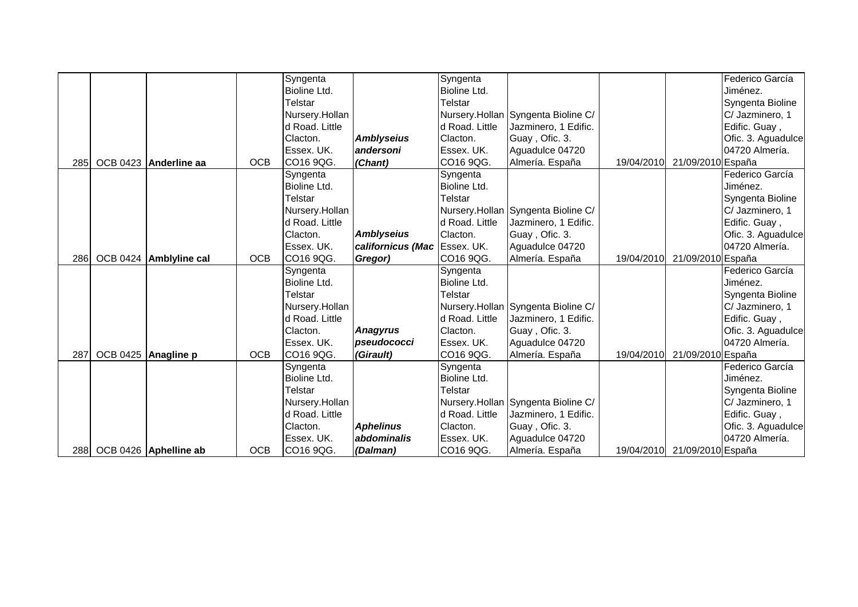|             | 288 OCB 0426 Aphelline ab | <b>OCB</b> | CO16 9QG.                        | (Dalman)                     | CO16 9QG.               | Almería. España                                            |            | 19/04/2010 21/09/2010 España |                                     |
|-------------|---------------------------|------------|----------------------------------|------------------------------|-------------------------|------------------------------------------------------------|------------|------------------------------|-------------------------------------|
|             |                           |            | Essex. UK.                       | abdominalis                  | Essex. UK.              | Aguadulce 04720                                            |            |                              | 04720 Almería.                      |
|             |                           |            | Clacton.                         | <b>Aphelinus</b>             | Clacton.                | Guay, Ofic. 3.                                             |            |                              | Ofic. 3. Aguadulce                  |
|             |                           |            | d Road. Little                   |                              | d Road. Little          | Jazminero, 1 Edific.                                       |            |                              | Edific. Guay,                       |
|             |                           |            | Nursery.Hollan                   |                              |                         | Nursery.Hollan Syngenta Bioline C/                         |            |                              | C/ Jazminero, 1                     |
|             |                           |            | Telstar                          |                              | Telstar                 |                                                            |            |                              | Syngenta Bioline                    |
|             |                           |            | Bioline Ltd.                     |                              | Bioline Ltd.            |                                                            |            |                              | Jiménez.                            |
|             |                           |            | Syngenta                         |                              | Syngenta                |                                                            |            |                              | Federico García                     |
| 287         | OCB 0425 Anagline p       | <b>OCB</b> | CO16 9QG.                        | (Girault)                    | CO16 9QG.               | Almería. España                                            | 19/04/2010 | 21/09/2010 España            |                                     |
|             |                           |            | Essex. UK.                       | pseudococci                  | lEssex. UK.             | Aguadulce 04720                                            |            |                              | 04720 Almería.                      |
|             |                           |            | Clacton.                         | <b>Anagyrus</b>              | Clacton.                | Guay, Ofic. 3.                                             |            |                              | Ofic. 3. Aguadulce                  |
|             |                           |            | d Road. Little                   |                              | d Road. Little          | Jazminero, 1 Edific.                                       |            |                              | Edific. Guay,                       |
|             |                           |            | Nursery.Hollan                   |                              |                         | Nursery.Hollan Syngenta Bioline C/                         |            |                              | C/ Jazminero, 1                     |
|             |                           |            | Telstar                          |                              | Telstar                 |                                                            |            |                              | Syngenta Bioline                    |
|             |                           |            | Bioline Ltd.                     |                              | <b>Bioline Ltd.</b>     |                                                            |            |                              | Jiménez.                            |
|             |                           |            | Syngenta                         |                              | Syngenta                |                                                            |            |                              | Federico García                     |
| <b>286</b>  | OCB 0424 Amblyline cal    | <b>OCB</b> | CO16 9QG.                        | Gregor)                      | CO16 9QG.               | Almería. España                                            | 19/04/2010 | 21/09/2010 España            |                                     |
|             |                           |            | Essex. UK.                       | californicus (Mac Essex. UK. |                         | Aguadulce 04720                                            |            |                              | 04720 Almería.                      |
|             |                           |            | Clacton.                         | <b>Amblyseius</b>            | Clacton.                | Guay, Ofic. 3.                                             |            |                              | Edific. Guay,<br>Ofic. 3. Aguadulce |
|             |                           |            | Nursery.Hollan<br>d Road. Little |                              | d Road. Little          | Nursery.Hollan Syngenta Bioline C/<br>Jazminero, 1 Edific. |            |                              | C/ Jazminero, 1                     |
|             |                           |            |                                  |                              |                         |                                                            |            |                              | Syngenta Bioline                    |
|             |                           |            | Bioline Ltd.<br>Telstar          |                              | Bioline Ltd.<br>Telstar |                                                            |            |                              | Jiménez.                            |
|             |                           |            | Syngenta                         |                              | Syngenta                |                                                            |            |                              | Federico García                     |
| <b>2851</b> | OCB 0423 Anderline aa     | <b>OCB</b> | CO16 9QG.                        | (Chant)                      | CO16 9QG.               | Almería. España                                            | 19/04/2010 | 21/09/2010 España            |                                     |
|             |                           |            | Essex. UK.                       | andersoni                    | Essex. UK.              | Aguadulce 04720                                            |            |                              | 04720 Almería.                      |
|             |                           |            | Clacton.                         | <b>Amblyseius</b>            | Clacton.                | Guay, Ofic. 3.                                             |            |                              | Ofic. 3. Aguadulce                  |
|             |                           |            | d Road. Little                   |                              | d Road. Little          | Jazminero, 1 Edific.                                       |            |                              | Edific. Guay,                       |
|             |                           |            | Nursery.Hollan                   |                              |                         | Nursery.Hollan Syngenta Bioline C/                         |            |                              | C/ Jazminero, 1                     |
|             |                           |            | Telstar                          |                              | Telstar                 |                                                            |            |                              | Syngenta Bioline                    |
|             |                           |            | Bioline Ltd.                     |                              | Bioline Ltd.            |                                                            |            |                              | Jiménez.                            |
|             |                           |            | Syngenta                         |                              | Syngenta                |                                                            |            |                              | Federico García                     |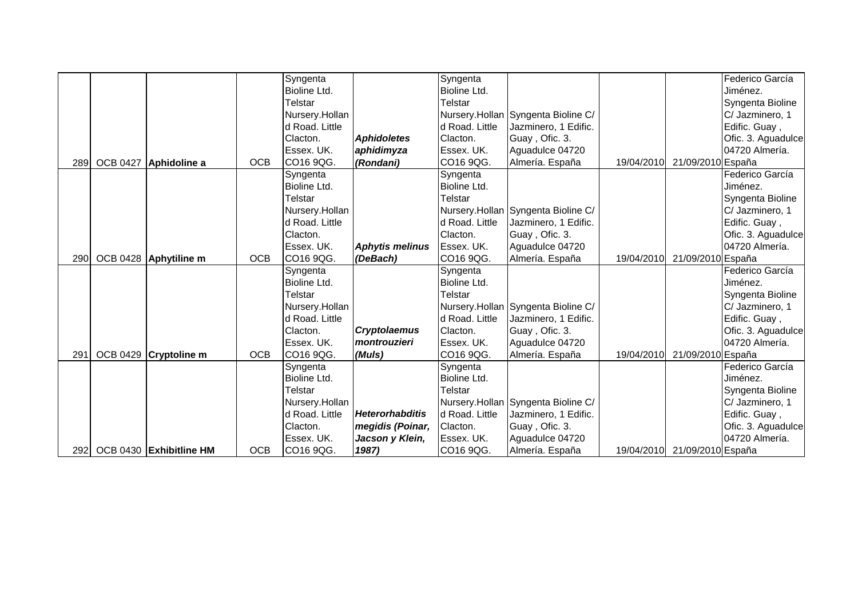|             |                           |            | Syngenta            |                        | Syngenta            |                                    |            |                   | Federico García    |
|-------------|---------------------------|------------|---------------------|------------------------|---------------------|------------------------------------|------------|-------------------|--------------------|
|             |                           |            | <b>Bioline Ltd.</b> |                        | <b>Bioline Ltd.</b> |                                    |            |                   | Jiménez.           |
|             |                           |            | Telstar             |                        | Telstar             |                                    |            |                   | Syngenta Bioline   |
|             |                           |            | Nursery.Hollan      |                        |                     | Nursery.Hollan Syngenta Bioline C/ |            |                   | C/ Jazminero, 1    |
|             |                           |            | d Road. Little      |                        | d Road. Little      | Jazminero, 1 Edific.               |            |                   | Edific. Guay,      |
|             |                           |            | Clacton.            | <b>Aphidoletes</b>     | Clacton.            | Guay, Ofic. 3.                     |            |                   | Ofic. 3. Aguadulce |
|             |                           |            | Essex. UK.          | aphidimyza             | Essex. UK.          | Aguadulce 04720                    |            |                   | 04720 Almería.     |
|             | 289 OCB 0427 Aphidoline a | <b>OCB</b> | CO16 9QG.           | (Rondani)              | CO16 9QG.           | Almería. España                    | 19/04/2010 | 21/09/2010 España |                    |
|             |                           |            | Syngenta            |                        | Syngenta            |                                    |            |                   | Federico García    |
|             |                           |            | Bioline Ltd.        |                        | Bioline Ltd.        |                                    |            |                   | Jiménez.           |
|             |                           |            | Telstar             |                        | Telstar             |                                    |            |                   | Syngenta Bioline   |
|             |                           |            | Nursery.Hollan      |                        |                     | Nursery.Hollan Syngenta Bioline C/ |            |                   | C/ Jazminero, 1    |
|             |                           |            | d Road. Little      |                        | d Road. Little      | Jazminero, 1 Edific.               |            |                   | Edific. Guay,      |
|             |                           |            | Clacton.            |                        | Clacton.            | Guay, Ofic. 3.                     |            |                   | Ofic. 3. Aguadulce |
|             |                           |            | Essex. UK.          | <b>Aphytis melinus</b> | Essex. UK.          | Aguadulce 04720                    |            |                   | 04720 Almería.     |
| <b>2901</b> | OCB 0428 Aphytiline m     | <b>OCB</b> | CO16 9QG.           | (DeBach)               | CO16 9QG.           | Almería. España                    | 19/04/2010 | 21/09/2010 España |                    |
|             |                           |            | Syngenta            |                        | Syngenta            |                                    |            |                   | Federico García    |
|             |                           |            | Bioline Ltd.        |                        | Bioline Ltd.        |                                    |            |                   | Jiménez.           |
|             |                           |            | Telstar             |                        | Telstar             |                                    |            |                   | Syngenta Bioline   |
|             |                           |            | Nursery.Hollan      |                        |                     | Nursery.Hollan Syngenta Bioline C/ |            |                   | C/ Jazminero, 1    |
|             |                           |            | d Road. Little      |                        | d Road. Little      | Jazminero, 1 Edific.               |            |                   | Edific. Guay,      |
|             |                           |            | Clacton.            | <b>Cryptolaemus</b>    | Clacton.            | Guay, Ofic. 3.                     |            |                   | Ofic. 3. Aguadulce |
|             |                           |            | Essex. UK.          | montrouzieri           | lEssex. UK.         | Aguadulce 04720                    |            |                   | 04720 Almería.     |
| 291         | OCB 0429 Cryptoline m     | <b>OCB</b> | CO16 9QG.           | (Muls)                 | CO16 9QG.           | Almería. España                    | 19/04/2010 | 21/09/2010 España |                    |
|             |                           |            | Syngenta            |                        | Syngenta            |                                    |            |                   | Federico García    |
|             |                           |            | Bioline Ltd.        |                        | Bioline Ltd.        |                                    |            |                   | Jiménez.           |
|             |                           |            | Telstar             |                        | Telstar             |                                    |            |                   | Syngenta Bioline   |
|             |                           |            | Nursery.Hollan      |                        |                     | Nursery.Hollan Syngenta Bioline C/ |            |                   | C/ Jazminero, 1    |
|             |                           |            | d Road. Little      | <b>Heterorhabditis</b> | d Road. Little      | Jazminero, 1 Edific.               |            |                   | Edific. Guay,      |
|             |                           |            | Clacton.            | megidis (Poinar,       | Clacton.            | Guay, Ofic. 3.                     |            |                   | Ofic. 3. Aguadulce |
|             |                           |            | Essex. UK.          | Jacson y Klein,        | Essex. UK.          | Aguadulce 04720                    |            |                   | 04720 Almería.     |
| 292         | OCB 0430 Exhibitline HM   | <b>OCB</b> | CO16 9QG.           | 1987)                  | CO16 9QG.           | Almería. España                    | 19/04/2010 | 21/09/2010 España |                    |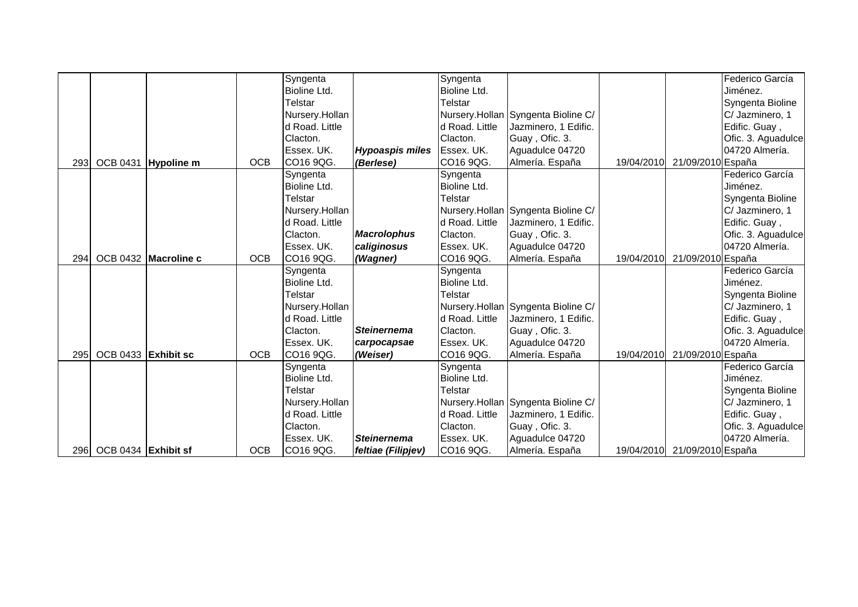|                  |                     |                      |            | Syngenta       |                        | Syngenta       |                                    |            |                              | Federico García    |
|------------------|---------------------|----------------------|------------|----------------|------------------------|----------------|------------------------------------|------------|------------------------------|--------------------|
|                  |                     |                      |            | Bioline Ltd.   |                        | Bioline Ltd.   |                                    |            |                              | Jiménez.           |
|                  |                     |                      |            | Telstar        |                        | Telstar        |                                    |            |                              | Syngenta Bioline   |
|                  |                     |                      |            | Nursery.Hollan |                        |                | Nursery.Hollan Syngenta Bioline C/ |            |                              | C/ Jazminero, 1    |
|                  |                     |                      |            | d Road. Little |                        | d Road, Little | Jazminero, 1 Edific.               |            |                              | Edific. Guay,      |
|                  |                     |                      |            | Clacton.       |                        | Clacton.       | Guay, Ofic. 3.                     |            |                              | Ofic. 3. Aguadulce |
|                  |                     |                      |            | Essex. UK.     | <b>Hypoaspis miles</b> | Essex. UK.     | Aguadulce 04720                    |            |                              | 04720 Almería.     |
| 293              |                     | OCB 0431 Hypoline m  | <b>OCB</b> | CO16 9QG.      | (Berlese)              | CO16 9QG.      | Almería. España                    | 19/04/2010 | 21/09/2010 España            |                    |
|                  |                     |                      |            | Syngenta       |                        | Syngenta       |                                    |            |                              | Federico García    |
|                  |                     |                      |            | Bioline Ltd.   |                        | Bioline Ltd.   |                                    |            |                              | Jiménez.           |
|                  |                     |                      |            | <b>Telstar</b> |                        | Telstar        |                                    |            |                              | Syngenta Bioline   |
|                  |                     |                      |            | Nursery.Hollan |                        |                | Nursery.Hollan Syngenta Bioline C/ |            |                              | C/ Jazminero, 1    |
|                  |                     |                      |            | d Road. Little |                        | d Road. Little | Jazminero, 1 Edific.               |            |                              | Edific. Guay,      |
|                  |                     |                      |            | Clacton.       | <b>Macrolophus</b>     | Clacton.       | Guay, Ofic. 3.                     |            |                              | Ofic. 3. Aguadulce |
|                  |                     |                      |            | Essex. UK.     | caliginosus            | Essex. UK.     | Aguadulce 04720                    |            |                              | 04720 Almería.     |
| 294              |                     | OCB 0432 Macroline c | <b>OCB</b> | CO16 9QG.      | (Wagner)               | ICO16 9QG.     | Almería. España                    | 19/04/2010 | 21/09/2010 España            |                    |
|                  |                     |                      |            | Syngenta       |                        | Syngenta       |                                    |            |                              | Federico García    |
|                  |                     |                      |            | Bioline Ltd.   |                        | Bioline Ltd.   |                                    |            |                              | Jiménez.           |
|                  |                     |                      |            | Telstar        |                        | Telstar        |                                    |            |                              | Syngenta Bioline   |
|                  |                     |                      |            | Nursery.Hollan |                        |                | Nursery.Hollan Syngenta Bioline C/ |            |                              | C/ Jazminero, 1    |
|                  |                     |                      |            | d Road. Little |                        | d Road. Little | Jazminero, 1 Edific.               |            |                              | Edific. Guay,      |
|                  |                     |                      |            | Clacton.       | <b>Steinernema</b>     | Clacton.       | Guay, Ofic. 3.                     |            |                              | Ofic. 3. Aguadulce |
|                  |                     |                      |            | Essex. UK.     | carpocapsae            | lEssex. UK.    | Aguadulce 04720                    |            |                              | 04720 Almería.     |
| 295              | OCB 0433 Exhibit sc |                      | <b>OCB</b> | CO16 9QG.      | (Weiser)               | CO16 9QG.      | Almería. España                    | 19/04/2010 | 21/09/2010 España            |                    |
|                  |                     |                      |            | Syngenta       |                        | Syngenta       |                                    |            |                              | Federico García    |
|                  |                     |                      |            | Bioline Ltd.   |                        | Bioline Ltd.   |                                    |            |                              | Jiménez.           |
|                  |                     |                      |            | Telstar        |                        | Telstar        |                                    |            |                              | Syngenta Bioline   |
|                  |                     |                      |            | Nursery.Hollan |                        |                | Nursery.Hollan Syngenta Bioline C/ |            |                              | C/ Jazminero, 1    |
|                  |                     |                      |            | d Road. Little |                        | d Road. Little | Jazminero, 1 Edific.               |            |                              | Edific. Guay,      |
|                  |                     |                      |            | Clacton.       |                        | Clacton.       | Guay, Ofic. 3.                     |            |                              | Ofic. 3. Aguadulce |
|                  |                     |                      |            | Essex. UK.     | <b>Steinernema</b>     | Essex. UK.     | Aguadulce 04720                    |            |                              | 04720 Almería.     |
| 296 <sub>I</sub> | OCB 0434 Exhibit sf |                      | <b>OCB</b> | CO16 9QG.      | feltiae (Filipjev)     | CO16 9QG.      | Almería. España                    |            | 19/04/2010 21/09/2010 España |                    |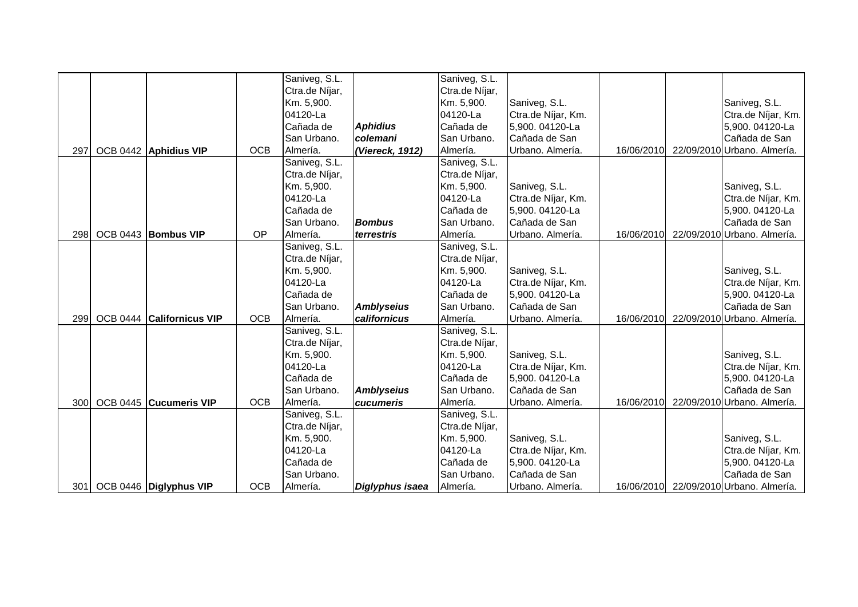|      |                           |            | Saniveg, S.L.  |                   | Saniveg, S.L.  |                    |            |                                        |
|------|---------------------------|------------|----------------|-------------------|----------------|--------------------|------------|----------------------------------------|
|      |                           |            | Ctra.de Níjar, |                   | Ctra.de Níjar, |                    |            |                                        |
|      |                           |            | Km. 5,900.     |                   | Km. 5,900.     | Saniveg, S.L.      |            | Saniveg, S.L.                          |
|      |                           |            | 04120-La       |                   | 04120-La       | Ctra.de Níjar, Km. |            | Ctra.de Níjar, Km.                     |
|      |                           |            | Cañada de      | <b>Aphidius</b>   | Cañada de      | 5,900.04120-La     |            | 5,900. 04120-La                        |
|      |                           |            | San Urbano.    | colemani          | San Urbano.    | Cañada de San      |            | Cañada de San                          |
| 297  | OCB 0442 Aphidius VIP     | <b>OCB</b> | Almería.       | (Viereck, 1912)   | Almería.       | Urbano. Almería.   | 16/06/2010 | 22/09/2010 Urbano. Almería.            |
|      |                           |            | Saniveg, S.L.  |                   | Saniveg, S.L.  |                    |            |                                        |
|      |                           |            | Ctra.de Níjar, |                   | Ctra.de Níjar, |                    |            |                                        |
|      |                           |            | Km. 5,900.     |                   | Km. 5,900.     | Saniveg, S.L.      |            | Saniveg, S.L.                          |
|      |                           |            | 04120-La       |                   | 04120-La       | Ctra.de Níjar, Km. |            | Ctra.de Níjar, Km.                     |
|      |                           |            | Cañada de      |                   | Cañada de      | 5,900. 04120-La    |            | 5,900. 04120-La                        |
|      |                           |            | San Urbano.    | <b>Bombus</b>     | San Urbano.    | Cañada de San      |            | Cañada de San                          |
| 298  | OCB 0443 Bombus VIP       | OP         | Almería.       | terrestris        | Almería.       | Urbano. Almería.   | 16/06/2010 | 22/09/2010 Urbano. Almería.            |
|      |                           |            | Saniveg, S.L.  |                   | Saniveg, S.L.  |                    |            |                                        |
|      |                           |            | Ctra.de Níjar, |                   | Ctra.de Níjar, |                    |            |                                        |
|      |                           |            | Km. 5,900.     |                   | Km. 5,900.     | Saniveg, S.L.      |            | Saniveg, S.L.                          |
|      |                           |            | 04120-La       |                   | 04120-La       | Ctra.de Níjar, Km. |            | Ctra.de Níjar, Km.                     |
|      |                           |            | Cañada de      |                   | Cañada de      | 5,900. 04120-La    |            | 5,900. 04120-La                        |
|      |                           |            | San Urbano.    | <b>Amblyseius</b> | San Urbano.    | Cañada de San      |            | Cañada de San                          |
| 299  | OCB 0444 Californicus VIP | <b>OCB</b> | Almería.       | californicus      | Almería.       | Urbano. Almería.   | 16/06/2010 | 22/09/2010 Urbano. Almería.            |
|      |                           |            | Saniveg, S.L.  |                   | Saniveg, S.L.  |                    |            |                                        |
|      |                           |            | Ctra.de Níjar, |                   | Ctra.de Níjar, |                    |            |                                        |
|      |                           |            | Km. 5,900.     |                   | Km. 5,900.     | Saniveg, S.L.      |            | Saniveg, S.L.                          |
|      |                           |            | 04120-La       |                   | 04120-La       | Ctra.de Níjar, Km. |            | Ctra.de Níjar, Km.                     |
|      |                           |            | Cañada de      |                   | Cañada de      | 5,900. 04120-La    |            | 5,900. 04120-La                        |
|      |                           |            | San Urbano.    | <b>Amblyseius</b> | San Urbano.    | Cañada de San      |            | Cañada de San                          |
| 300  | OCB 0445 Cucumeris VIP    | <b>OCB</b> | Almería.       | cucumeris         | Almería.       | Urbano. Almería.   | 16/06/2010 | 22/09/2010 Urbano. Almería.            |
|      |                           |            | Saniveg, S.L.  |                   | Saniveg, S.L.  |                    |            |                                        |
|      |                           |            | Ctra.de Níjar, |                   | Ctra.de Níjar, |                    |            |                                        |
|      |                           |            | Km. 5,900.     |                   | Km. 5,900.     | Saniveg, S.L.      |            | Saniveg, S.L.                          |
|      |                           |            | 04120-La       |                   | 04120-La       | Ctra.de Níjar, Km. |            | Ctra.de Níjar, Km.                     |
|      |                           |            | Cañada de      |                   | Cañada de      | 5,900. 04120-La    |            | 5,900. 04120-La                        |
|      |                           |            | San Urbano.    |                   | San Urbano.    | Cañada de San      |            | Cañada de San                          |
| 3011 | OCB 0446 Diglyphus VIP    | <b>OCB</b> | Almería.       | Diglyphus isaea   | Almería.       | Urbano. Almería.   |            | 16/06/2010 22/09/2010 Urbano. Almería. |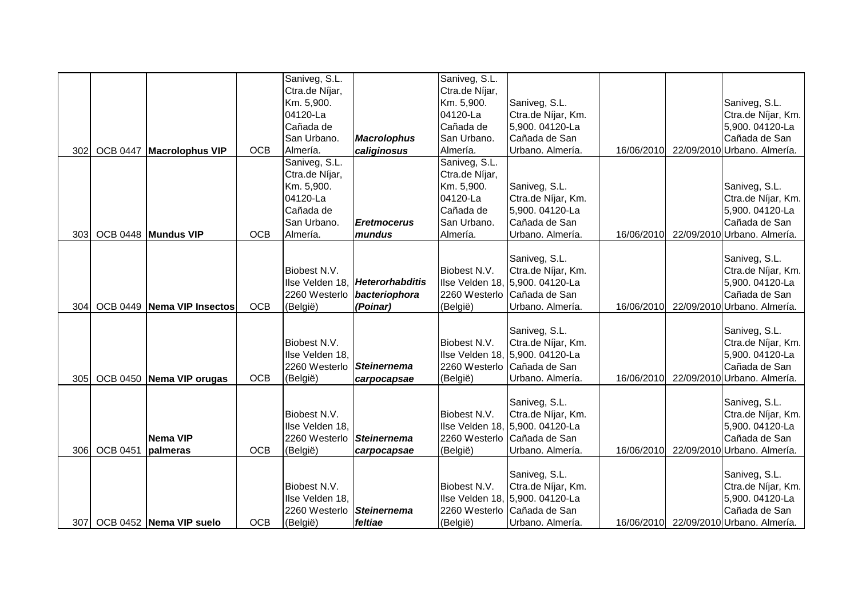|            |                 |                                                                             |                                        | Saniveg, S.L.                                                                                                                            |                                                                            | Saniveg, S.L.                                                                     |                                                                                                                                                                                                                                                              |                          |                                                                                                                                                                                                                                                            |
|------------|-----------------|-----------------------------------------------------------------------------|----------------------------------------|------------------------------------------------------------------------------------------------------------------------------------------|----------------------------------------------------------------------------|-----------------------------------------------------------------------------------|--------------------------------------------------------------------------------------------------------------------------------------------------------------------------------------------------------------------------------------------------------------|--------------------------|------------------------------------------------------------------------------------------------------------------------------------------------------------------------------------------------------------------------------------------------------------|
|            |                 |                                                                             |                                        | Ctra.de Níjar,                                                                                                                           |                                                                            | Ctra.de Níjar,                                                                    |                                                                                                                                                                                                                                                              |                          |                                                                                                                                                                                                                                                            |
|            |                 |                                                                             |                                        | Km. 5,900.                                                                                                                               |                                                                            | Km. 5,900.                                                                        | Saniveg, S.L.                                                                                                                                                                                                                                                |                          | Saniveg, S.L.                                                                                                                                                                                                                                              |
|            |                 |                                                                             |                                        | 04120-La                                                                                                                                 |                                                                            | 04120-La                                                                          | Ctra.de Níjar, Km.                                                                                                                                                                                                                                           |                          | Ctra.de Níjar, Km.                                                                                                                                                                                                                                         |
|            |                 |                                                                             |                                        | Cañada de                                                                                                                                |                                                                            | Cañada de                                                                         | 5,900. 04120-La                                                                                                                                                                                                                                              |                          | 5,900. 04120-La                                                                                                                                                                                                                                            |
|            |                 |                                                                             |                                        | San Urbano.                                                                                                                              | <b>Macrolophus</b>                                                         | San Urbano.                                                                       | Cañada de San                                                                                                                                                                                                                                                |                          | Cañada de San                                                                                                                                                                                                                                              |
| 302        | <b>OCB 0447</b> | <b>Macrolophus VIP</b>                                                      | <b>OCB</b>                             | Almería.                                                                                                                                 | caliginosus                                                                | Almería.                                                                          | Urbano. Almería.                                                                                                                                                                                                                                             | 16/06/2010               | 22/09/2010 Urbano. Almería.                                                                                                                                                                                                                                |
|            |                 |                                                                             |                                        | Saniveg, S.L.                                                                                                                            |                                                                            | Saniveg, S.L.                                                                     |                                                                                                                                                                                                                                                              |                          |                                                                                                                                                                                                                                                            |
|            |                 |                                                                             |                                        | Ctra.de Níjar,                                                                                                                           |                                                                            | Ctra.de Níjar,                                                                    |                                                                                                                                                                                                                                                              |                          |                                                                                                                                                                                                                                                            |
|            |                 |                                                                             |                                        | Km. 5,900.                                                                                                                               |                                                                            | Km. 5,900.                                                                        | Saniveg, S.L.                                                                                                                                                                                                                                                |                          | Saniveg, S.L.                                                                                                                                                                                                                                              |
|            |                 |                                                                             |                                        | 04120-La                                                                                                                                 |                                                                            | 04120-La                                                                          | Ctra.de Níjar, Km.                                                                                                                                                                                                                                           |                          | Ctra.de Níjar, Km.                                                                                                                                                                                                                                         |
|            |                 |                                                                             |                                        | Cañada de                                                                                                                                |                                                                            | Cañada de                                                                         | 5,900. 04120-La                                                                                                                                                                                                                                              |                          | 5,900. 04120-La                                                                                                                                                                                                                                            |
|            |                 |                                                                             |                                        | San Urbano.                                                                                                                              | <b>Eretmocerus</b>                                                         | San Urbano.                                                                       | Cañada de San                                                                                                                                                                                                                                                |                          | Cañada de San                                                                                                                                                                                                                                              |
| 303        |                 | OCB 0448 Mundus VIP                                                         | <b>OCB</b>                             | Almería.                                                                                                                                 | mundus                                                                     | Almería.                                                                          | Urbano. Almería.                                                                                                                                                                                                                                             | 16/06/2010               | 22/09/2010 Urbano. Almería.                                                                                                                                                                                                                                |
|            |                 |                                                                             |                                        |                                                                                                                                          |                                                                            |                                                                                   |                                                                                                                                                                                                                                                              |                          |                                                                                                                                                                                                                                                            |
|            |                 |                                                                             |                                        |                                                                                                                                          |                                                                            |                                                                                   | Saniveg, S.L.                                                                                                                                                                                                                                                |                          | Saniveg, S.L.                                                                                                                                                                                                                                              |
|            |                 |                                                                             |                                        | Biobest N.V.                                                                                                                             |                                                                            | Biobest N.V.                                                                      | Ctra.de Níjar, Km.                                                                                                                                                                                                                                           |                          | Ctra.de Níjar, Km.                                                                                                                                                                                                                                         |
|            |                 |                                                                             |                                        | Ilse Velden 18,                                                                                                                          | Heterorhabditis                                                            |                                                                                   | Ilse Velden 18, 5,900. 04120-La                                                                                                                                                                                                                              |                          | 5,900. 04120-La                                                                                                                                                                                                                                            |
|            |                 |                                                                             |                                        | 2260 Westerlo                                                                                                                            | bacteriophora                                                              | 2260 Westerlo                                                                     | Cañada de San                                                                                                                                                                                                                                                |                          | Cañada de San                                                                                                                                                                                                                                              |
| 304        |                 | OCB 0449 Nema VIP Insectos                                                  | <b>OCB</b>                             | (België)                                                                                                                                 | (Poinar)                                                                   | (België)                                                                          | Urbano. Almería.                                                                                                                                                                                                                                             | 16/06/2010               | 22/09/2010 Urbano. Almería.                                                                                                                                                                                                                                |
|            |                 |                                                                             |                                        |                                                                                                                                          |                                                                            |                                                                                   |                                                                                                                                                                                                                                                              |                          |                                                                                                                                                                                                                                                            |
|            |                 |                                                                             |                                        |                                                                                                                                          |                                                                            |                                                                                   | Saniveg, S.L.                                                                                                                                                                                                                                                |                          | Saniveg, S.L.                                                                                                                                                                                                                                              |
|            |                 |                                                                             |                                        | Biobest N.V.                                                                                                                             |                                                                            | Biobest N.V.                                                                      | Ctra.de Níjar, Km.                                                                                                                                                                                                                                           |                          | Ctra.de Níjar, Km.                                                                                                                                                                                                                                         |
|            |                 |                                                                             |                                        | Ilse Velden 18,                                                                                                                          |                                                                            |                                                                                   | Ilse Velden 18, 5,900. 04120-La                                                                                                                                                                                                                              |                          | 5,900. 04120-La                                                                                                                                                                                                                                            |
|            |                 |                                                                             |                                        | 2260 Westerlo                                                                                                                            | <b>Steinernema</b>                                                         |                                                                                   | 2260 Westerlo Cañada de San                                                                                                                                                                                                                                  |                          | Cañada de San                                                                                                                                                                                                                                              |
|            |                 |                                                                             |                                        |                                                                                                                                          |                                                                            |                                                                                   |                                                                                                                                                                                                                                                              |                          |                                                                                                                                                                                                                                                            |
|            |                 |                                                                             |                                        |                                                                                                                                          |                                                                            |                                                                                   |                                                                                                                                                                                                                                                              |                          |                                                                                                                                                                                                                                                            |
|            |                 |                                                                             |                                        |                                                                                                                                          |                                                                            |                                                                                   |                                                                                                                                                                                                                                                              |                          |                                                                                                                                                                                                                                                            |
|            |                 |                                                                             |                                        |                                                                                                                                          |                                                                            |                                                                                   |                                                                                                                                                                                                                                                              |                          |                                                                                                                                                                                                                                                            |
|            |                 |                                                                             |                                        |                                                                                                                                          |                                                                            |                                                                                   |                                                                                                                                                                                                                                                              |                          |                                                                                                                                                                                                                                                            |
|            |                 |                                                                             |                                        |                                                                                                                                          |                                                                            |                                                                                   |                                                                                                                                                                                                                                                              |                          |                                                                                                                                                                                                                                                            |
|            |                 |                                                                             |                                        |                                                                                                                                          |                                                                            |                                                                                   |                                                                                                                                                                                                                                                              |                          |                                                                                                                                                                                                                                                            |
|            |                 |                                                                             |                                        |                                                                                                                                          |                                                                            |                                                                                   |                                                                                                                                                                                                                                                              |                          |                                                                                                                                                                                                                                                            |
|            |                 |                                                                             |                                        |                                                                                                                                          |                                                                            |                                                                                   |                                                                                                                                                                                                                                                              |                          |                                                                                                                                                                                                                                                            |
|            |                 |                                                                             |                                        |                                                                                                                                          |                                                                            |                                                                                   |                                                                                                                                                                                                                                                              |                          |                                                                                                                                                                                                                                                            |
|            |                 |                                                                             |                                        |                                                                                                                                          |                                                                            |                                                                                   |                                                                                                                                                                                                                                                              |                          |                                                                                                                                                                                                                                                            |
| 307I       |                 |                                                                             |                                        |                                                                                                                                          |                                                                            |                                                                                   |                                                                                                                                                                                                                                                              |                          |                                                                                                                                                                                                                                                            |
| 305<br>306 | <b>OCB 0451</b> | OCB 0450 Nema VIP orugas<br>Nema VIP<br>palmeras<br>OCB 0452 Nema VIP suelo | <b>OCB</b><br><b>OCB</b><br><b>OCB</b> | (België)<br>Biobest N.V.<br>Ilse Velden 18,<br>2260 Westerlo<br>(België)<br>Biobest N.V.<br>Ilse Velden 18,<br>2260 Westerlo<br>(België) | carpocapsae<br>Steinernema<br>carpocapsae<br><b>Steinernema</b><br>feltiae | (België)<br>Biobest N.V.<br>(België)<br>Biobest N.V.<br>2260 Westerlo<br>(België) | Urbano. Almería.<br>Saniveg, S.L.<br>Ctra.de Níjar, Km.<br>Ilse Velden 18, 5,900. 04120-La<br>2260 Westerlo Cañada de San<br>Urbano. Almería.<br>Saniveg, S.L.<br>Ctra.de Níjar, Km.<br>Ilse Velden 18, 5,900. 04120-La<br>Cañada de San<br>Urbano. Almería. | 16/06/2010<br>16/06/2010 | 22/09/2010 Urbano. Almería.<br>Saniveg, S.L.<br>Ctra.de Níjar, Km.<br>5,900. 04120-La<br>Cañada de San<br>22/09/2010 Urbano. Almería.<br>Saniveg, S.L.<br>Ctra.de Níjar, Km.<br>5,900. 04120-La<br>Cañada de San<br>16/06/2010 22/09/2010 Urbano. Almería. |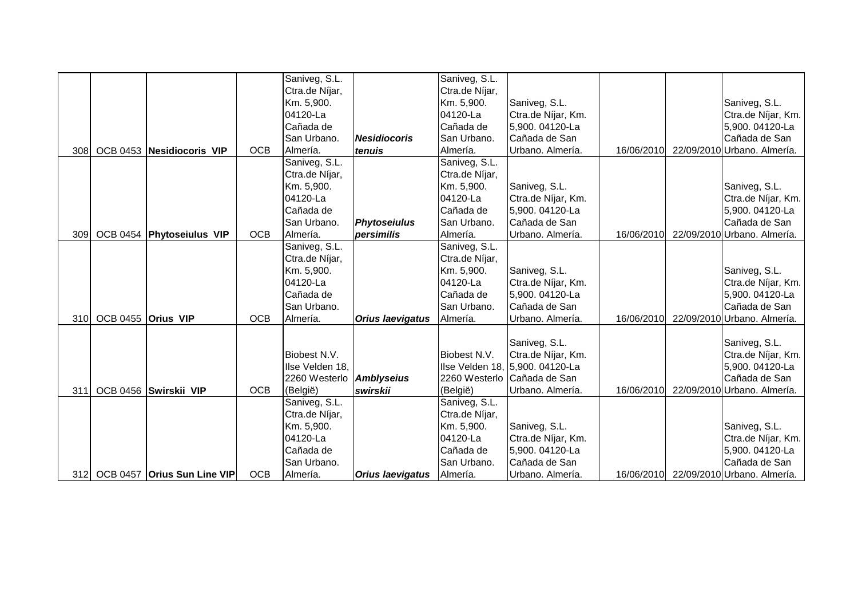|     |                    |                             |            | Saniveg, S.L.                   |                         | Saniveg, S.L.             |                                 |            |                                        |
|-----|--------------------|-----------------------------|------------|---------------------------------|-------------------------|---------------------------|---------------------------------|------------|----------------------------------------|
|     |                    |                             |            | Ctra.de Níjar,                  |                         | Ctra.de Níjar,            |                                 |            |                                        |
|     |                    |                             |            | Km. 5,900.                      |                         | Km. 5,900.                | Saniveg, S.L.                   |            | Saniveg, S.L.                          |
|     |                    |                             |            | 04120-La                        |                         | 04120-La                  | Ctra.de Níjar, Km.              |            | Ctra.de Níjar, Km.                     |
|     |                    |                             |            | Cañada de                       |                         | Cañada de                 | 5,900. 04120-La                 |            | 5,900. 04120-La                        |
|     |                    |                             |            | San Urbano.                     | <b>Nesidiocoris</b>     | San Urbano.               | Cañada de San                   |            | Cañada de San                          |
| 308 |                    | OCB 0453 Nesidiocoris VIP   | <b>OCB</b> | Almería.                        | tenuis                  | Almería.                  | Urbano. Almería.                | 16/06/2010 | 22/09/2010 Urbano. Almería.            |
|     |                    |                             |            | Saniveg, S.L.                   |                         | Saniveg, S.L.             |                                 |            |                                        |
|     |                    |                             |            | Ctra.de Níjar,                  |                         | Ctra.de Níjar,            |                                 |            |                                        |
|     |                    |                             |            | Km. 5,900.                      |                         | Km. 5,900.                | Saniveg, S.L.                   |            | Saniveg, S.L.                          |
|     |                    |                             |            | 04120-La                        |                         | 04120-La                  | Ctra.de Níjar, Km.              |            | Ctra.de Níjar, Km.                     |
|     |                    |                             |            | Cañada de                       |                         | Cañada de                 | 5,900. 04120-La                 |            | 5,900. 04120-La                        |
|     |                    |                             |            | San Urbano.                     | <b>Phytoseiulus</b>     | San Urbano.               | Cañada de San                   |            | Cañada de San                          |
| 309 |                    | OCB 0454 Phytoseiulus VIP   | <b>OCB</b> | Almería.                        | persimilis              | Almería.                  | Urbano. Almería.                | 16/06/2010 | 22/09/2010 Urbano. Almería.            |
|     |                    |                             |            | Saniveg, S.L.                   |                         | Saniveg, S.L.             |                                 |            |                                        |
|     |                    |                             |            | Ctra.de Níjar,                  |                         | Ctra.de Níjar,            |                                 |            |                                        |
|     |                    |                             |            | Km. 5,900.                      |                         | Km. 5,900.                | Saniveg, S.L.                   |            | Saniveg, S.L.                          |
|     |                    |                             |            | 04120-La                        |                         | 04120-La                  | Ctra.de Níjar, Km.              |            | Ctra.de Níjar, Km.                     |
|     |                    |                             |            | Cañada de                       |                         | Cañada de                 | 5,900. 04120-La                 |            | 5,900. 04120-La                        |
|     |                    |                             |            | San Urbano.                     |                         | San Urbano.               | Cañada de San                   |            | Cañada de San                          |
| 310 | OCB 0455 Orius VIP |                             | <b>OCB</b> | Almería.                        | <b>Orius laevigatus</b> | Almería.                  | Urbano. Almería.                | 16/06/2010 | 22/09/2010 Urbano. Almería.            |
|     |                    |                             |            |                                 |                         |                           |                                 |            |                                        |
|     |                    |                             |            |                                 |                         |                           | Saniveg, S.L.                   |            | Saniveg, S.L.                          |
|     |                    |                             |            | Biobest N.V.                    |                         | Biobest N.V.              | Ctra.de Níjar, Km.              |            | Ctra.de Níjar, Km.                     |
|     |                    |                             |            | Ilse Velden 18,                 |                         |                           | Ilse Velden 18, 5,900. 04120-La |            | 5,900. 04120-La                        |
| 311 |                    |                             | <b>OCB</b> | 2260 Westerlo <b>Amblyseius</b> |                         |                           | 2260 Westerlo Cañada de San     |            | Cañada de San                          |
|     |                    | OCB 0456 Swirskii VIP       |            | (België)<br>Saniveg, S.L.       | swirskii                | (België)<br>Saniveg, S.L. | Urbano. Almería.                | 16/06/2010 | 22/09/2010 Urbano. Almería.            |
|     |                    |                             |            |                                 |                         |                           |                                 |            |                                        |
|     |                    |                             |            | Ctra.de Níjar,                  |                         | Ctra.de Níjar,            | Saniveg, S.L.                   |            |                                        |
|     |                    |                             |            | Km. 5,900.<br>04120-La          |                         | Km. 5,900.<br>04120-La    | Ctra.de Níjar, Km.              |            | Saniveg, S.L.<br>Ctra.de Níjar, Km.    |
|     |                    |                             |            | Cañada de                       |                         | Cañada de                 | 5,900.04120-La                  |            | 5,900. 04120-La                        |
|     |                    |                             |            | San Urbano.                     |                         | San Urbano.               | Cañada de San                   |            | Cañada de San                          |
|     |                    | OCB 0457 Orius Sun Line VIP | <b>OCB</b> | Almería.                        |                         |                           | Urbano. Almería.                |            | 16/06/2010 22/09/2010 Urbano. Almería. |
| 312 |                    |                             |            |                                 | <b>Orius laevigatus</b> | Almería.                  |                                 |            |                                        |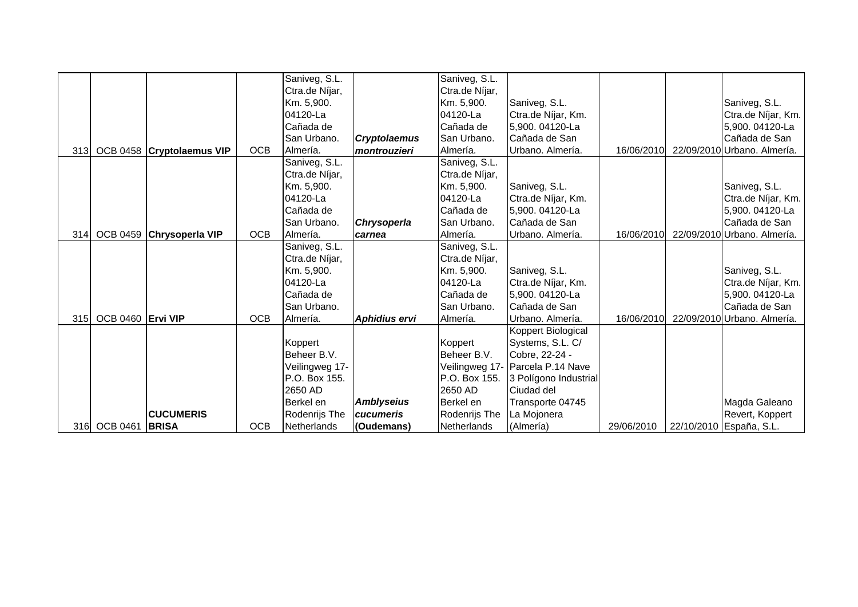|      |                   |                           |            | Saniveg, S.L.  |                     | Saniveg, S.L.  |                       |            |                             |
|------|-------------------|---------------------------|------------|----------------|---------------------|----------------|-----------------------|------------|-----------------------------|
|      |                   |                           |            | Ctra.de Níjar, |                     | Ctra.de Níjar, |                       |            |                             |
|      |                   |                           |            | Km. 5,900.     |                     | Km. 5,900.     | Saniveg, S.L.         |            | Saniveg, S.L.               |
|      |                   |                           |            | 04120-La       |                     | 04120-La       | Ctra.de Níjar, Km.    |            | Ctra.de Níjar, Km.          |
|      |                   |                           |            | Cañada de      |                     | Cañada de      | 5,900. 04120-La       |            | 5,900. 04120-La             |
|      |                   |                           |            | San Urbano.    | <b>Cryptolaemus</b> | San Urbano.    | Cañada de San         |            | Cañada de San               |
| 313  |                   | OCB 0458 Cryptolaemus VIP | <b>OCB</b> | Almería.       | montrouzieri        | Almería.       | Urbano. Almería.      | 16/06/2010 | 22/09/2010 Urbano. Almería. |
|      |                   |                           |            | Saniveg, S.L.  |                     | Saniveg, S.L.  |                       |            |                             |
|      |                   |                           |            | Ctra.de Níjar, |                     | Ctra.de Níjar, |                       |            |                             |
|      |                   |                           |            | Km. 5,900.     |                     | Km. 5,900.     | Saniveg, S.L.         |            | Saniveg, S.L.               |
|      |                   |                           |            | 04120-La       |                     | 04120-La       | Ctra.de Níjar, Km.    |            | Ctra.de Níjar, Km.          |
|      |                   |                           |            | Cañada de      |                     | Cañada de      | 5,900. 04120-La       |            | 5,900. 04120-La             |
|      |                   |                           |            | San Urbano.    | Chrysoperla         | San Urbano.    | Cañada de San         |            | Cañada de San               |
| 314I |                   | OCB 0459 Chrysoperla VIP  | <b>OCB</b> | Almería.       | carnea              | Almería.       | Urbano. Almería.      | 16/06/2010 | 22/09/2010 Urbano. Almería. |
|      |                   |                           |            | Saniveg, S.L.  |                     | Saniveg, S.L.  |                       |            |                             |
|      |                   |                           |            | Ctra.de Níjar, |                     | Ctra.de Níjar, |                       |            |                             |
|      |                   |                           |            | Km. 5,900.     |                     | Km. 5,900.     | Saniveg, S.L.         |            | Saniveg, S.L.               |
|      |                   |                           |            | 04120-La       |                     | 04120-La       | Ctra.de Níjar, Km.    |            | Ctra.de Níjar, Km.          |
|      |                   |                           |            | Cañada de      |                     | Cañada de      | 5,900. 04120-La       |            | 5,900. 04120-La             |
|      |                   |                           |            | San Urbano.    |                     | San Urbano.    | Cañada de San         |            | Cañada de San               |
| 315  | OCB 0460 Ervi VIP |                           | <b>OCB</b> | Almería.       | Aphidius ervi       | Almería.       | Urbano. Almería.      | 16/06/2010 | 22/09/2010 Urbano. Almería. |
|      |                   |                           |            |                |                     |                | Koppert Biological    |            |                             |
|      |                   |                           |            | Koppert        |                     | Koppert        | Systems, S.L. C/      |            |                             |
|      |                   |                           |            | Beheer B.V.    |                     | Beheer B.V.    | Cobre, 22-24 -        |            |                             |
|      |                   |                           |            | Veilingweg 17- |                     | Veilingweg 17- | Parcela P.14 Nave     |            |                             |
|      |                   |                           |            | P.O. Box 155.  |                     | P.O. Box 155.  | 3 Polígono Industrial |            |                             |
|      |                   |                           |            | 2650 AD        |                     | 2650 AD        | Ciudad del            |            |                             |
|      |                   |                           |            | Berkel en      | <b>Amblyseius</b>   | Berkel en      | Transporte 04745      |            | Magda Galeano               |
|      |                   | <b>CUCUMERIS</b>          |            | Rodenrijs The  | cucumeris           | Rodenrijs The  | La Mojonera           |            | Revert, Koppert             |
| 316  | <b>OCB 0461</b>   | <b>BRISA</b>              | <b>OCB</b> | Netherlands    | (Oudemans)          | Netherlands    | (Almería)             | 29/06/2010 | 22/10/2010 España, S.L.     |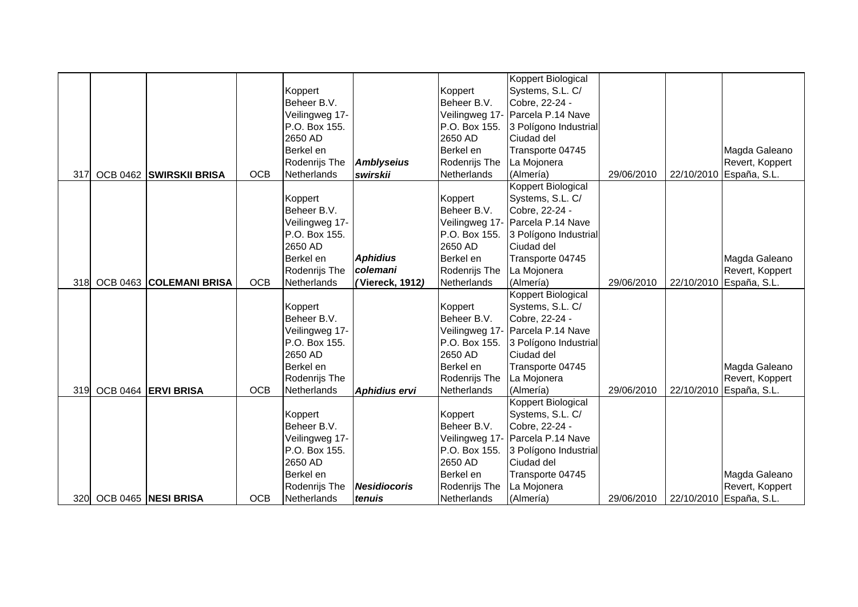|     |                         |            |                |                     |               | Koppert Biological               |            |            |                         |
|-----|-------------------------|------------|----------------|---------------------|---------------|----------------------------------|------------|------------|-------------------------|
|     |                         |            | Koppert        |                     | Koppert       | Systems, S.L. C/                 |            |            |                         |
|     |                         |            | Beheer B.V.    |                     | Beheer B.V.   | Cobre, 22-24 -                   |            |            |                         |
|     |                         |            | Veilingweg 17- |                     |               | Veilingweg 17- Parcela P.14 Nave |            |            |                         |
|     |                         |            | P.O. Box 155.  |                     | P.O. Box 155. | 3 Polígono Industrial            |            |            |                         |
|     |                         |            | 2650 AD        |                     | 2650 AD       | Ciudad del                       |            |            |                         |
|     |                         |            | Berkel en      |                     | Berkel en     | Transporte 04745                 |            |            | Magda Galeano           |
|     |                         |            | Rodenrijs The  | <b>Amblyseius</b>   | Rodenrijs The | La Mojonera                      |            |            | Revert, Koppert         |
| 317 | OCB 0462 SWIRSKII BRISA | <b>OCB</b> | Netherlands    | swirskii            | Netherlands   | (Almería)                        | 29/06/2010 | 22/10/2010 | España, S.L.            |
|     |                         |            |                |                     |               | Koppert Biological               |            |            |                         |
|     |                         |            | Koppert        |                     | Koppert       | Systems, S.L. C/                 |            |            |                         |
|     |                         |            | Beheer B.V.    |                     | Beheer B.V.   | Cobre, 22-24 -                   |            |            |                         |
|     |                         |            | Veilingweg 17- |                     |               | Veilingweg 17- Parcela P.14 Nave |            |            |                         |
|     |                         |            | P.O. Box 155.  |                     | P.O. Box 155. | 3 Polígono Industrial            |            |            |                         |
|     |                         |            | 2650 AD        |                     | 2650 AD       | Ciudad del                       |            |            |                         |
|     |                         |            | Berkel en      | <b>Aphidius</b>     | Berkel en     | Transporte 04745                 |            |            | Magda Galeano           |
|     |                         |            | Rodenrijs The  | colemani            | Rodenrijs The | La Mojonera                      |            |            | Revert, Koppert         |
| 318 | OCB 0463 COLEMANI BRISA | <b>OCB</b> | Netherlands    | (Viereck, 1912)     | Netherlands   | (Almería)                        | 29/06/2010 |            | 22/10/2010 España, S.L. |
|     |                         |            |                |                     |               | Koppert Biological               |            |            |                         |
|     |                         |            | Koppert        |                     | Koppert       | Systems, S.L. C/                 |            |            |                         |
|     |                         |            | Beheer B.V.    |                     | Beheer B.V.   | Cobre, 22-24 -                   |            |            |                         |
|     |                         |            | Veilingweg 17- |                     |               | Veilingweg 17- Parcela P.14 Nave |            |            |                         |
|     |                         |            | P.O. Box 155.  |                     | P.O. Box 155. | 3 Polígono Industrial            |            |            |                         |
|     |                         |            | 2650 AD        |                     | 2650 AD       | Ciudad del                       |            |            |                         |
|     |                         |            | Berkel en      |                     | Berkel en     | Transporte 04745                 |            |            | Magda Galeano           |
|     |                         |            | Rodenrijs The  |                     | Rodenrijs The | La Mojonera                      |            |            | Revert, Koppert         |
| 319 | OCB 0464 ERVI BRISA     | <b>OCB</b> | Netherlands    | Aphidius ervi       | Netherlands   | (Almería)                        | 29/06/2010 |            | 22/10/2010 España, S.L. |
|     |                         |            |                |                     |               | Koppert Biological               |            |            |                         |
|     |                         |            | Koppert        |                     | Koppert       | Systems, S.L. C/                 |            |            |                         |
|     |                         |            | Beheer B.V.    |                     | Beheer B.V.   | Cobre, 22-24 -                   |            |            |                         |
|     |                         |            | Veilingweg 17- |                     |               | Veilingweg 17- Parcela P.14 Nave |            |            |                         |
|     |                         |            | P.O. Box 155.  |                     | P.O. Box 155. | 3 Polígono Industrial            |            |            |                         |
|     |                         |            | 2650 AD        |                     | 2650 AD       | Ciudad del                       |            |            |                         |
|     |                         |            | Berkel en      |                     | Berkel en     | Transporte 04745                 |            |            | Magda Galeano           |
|     |                         |            | Rodenrijs The  | <b>Nesidiocoris</b> | Rodenrijs The | La Mojonera                      |            |            | Revert, Koppert         |
| 320 | OCB 0465 NESI BRISA     | <b>OCB</b> | Netherlands    | tenuis              | Netherlands   | (Almería)                        | 29/06/2010 |            | 22/10/2010 España, S.L. |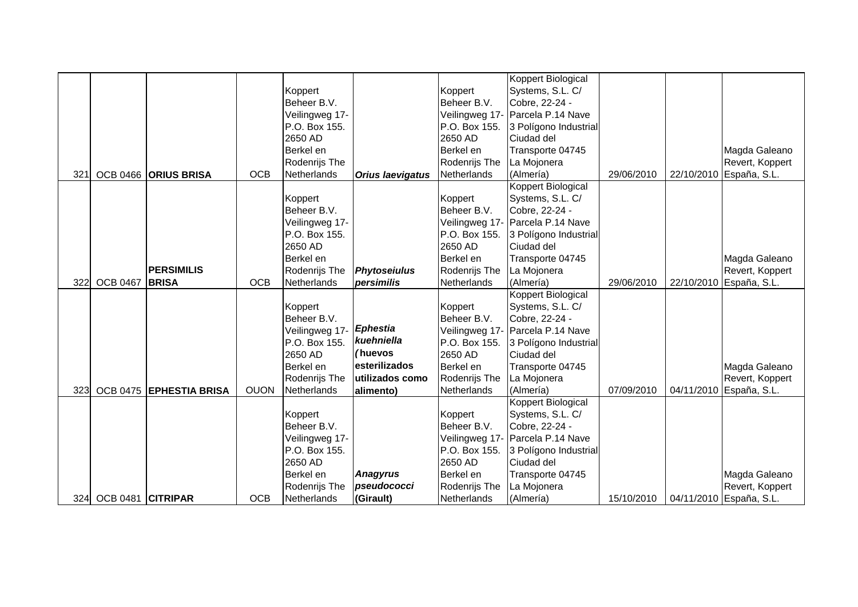|     |                   |                         |             |                |                         |               | <b>Koppert Biological</b>        |            |            |                         |
|-----|-------------------|-------------------------|-------------|----------------|-------------------------|---------------|----------------------------------|------------|------------|-------------------------|
|     |                   |                         |             | Koppert        |                         | Koppert       | Systems, S.L. C/                 |            |            |                         |
|     |                   |                         |             | Beheer B.V.    |                         | Beheer B.V.   | Cobre, 22-24 -                   |            |            |                         |
|     |                   |                         |             | Veilingweg 17- |                         |               | Veilingweg 17- Parcela P.14 Nave |            |            |                         |
|     |                   |                         |             | P.O. Box 155.  |                         | P.O. Box 155. | 3 Polígono Industrial            |            |            |                         |
|     |                   |                         |             | 2650 AD        |                         | 2650 AD       | Ciudad del                       |            |            |                         |
|     |                   |                         |             | Berkel en      |                         | Berkel en     | Transporte 04745                 |            |            | Magda Galeano           |
|     |                   |                         |             | Rodenrijs The  |                         | Rodenrijs The | La Mojonera                      |            |            | Revert, Koppert         |
| 321 |                   | OCB 0466 ORIUS BRISA    | <b>OCB</b>  | Netherlands    | <b>Orius laevigatus</b> | Netherlands   | (Almería)                        | 29/06/2010 |            | 22/10/2010 España, S.L. |
|     |                   |                         |             |                |                         |               | Koppert Biological               |            |            |                         |
|     |                   |                         |             | Koppert        |                         | Koppert       | Systems, S.L. C/                 |            |            |                         |
|     |                   |                         |             | Beheer B.V.    |                         | Beheer B.V.   | Cobre, 22-24 -                   |            |            |                         |
|     |                   |                         |             | Veilingweg 17- |                         |               | Veilingweg 17- Parcela P.14 Nave |            |            |                         |
|     |                   |                         |             | P.O. Box 155.  |                         | P.O. Box 155. | 3 Polígono Industrial            |            |            |                         |
|     |                   |                         |             | 2650 AD        |                         | 2650 AD       | Ciudad del                       |            |            |                         |
|     |                   |                         |             | Berkel en      |                         | Berkel en     | Transporte 04745                 |            |            | Magda Galeano           |
|     |                   | <b>PERSIMILIS</b>       |             | Rodenrijs The  | <b>Phytoseiulus</b>     | Rodenrijs The | La Mojonera                      |            |            | Revert, Koppert         |
| 322 | <b>OCB 0467</b>   | <b>BRISA</b>            | <b>OCB</b>  | Netherlands    | persimilis              | Netherlands   | (Almería)                        | 29/06/2010 |            | 22/10/2010 España, S.L. |
|     |                   |                         |             |                |                         |               | Koppert Biological               |            |            |                         |
|     |                   |                         |             | Koppert        |                         | Koppert       | Systems, S.L. C/                 |            |            |                         |
|     |                   |                         |             | Beheer B.V.    |                         | Beheer B.V.   | Cobre, 22-24 -                   |            |            |                         |
|     |                   |                         |             | Veilingweg 17- | <b>Ephestia</b>         |               | Veilingweg 17- Parcela P.14 Nave |            |            |                         |
|     |                   |                         |             | P.O. Box 155.  | kuehniella              | P.O. Box 155. | 3 Polígono Industrial            |            |            |                         |
|     |                   |                         |             | 2650 AD        | huevos)                 | 2650 AD       | Ciudad del                       |            |            |                         |
|     |                   |                         |             | Berkel en      | esterilizados           | Berkel en     | Transporte 04745                 |            |            | Magda Galeano           |
|     |                   |                         |             | Rodenrijs The  | utilizados como         | Rodenrijs The | La Mojonera                      |            |            | Revert, Koppert         |
| 323 |                   | OCB 0475 EPHESTIA BRISA | <b>OUON</b> | Netherlands    | alimento)               | Netherlands   | (Almería)                        | 07/09/2010 | 04/11/2010 | España, S.L.            |
|     |                   |                         |             |                |                         |               | Koppert Biological               |            |            |                         |
|     |                   |                         |             | Koppert        |                         | Koppert       | Systems, S.L. C/                 |            |            |                         |
|     |                   |                         |             | Beheer B.V.    |                         | Beheer B.V.   | Cobre, 22-24 -                   |            |            |                         |
|     |                   |                         |             | Veilingweg 17- |                         |               | Veilingweg 17- Parcela P.14 Nave |            |            |                         |
|     |                   |                         |             | P.O. Box 155.  |                         | P.O. Box 155. | 3 Polígono Industrial            |            |            |                         |
|     |                   |                         |             | 2650 AD        |                         | 2650 AD       | Ciudad del                       |            |            |                         |
|     |                   |                         |             | Berkel en      | <b>Anagyrus</b>         | Berkel en     | Transporte 04745                 |            |            | Magda Galeano           |
|     |                   |                         |             | Rodenrijs The  | pseudococci             | Rodenrijs The | La Mojonera                      |            |            | Revert, Koppert         |
| 324 | OCB 0481 CITRIPAR |                         | <b>OCB</b>  | Netherlands    | (Girault)               | Netherlands   | (Almería)                        | 15/10/2010 |            | 04/11/2010 España, S.L. |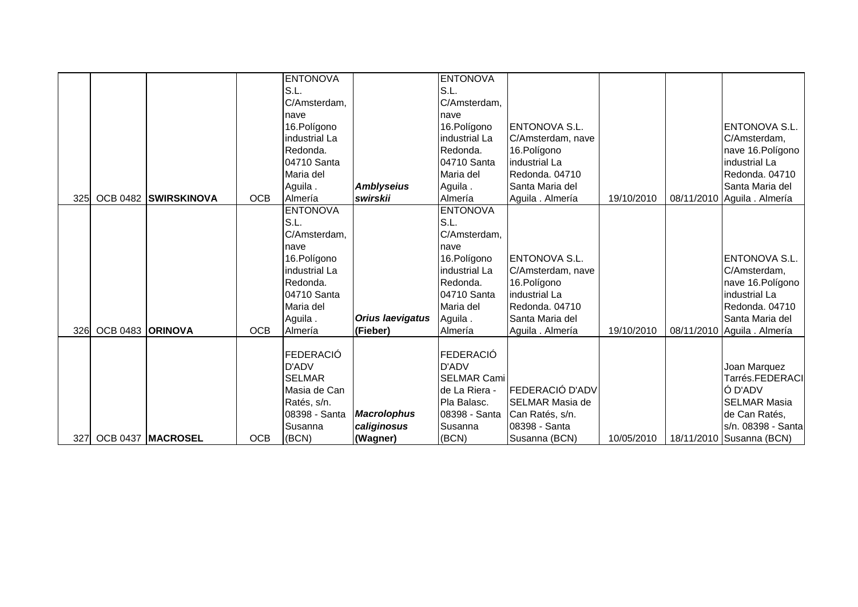|            |                  |                      |            | <b>ENTONOVA</b>  |                         | <b>ENTONOVA</b>    |                        |            |                             |
|------------|------------------|----------------------|------------|------------------|-------------------------|--------------------|------------------------|------------|-----------------------------|
|            |                  |                      |            | S.L.             |                         | S.L.               |                        |            |                             |
|            |                  |                      |            | C/Amsterdam,     |                         | C/Amsterdam,       |                        |            |                             |
|            |                  |                      |            | nave             |                         | nave               |                        |            |                             |
|            |                  |                      |            | 16.Polígono      |                         | 16. Polígono       | <b>ENTONOVA S.L.</b>   |            | ENTONOVA S.L.               |
|            |                  |                      |            | industrial La    |                         | industrial La      | C/Amsterdam, nave      |            | C/Amsterdam,                |
|            |                  |                      |            | Redonda.         |                         | Redonda.           | 16. Polígono           |            | nave 16. Polígono           |
|            |                  |                      |            | 04710 Santa      |                         | 04710 Santa        | industrial La          |            | industrial La               |
|            |                  |                      |            | Maria del        |                         | Maria del          | Redonda. 04710         |            | Redonda. 04710              |
|            |                  |                      |            | Aguila.          | <b>Amblyseius</b>       | Aguila.            | Santa Maria del        |            | Santa Maria del             |
| <b>325</b> |                  | OCB 0482 SWIRSKINOVA | <b>OCB</b> | Almería          | swirskii                | Almería            | Aguila . Almería       | 19/10/2010 | 08/11/2010 Aguila . Almería |
|            |                  |                      |            | <b>ENTONOVA</b>  |                         | <b>ENTONOVA</b>    |                        |            |                             |
|            |                  |                      |            | S.L.             |                         | S.L.               |                        |            |                             |
|            |                  |                      |            | C/Amsterdam,     |                         | C/Amsterdam,       |                        |            |                             |
|            |                  |                      |            | nave             |                         | nave               |                        |            |                             |
|            |                  |                      |            | 16.Polígono      |                         | 16. Polígono       | <b>ENTONOVA S.L.</b>   |            | ENTONOVA S.L.               |
|            |                  |                      |            | industrial La    |                         | industrial La      | C/Amsterdam, nave      |            | C/Amsterdam,                |
|            |                  |                      |            | Redonda.         |                         | Redonda.           | 16. Polígono           |            | nave 16. Polígono           |
|            |                  |                      |            | 04710 Santa      |                         | 04710 Santa        | industrial La          |            | industrial La               |
|            |                  |                      |            | Maria del        |                         | Maria del          | Redonda. 04710         |            | Redonda. 04710              |
|            |                  |                      |            | Aguila.          | <b>Orius laevigatus</b> | Aguila.            | Santa Maria del        |            | Santa Maria del             |
| 326        | OCB 0483 ORINOVA |                      | <b>OCB</b> | Almería          | (Fieber)                | Almería            | Aguila . Almería       | 19/10/2010 | 08/11/2010 Aguila . Almería |
|            |                  |                      |            |                  |                         |                    |                        |            |                             |
|            |                  |                      |            | <b>FEDERACIÓ</b> |                         | FEDERACIÓ          |                        |            |                             |
|            |                  |                      |            | D'ADV            |                         | D'ADV              |                        |            | Joan Marquez                |
|            |                  |                      |            | <b>SELMAR</b>    |                         | <b>SELMAR Cami</b> |                        |            | Tarrés.FEDERACI             |
|            |                  |                      |            | Masia de Can     |                         | de La Riera -      | <b>FEDERACIÓ D'ADV</b> |            | Ó D'ADV                     |
|            |                  |                      |            | Ratés, s/n.      |                         | Pla Balasc.        | <b>SELMAR Masia de</b> |            | <b>SELMAR Masia</b>         |
|            |                  |                      |            | 08398 - Santa    | <b>Macrolophus</b>      | 08398 - Santa      | Can Ratés, s/n.        |            | de Can Ratés,               |
|            |                  |                      |            | Susanna          | caliginosus             | Susanna            | 08398 - Santa          |            | s/n. 08398 - Santa          |
| 327        |                  | OCB 0437 MACROSEL    | <b>OCB</b> | (BCN)            | (Wagner)                | (BCN)              | Susanna (BCN)          | 10/05/2010 | 18/11/2010 Susanna (BCN)    |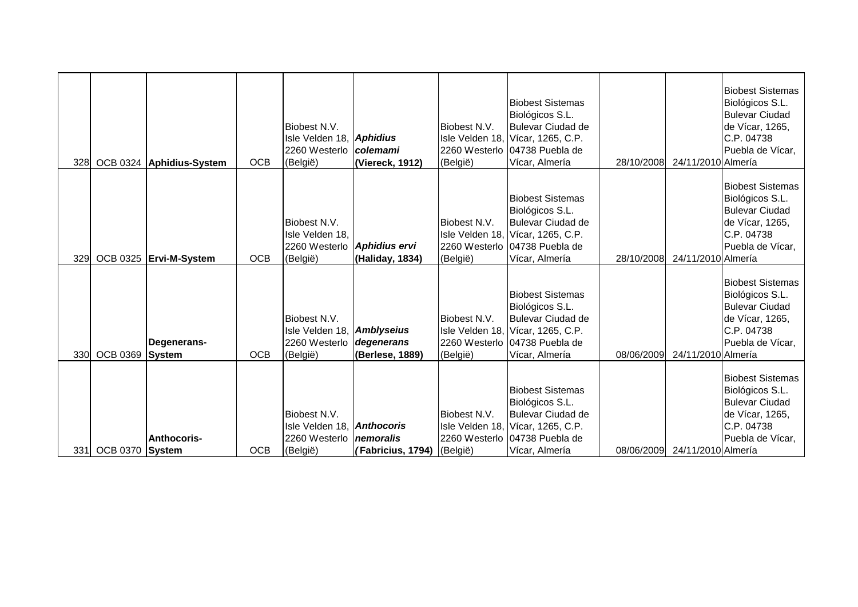| <b>328</b> |                 | OCB 0324 Aphidius-System | <b>OCB</b> | Biobest N.V.<br>Isle Velden 18, Aphidius<br>2260 Westerlo<br>(België)      | <b>colemami</b><br>(Viereck, 1912)             | Biobest N.V.<br>(België) | <b>Biobest Sistemas</b><br>Biológicos S.L.<br><b>Bulevar Ciudad de</b><br>Isle Velden 18, Vícar, 1265, C.P.<br>2260 Westerlo 04738 Puebla de<br>Vícar, Almería | 28/10/2008 | 24/11/2010 Almería | <b>Biobest Sistemas</b><br>Biológicos S.L.<br><b>Bulevar Ciudad</b><br>de Vícar, 1265,<br>C.P. 04738<br>Puebla de Vícar, |
|------------|-----------------|--------------------------|------------|----------------------------------------------------------------------------|------------------------------------------------|--------------------------|----------------------------------------------------------------------------------------------------------------------------------------------------------------|------------|--------------------|--------------------------------------------------------------------------------------------------------------------------|
| 329        |                 | OCB 0325 Ervi-M-System   | <b>OCB</b> | Biobest N.V.<br>Isle Velden 18.<br>2260 Westerlo Aphidius ervi<br>(België) | (Haliday, 1834)                                | Biobest N.V.<br>(België) | <b>Biobest Sistemas</b><br>Biológicos S.L.<br><b>Bulevar Ciudad de</b><br>Isle Velden 18, Vícar, 1265, C.P.<br>2260 Westerlo 04738 Puebla de<br>Vícar, Almería | 28/10/2008 | 24/11/2010 Almería | <b>Biobest Sistemas</b><br>Biológicos S.L.<br><b>Bulevar Ciudad</b><br>de Vícar, 1265,<br>C.P. 04738<br>Puebla de Vícar, |
| 330        | OCB 0369 System | Degenerans-              | <b>OCB</b> | Biobest N.V.<br>Isle Velden 18, Amblyseius<br>2260 Westerlo<br>(België)    | degenerans<br>(Berlese, 1889)                  | Biobest N.V.<br>(België) | <b>Biobest Sistemas</b><br>Biológicos S.L.<br><b>Bulevar Ciudad de</b><br>Isle Velden 18, Vícar, 1265, C.P.<br>2260 Westerlo 04738 Puebla de<br>Vícar, Almería | 08/06/2009 | 24/11/2010 Almería | <b>Biobest Sistemas</b><br>Biológicos S.L.<br><b>Bulevar Ciudad</b><br>de Vícar, 1265,<br>C.P. 04738<br>Puebla de Vícar, |
| 331        | OCB 0370 System | Anthocoris-              | <b>OCB</b> | Biobest N.V.<br>Isle Velden 18, Anthocoris<br>2260 Westerlo<br>(België)    | <i>nemoralis</i><br>(Fabricius, 1794) (België) | Biobest N.V.             | <b>Biobest Sistemas</b><br>Biológicos S.L.<br><b>Bulevar Ciudad de</b><br>Isle Velden 18, Vícar, 1265, C.P.<br>2260 Westerlo 04738 Puebla de<br>Vícar, Almería | 08/06/2009 | 24/11/2010 Almería | <b>Biobest Sistemas</b><br>Biológicos S.L.<br><b>Bulevar Ciudad</b><br>de Vícar, 1265,<br>C.P. 04738<br>Puebla de Vícar, |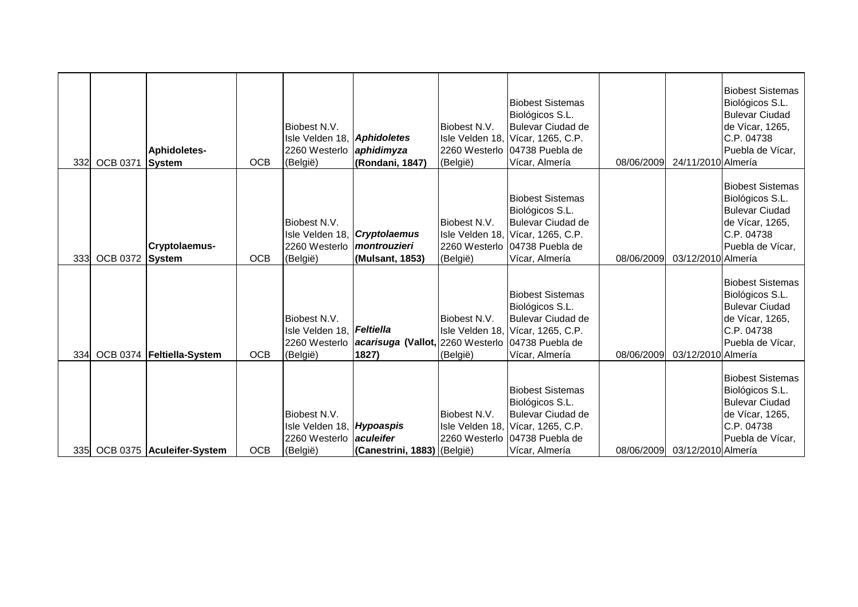| 332 | <b>OCB 0371</b> | Aphidoletes-<br>System        | <b>OCB</b> | Biobest N.V.<br>Isle Velden 18, Aphidoletes<br>2260 Westerlo<br>(België) | aphidimyza<br>(Rondani, 1847)                                                  | Biobest N.V.<br>(België) | <b>Biobest Sistemas</b><br>Biológicos S.L.<br><b>Bulevar Ciudad de</b><br>Isle Velden 18, Vícar, 1265, C.P.<br>2260 Westerlo 04738 Puebla de<br>Vícar, Almería | 08/06/2009 | 24/11/2010 Almería | <b>Biobest Sistemas</b><br>Biológicos S.L.<br><b>Bulevar Ciudad</b><br>de Vícar, 1265,<br>C.P. 04738<br>Puebla de Vícar, |
|-----|-----------------|-------------------------------|------------|--------------------------------------------------------------------------|--------------------------------------------------------------------------------|--------------------------|----------------------------------------------------------------------------------------------------------------------------------------------------------------|------------|--------------------|--------------------------------------------------------------------------------------------------------------------------|
| 333 | <b>OCB 0372</b> | Cryptolaemus-<br>System       | <b>OCB</b> | Biobest N.V.<br>Isle Velden 18,<br>2260 Westerlo<br>(België)             | <b>Cryptolaemus</b><br>montrouzieri<br>(Mulsant, 1853)                         | Biobest N.V.<br>(België) | <b>Biobest Sistemas</b><br>Biológicos S.L.<br><b>Bulevar Ciudad de</b><br>Isle Velden 18, Vícar, 1265, C.P.<br>2260 Westerlo 04738 Puebla de<br>Vícar, Almería | 08/06/2009 | 03/12/2010 Almería | <b>Biobest Sistemas</b><br>Biológicos S.L.<br><b>Bulevar Ciudad</b><br>de Vícar, 1265,<br>C.P. 04738<br>Puebla de Vícar, |
| 334 |                 | OCB 0374   Feltiella-System   | <b>OCB</b> | Biobest N.V.<br>Isle Velden 18, Feltiella<br>(België)                    | 2260 Westerlo <b>acarisuga (Vallot, 2260 Westerlo 04738 Puebla de</b><br>1827) | Biobest N.V.<br>(België) | <b>Biobest Sistemas</b><br>Biológicos S.L.<br><b>Bulevar Ciudad de</b><br>Isle Velden 18, Vícar, 1265, C.P.<br>Vícar, Almería                                  | 08/06/2009 | 03/12/2010 Almería | <b>Biobest Sistemas</b><br>Biológicos S.L.<br><b>Bulevar Ciudad</b><br>de Vícar, 1265,<br>C.P. 04738<br>Puebla de Vícar, |
|     |                 | 335 OCB 0375 Aculeifer-System | <b>OCB</b> | Biobest N.V.<br>Isle Velden 18, Hypoaspis<br>2260 Westerlo<br>(België)   | aculeifer<br>(Canestrini, 1883) (België)                                       | Biobest N.V.             | <b>Biobest Sistemas</b><br>Biológicos S.L.<br><b>Bulevar Ciudad de</b><br>Isle Velden 18, Vícar, 1265, C.P.<br>2260 Westerlo 04738 Puebla de<br>Vícar, Almería | 08/06/2009 | 03/12/2010 Almería | <b>Biobest Sistemas</b><br>Biológicos S.L.<br><b>Bulevar Ciudad</b><br>de Vícar, 1265,<br>C.P. 04738<br>Puebla de Vícar, |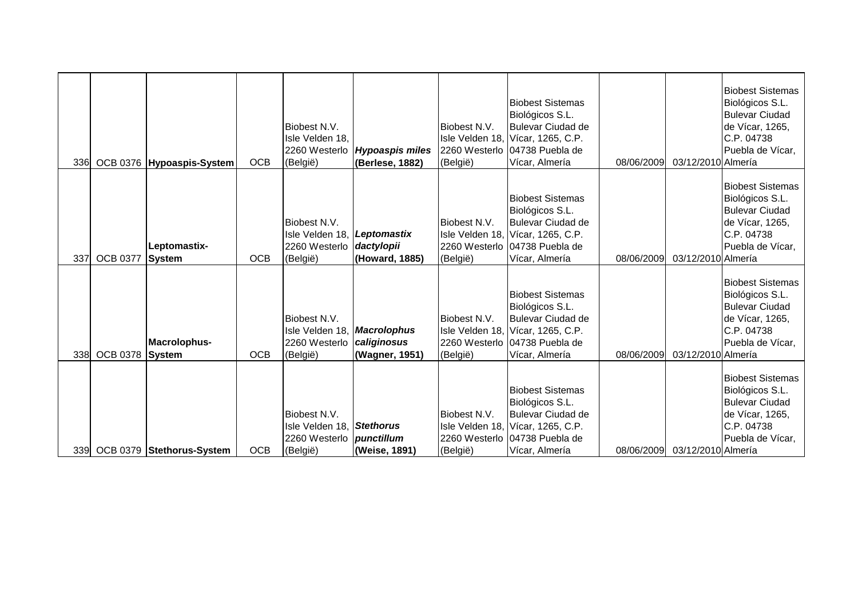|     |                 | 336 OCB 0376 Hypoaspis-System | <b>OCB</b> | Biobest N.V.<br>Isle Velden 18,<br>2260 Westerlo<br>(België)                             | <b>Hypoaspis miles</b><br>(Berlese, 1882) | Biobest N.V.<br>(België) | <b>Biobest Sistemas</b><br>Biológicos S.L.<br><b>Bulevar Ciudad de</b><br>Isle Velden 18, Vícar, 1265, C.P.<br>2260 Westerlo 04738 Puebla de<br>Vícar, Almería | 08/06/2009 | 03/12/2010 Almería | <b>Biobest Sistemas</b><br>Biológicos S.L.<br><b>Bulevar Ciudad</b><br>de Vícar, 1265,<br>C.P. 04738<br>Puebla de Vícar, |
|-----|-----------------|-------------------------------|------------|------------------------------------------------------------------------------------------|-------------------------------------------|--------------------------|----------------------------------------------------------------------------------------------------------------------------------------------------------------|------------|--------------------|--------------------------------------------------------------------------------------------------------------------------|
| 337 | <b>OCB 0377</b> | Leptomastix-<br><b>System</b> | <b>OCB</b> | Biobest N.V.<br>Isle Velden 18, Leptomastix<br>2260 Westerlo<br>(België)                 | dactylopii<br>(Howard, 1885)              | Biobest N.V.<br>(België) | <b>Biobest Sistemas</b><br>Biológicos S.L.<br><b>Bulevar Ciudad de</b><br>Isle Velden 18, Vícar, 1265, C.P.<br>2260 Westerlo 04738 Puebla de<br>Vícar, Almería | 08/06/2009 | 03/12/2010 Almería | <b>Biobest Sistemas</b><br>Biológicos S.L.<br><b>Bulevar Ciudad</b><br>de Vícar, 1265,<br>C.P. 04738<br>Puebla de Vícar, |
| 338 | OCB 0378 System | Macrolophus-                  | <b>OCB</b> | Biobest N.V.<br>Isle Velden 18, Macrolophus<br>2260 Westerlo<br>(België)                 | caliginosus<br>(Wagner, 1951)             | Biobest N.V.<br>(België) | <b>Biobest Sistemas</b><br>Biológicos S.L.<br><b>Bulevar Ciudad de</b><br>Isle Velden 18, Vícar, 1265, C.P.<br>2260 Westerlo 04738 Puebla de<br>Vícar, Almería | 08/06/2009 | 03/12/2010 Almería | <b>Biobest Sistemas</b><br>Biológicos S.L.<br><b>Bulevar Ciudad</b><br>de Vícar, 1265,<br>C.P. 04738<br>Puebla de Vícar, |
| 339 |                 | OCB 0379 Stethorus-System     | <b>OCB</b> | Biobest N.V.<br>Isle Velden 18, Stethorus<br>2260 Westerlo <b>punctillum</b><br>(België) | (Weise, 1891)                             | Biobest N.V.<br>(België) | <b>Biobest Sistemas</b><br>Biológicos S.L.<br><b>Bulevar Ciudad de</b><br>Isle Velden 18, Vícar, 1265, C.P.<br>2260 Westerlo 04738 Puebla de<br>Vícar, Almería | 08/06/2009 | 03/12/2010 Almería | <b>Biobest Sistemas</b><br>Biológicos S.L.<br><b>Bulevar Ciudad</b><br>de Vícar, 1265,<br>C.P. 04738<br>Puebla de Vícar, |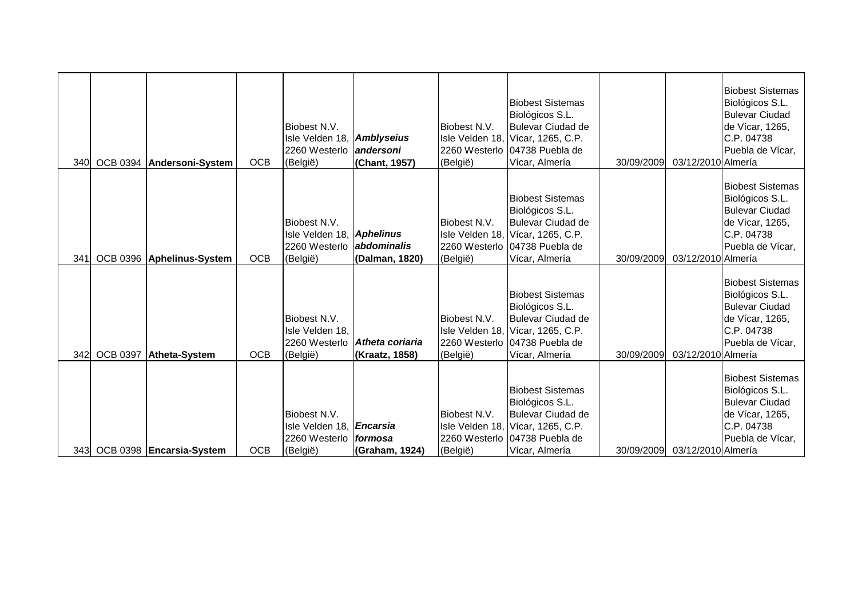| <b>340</b> |                 | OCB 0394 Andersoni-System | <b>OCB</b> | Biobest N.V.<br>Isle Velden 18, Amblyseius<br>2260 Westerlo<br>(België)                   | landersoni<br>(Chant, 1957)                            | Biobest N.V.<br>(België) | <b>Biobest Sistemas</b><br>Biológicos S.L.<br><b>Bulevar Ciudad de</b><br>Isle Velden 18, Vícar, 1265, C.P.<br>2260 Westerlo 04738 Puebla de<br>Vícar, Almería | 30/09/2009 | 03/12/2010 Almería | <b>Biobest Sistemas</b><br>Biológicos S.L.<br><b>Bulevar Ciudad</b><br>de Vícar, 1265,<br>C.P. 04738<br>Puebla de Vícar, |
|------------|-----------------|---------------------------|------------|-------------------------------------------------------------------------------------------|--------------------------------------------------------|--------------------------|----------------------------------------------------------------------------------------------------------------------------------------------------------------|------------|--------------------|--------------------------------------------------------------------------------------------------------------------------|
| 341        |                 | OCB 0396 Aphelinus-System | <b>OCB</b> | Biobest N.V.<br>Isle Velden 18, Aphelinus<br>2260 Westerlo <b>abdominalis</b><br>(België) | (Dalman, 1820)                                         | Biobest N.V.<br>(België) | <b>Biobest Sistemas</b><br>Biológicos S.L.<br><b>Bulevar Ciudad de</b><br>Isle Velden 18, Vícar, 1265, C.P.<br>2260 Westerlo 04738 Puebla de<br>Vícar, Almería | 30/09/2009 | 03/12/2010 Almería | <b>Biobest Sistemas</b><br>Biológicos S.L.<br><b>Bulevar Ciudad</b><br>de Vícar, 1265,<br>C.P. 04738<br>Puebla de Vícar, |
| 342        | <b>OCB 0397</b> | Atheta-System             | <b>OCB</b> | Biobest N.V.<br>Isle Velden 18,<br>(België)                                               | 2260 Westerlo <b>Atheta coriaria</b><br>(Kraatz, 1858) | Biobest N.V.<br>(België) | <b>Biobest Sistemas</b><br>Biológicos S.L.<br><b>Bulevar Ciudad de</b><br>Isle Velden 18, Vícar, 1265, C.P.<br>2260 Westerlo 04738 Puebla de<br>Vícar, Almería | 30/09/2009 | 03/12/2010 Almería | <b>Biobest Sistemas</b><br>Biológicos S.L.<br><b>Bulevar Ciudad</b><br>de Vícar, 1265,<br>C.P. 04738<br>Puebla de Vícar, |
| 343I       |                 | OCB 0398 Encarsia-System  | <b>OCB</b> | Biobest N.V.<br>Isle Velden 18, <i>Encarsia</i><br>2260 Westerlo<br>(België)              | <i>formosa</i><br>(Graham, 1924)                       | Biobest N.V.<br>(België) | <b>Biobest Sistemas</b><br>Biológicos S.L.<br><b>Bulevar Ciudad de</b><br>Isle Velden 18, Vícar, 1265, C.P.<br>2260 Westerlo 04738 Puebla de<br>Vícar, Almería | 30/09/2009 | 03/12/2010 Almería | <b>Biobest Sistemas</b><br>Biológicos S.L.<br><b>Bulevar Ciudad</b><br>de Vícar, 1265,<br>C.P. 04738<br>Puebla de Vícar, |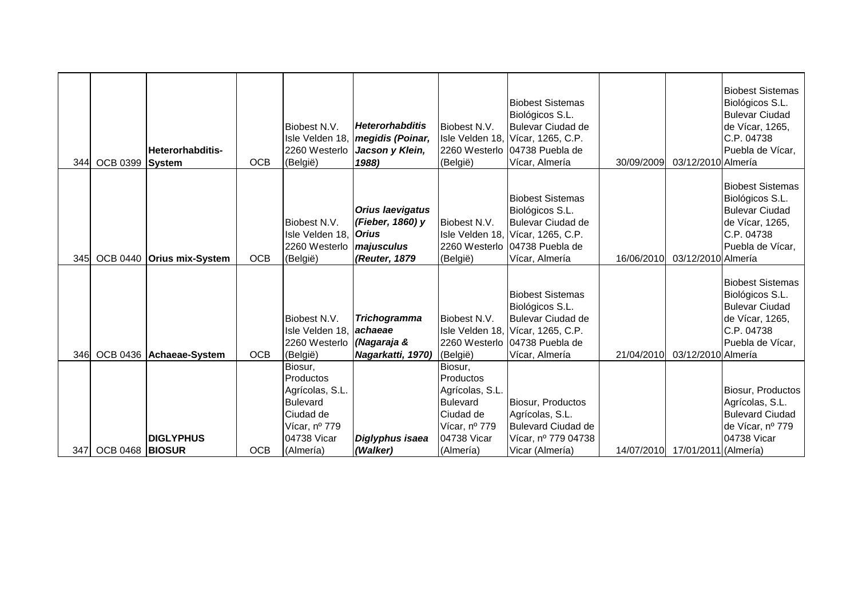|     | 344 OCB 0399 System | <b>Heterorhabditis-</b>   | <b>OCB</b> | Biobest N.V.<br>Isle Velden 18,<br>2260 Westerlo<br>(België)                | <b>Heterorhabditis</b><br>megidis (Poinar,<br>Jacson y Klein,<br>1988)                     | Biobest N.V.<br>(België)     | <b>Biobest Sistemas</b><br>Biológicos S.L.<br><b>Bulevar Ciudad de</b><br>Isle Velden 18, Vícar, 1265, C.P.<br>2260 Westerlo 04738 Puebla de<br>Vícar, Almería  | 30/09/2009 | 03/12/2010 Almería   | <b>Biobest Sistemas</b><br>Biológicos S.L.<br><b>Bulevar Ciudad</b><br>de Vícar, 1265,<br>C.P. 04738<br>Puebla de Vícar, |
|-----|---------------------|---------------------------|------------|-----------------------------------------------------------------------------|--------------------------------------------------------------------------------------------|------------------------------|-----------------------------------------------------------------------------------------------------------------------------------------------------------------|------------|----------------------|--------------------------------------------------------------------------------------------------------------------------|
| 345 |                     | OCB 0440 Orius mix-System | <b>OCB</b> | Biobest N.V.<br>Isle Velden 18,<br>2260 Westerlo<br>(België)                | <b>Orius laevigatus</b><br>(Fieber, 1860) y<br><b>Orius</b><br>majusculus<br>(Reuter, 1879 | Biobest N.V.<br>(België)     | <b>Biobest Sistemas</b><br>Biológicos S.L.<br><b>Bulevar Ciudad de</b><br>Isle Velden 18, Vícar, 1265, C.P.<br>2260 Westerlo 04738 Puebla de<br>Vícar, Almería  | 16/06/2010 | 03/12/2010 Almería   | <b>Biobest Sistemas</b><br>Biológicos S.L.<br><b>Bulevar Ciudad</b><br>de Vícar, 1265,<br>C.P. 04738<br>Puebla de Vícar, |
| 346 |                     | OCB 0436 Achaeae-System   | <b>OCB</b> | Biobest N.V.<br>Isle Velden 18, <b>achaeae</b><br>2260 Westerlo<br>(België) | <b>Trichogramma</b><br>(Nagaraja &<br>Nagarkatti, 1970)                                    | Biobest N.V.<br>(België)     | <b>Biobest Sistemas</b><br>Biológicos S.L.<br><b>Bulevar Ciudad de</b><br>Isle Velden 18, Vícar, 1265, C.P.<br>2260 Westerlo 104738 Puebla de<br>Vícar, Almería | 21/04/2010 | 03/12/2010 Almería   | <b>Biobest Sistemas</b><br>Biológicos S.L.<br><b>Bulevar Ciudad</b><br>de Vícar, 1265,<br>C.P. 04738<br>Puebla de Vícar, |
|     |                     |                           |            | Biosur,                                                                     |                                                                                            | Biosur,                      |                                                                                                                                                                 |            |                      |                                                                                                                          |
|     |                     |                           |            | Productos<br>Agrícolas, S.L.                                                |                                                                                            | Productos<br>Agrícolas, S.L. |                                                                                                                                                                 |            |                      | Biosur, Productos                                                                                                        |
|     |                     |                           |            | Bulevard                                                                    |                                                                                            | <b>Bulevard</b>              | Biosur, Productos                                                                                                                                               |            |                      | Agrícolas, S.L.                                                                                                          |
|     |                     |                           |            | Ciudad de<br>Vícar, nº 779                                                  |                                                                                            | Ciudad de<br>Vícar, nº 779   | Agrícolas, S.L.<br><b>Bulevard Ciudad de</b>                                                                                                                    |            |                      | <b>Bulevard Ciudad</b><br>de Vícar, nº 779                                                                               |
|     |                     | <b>DIGLYPHUS</b>          |            | 04738 Vicar                                                                 | Diglyphus isaea                                                                            | 04738 Vicar                  | Vícar, nº 779 04738                                                                                                                                             |            |                      | 04738 Vicar                                                                                                              |
| 347 | OCB 0468 BIOSUR     |                           | <b>OCB</b> | (Almería)                                                                   | (Walker)                                                                                   | (Almería)                    | Vicar (Almería)                                                                                                                                                 | 14/07/2010 | 17/01/2011 (Almería) |                                                                                                                          |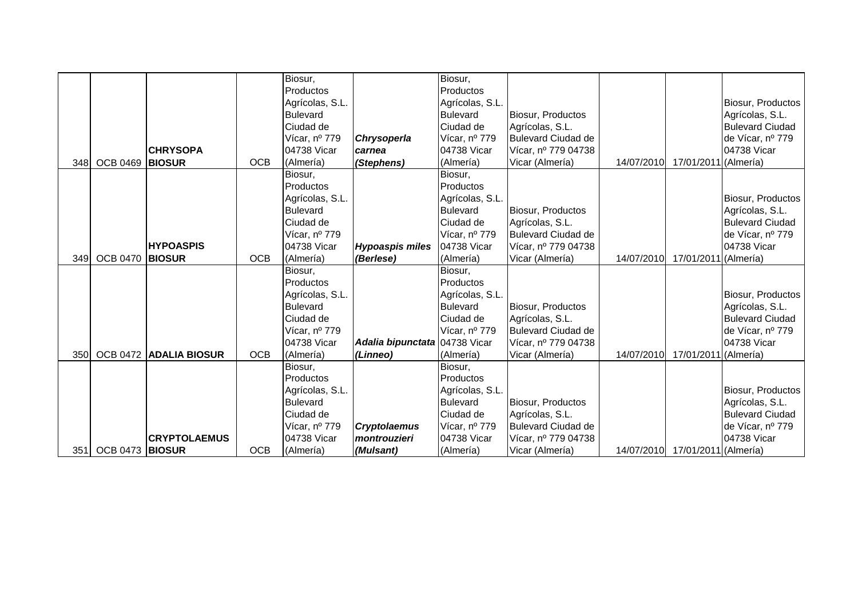|      |                 |                      |            | Biosur,         |                               | Biosur,         |                           |            |                                 |                        |
|------|-----------------|----------------------|------------|-----------------|-------------------------------|-----------------|---------------------------|------------|---------------------------------|------------------------|
|      |                 |                      |            | Productos       |                               | Productos       |                           |            |                                 |                        |
|      |                 |                      |            | Agrícolas, S.L. |                               | Agrícolas, S.L. |                           |            |                                 | Biosur, Productos      |
|      |                 |                      |            | <b>Bulevard</b> |                               | <b>Bulevard</b> | Biosur, Productos         |            |                                 | Agrícolas, S.L.        |
|      |                 |                      |            | Ciudad de       |                               | Ciudad de       | Agrícolas, S.L.           |            |                                 | <b>Bulevard Ciudad</b> |
|      |                 |                      |            | Vícar, nº 779   | Chrysoperla                   | Vícar, nº 779   | <b>Bulevard Ciudad de</b> |            |                                 | de Vícar, nº 779       |
|      |                 | <b>CHRYSOPA</b>      |            | 04738 Vicar     | carnea                        | 04738 Vicar     | Vícar, nº 779 04738       |            |                                 | 04738 Vicar            |
| 348  | OCB 0469 BIOSUR |                      | <b>OCB</b> | (Almería)       | (Stephens)                    | (Almería)       | Vicar (Almería)           | 14/07/2010 | 17/01/2011 (Almería)            |                        |
|      |                 |                      |            | Biosur,         |                               | Biosur,         |                           |            |                                 |                        |
|      |                 |                      |            | Productos       |                               | Productos       |                           |            |                                 |                        |
|      |                 |                      |            | Agrícolas, S.L. |                               | Agrícolas, S.L. |                           |            |                                 | Biosur, Productos      |
|      |                 |                      |            | <b>Bulevard</b> |                               | <b>Bulevard</b> | Biosur, Productos         |            |                                 | Agrícolas, S.L.        |
|      |                 |                      |            | Ciudad de       |                               | Ciudad de       | Agrícolas, S.L.           |            |                                 | <b>Bulevard Ciudad</b> |
|      |                 |                      |            | Vícar, nº 779   |                               | Vícar, nº 779   | <b>Bulevard Ciudad de</b> |            |                                 | de Vícar, nº 779       |
|      |                 | <b>HYPOASPIS</b>     |            | 04738 Vicar     | <b>Hypoaspis miles</b>        | 04738 Vicar     | Vícar, nº 779 04738       |            |                                 | 04738 Vicar            |
| 349I | <b>OCB 0470</b> | <b>BIOSUR</b>        | <b>OCB</b> | (Almería)       | (Berlese)                     | (Almería)       | Vicar (Almería)           | 14/07/2010 | 17/01/2011 (Almería)            |                        |
|      |                 |                      |            | Biosur,         |                               | Biosur,         |                           |            |                                 |                        |
|      |                 |                      |            | Productos       |                               | Productos       |                           |            |                                 |                        |
|      |                 |                      |            | Agrícolas, S.L. |                               | Agrícolas, S.L. |                           |            |                                 | Biosur, Productos      |
|      |                 |                      |            | <b>Bulevard</b> |                               | <b>Bulevard</b> | Biosur, Productos         |            |                                 | Agrícolas, S.L.        |
|      |                 |                      |            | Ciudad de       |                               | Ciudad de       | Agrícolas, S.L.           |            |                                 | <b>Bulevard Ciudad</b> |
|      |                 |                      |            | Vícar, nº 779   |                               | Vícar, nº 779   | <b>Bulevard Ciudad de</b> |            |                                 | de Vícar, nº 779       |
|      |                 |                      |            | 04738 Vicar     | Adalia bipunctata 04738 Vicar |                 | Vícar, nº 779 04738       |            |                                 | 04738 Vicar            |
| 350l | <b>OCB 0472</b> | <b>ADALIA BIOSUR</b> | <b>OCB</b> | (Almería)       | (Linneo)                      | (Almería)       | Vicar (Almería)           | 14/07/2010 | 17/01/2011 (Almería)            |                        |
|      |                 |                      |            | Biosur,         |                               | Biosur,         |                           |            |                                 |                        |
|      |                 |                      |            | Productos       |                               | Productos       |                           |            |                                 |                        |
|      |                 |                      |            | Agrícolas, S.L. |                               | Agrícolas, S.L. |                           |            |                                 | Biosur, Productos      |
|      |                 |                      |            | <b>Bulevard</b> |                               | <b>Bulevard</b> | Biosur, Productos         |            |                                 | Agrícolas, S.L.        |
|      |                 |                      |            | Ciudad de       |                               | Ciudad de       | Agrícolas, S.L.           |            |                                 | <b>Bulevard Ciudad</b> |
|      |                 |                      |            | Vícar, nº 779   | <b>Cryptolaemus</b>           | Vícar, nº 779   | <b>Bulevard Ciudad de</b> |            |                                 | de Vícar, nº 779       |
|      |                 | <b>CRYPTOLAEMUS</b>  |            | 04738 Vicar     | montrouzieri                  | 04738 Vicar     | Vícar, nº 779 04738       |            |                                 | 04738 Vicar            |
| 351  | OCB 0473 BIOSUR |                      | <b>OCB</b> | (Almería)       | (Mulsant)                     | (Almería)       | Vicar (Almería)           |            | 14/07/2010 17/01/2011 (Almería) |                        |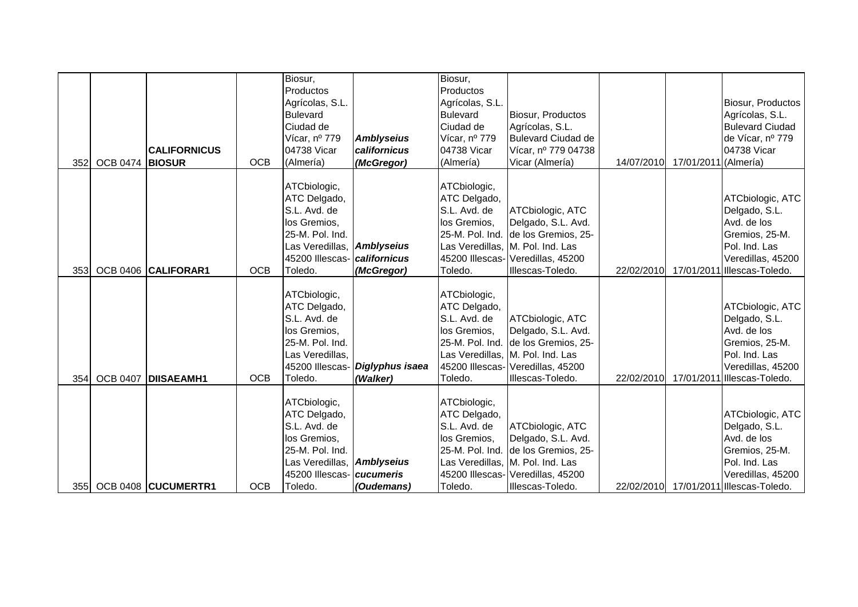| 352 | <b>OCB 0474</b> | <b>CALIFORNICUS</b><br><b>BIOSUR</b> | <b>OCB</b> | Biosur,<br>Productos<br>Agrícolas, S.L.<br><b>Bulevard</b><br>Ciudad de<br>Vícar, nº 779<br>04738 Vicar<br>(Almería)                        | <b>Amblyseius</b><br>californicus<br>(McGregor) | Biosur,<br>Productos<br>Agrícolas, S.L.<br><b>Bulevard</b><br>Ciudad de<br>Vícar, nº 779<br>04738 Vicar<br>(Almería) | Biosur, Productos<br>Agrícolas, S.L.<br><b>Bulevard Ciudad de</b><br>Vícar, nº 779 04738<br>Vicar (Almería)                                                                | 14/07/2010 | 17/01/2011 (Almería) | Biosur, Productos<br>Agrícolas, S.L.<br><b>Bulevard Ciudad</b><br>de Vícar, nº 779<br>04738 Vicar                                                  |
|-----|-----------------|--------------------------------------|------------|---------------------------------------------------------------------------------------------------------------------------------------------|-------------------------------------------------|----------------------------------------------------------------------------------------------------------------------|----------------------------------------------------------------------------------------------------------------------------------------------------------------------------|------------|----------------------|----------------------------------------------------------------------------------------------------------------------------------------------------|
| 353 |                 | OCB 0406 CALIFORAR1                  | <b>OCB</b> | ATCbiologic,<br>ATC Delgado,<br>S.L. Avd. de<br>los Gremios,<br>25-M. Pol. Ind.<br>Las Veredillas, Amblyseius<br>45200 Illescas-<br>Toledo. | californicus<br>(McGregor)                      | ATCbiologic,<br>ATC Delgado,<br>S.L. Avd. de<br>los Gremios,<br>Toledo.                                              | ATCbiologic, ATC<br>Delgado, S.L. Avd.<br>25-M. Pol. Ind. de los Gremios, 25-<br>Las Veredillas, M. Pol. Ind. Las<br>45200 Illescas- Veredillas, 45200<br>Illescas-Toledo. | 22/02/2010 |                      | ATCbiologic, ATC<br>Delgado, S.L.<br>Avd. de los<br>Gremios, 25-M.<br>Pol. Ind. Las<br>Veredillas, 45200<br>17/01/2011 Illescas-Toledo.            |
| 354 | <b>OCB 0407</b> | <b>DISAEAMH1</b>                     | <b>OCB</b> | ATCbiologic,<br>ATC Delgado,<br>S.L. Avd. de<br>los Gremios,<br>25-M. Pol. Ind.<br>Las Veredillas,<br>45200 Illescas-<br>Toledo.            | Diglyphus isaea<br>(Walker)                     | ATCbiologic,<br>ATC Delgado,<br>S.L. Avd. de<br>los Gremios,<br>Toledo.                                              | ATCbiologic, ATC<br>Delgado, S.L. Avd.<br>25-M. Pol. Ind. de los Gremios, 25-<br>Las Veredillas, M. Pol. Ind. Las<br>45200 Illescas- Veredillas, 45200<br>Illescas-Toledo. | 22/02/2010 |                      | ATCbiologic, ATC<br>Delgado, S.L.<br>Avd. de los<br>Gremios, 25-M.<br>Pol. Ind. Las<br>Veredillas, 45200<br>17/01/2011 Illescas-Toledo.            |
|     |                 | 355 OCB 0408 CUCUMERTR1              | <b>OCB</b> | ATCbiologic,<br>ATC Delgado,<br>S.L. Avd. de<br>los Gremios,<br>25-M. Pol. Ind.<br>Las Veredillas, Amblyseius<br>45200 Illescas-<br>Toledo. | <b>cucumeris</b><br>(Oudemans)                  | ATCbiologic,<br>ATC Delgado,<br>S.L. Avd. de<br>los Gremios,<br>Toledo.                                              | ATCbiologic, ATC<br>Delgado, S.L. Avd.<br>25-M. Pol. Ind. de los Gremios, 25-<br>Las Veredillas, M. Pol. Ind. Las<br>45200 Illescas- Veredillas, 45200<br>Illescas-Toledo. |            |                      | ATCbiologic, ATC<br>Delgado, S.L.<br>Avd. de los<br>Gremios, 25-M.<br>Pol. Ind. Las<br>Veredillas, 45200<br>22/02/2010 17/01/2011 Illescas-Toledo. |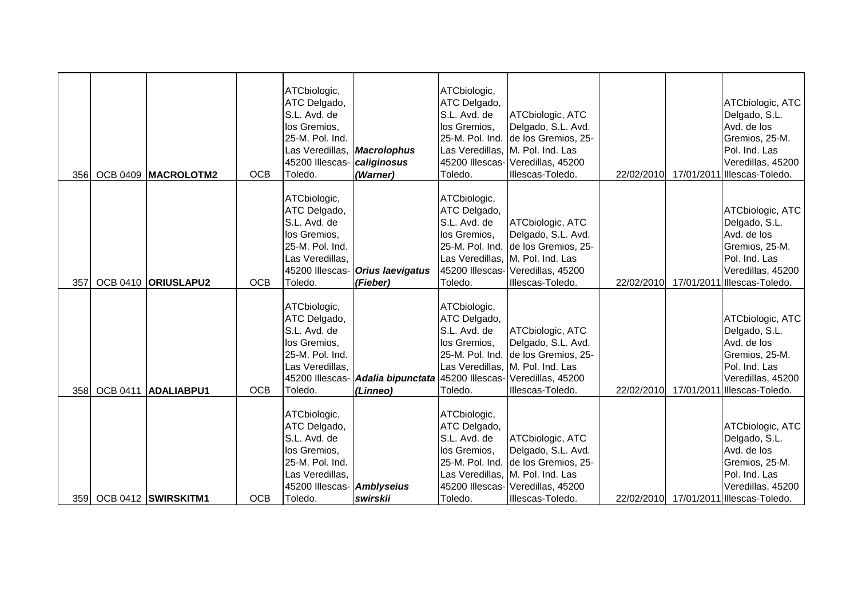| 356 |                 | OCB 0409 MACROLOTM2     | <b>OCB</b> | ATCbiologic,<br>ATC Delgado,<br>S.L. Avd. de<br>los Gremios,<br>25-M. Pol. Ind.<br>Las Veredillas,<br>45200 Illescas-<br>Toledo. | <b>Macrolophus</b><br>caliginosus<br>(Warner)                   | ATCbiologic,<br>ATC Delgado,<br>S.L. Avd. de<br>los Gremios,<br>Toledo. | ATCbiologic, ATC<br>Delgado, S.L. Avd.<br>25-M. Pol. Ind. de los Gremios, 25-<br>Las Veredillas, M. Pol. Ind. Las<br>45200 Illescas- Veredillas, 45200<br>Illescas-Toledo. | 22/02/2010 | ATCbiologic, ATC<br>Delgado, S.L.<br>Avd. de los<br>Gremios, 25-M.<br>Pol. Ind. Las<br>Veredillas, 45200<br>17/01/2011 Illescas-Toledo.            |
|-----|-----------------|-------------------------|------------|----------------------------------------------------------------------------------------------------------------------------------|-----------------------------------------------------------------|-------------------------------------------------------------------------|----------------------------------------------------------------------------------------------------------------------------------------------------------------------------|------------|----------------------------------------------------------------------------------------------------------------------------------------------------|
| 357 |                 | OCB 0410 ORIUSLAPU2     | <b>OCB</b> | ATCbiologic,<br>ATC Delgado,<br>S.L. Avd. de<br>los Gremios,<br>25-M. Pol. Ind.<br>Las Veredillas,<br>45200 Illescas-<br>Toledo. | <b>Orius laevigatus</b><br>(Fieber)                             | ATCbiologic,<br>ATC Delgado,<br>S.L. Avd. de<br>los Gremios,<br>Toledo. | ATCbiologic, ATC<br>Delgado, S.L. Avd.<br>25-M. Pol. Ind. de los Gremios, 25-<br>Las Veredillas, M. Pol. Ind. Las<br>45200 Illescas- Veredillas, 45200<br>Illescas-Toledo. |            | ATCbiologic, ATC<br>Delgado, S.L.<br>Avd. de los<br>Gremios, 25-M.<br>Pol. Ind. Las<br>Veredillas, 45200<br>22/02/2010 17/01/2011 Illescas-Toledo. |
| 358 | <b>OCB 0411</b> | <b>ADALIABPU1</b>       | <b>OCB</b> | ATCbiologic,<br>ATC Delgado,<br>S.L. Avd. de<br>los Gremios,<br>25-M. Pol. Ind.<br>Las Veredillas,<br>45200 Illescas-<br>Toledo. | Adalia bipunctata 45200 Illescas- Veredillas, 45200<br>(Linneo) | ATCbiologic,<br>ATC Delgado,<br>S.L. Avd. de<br>los Gremios,<br>Toledo. | ATCbiologic, ATC<br>Delgado, S.L. Avd.<br>25-M. Pol. Ind. de los Gremios, 25-<br>Las Veredillas, M. Pol. Ind. Las<br>Illescas-Toledo.                                      | 22/02/2010 | ATCbiologic, ATC<br>Delgado, S.L.<br>Avd. de los<br>Gremios, 25-M.<br>Pol. Ind. Las<br>Veredillas, 45200<br>17/01/2011 Illescas-Toledo.            |
|     |                 | 359 OCB 0412 SWIRSKITM1 | <b>OCB</b> | ATCbiologic,<br>ATC Delgado,<br>S.L. Avd. de<br>los Gremios,<br>25-M. Pol. Ind.<br>Las Veredillas,<br>45200 Illescas-<br>Toledo. | <b>Amblyseius</b><br>swirskii                                   | ATCbiologic,<br>ATC Delgado,<br>S.L. Avd. de<br>los Gremios,<br>Toledo. | ATCbiologic, ATC<br>Delgado, S.L. Avd.<br>25-M. Pol. Ind. de los Gremios, 25-<br>Las Veredillas, M. Pol. Ind. Las<br>45200 Illescas- Veredillas, 45200<br>Illescas-Toledo. |            | ATCbiologic, ATC<br>Delgado, S.L.<br>Avd. de los<br>Gremios, 25-M.<br>Pol. Ind. Las<br>Veredillas, 45200<br>22/02/2010 17/01/2011 Illescas-Toledo. |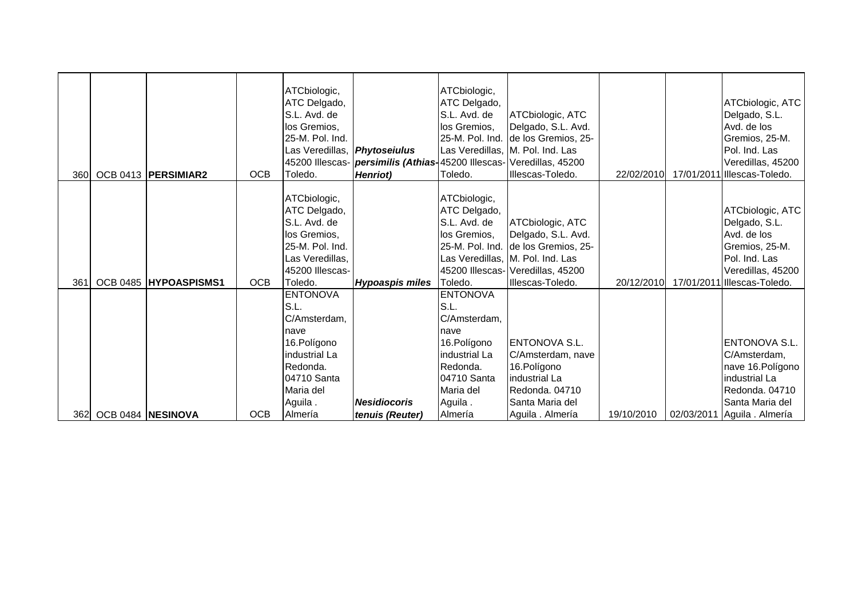|      |                       |            | ATCbiologic,<br>ATC Delgado,<br>S.L. Avd. de<br>los Gremios,<br>25-M. Pol. Ind.<br>Las Veredillas, Phytoseiulus                    | 45200 Illescas- <i>persimilis (Athias</i> -45200 Illescas- Veredillas, 45200 | ATCbiologic,<br>ATC Delgado,<br>S.L. Avd. de<br>los Gremios,                                                                       | ATCbiologic, ATC<br>Delgado, S.L. Avd.<br>25-M. Pol. Ind. de los Gremios, 25-<br>Las Veredillas, M. Pol. Ind. Las                                                          |            |            | ATCbiologic, ATC<br>Delgado, S.L.<br>Avd. de los<br>Gremios, 25-M.<br>Pol. Ind. Las<br>Veredillas, 45200                                |
|------|-----------------------|------------|------------------------------------------------------------------------------------------------------------------------------------|------------------------------------------------------------------------------|------------------------------------------------------------------------------------------------------------------------------------|----------------------------------------------------------------------------------------------------------------------------------------------------------------------------|------------|------------|-----------------------------------------------------------------------------------------------------------------------------------------|
| 360l | OCB 0413   PERSIMIAR2 | <b>OCB</b> | Toledo.                                                                                                                            | <b>Henriot</b> )                                                             | Toledo.                                                                                                                            | Illescas-Toledo.                                                                                                                                                           | 22/02/2010 |            | 17/01/2011 Illescas-Toledo.                                                                                                             |
| 361  | OCB 0485 HYPOASPISMS1 | <b>OCB</b> | ATCbiologic,<br>ATC Delgado,<br>S.L. Avd. de<br>los Gremios,<br>25-M. Pol. Ind.<br>Las Veredillas,<br>45200 Illescas-<br>Toledo.   | <b>Hypoaspis miles</b>                                                       | ATCbiologic,<br>ATC Delgado,<br>S.L. Avd. de<br>los Gremios,<br>Toledo.                                                            | ATCbiologic, ATC<br>Delgado, S.L. Avd.<br>25-M. Pol. Ind. de los Gremios, 25-<br>Las Veredillas, M. Pol. Ind. Las<br>45200 Illescas- Veredillas, 45200<br>Illescas-Toledo. | 20/12/2010 |            | ATCbiologic, ATC<br>Delgado, S.L.<br>Avd. de los<br>Gremios, 25-M.<br>Pol. Ind. Las<br>Veredillas, 45200<br>17/01/2011 Illescas-Toledo. |
|      |                       |            | <b>ENTONOVA</b><br>S.L.<br>C/Amsterdam,<br>nave<br>16.Polígono<br>industrial La<br>Redonda.<br>04710 Santa<br>Maria del<br>Aguila. | <b>Nesidiocoris</b>                                                          | <b>ENTONOVA</b><br>S.L.<br>C/Amsterdam,<br>nave<br>16.Polígono<br>industrial La<br>Redonda.<br>04710 Santa<br>Maria del<br>Aguila. | <b>ENTONOVA S.L.</b><br>C/Amsterdam, nave<br>16. Polígono<br><b>Industrial La</b><br>Redonda. 04710<br>Santa Maria del                                                     |            |            | <b>ENTONOVA S.L.</b><br>C/Amsterdam,<br>nave 16. Polígono<br>industrial La<br>Redonda. 04710<br>Santa Maria del                         |
| 362  | OCB 0484 NESINOVA     | <b>OCB</b> | Almería                                                                                                                            | tenuis (Reuter)                                                              | Almería                                                                                                                            | Aguila . Almería                                                                                                                                                           | 19/10/2010 | 02/03/2011 | Aguila . Almería                                                                                                                        |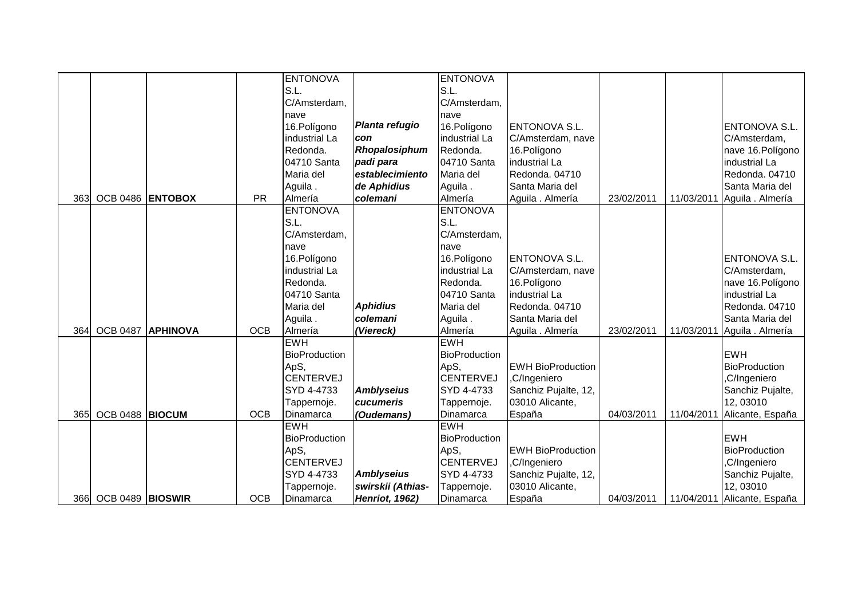|            |                  |                 |            | <b>ENTONOVA</b>      |                       | <b>ENTONOVA</b>      |                          |            |            |                             |
|------------|------------------|-----------------|------------|----------------------|-----------------------|----------------------|--------------------------|------------|------------|-----------------------------|
|            |                  |                 |            | S.L.                 |                       | S.L.                 |                          |            |            |                             |
|            |                  |                 |            | C/Amsterdam,         |                       | C/Amsterdam,         |                          |            |            |                             |
|            |                  |                 |            | nave                 |                       | nave                 |                          |            |            |                             |
|            |                  |                 |            | 16.Polígono          | Planta refugio        | 16.Polígono          | <b>ENTONOVA S.L.</b>     |            |            | ENTONOVA S.L.               |
|            |                  |                 |            | industrial La        | con                   | industrial La        | C/Amsterdam, nave        |            |            | C/Amsterdam,                |
|            |                  |                 |            | Redonda.             | Rhopalosiphum         | Redonda.             | 16.Polígono              |            |            | nave 16. Polígono           |
|            |                  |                 |            | 04710 Santa          | padi para             | 04710 Santa          | industrial La            |            |            | industrial La               |
|            |                  |                 |            | Maria del            | establecimiento       | Maria del            | Redonda. 04710           |            |            | Redonda. 04710              |
|            |                  |                 |            | Aguila.              | de Aphidius           | Aguila.              | Santa Maria del          |            |            | Santa Maria del             |
| 363        | OCB 0486 ENTOBOX |                 | <b>PR</b>  | Almería              | colemani              | Almería              | Aguila . Almería         | 23/02/2011 |            | 11/03/2011 Aguila . Almería |
|            |                  |                 |            | <b>ENTONOVA</b>      |                       | <b>ENTONOVA</b>      |                          |            |            |                             |
|            |                  |                 |            | S.L.                 |                       | S.L.                 |                          |            |            |                             |
|            |                  |                 |            | C/Amsterdam,         |                       | C/Amsterdam,         |                          |            |            |                             |
|            |                  |                 |            | nave                 |                       | nave                 |                          |            |            |                             |
|            |                  |                 |            | 16.Polígono          |                       | 16.Polígono          | ENTONOVA S.L.            |            |            | ENTONOVA S.L.               |
|            |                  |                 |            | industrial La        |                       | industrial La        | C/Amsterdam, nave        |            |            | C/Amsterdam,                |
|            |                  |                 |            | Redonda.             |                       | Redonda.             | 16. Polígono             |            |            | nave 16. Polígono           |
|            |                  |                 |            | 04710 Santa          |                       | 04710 Santa          | industrial La            |            |            | industrial La               |
|            |                  |                 |            | Maria del            | <b>Aphidius</b>       | Maria del            | Redonda. 04710           |            |            | Redonda. 04710              |
|            |                  |                 |            | Aguila.              | colemani              | Aguila.              | Santa Maria del          |            |            | Santa Maria del             |
| 364        | <b>OCB 0487</b>  | <b>APHINOVA</b> | <b>OCB</b> | Almería              | (Viereck)             | Almería              | Aguila . Almería         | 23/02/2011 | 11/03/2011 | Aguila . Almería            |
|            |                  |                 |            | <b>EWH</b>           |                       | <b>EWH</b>           |                          |            |            |                             |
|            |                  |                 |            | BioProduction        |                       | <b>BioProduction</b> |                          |            |            | <b>EWH</b>                  |
|            |                  |                 |            | ApS,                 |                       | ApS,                 | <b>EWH BioProduction</b> |            |            | <b>BioProduction</b>        |
|            |                  |                 |            | <b>CENTERVEJ</b>     |                       | <b>CENTERVEJ</b>     | ,C/Ingeniero             |            |            | ,C/Ingeniero                |
|            |                  |                 |            | SYD 4-4733           | <b>Amblyseius</b>     | SYD 4-4733           | Sanchiz Pujalte, 12,     |            |            | Sanchiz Pujalte,            |
|            |                  |                 |            | Tappernoje.          | cucumeris             | Tappernoje.          | 03010 Alicante,          |            |            | 12,03010                    |
| 365        | OCB 0488 BIOCUM  |                 | <b>OCB</b> | Dinamarca            | (Oudemans)            | Dinamarca            | España                   | 04/03/2011 | 11/04/2011 | Alicante, España            |
|            |                  |                 |            | <b>EWH</b>           |                       | <b>EWH</b>           |                          |            |            |                             |
|            |                  |                 |            | <b>BioProduction</b> |                       | BioProduction        |                          |            |            | <b>EWH</b>                  |
|            |                  |                 |            | ApS,                 |                       | ApS,                 | <b>EWH BioProduction</b> |            |            | <b>BioProduction</b>        |
|            |                  |                 |            | <b>CENTERVEJ</b>     |                       | <b>CENTERVEJ</b>     | ,C/Ingeniero             |            |            | ,C/Ingeniero                |
|            |                  |                 |            | SYD 4-4733           | <b>Amblyseius</b>     | SYD 4-4733           | Sanchiz Pujalte, 12,     |            |            | Sanchiz Pujalte,            |
|            |                  |                 |            | Tappernoje.          | swirskii (Athias-     | Tappernoje.          | 03010 Alicante,          |            |            | 12,03010                    |
| <b>366</b> | OCB 0489 BIOSWIR |                 | <b>OCB</b> | Dinamarca            | <b>Henriot, 1962)</b> | Dinamarca            | España                   | 04/03/2011 |            | 11/04/2011 Alicante, España |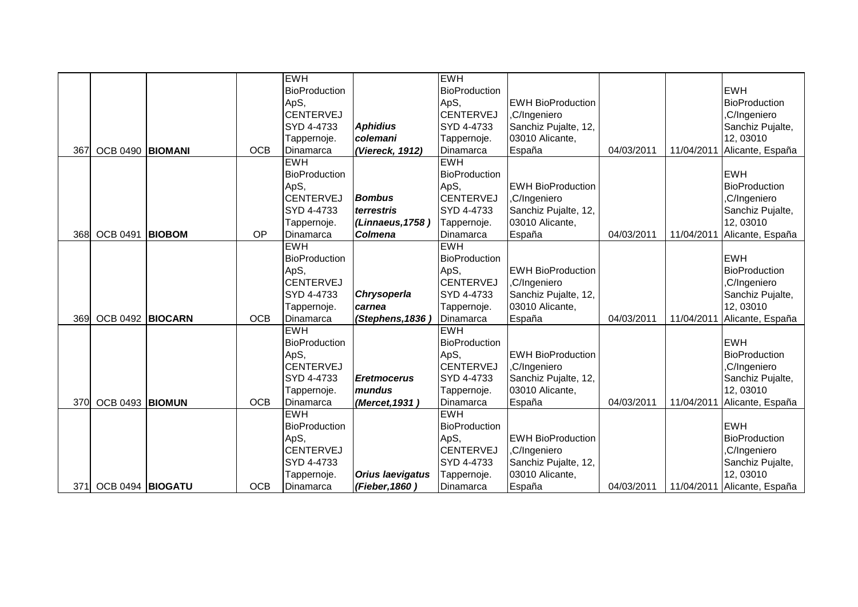|      |                  |               |            | <b>EWH</b>           |                         | <b>EWH</b>           |                           |            |            |                      |
|------|------------------|---------------|------------|----------------------|-------------------------|----------------------|---------------------------|------------|------------|----------------------|
|      |                  |               |            | <b>BioProduction</b> |                         | <b>BioProduction</b> |                           |            |            | <b>EWH</b>           |
|      |                  |               |            | ApS,                 |                         | ApS,                 | <b>IEWH BioProduction</b> |            |            | <b>BioProduction</b> |
|      |                  |               |            | <b>CENTERVEJ</b>     |                         | <b>CENTERVEJ</b>     | ,C/Ingeniero              |            |            | ,C/Ingeniero         |
|      |                  |               |            | SYD 4-4733           | <b>Aphidius</b>         | SYD 4-4733           | Sanchiz Pujalte, 12,      |            |            | Sanchiz Pujalte,     |
|      |                  |               |            | Tappernoje.          | colemani                | Tappernoje.          | 03010 Alicante,           |            |            | 12,03010             |
| 367  | OCB 0490 BIOMANI |               | <b>OCB</b> | Dinamarca            | (Viereck, 1912)         | Dinamarca            | España                    | 04/03/2011 | 11/04/2011 | Alicante, España     |
|      |                  |               |            | <b>EWH</b>           |                         | <b>EWH</b>           |                           |            |            |                      |
|      |                  |               |            | <b>BioProduction</b> |                         | <b>BioProduction</b> |                           |            |            | <b>EWH</b>           |
|      |                  |               |            | ApS,                 |                         | ApS,                 | <b>EWH BioProduction</b>  |            |            | <b>BioProduction</b> |
|      |                  |               |            | <b>CENTERVEJ</b>     | <b>Bombus</b>           | <b>CENTERVEJ</b>     | ,C/Ingeniero              |            |            | ,C/Ingeniero         |
|      |                  |               |            | SYD 4-4733           | terrestris              | SYD 4-4733           | Sanchiz Pujalte, 12,      |            |            | Sanchiz Pujalte,     |
|      |                  |               |            | Tappernoje.          | (Linnaeus, 1758)        | Tappernoje.          | 03010 Alicante,           |            |            | 12,03010             |
| 368l | <b>OCB 0491</b>  | <b>BIOBOM</b> | OP         | Dinamarca            | <b>Colmena</b>          | Dinamarca            | España                    | 04/03/2011 | 11/04/2011 | Alicante, España     |
|      |                  |               |            | <b>EWH</b>           |                         | <b>EWH</b>           |                           |            |            |                      |
|      |                  |               |            | <b>BioProduction</b> |                         | <b>BioProduction</b> |                           |            |            | <b>EWH</b>           |
|      |                  |               |            | ApS,                 |                         | ApS,                 | <b>EWH BioProduction</b>  |            |            | <b>BioProduction</b> |
|      |                  |               |            | <b>CENTERVEJ</b>     |                         | <b>CENTERVEJ</b>     | ,C/Ingeniero              |            |            | ,C/Ingeniero         |
|      |                  |               |            | SYD 4-4733           | Chrysoperla             | SYD 4-4733           | Sanchiz Pujalte, 12,      |            |            | Sanchiz Pujalte,     |
|      |                  |               |            | Tappernoje.          | carnea                  | Tappernoje.          | 03010 Alicante,           |            |            | 12,03010             |
| 369  | OCB 0492 BIOCARN |               | <b>OCB</b> | Dinamarca            | (Stephens, 1836         | Dinamarca            | España                    | 04/03/2011 | 11/04/2011 | Alicante, España     |
|      |                  |               |            | <b>EWH</b>           |                         | <b>EWH</b>           |                           |            |            |                      |
|      |                  |               |            | <b>BioProduction</b> |                         | BioProduction        |                           |            |            | <b>EWH</b>           |
|      |                  |               |            | ApS,                 |                         | ApS,                 | <b>EWH BioProduction</b>  |            |            | <b>BioProduction</b> |
|      |                  |               |            | <b>CENTERVEJ</b>     |                         | <b>CENTERVEJ</b>     | ,C/Ingeniero              |            |            | ,C/Ingeniero         |
|      |                  |               |            | SYD 4-4733           | <b>Eretmocerus</b>      | SYD 4-4733           | Sanchiz Pujalte, 12,      |            |            | Sanchiz Pujalte,     |
|      |                  |               |            | Tappernoje.          | mundus                  | Tappernoje.          | 03010 Alicante,           |            |            | 12,03010             |
| 370  | OCB 0493 BIOMUN  |               | <b>OCB</b> | Dinamarca            | (Mercet, 1931)          | Dinamarca            | España                    | 04/03/2011 | 11/04/2011 | Alicante, España     |
|      |                  |               |            | <b>EWH</b>           |                         | <b>EWH</b>           |                           |            |            |                      |
|      |                  |               |            | <b>BioProduction</b> |                         | BioProduction        |                           |            |            | <b>EWH</b>           |
|      |                  |               |            | ApS,                 |                         | ApS,                 | <b>EWH BioProduction</b>  |            |            | <b>BioProduction</b> |
|      |                  |               |            | CENTERVEJ            |                         | <b>CENTERVEJ</b>     | ,C/Ingeniero              |            |            | ,C/Ingeniero         |
|      |                  |               |            | SYD 4-4733           |                         | SYD 4-4733           | Sanchiz Pujalte, 12,      |            |            | Sanchiz Pujalte,     |
|      |                  |               |            | Tappernoje.          | <b>Orius laevigatus</b> | Tappernoje.          | 03010 Alicante,           |            |            | 12,03010             |
| 371  | OCB 0494 BIOGATU |               | <b>OCB</b> | Dinamarca            | (Fieber, 1860)          | Dinamarca            | España                    | 04/03/2011 | 11/04/2011 | Alicante, España     |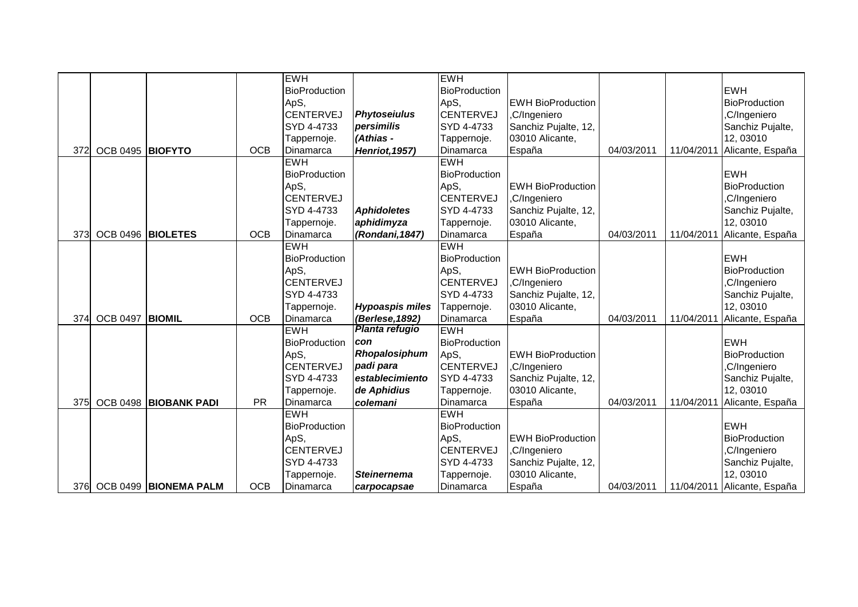|     |                   |                       |            | <b>EWH</b>           |                        | <b>EWH</b>           |                          |            |            |                      |
|-----|-------------------|-----------------------|------------|----------------------|------------------------|----------------------|--------------------------|------------|------------|----------------------|
|     |                   |                       |            | BioProduction        |                        | BioProduction        |                          |            |            | <b>EWH</b>           |
|     |                   |                       |            | ApS,                 |                        | ApS,                 | <b>EWH BioProduction</b> |            |            | <b>BioProduction</b> |
|     |                   |                       |            | <b>CENTERVEJ</b>     | <b>Phytoseiulus</b>    | <b>CENTERVEJ</b>     | ,C/Ingeniero             |            |            | ,C/Ingeniero         |
|     |                   |                       |            | SYD 4-4733           | persimilis             | SYD 4-4733           | Sanchiz Pujalte, 12,     |            |            | Sanchiz Pujalte,     |
|     |                   |                       |            | Tappernoje.          | (Athias -              | Tappernoje.          | 03010 Alicante,          |            |            | 12,03010             |
| 372 | OCB 0495 BIOFYTO  |                       | <b>OCB</b> | Dinamarca            | <b>Henriot, 1957)</b>  | Dinamarca            | España                   | 04/03/2011 | 11/04/2011 | Alicante, España     |
|     |                   |                       |            | <b>EWH</b>           |                        | <b>EWH</b>           |                          |            |            |                      |
|     |                   |                       |            | <b>BioProduction</b> |                        | <b>BioProduction</b> |                          |            |            | <b>EWH</b>           |
|     |                   |                       |            | ApS,                 |                        | ApS,                 | <b>EWH BioProduction</b> |            |            | <b>BioProduction</b> |
|     |                   |                       |            | <b>CENTERVEJ</b>     |                        | <b>CENTERVEJ</b>     | ,C/Ingeniero             |            |            | ,C/Ingeniero         |
|     |                   |                       |            | SYD 4-4733           | <b>Aphidoletes</b>     | SYD 4-4733           | Sanchiz Pujalte, 12,     |            |            | Sanchiz Pujalte,     |
|     |                   |                       |            | Tappernoje.          | aphidimyza             | Tappernoje.          | 03010 Alicante,          |            |            | 12,03010             |
| 373 | OCB 0496 BIOLETES |                       | <b>OCB</b> | Dinamarca            | (Rondani, 1847)        | Dinamarca            | España                   | 04/03/2011 | 11/04/2011 | Alicante, España     |
|     |                   |                       |            | <b>EWH</b>           |                        | <b>EWH</b>           |                          |            |            |                      |
|     |                   |                       |            | BioProduction        |                        | BioProduction        |                          |            |            | <b>EWH</b>           |
|     |                   |                       |            | ApS,                 |                        | ApS,                 | <b>EWH BioProduction</b> |            |            | <b>BioProduction</b> |
|     |                   |                       |            | <b>CENTERVEJ</b>     |                        | <b>CENTERVEJ</b>     | ,C/Ingeniero             |            |            | ,C/Ingeniero         |
|     |                   |                       |            | SYD 4-4733           |                        | SYD 4-4733           | Sanchiz Pujalte, 12,     |            |            | Sanchiz Pujalte,     |
|     |                   |                       |            | Tappernoje.          | <b>Hypoaspis miles</b> | Tappernoje.          | 03010 Alicante,          |            |            | 12,03010             |
| 374 | <b>OCB 0497</b>   | <b>BIOMIL</b>         | <b>OCB</b> | Dinamarca            | (Berlese, 1892)        | Dinamarca            | España                   | 04/03/2011 | 11/04/2011 | Alicante, España     |
|     |                   |                       |            | <b>EWH</b>           | Planta refugio         | <b>EWH</b>           |                          |            |            |                      |
|     |                   |                       |            | BioProduction        | con                    | BioProduction        |                          |            |            | <b>EWH</b>           |
|     |                   |                       |            | ApS,                 | Rhopalosiphum          | ApS,                 | <b>EWH BioProduction</b> |            |            | <b>BioProduction</b> |
|     |                   |                       |            | <b>CENTERVEJ</b>     | padi para              | <b>CENTERVEJ</b>     | ,C/Ingeniero             |            |            | ,C/Ingeniero         |
|     |                   |                       |            | SYD 4-4733           | establecimiento        | SYD 4-4733           | Sanchiz Pujalte, 12,     |            |            | Sanchiz Pujalte,     |
|     |                   |                       |            | Tappernoje.          | de Aphidius            | Tappernoje.          | 03010 Alicante,          |            |            | 12,03010             |
| 375 |                   | OCB 0498 BIOBANK PADI | <b>PR</b>  | Dinamarca            | colemani               | Dinamarca            | España                   | 04/03/2011 | 11/04/2011 | Alicante, España     |
|     |                   |                       |            | <b>EWH</b>           |                        | <b>EWH</b>           |                          |            |            |                      |
|     |                   |                       |            | <b>BioProduction</b> |                        | BioProduction        |                          |            |            | <b>EWH</b>           |
|     |                   |                       |            | ApS,                 |                        | ApS,                 | <b>EWH BioProduction</b> |            |            | <b>BioProduction</b> |
|     |                   |                       |            | <b>CENTERVEJ</b>     |                        | <b>CENTERVEJ</b>     | ,C/Ingeniero             |            |            | ,C/Ingeniero         |
|     |                   |                       |            | SYD 4-4733           |                        | SYD 4-4733           | Sanchiz Pujalte, 12,     |            |            | Sanchiz Pujalte,     |
|     |                   |                       |            | Tappernoje.          | <b>Steinernema</b>     | Tappernoje.          | 03010 Alicante,          |            |            | 12,03010             |
| 376 |                   | OCB 0499 BIONEMA PALM | <b>OCB</b> | Dinamarca            | carpocapsae            | Dinamarca            | España                   | 04/03/2011 | 11/04/2011 | Alicante, España     |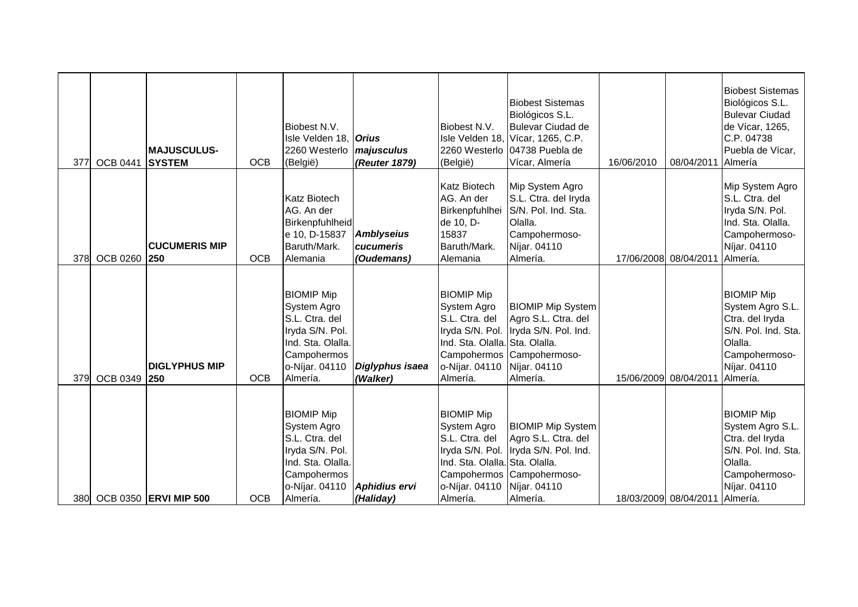| 377 | <b>OCB 0441</b> | <b>MAJUSCULUS-</b><br><b>SYSTEM</b> | <b>OCB</b> | Biobest N.V.<br>Isle Velden 18, <i>Orius</i><br>2260 Westerlo<br>(België)                                                               | majusculus<br>(Reuter 1879)                  | Biobest N.V.<br>(België)                                                                                                              | <b>Biobest Sistemas</b><br>Biológicos S.L.<br><b>Bulevar Ciudad de</b><br>Isle Velden 18, Vícar, 1265, C.P.<br>2260 Westerlo 04738 Puebla de<br>Vícar, Almería | 16/06/2010 | 08/04/2011                     | <b>Biobest Sistemas</b><br>Biológicos S.L.<br><b>Bulevar Ciudad</b><br>de Vícar, 1265,<br>C.P. 04738<br>Puebla de Vícar,<br>Almería     |
|-----|-----------------|-------------------------------------|------------|-----------------------------------------------------------------------------------------------------------------------------------------|----------------------------------------------|---------------------------------------------------------------------------------------------------------------------------------------|----------------------------------------------------------------------------------------------------------------------------------------------------------------|------------|--------------------------------|-----------------------------------------------------------------------------------------------------------------------------------------|
| 378 | OCB 0260 250    | <b>CUCUMERIS MIP</b>                | <b>OCB</b> | <b>Katz Biotech</b><br>AG. An der<br>Birkenpfuhlheid<br>e 10, D-15837<br>Baruth/Mark.<br>Alemania                                       | <b>Amblyseius</b><br>cucumeris<br>(Oudemans) | <b>Katz Biotech</b><br>AG. An der<br>Birkenpfuhlhei<br>de 10, D-<br>15837<br>Baruth/Mark.<br>Alemania                                 | Mip System Agro<br>S.L. Ctra. del Iryda<br>S/N. Pol. Ind. Sta.<br>Olalla.<br>Campohermoso-<br>Níjar. 04110<br>Almería.                                         |            | 17/06/2008 08/04/2011          | Mip System Agro<br>S.L. Ctra. del<br>Iryda S/N. Pol.<br>Ind. Sta. Olalla.<br>Campohermoso-<br>Níjar. 04110<br>Almería.                  |
| 379 | OCB 0349 250    | <b>DIGLYPHUS MIP</b>                | <b>OCB</b> | <b>BIOMIP Mip</b><br>System Agro<br>S.L. Ctra. del<br>Iryda S/N. Pol.<br>Ind. Sta. Olalla.<br>Campohermos<br>o-Níjar. 04110<br>Almería. | Diglyphus isaea<br>(Walker)                  | <b>BIOMIP Mip</b><br>System Agro<br>S.L. Ctra. del<br>Ind. Sta. Olalla. Sta. Olalla.<br>o-Níjar. 04110<br>Almería.                    | <b>BIOMIP Mip System</b><br>Agro S.L. Ctra. del<br>Iryda S/N. Pol. Iryda S/N. Pol. Ind.<br>Campohermos Campohermoso-<br>Níjar. 04110<br>Almería.               |            | 15/06/2009 08/04/2011          | <b>BIOMIP Mip</b><br>System Agro S.L.<br>Ctra. del Iryda<br>S/N. Pol. Ind. Sta.<br>Olalla.<br>Campohermoso-<br>Níjar. 04110<br>Almería. |
|     |                 | 380 OCB 0350 ERVI MIP 500           | <b>OCB</b> | <b>BIOMIP Mip</b><br>System Agro<br>S.L. Ctra. del<br>Iryda S/N. Pol.<br>Ind. Sta. Olalla.<br>Campohermos<br>o-Níjar. 04110<br>Almería. | Aphidius ervi<br>(Haliday)                   | <b>BIOMIP Mip</b><br>System Agro<br>S.L. Ctra. del<br>Iryda S/N. Pol.<br>Ind. Sta. Olalla. Sta. Olalla.<br>o-Níjar. 04110<br>Almería. | <b>BIOMIP Mip System</b><br>Agro S.L. Ctra. del<br>Iryda S/N. Pol. Ind.<br>Campohermos Campohermoso-<br>Níjar. 04110<br>Almería.                               |            | 18/03/2009 08/04/2011 Almería. | <b>BIOMIP Mip</b><br>System Agro S.L.<br>Ctra. del Iryda<br>S/N. Pol. Ind. Sta.<br>Olalla.<br>Campohermoso-<br>Níjar. 04110             |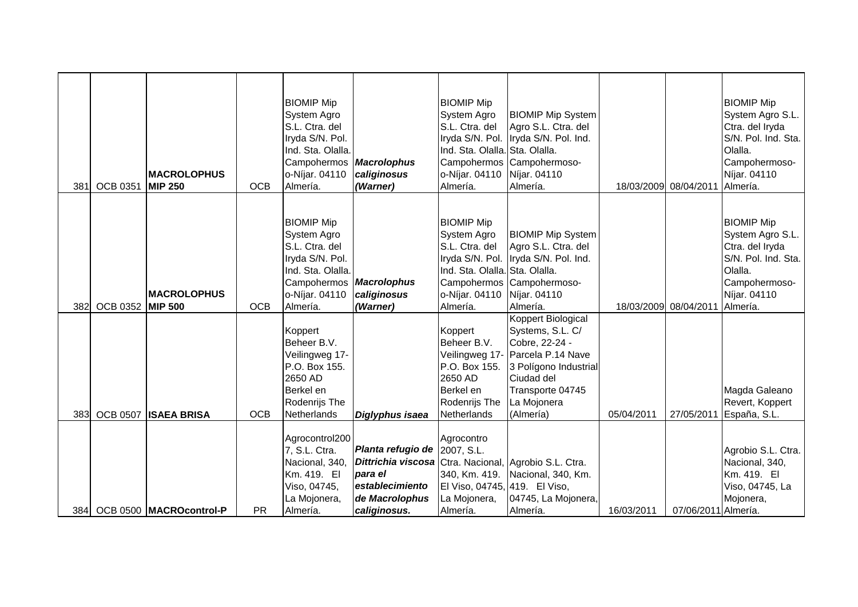| 381 | <b>OCB 0351</b>  | <b>IMACROLOPHUS</b><br><b>MIP 250</b> | <b>OCB</b> | <b>BIOMIP Mip</b><br>System Agro<br>S.L. Ctra. del<br>Iryda S/N. Pol.<br>Ind. Sta. Olalla.<br>Campohermos<br>o-Níjar. 04110<br>Almería. | <b>Macrolophus</b><br>caliginosus<br>(Warner)                                                                                                         | <b>BIOMIP Mip</b><br>System Agro<br>S.L. Ctra. del<br>Ind. Sta. Olalla. Sta. Olalla.<br>o-Níjar. 04110<br>Almería.              | <b>BIOMIP Mip System</b><br>Agro S.L. Ctra. del<br>Iryda S/N. Pol. Iryda S/N. Pol. Ind.<br>Campohermos Campohermoso-<br>Níjar. 04110<br>Almería.                                    |            | 18/03/2009 08/04/2011 Almería. | <b>BIOMIP Mip</b><br>System Agro S.L.<br>Ctra. del Iryda<br>S/N. Pol. Ind. Sta.<br>Olalla.<br>Campohermoso-<br>Níjar. 04110             |
|-----|------------------|---------------------------------------|------------|-----------------------------------------------------------------------------------------------------------------------------------------|-------------------------------------------------------------------------------------------------------------------------------------------------------|---------------------------------------------------------------------------------------------------------------------------------|-------------------------------------------------------------------------------------------------------------------------------------------------------------------------------------|------------|--------------------------------|-----------------------------------------------------------------------------------------------------------------------------------------|
| 382 | OCB 0352 MIP 500 | <b>IMACROLOPHUS</b>                   | <b>OCB</b> | <b>BIOMIP Mip</b><br>System Agro<br>S.L. Ctra. del<br>Iryda S/N. Pol.<br>Ind. Sta. Olalla.<br>Campohermos<br>o-Níjar. 04110<br>Almería. | <b>Macrolophus</b><br>caliginosus<br>(Warner)                                                                                                         | <b>BIOMIP Mip</b><br>System Agro<br>S.L. Ctra. del<br>Ind. Sta. Olalla. Sta. Olalla.<br>o-Níjar. 04110 Níjar. 04110<br>Almería. | <b>BIOMIP Mip System</b><br>Agro S.L. Ctra. del<br>Iryda S/N. Pol. Iryda S/N. Pol. Ind.<br>Campohermos Campohermoso-<br>Almería.                                                    |            | 18/03/2009 08/04/2011          | <b>BIOMIP Mip</b><br>System Agro S.L.<br>Ctra. del Iryda<br>S/N. Pol. Ind. Sta.<br>Olalla.<br>Campohermoso-<br>Níjar. 04110<br>Almería. |
| 383 | <b>OCB 0507</b>  | <b>ISAEA BRISA</b>                    | <b>OCB</b> | Koppert<br>Beheer B.V.<br>Veilingweg 17-<br>P.O. Box 155.<br>2650 AD<br>Berkel en<br>Rodenrijs The<br>Netherlands                       | Diglyphus isaea                                                                                                                                       | Koppert<br>Beheer B.V.<br>P.O. Box 155.<br>2650 AD<br>Berkel en<br>Rodenrijs The<br>Netherlands                                 | Koppert Biological<br>Systems, S.L. C/<br>Cobre, 22-24 -<br>Veilingweg 17- Parcela P.14 Nave<br>3 Polígono Industrial<br>Ciudad del<br>Transporte 04745<br>La Mojonera<br>(Almería) | 05/04/2011 |                                | Magda Galeano<br>Revert, Koppert<br>27/05/2011 España, S.L.                                                                             |
| 384 |                  | OCB 0500 MACROcontrol-P               | <b>PR</b>  | Agrocontrol200<br>7, S.L. Ctra.<br>Nacional, 340,<br>Km. 419. El<br>Viso, 04745,<br>La Mojonera,<br>Almería.                            | Planta refugio de 2007, S.L.<br>Dittrichia viscosa Ctra. Nacional, Agrobio S.L. Ctra.<br>para el<br>establecimiento<br>de Macrolophus<br>caliginosus. | Agrocontro<br>340, Km. 419.<br>El Viso, 04745, 419. El Viso,<br>La Mojonera,<br>Almería.                                        | Nacional, 340, Km.<br>04745, La Mojonera,<br>Almería.                                                                                                                               | 16/03/2011 | 07/06/2011 Almería.            | Agrobio S.L. Ctra.<br>Nacional, 340,<br>Km. 419. El<br>Viso, 04745, La<br>Mojonera,                                                     |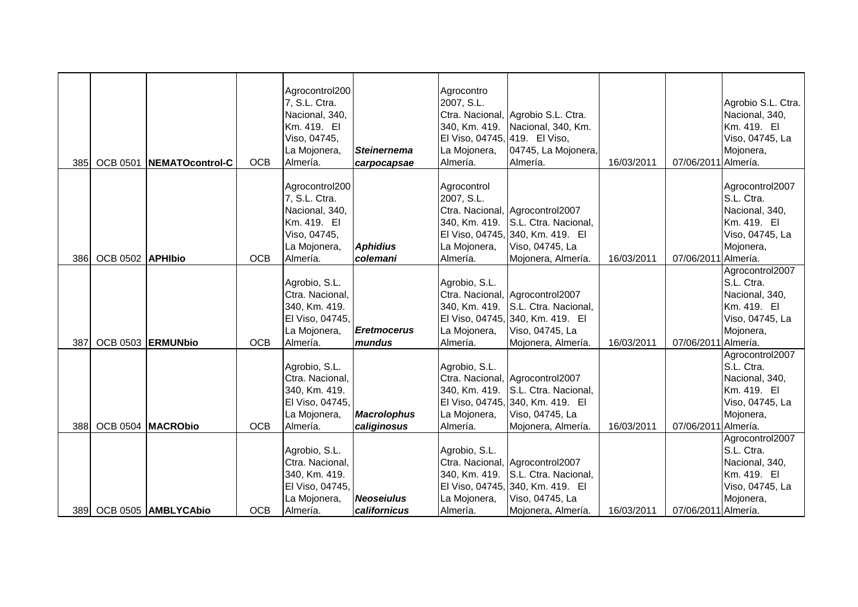| 385 | <b>OCB 0501</b>  | NEMATOcontrol-C                              | <b>OCB</b>               | Agrocontrol200<br>7, S.L. Ctra.<br>Nacional, 340,<br>Km. 419. El<br>Viso, 04745,<br>La Mojonera,<br>Almería. | <b>Steinernema</b><br>carpocapsae                | Agrocontro<br>2007, S.L.<br>340, Km. 419.<br>El Viso, 04745, 419. El Viso,<br>La Mojonera,<br>Almería. | Ctra. Nacional, Agrobio S.L. Ctra.<br>Nacional, 340, Km.<br>04745, La Mojonera,<br>Almería.                                                                | 16/03/2011               | 07/06/2011 Almería.                        | Agrobio S.L. Ctra.<br>Nacional, 340,<br>Km. 419. El<br>Viso, 04745, La<br>Mojonera,            |
|-----|------------------|----------------------------------------------|--------------------------|--------------------------------------------------------------------------------------------------------------|--------------------------------------------------|--------------------------------------------------------------------------------------------------------|------------------------------------------------------------------------------------------------------------------------------------------------------------|--------------------------|--------------------------------------------|------------------------------------------------------------------------------------------------|
|     |                  |                                              |                          | Agrocontrol200<br>7, S.L. Ctra.<br>Nacional, 340,<br>Km. 419. El<br>Viso, 04745,<br>La Mojonera,             | <b>Aphidius</b>                                  | Agrocontrol<br>2007, S.L.<br>340, Km. 419.<br>La Mojonera,                                             | Ctra. Nacional, Agrocontrol2007<br>S.L. Ctra. Nacional,<br>El Viso, 04745, 340, Km. 419. El<br>Viso, 04745, La                                             |                          |                                            | Agrocontrol2007<br>S.L. Ctra.<br>Nacional, 340,<br>Km. 419. El<br>Viso, 04745, La<br>Mojonera, |
| 386 | OCB 0502 APHIbio |                                              | <b>OCB</b>               | Almería.                                                                                                     | colemani                                         | Almería.                                                                                               | Mojonera, Almería.                                                                                                                                         | 16/03/2011               | 07/06/2011 Almería.                        |                                                                                                |
|     |                  |                                              |                          | Agrobio, S.L.<br>Ctra. Nacional,<br>340, Km. 419.<br>El Viso, 04745,<br>La Mojonera,                         | <b>Eretmocerus</b>                               | Agrobio, S.L.<br>340, Km. 419.<br>La Mojonera,                                                         | Ctra. Nacional, Agrocontrol2007<br>S.L. Ctra. Nacional,<br>El Viso, 04745, 340, Km. 419. El<br>Viso, 04745, La                                             |                          |                                            | Agrocontrol2007<br>S.L. Ctra.<br>Nacional, 340,<br>Km. 419. El<br>Viso, 04745, La<br>Mojonera, |
| 387 |                  | OCB 0503 ERMUNbio                            | <b>OCB</b>               | Almería.<br>Agrobio, S.L.<br>Ctra. Nacional,<br>340, Km. 419.<br>El Viso, 04745,<br>La Mojonera,             | mundus<br><b>Macrolophus</b>                     | Almería.<br>Agrobio, S.L.<br>340, Km. 419.<br>La Mojonera,                                             | Mojonera, Almería.<br>Ctra. Nacional, Agrocontrol2007<br>S.L. Ctra. Nacional,<br>El Viso, 04745, 340, Km. 419. El<br>Viso, 04745, La                       | 16/03/2011               | 07/06/2011 Almería.                        | Agrocontrol2007<br>S.L. Ctra.<br>Nacional, 340,<br>Km. 419. El<br>Viso, 04745, La<br>Mojonera, |
| 388 |                  | OCB 0504 MACRObio<br>389 OCB 0505 AMBLYCAbio | <b>OCB</b><br><b>OCB</b> | Almería.<br>Agrobio, S.L.<br>Ctra. Nacional,<br>340, Km. 419.<br>El Viso, 04745,<br>La Mojonera,<br>Almería. | caliginosus<br><b>Neoseiulus</b><br>californicus | Almería.<br>Agrobio, S.L.<br>340, Km. 419.<br>La Mojonera,<br>Almería.                                 | Mojonera, Almería.<br>Ctra. Nacional, Agrocontrol2007<br>S.L. Ctra. Nacional,<br>El Viso, 04745, 340, Km. 419. El<br>Viso, 04745, La<br>Mojonera, Almería. | 16/03/2011<br>16/03/2011 | 07/06/2011 Almería.<br>07/06/2011 Almería. | Agrocontrol2007<br>S.L. Ctra.<br>Nacional, 340,<br>Km. 419. El<br>Viso, 04745, La<br>Mojonera, |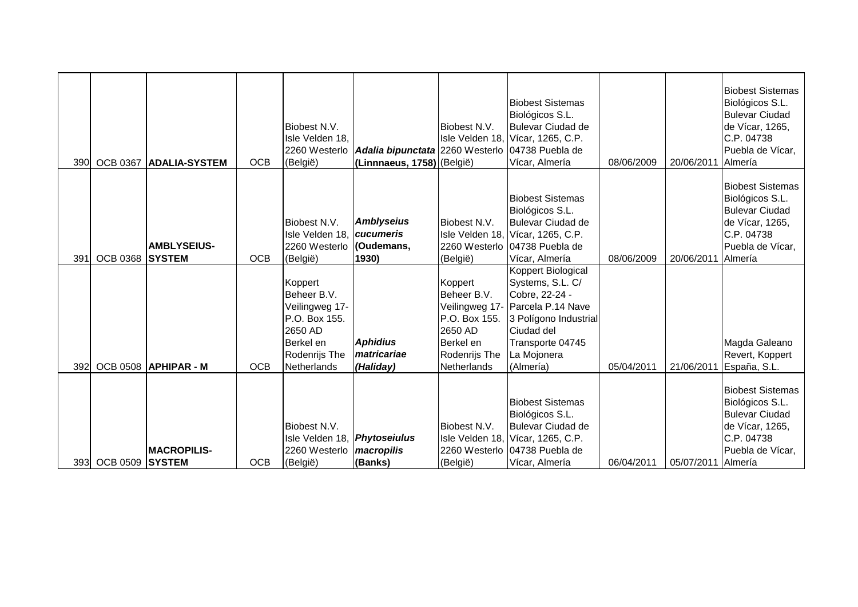| 390 | <b>OCB 0367</b> | <b>IADALIA-SYSTEM</b> | <b>OCB</b> | Biobest N.V.<br>Isle Velden 18,<br>(België)                                                                       | 2260 Westerlo <b>Adalia bipunctata</b> 2260 Westerlo 04738 Puebla de<br>(Linnnaeus, 1758) (België) | Biobest N.V.                                                                                    | <b>Biobest Sistemas</b><br>Biológicos S.L.<br><b>Bulevar Ciudad de</b><br>Isle Velden 18, Vícar, 1265, C.P.<br>Vícar, Almería                                                       | 08/06/2009 | 20/06/2011 | <b>Biobest Sistemas</b><br>Biológicos S.L.<br><b>Bulevar Ciudad</b><br>de Vícar, 1265,<br>C.P. 04738<br>Puebla de Vícar,<br>Almería |
|-----|-----------------|-----------------------|------------|-------------------------------------------------------------------------------------------------------------------|----------------------------------------------------------------------------------------------------|-------------------------------------------------------------------------------------------------|-------------------------------------------------------------------------------------------------------------------------------------------------------------------------------------|------------|------------|-------------------------------------------------------------------------------------------------------------------------------------|
| 391 | OCB 0368 SYSTEM | <b>AMBLYSEIUS-</b>    | <b>OCB</b> | Biobest N.V.<br>Isle Velden 18, cucumeris<br>2260 Westerlo<br>(België)                                            | <b>Amblyseius</b><br>(Oudemans,<br>1930)                                                           | Biobest N.V.<br>(België)                                                                        | <b>Biobest Sistemas</b><br>Biológicos S.L.<br><b>Bulevar Ciudad de</b><br>Isle Velden 18, Vícar, 1265, C.P.<br>2260 Westerlo 04738 Puebla de<br>Vícar, Almería                      | 08/06/2009 | 20/06/2011 | <b>Biobest Sistemas</b><br>Biológicos S.L.<br><b>Bulevar Ciudad</b><br>de Vícar, 1265,<br>C.P. 04738<br>Puebla de Vícar,<br>Almería |
| 392 |                 | OCB 0508 APHIPAR - M  | <b>OCB</b> | Koppert<br>Beheer B.V.<br>Veilingweg 17-<br>P.O. Box 155.<br>2650 AD<br>Berkel en<br>Rodenrijs The<br>Netherlands | <b>Aphidius</b><br>matricariae<br>(Haliday)                                                        | Koppert<br>Beheer B.V.<br>P.O. Box 155.<br>2650 AD<br>Berkel en<br>Rodenrijs The<br>Netherlands | Koppert Biological<br>Systems, S.L. C/<br>Cobre, 22-24 -<br>Veilingweg 17- Parcela P.14 Nave<br>3 Polígono Industrial<br>Ciudad del<br>Transporte 04745<br>La Mojonera<br>(Almería) | 05/04/2011 | 21/06/2011 | Magda Galeano<br>Revert, Koppert<br>España, S.L.                                                                                    |
| 393 | OCB 0509 SYSTEM | <b>MACROPILIS-</b>    | <b>OCB</b> | Biobest N.V.<br>Isle Velden 18, Phytoseiulus<br>2260 Westerlo<br>(België)                                         | macropilis<br>(Banks)                                                                              | Biobest N.V.<br>(België)                                                                        | <b>Biobest Sistemas</b><br>Biológicos S.L.<br><b>Bulevar Ciudad de</b><br>Isle Velden 18, Vícar, 1265, C.P.<br>2260 Westerlo 04738 Puebla de<br>Vícar, Almería                      | 06/04/2011 | 05/07/2011 | <b>Biobest Sistemas</b><br>Biológicos S.L.<br><b>Bulevar Ciudad</b><br>de Vícar, 1265,<br>C.P. 04738<br>Puebla de Vícar,<br>Almería |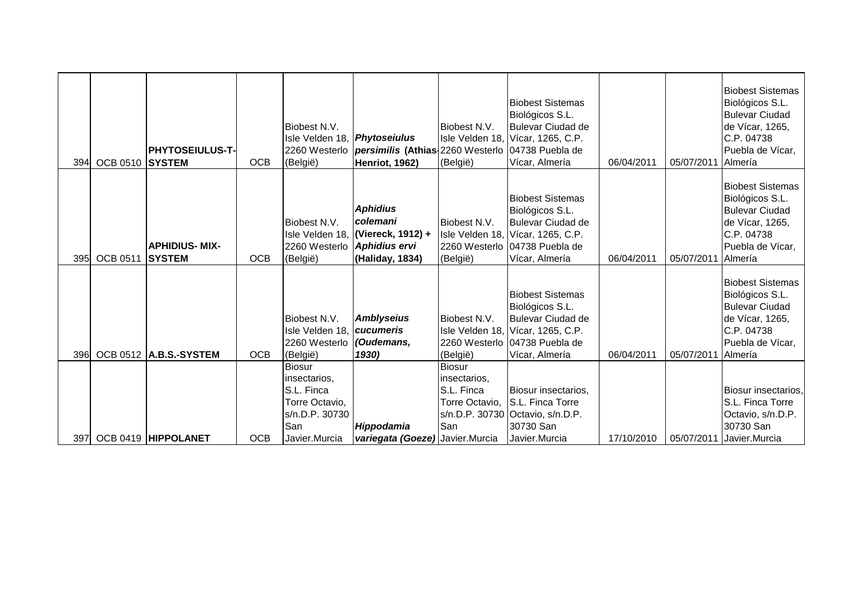| 394  | OCB 0510 SYSTEM | <b>PHYTOSEIULUS-T-</b>                 | <b>OCB</b> | Biobest N.V.<br>Isle Velden 18, Phytoseiulus<br>(België)                                                | 2260 Westerlo <i>persimilis</i> (Athias 2260 Westerlo 04738 Puebla de<br>Henriot, 1962) | Biobest N.V.<br>(België)                                                    | <b>Biobest Sistemas</b><br>Biológicos S.L.<br>Bulevar Ciudad de<br>Isle Velden 18, Vícar, 1265, C.P.<br>Vícar, Almería                                         | 06/04/2011 | 05/07/2011 | <b>Biobest Sistemas</b><br>Biológicos S.L.<br><b>Bulevar Ciudad</b><br>de Vícar, 1265,<br>C.P. 04738<br>Puebla de Vícar,<br>Almería |
|------|-----------------|----------------------------------------|------------|---------------------------------------------------------------------------------------------------------|-----------------------------------------------------------------------------------------|-----------------------------------------------------------------------------|----------------------------------------------------------------------------------------------------------------------------------------------------------------|------------|------------|-------------------------------------------------------------------------------------------------------------------------------------|
| 395I | <b>OCB 0511</b> | <b>APHIDIUS- MIX-</b><br><b>SYSTEM</b> | <b>OCB</b> | Biobest N.V.<br>2260 Westerlo Aphidius ervi<br>(België)                                                 | <b>Aphidius</b><br>colemani<br>Isle Velden 18, (Viereck, 1912) +<br>(Haliday, 1834)     | Biobest N.V.<br>(België)                                                    | <b>Biobest Sistemas</b><br>Biológicos S.L.<br><b>Bulevar Ciudad de</b><br>Isle Velden 18, Vícar, 1265, C.P.<br>2260 Westerlo 04738 Puebla de<br>Vícar, Almería | 06/04/2011 | 05/07/2011 | <b>Biobest Sistemas</b><br>Biológicos S.L.<br><b>Bulevar Ciudad</b><br>de Vícar, 1265,<br>C.P. 04738<br>Puebla de Vícar,<br>Almería |
| 396  |                 | <b>OCB 0512 A.B.S.-SYSTEM</b>          | <b>OCB</b> | Biobest N.V.<br>Isle Velden 18, cucumeris<br>2260 Westerlo (Oudemans,<br>(België)                       | <b>Amblyseius</b><br>1930)                                                              | Biobest N.V.<br>(België)                                                    | <b>Biobest Sistemas</b><br>Biológicos S.L.<br><b>Bulevar Ciudad de</b><br>Isle Velden 18, Vícar, 1265, C.P.<br>2260 Westerlo 04738 Puebla de<br>Vícar, Almería | 06/04/2011 | 05/07/2011 | <b>Biobest Sistemas</b><br>Biológicos S.L.<br><b>Bulevar Ciudad</b><br>de Vícar, 1265,<br>C.P. 04738<br>Puebla de Vícar,<br>Almería |
| 397  |                 | OCB 0419 HIPPOLANET                    | <b>OCB</b> | <b>Biosur</b><br>insectarios,<br>S.L. Finca<br>Torre Octavio,<br>s/n.D.P. 30730<br>San<br>Javier.Murcia | Hippodamia<br>variegata (Goeze) Javier.Murcia                                           | <b>Biosur</b><br>insectarios,<br><b>S.L. Finca</b><br>Torre Octavio,<br>San | Biosur insectarios,<br>S.L. Finca Torre<br>s/n.D.P. 30730 Octavio, s/n.D.P.<br>30730 San<br>Javier.Murcia                                                      | 17/10/2010 | 05/07/2011 | Biosur insectarios,<br>S.L. Finca Torre<br>Octavio, s/n.D.P.<br>30730 San<br>Javier.Murcia                                          |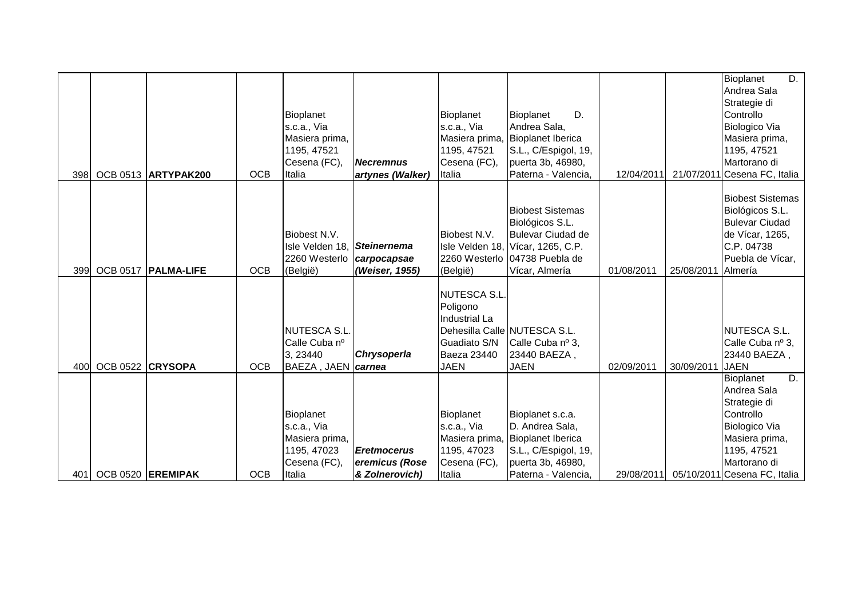|      |                  |                       |            |                                  |                    |                      |                                   |            |            | D.<br>Bioplanet              |
|------|------------------|-----------------------|------------|----------------------------------|--------------------|----------------------|-----------------------------------|------------|------------|------------------------------|
|      |                  |                       |            |                                  |                    |                      |                                   |            |            | Andrea Sala                  |
|      |                  |                       |            |                                  |                    |                      |                                   |            |            | Strategie di                 |
|      |                  |                       |            | Bioplanet                        |                    | Bioplanet            | D.<br>Bioplanet                   |            |            | Controllo                    |
|      |                  |                       |            | s.c.a., Via                      |                    | s.c.a., Via          | Andrea Sala,                      |            |            | Biologico Via                |
|      |                  |                       |            | Masiera prima,                   |                    | Masiera prima,       | <b>Bioplanet Iberica</b>          |            |            | Masiera prima,               |
|      |                  |                       |            | 1195, 47521                      |                    | 1195, 47521          | S.L., C/Espigol, 19,              |            |            | 1195, 47521                  |
|      |                  |                       |            | Cesena (FC),                     | <b>Necremnus</b>   | Cesena (FC),         | puerta 3b, 46980,                 |            |            | Martorano di                 |
| 398  |                  | OCB 0513 ARTYPAK200   | <b>OCB</b> | Italia                           | artynes (Walker)   | Italia               | Paterna - Valencia,               | 12/04/2011 |            | 21/07/2011 Cesena FC, Italia |
|      |                  |                       |            |                                  |                    |                      |                                   |            |            |                              |
|      |                  |                       |            |                                  |                    |                      |                                   |            |            | <b>Biobest Sistemas</b>      |
|      |                  |                       |            |                                  |                    |                      | <b>Biobest Sistemas</b>           |            |            | Biológicos S.L.              |
|      |                  |                       |            |                                  |                    |                      | Biológicos S.L.                   |            |            | <b>Bulevar Ciudad</b>        |
|      |                  |                       |            | Biobest N.V.                     |                    | Biobest N.V.         | Bulevar Ciudad de                 |            |            | de Vícar, 1265,              |
|      |                  |                       |            | Isle Velden 18, Steinernema      |                    |                      | Isle Velden 18, Vícar, 1265, C.P. |            |            | C.P. 04738                   |
|      |                  |                       |            | 2260 Westerlo <i>carpocapsae</i> |                    |                      | 2260 Westerlo 04738 Puebla de     |            |            | Puebla de Vícar,             |
| 399  |                  | OCB 0517   PALMA-LIFE | <b>OCB</b> | (België)                         | (Weiser, 1955)     | (België)             | Vícar, Almería                    | 01/08/2011 | 25/08/2011 | Almería                      |
|      |                  |                       |            |                                  |                    |                      |                                   |            |            |                              |
|      |                  |                       |            |                                  |                    | <b>NUTESCA S.L</b>   |                                   |            |            |                              |
|      |                  |                       |            |                                  |                    | Poligono             |                                   |            |            |                              |
|      |                  |                       |            |                                  |                    | <b>Industrial La</b> |                                   |            |            |                              |
|      |                  |                       |            | <b>NUTESCA S.L.</b>              |                    |                      | Dehesilla Calle NUTESCA S.L.      |            |            | NUTESCA S.L.                 |
|      |                  |                       |            | Calle Cuba nº                    |                    | Guadiato S/N         | Calle Cuba nº 3,                  |            |            | Calle Cuba nº 3,             |
|      |                  |                       |            | 3, 23440                         | <b>Chrysoperla</b> | Baeza 23440          | 23440 BAEZA,                      |            |            | 23440 BAEZA,                 |
| 400  | OCB 0522 CRYSOPA |                       | <b>OCB</b> | BAEZA, JAEN <i>carnea</i>        |                    | <b>JAEN</b>          | <b>JAEN</b>                       | 02/09/2011 | 30/09/2011 | <b>JAEN</b>                  |
|      |                  |                       |            |                                  |                    |                      |                                   |            |            | D.<br>Bioplanet              |
|      |                  |                       |            |                                  |                    |                      |                                   |            |            | Andrea Sala                  |
|      |                  |                       |            |                                  |                    |                      |                                   |            |            | Strategie di                 |
|      |                  |                       |            | Bioplanet                        |                    | Bioplanet            | Bioplanet s.c.a.                  |            |            | Controllo                    |
|      |                  |                       |            | s.c.a., Via                      |                    | s.c.a., Via          | D. Andrea Sala,                   |            |            | Biologico Via                |
|      |                  |                       |            | Masiera prima,                   |                    | Masiera prima,       | <b>Bioplanet Iberica</b>          |            |            | Masiera prima,               |
|      |                  |                       |            | 1195, 47023                      | <b>Eretmocerus</b> | 1195, 47023          | S.L., C/Espigol, 19,              |            |            | 1195, 47521                  |
|      |                  |                       |            | Cesena (FC),                     | eremicus (Rose     | Cesena (FC),         | puerta 3b, 46980,                 |            |            | Martorano di                 |
| 401I |                  | OCB 0520 EREMIPAK     | <b>OCB</b> | Italia                           | & Zolnerovich)     | Italia               | Paterna - Valencia,               | 29/08/2011 |            | 05/10/2011 Cesena FC, Italia |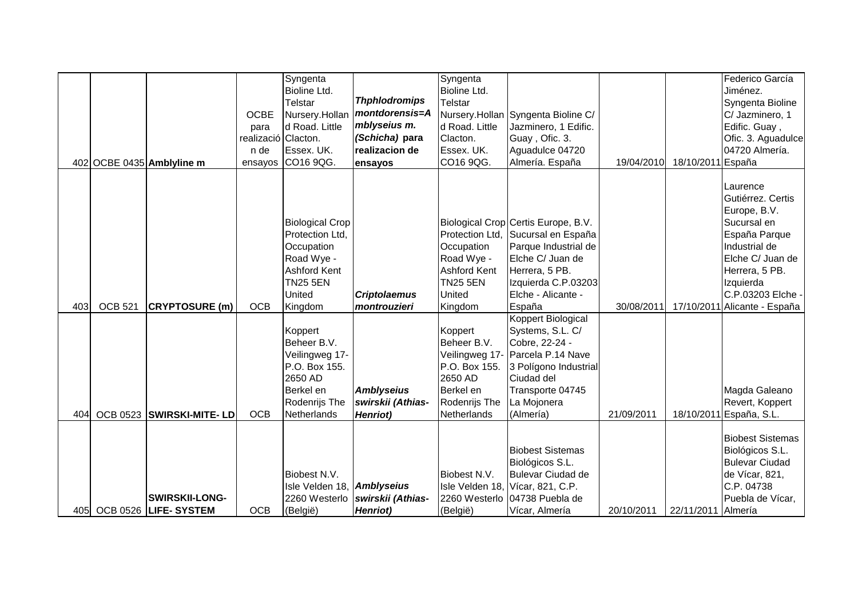|     |                |                           |                     | Syngenta                   |                      | Syngenta        |                                     |            |                   | Federico García              |
|-----|----------------|---------------------------|---------------------|----------------------------|----------------------|-----------------|-------------------------------------|------------|-------------------|------------------------------|
|     |                |                           |                     | Bioline Ltd.               |                      | Bioline Ltd.    |                                     |            |                   | Jiménez.                     |
|     |                |                           |                     | Telstar                    | <b>Thphlodromips</b> | Telstar         |                                     |            |                   | Syngenta Bioline             |
|     |                |                           | <b>OCBE</b>         | Nursery.Hollan             | montdorensis=A       |                 | Nursery.Hollan Syngenta Bioline C/  |            |                   | C/ Jazminero, 1              |
|     |                |                           | para                | d Road. Little             | mblyseius m.         | d Road. Little  | Jazminero, 1 Edific.                |            |                   | Edific. Guay,                |
|     |                |                           | realizació Clacton. |                            | (Schicha) para       | Clacton.        | Guay, Ofic. 3.                      |            |                   | Ofic. 3. Aguadulce           |
|     |                |                           | n de                | Essex. UK.                 | realizacion de       | Essex. UK.      | Aguadulce 04720                     |            |                   | 04720 Almería.               |
|     |                | 402 OCBE 0435 Amblyline m | ensayos             | CO16 9QG.                  | ensayos              | CO16 9QG.       | Almería. España                     | 19/04/2010 | 18/10/2011 España |                              |
|     |                |                           |                     |                            |                      |                 |                                     |            |                   |                              |
|     |                |                           |                     |                            |                      |                 |                                     |            |                   | Laurence                     |
|     |                |                           |                     |                            |                      |                 |                                     |            |                   | Gutiérrez. Certis            |
|     |                |                           |                     |                            |                      |                 |                                     |            |                   | Europe, B.V.                 |
|     |                |                           |                     | <b>Biological Crop</b>     |                      |                 | Biological Crop Certis Europe, B.V. |            |                   | Sucursal en                  |
|     |                |                           |                     | Protection Ltd,            |                      |                 | Protection Ltd, Sucursal en España  |            |                   | España Parque                |
|     |                |                           |                     | Occupation                 |                      | Occupation      | Parque Industrial de                |            |                   | Industrial de                |
|     |                |                           |                     | Road Wye -                 |                      | Road Wye -      | Elche C/ Juan de                    |            |                   | Elche C/ Juan de             |
|     |                |                           |                     | Ashford Kent               |                      | Ashford Kent    | Herrera, 5 PB.                      |            |                   | Herrera, 5 PB.               |
|     |                |                           |                     | <b>TN25 5EN</b>            |                      | <b>TN25 5EN</b> | Izquierda C.P.03203                 |            |                   | Izquierda                    |
|     |                |                           |                     | United                     | <b>Criptolaemus</b>  | United          | Elche - Alicante -                  |            |                   | C.P.03203 Elche -            |
| 403 | <b>OCB 521</b> | <b>CRYPTOSURE (m)</b>     | <b>OCB</b>          | Kingdom                    | montrouzieri         | Kingdom         | España                              | 30/08/2011 |                   | 17/10/2011 Alicante - España |
|     |                |                           |                     |                            |                      |                 | Koppert Biological                  |            |                   |                              |
|     |                |                           |                     | Koppert                    |                      | Koppert         | Systems, S.L. C/                    |            |                   |                              |
|     |                |                           |                     | Beheer B.V.                |                      | Beheer B.V.     | Cobre, 22-24 -                      |            |                   |                              |
|     |                |                           |                     | Veilingweg 17-             |                      |                 | Veilingweg 17- Parcela P.14 Nave    |            |                   |                              |
|     |                |                           |                     | P.O. Box 155.              |                      | P.O. Box 155.   | 3 Polígono Industrial               |            |                   |                              |
|     |                |                           |                     | 2650 AD                    |                      | 2650 AD         | Ciudad del                          |            |                   |                              |
|     |                |                           |                     | Berkel en                  | <b>Amblyseius</b>    | Berkel en       | Transporte 04745                    |            |                   | Magda Galeano                |
|     |                |                           |                     | Rodenrijs The              | swirskii (Athias-    | Rodenrijs The   | La Mojonera                         |            |                   | Revert, Koppert              |
| 404 |                | OCB 0523 SWIRSKI-MITE-LD  | <b>OCB</b>          | Netherlands                | Henriot)             | Netherlands     | (Almería)                           | 21/09/2011 |                   | 18/10/2011 España, S.L.      |
|     |                |                           |                     |                            |                      |                 |                                     |            |                   |                              |
|     |                |                           |                     |                            |                      |                 |                                     |            |                   | <b>Biobest Sistemas</b>      |
|     |                |                           |                     |                            |                      |                 | <b>Biobest Sistemas</b>             |            |                   | Biológicos S.L.              |
|     |                |                           |                     |                            |                      |                 | Biológicos S.L.                     |            |                   | <b>Bulevar Ciudad</b>        |
|     |                |                           |                     | Biobest N.V.               |                      | Biobest N.V.    | Bulevar Ciudad de                   |            |                   | de Vícar, 821,               |
|     |                |                           |                     | Isle Velden 18, Amblyseius |                      |                 | Isle Velden 18, Vícar, 821, C.P.    |            |                   | C.P. 04738                   |
|     |                | <b>SWIRSKII-LONG-</b>     |                     | 2260 Westerlo              | swirskii (Athias-    |                 | 2260 Westerlo 04738 Puebla de       |            |                   | Puebla de Vícar,             |
| 405 |                | OCB 0526 LIFE-SYSTEM      | <b>OCB</b>          | (België)                   | <b>Henriot</b> )     | (België)        | Vícar, Almería                      | 20/10/2011 | 22/11/2011        | Almería                      |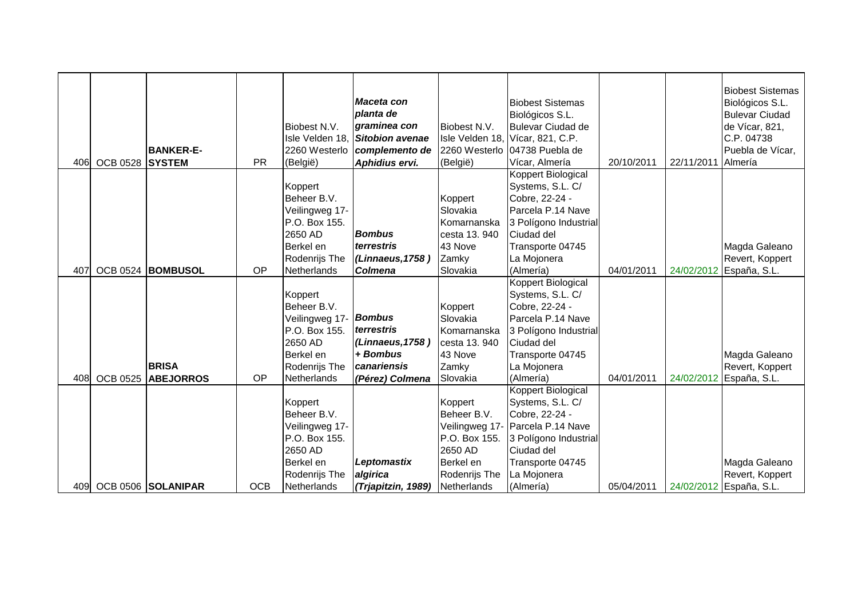| 406 | <b>OCB 0528</b> | <b>BANKER-E-</b><br><b>SYSTEM</b> | <b>PR</b>  | Biobest N.V.<br>Isle Velden 18,<br>2260 Westerlo<br>(België) | Maceta con<br>planta de<br>graminea con<br><b>Sitobion avenae</b><br>complemento de<br>Aphidius ervi. | Biobest N.V.<br>2260 Westerlo<br>(België) | <b>Biobest Sistemas</b><br>Biológicos S.L.<br><b>Bulevar Ciudad de</b><br>Isle Velden 18, Vícar, 821, C.P.<br>04738 Puebla de<br>Vícar, Almería | 20/10/2011 | 22/11/2011 | <b>Biobest Sistemas</b><br>Biológicos S.L.<br><b>Bulevar Ciudad</b><br>de Vícar, 821,<br>C.P. 04738<br>Puebla de Vícar,<br>Almería |
|-----|-----------------|-----------------------------------|------------|--------------------------------------------------------------|-------------------------------------------------------------------------------------------------------|-------------------------------------------|-------------------------------------------------------------------------------------------------------------------------------------------------|------------|------------|------------------------------------------------------------------------------------------------------------------------------------|
|     |                 |                                   |            |                                                              |                                                                                                       |                                           | Koppert Biological                                                                                                                              |            |            |                                                                                                                                    |
|     |                 |                                   |            | Koppert                                                      |                                                                                                       |                                           | Systems, S.L. C/                                                                                                                                |            |            |                                                                                                                                    |
|     |                 |                                   |            | Beheer B.V.                                                  |                                                                                                       | Koppert                                   | Cobre, 22-24 -                                                                                                                                  |            |            |                                                                                                                                    |
|     |                 |                                   |            | Veilingweg 17-                                               |                                                                                                       | Slovakia                                  | Parcela P.14 Nave                                                                                                                               |            |            |                                                                                                                                    |
|     |                 |                                   |            | P.O. Box 155.                                                |                                                                                                       | Komarnanska                               | 3 Polígono Industrial                                                                                                                           |            |            |                                                                                                                                    |
|     |                 |                                   |            | 2650 AD                                                      | <b>Bombus</b>                                                                                         | cesta 13.940                              | Ciudad del                                                                                                                                      |            |            |                                                                                                                                    |
|     |                 |                                   |            | Berkel en                                                    | terrestris                                                                                            | 43 Nove                                   | Transporte 04745                                                                                                                                |            |            | Magda Galeano                                                                                                                      |
|     |                 |                                   |            | Rodenrijs The                                                | (Linnaeus, 1758)                                                                                      | Zamky                                     | La Mojonera                                                                                                                                     |            |            | Revert, Koppert                                                                                                                    |
| 407 |                 | OCB 0524 BOMBUSOL                 | OP         | Netherlands                                                  | <b>Colmena</b>                                                                                        | Slovakia                                  | (Almería)                                                                                                                                       | 04/01/2011 | 24/02/2012 | España, S.L.                                                                                                                       |
|     |                 |                                   |            |                                                              |                                                                                                       |                                           | Koppert Biological                                                                                                                              |            |            |                                                                                                                                    |
|     |                 |                                   |            | Koppert                                                      |                                                                                                       |                                           | Systems, S.L. C/                                                                                                                                |            |            |                                                                                                                                    |
|     |                 |                                   |            | Beheer B.V.                                                  |                                                                                                       | Koppert                                   | Cobre, 22-24 -                                                                                                                                  |            |            |                                                                                                                                    |
|     |                 |                                   |            | Veilingweg 17-                                               | <b>Bombus</b><br>terrestris                                                                           | Slovakia                                  | Parcela P.14 Nave                                                                                                                               |            |            |                                                                                                                                    |
|     |                 |                                   |            | P.O. Box 155.                                                |                                                                                                       | Komarnanska                               | 3 Polígono Industrial                                                                                                                           |            |            |                                                                                                                                    |
|     |                 |                                   |            | 2650 AD                                                      | (Linnaeus, 1758)<br>+ Bombus                                                                          | cesta 13.940                              | Ciudad del                                                                                                                                      |            |            |                                                                                                                                    |
|     |                 | <b>BRISA</b>                      |            | Berkel en                                                    |                                                                                                       | 43 Nove                                   | Transporte 04745                                                                                                                                |            |            | Magda Galeano                                                                                                                      |
|     |                 |                                   |            | Rodenrijs The                                                | canariensis                                                                                           | Zamky                                     | La Mojonera                                                                                                                                     |            |            | Revert, Koppert                                                                                                                    |
| 408 | <b>OCB 0525</b> | <b>ABEJORROS</b>                  | OP         | Netherlands                                                  | (Pérez) Colmena                                                                                       | Slovakia                                  | (Almería)                                                                                                                                       | 04/01/2011 | 24/02/2012 | España, S.L.                                                                                                                       |
|     |                 |                                   |            |                                                              |                                                                                                       |                                           | Koppert Biological<br>Systems, S.L. C/                                                                                                          |            |            |                                                                                                                                    |
|     |                 |                                   |            | Koppert<br>Beheer B.V.                                       |                                                                                                       | Koppert<br>Beheer B.V.                    | Cobre, 22-24 -                                                                                                                                  |            |            |                                                                                                                                    |
|     |                 |                                   |            | Veilingweg 17-                                               |                                                                                                       |                                           | Veilingweg 17- Parcela P.14 Nave                                                                                                                |            |            |                                                                                                                                    |
|     |                 |                                   |            | P.O. Box 155.                                                |                                                                                                       | P.O. Box 155.                             | 3 Polígono Industrial                                                                                                                           |            |            |                                                                                                                                    |
|     |                 |                                   |            | 2650 AD                                                      |                                                                                                       | 2650 AD                                   | Ciudad del                                                                                                                                      |            |            |                                                                                                                                    |
|     |                 |                                   |            | Berkel en                                                    | Leptomastix                                                                                           | Berkel en                                 | Transporte 04745                                                                                                                                |            |            | Magda Galeano                                                                                                                      |
|     |                 |                                   |            | Rodenrijs The                                                | algirica                                                                                              | Rodenrijs The                             | La Mojonera                                                                                                                                     |            |            | Revert, Koppert                                                                                                                    |
| 409 |                 | OCB 0506 SOLANIPAR                | <b>OCB</b> | Netherlands                                                  |                                                                                                       | Netherlands                               | (Almería)                                                                                                                                       | 05/04/2011 |            | 24/02/2012 España, S.L.                                                                                                            |
|     |                 |                                   |            |                                                              | (Trjapitzin, 1989)                                                                                    |                                           |                                                                                                                                                 |            |            |                                                                                                                                    |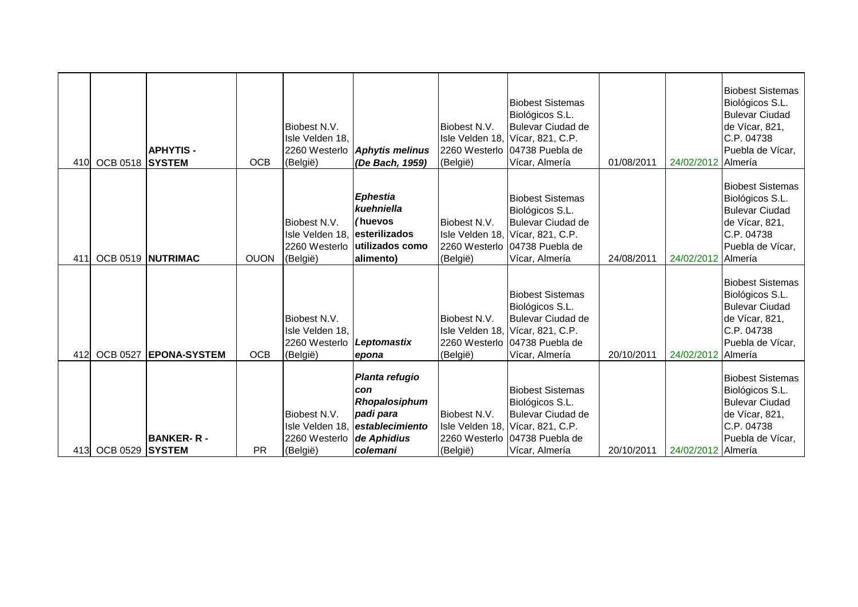| 410 | OCB 0518 SYSTEM | <b>APHYTIS-</b>                   | <b>OCB</b>  | Biobest N.V.<br>Isle Velden 18,<br>2260 Westerlo<br>(België) | <b>Aphytis melinus</b><br>(De Bach, 1959)                                                                        | Biobest N.V.<br>(België) | <b>Biobest Sistemas</b><br>Biológicos S.L.<br><b>Bulevar Ciudad de</b><br>Isle Velden 18, Vícar, 821, C.P.<br>2260 Westerlo 04738 Puebla de<br>Vícar, Almería | 01/08/2011 | 24/02/2012 Almería | <b>Biobest Sistemas</b><br>Biológicos S.L.<br><b>Bulevar Ciudad</b><br>de Vícar, 821,<br>C.P. 04738<br>Puebla de Vícar,            |
|-----|-----------------|-----------------------------------|-------------|--------------------------------------------------------------|------------------------------------------------------------------------------------------------------------------|--------------------------|---------------------------------------------------------------------------------------------------------------------------------------------------------------|------------|--------------------|------------------------------------------------------------------------------------------------------------------------------------|
| 411 |                 | OCB 0519 NUTRIMAC                 | <b>OUON</b> | Biobest N.V.<br>Isle Velden 18.<br>2260 Westerlo<br>(België) | <b>Ephestia</b><br>kuehniella<br>(huevos<br>lesterilizados<br>lutilizados como<br>alimento)                      | Biobest N.V.<br>(België) | <b>Biobest Sistemas</b><br>Biológicos S.L.<br><b>Bulevar Ciudad de</b><br>Isle Velden 18, Vícar, 821, C.P.<br>2260 Westerlo 04738 Puebla de<br>Vícar, Almería | 24/08/2011 | 24/02/2012         | <b>Biobest Sistemas</b><br>Biológicos S.L.<br><b>Bulevar Ciudad</b><br>de Vícar, 821,<br>C.P. 04738<br>Puebla de Vícar,<br>Almería |
| 412 | <b>OCB 0527</b> | <b>EPONA-SYSTEM</b>               | <b>OCB</b>  | Biobest N.V.<br>Isle Velden 18,<br>2260 Westerlo<br>(België) | Leptomastix<br>epona                                                                                             | Biobest N.V.<br>(België) | <b>Biobest Sistemas</b><br>Biológicos S.L.<br><b>Bulevar Ciudad de</b><br>Isle Velden 18, Vícar, 821, C.P.<br>2260 Westerlo 04738 Puebla de<br>Vícar, Almería | 20/10/2011 | 24/02/2012         | <b>Biobest Sistemas</b><br>Biológicos S.L.<br><b>Bulevar Ciudad</b><br>de Vícar, 821,<br>C.P. 04738<br>Puebla de Vícar,<br>Almería |
| 413 | <b>OCB 0529</b> | <b>BANKER-R-</b><br><b>SYSTEM</b> | <b>PR</b>   | Biobest N.V.<br>Isle Velden 18.<br>2260 Westerlo<br>(België) | Planta refugio<br>con<br>Rhopalosiphum<br>padi para<br><i><b>lestablecimiento</b></i><br>de Aphidius<br>colemani | Biobest N.V.<br>(België) | <b>Biobest Sistemas</b><br>Biológicos S.L.<br><b>Bulevar Ciudad de</b><br>Isle Velden 18, Vícar, 821, C.P.<br>2260 Westerlo 04738 Puebla de<br>Vícar, Almería | 20/10/2011 | 24/02/2012 Almería | <b>Biobest Sistemas</b><br>Biológicos S.L.<br><b>Bulevar Ciudad</b><br>de Vícar, 821,<br>C.P. 04738<br>Puebla de Vícar,            |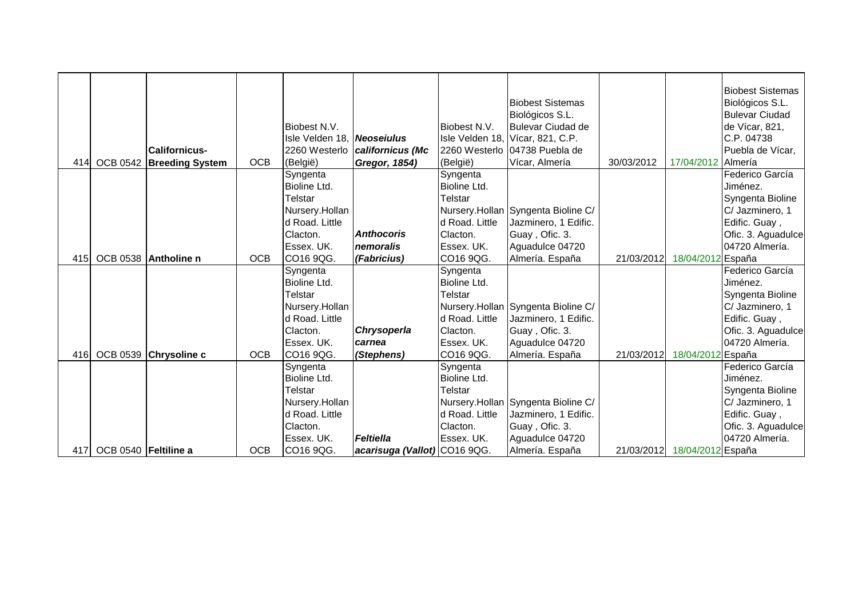|     |                      |                          |            | Biobest N.V.<br>Isle Velden 18, Neoseiulus |                              | Biobest N.V.            | <b>Biobest Sistemas</b><br>Biológicos S.L.<br>Bulevar Ciudad de<br>Isle Velden 18, Vícar, 821, C.P. |            |                   | <b>Biobest Sistemas</b><br>Biológicos S.L.<br><b>Bulevar Ciudad</b><br>de Vícar, 821,<br>C.P. 04738 |
|-----|----------------------|--------------------------|------------|--------------------------------------------|------------------------------|-------------------------|-----------------------------------------------------------------------------------------------------|------------|-------------------|-----------------------------------------------------------------------------------------------------|
|     |                      | <b>Californicus-</b>     |            | 2260 Westerlo                              | californicus (Mc             |                         | 2260 Westerlo (04738 Puebla de                                                                      |            |                   | Puebla de Vícar,                                                                                    |
| 414 |                      | OCB 0542 Breeding System | <b>OCB</b> | (België)                                   | Gregor, 1854)                | (België)                | Vícar, Almería                                                                                      | 30/03/2012 | 17/04/2012        | <b>Almería</b>                                                                                      |
|     |                      |                          |            | Syngenta                                   |                              | Syngenta                |                                                                                                     |            |                   | Federico García                                                                                     |
|     |                      |                          |            | Bioline Ltd.                               |                              | Bioline Ltd.            |                                                                                                     |            |                   | Jiménez.                                                                                            |
|     |                      |                          |            | Telstar                                    |                              | Telstar                 |                                                                                                     |            |                   | Syngenta Bioline                                                                                    |
|     |                      |                          |            | Nursery.Hollan                             |                              |                         | Nursery.Hollan Syngenta Bioline C/                                                                  |            |                   | C/ Jazminero, 1                                                                                     |
|     |                      |                          |            | d Road. Little                             |                              | d Road. Little          | Jazminero, 1 Edific.                                                                                |            |                   | Edific. Guay,                                                                                       |
|     |                      |                          |            | Clacton.                                   | <b>Anthocoris</b>            | Clacton.                | Guay, Ofic. 3.                                                                                      |            |                   | Ofic. 3. Aguadulce                                                                                  |
|     |                      |                          |            | Essex. UK.                                 | nemoralis                    | Essex. UK.              | Aguadulce 04720                                                                                     |            |                   | 04720 Almería.                                                                                      |
| 415 |                      | OCB 0538 Antholine n     | <b>OCB</b> | CO16 9QG.                                  | (Fabricius)                  | CO16 9QG.               | Almería. España                                                                                     | 21/03/2012 | 18/04/2012 España |                                                                                                     |
|     |                      |                          |            | Syngenta                                   |                              | Syngenta                |                                                                                                     |            |                   | Federico García                                                                                     |
|     |                      |                          |            | Bioline Ltd.                               |                              | <b>Bioline Ltd.</b>     |                                                                                                     |            |                   | Jiménez.                                                                                            |
|     |                      |                          |            | Telstar                                    |                              | Telstar                 |                                                                                                     |            |                   | Syngenta Bioline                                                                                    |
|     |                      |                          |            | Nursery.Hollan                             |                              |                         | Nursery.Hollan Syngenta Bioline C/                                                                  |            |                   | C/ Jazminero, 1                                                                                     |
|     |                      |                          |            | d Road. Little                             |                              | d Road. Little          | Jazminero, 1 Edific.                                                                                |            |                   | Edific. Guay,                                                                                       |
|     |                      |                          |            | Clacton.                                   | Chrysoperla                  | Clacton.                | Guay, Ofic. 3.                                                                                      |            |                   | Ofic. 3. Aguadulce                                                                                  |
|     |                      |                          |            | Essex. UK.                                 | carnea                       | lEssex. UK.             | Aguadulce 04720                                                                                     |            |                   | 04720 Almería.                                                                                      |
| 416 |                      | OCB 0539 Chrysoline c    | <b>OCB</b> | CO16 9QG.                                  | (Stephens)                   | CO16 9QG.               | Almería. España                                                                                     | 21/03/2012 | 18/04/2012 España |                                                                                                     |
|     |                      |                          |            | Syngenta                                   |                              | Syngenta                |                                                                                                     |            |                   | Federico García                                                                                     |
|     |                      |                          |            | Bioline Ltd.<br>Telstar                    |                              | Bioline Ltd.<br>Telstar |                                                                                                     |            |                   | Jiménez.                                                                                            |
|     |                      |                          |            | Nursery.Hollan                             |                              |                         | Nursery.Hollan Syngenta Bioline C/                                                                  |            |                   | Syngenta Bioline<br>C/ Jazminero, 1                                                                 |
|     |                      |                          |            | d Road. Little                             |                              | d Road. Little          | Jazminero, 1 Edific.                                                                                |            |                   | Edific. Guay,                                                                                       |
|     |                      |                          |            | Clacton.                                   |                              | Clacton.                | Guay, Ofic. 3.                                                                                      |            |                   | Ofic. 3. Aguadulce                                                                                  |
|     |                      |                          |            | Essex. UK.                                 | <b>Feltiella</b>             | Essex. UK.              | Aguadulce 04720                                                                                     |            |                   | 04720 Almería.                                                                                      |
| 417 | OCB 0540 Feltiline a |                          | <b>OCB</b> | CO16 9QG.                                  | acarisuga (Vallot) CO16 9QG. |                         | Almería. España                                                                                     | 21/03/2012 | 18/04/2012 España |                                                                                                     |
|     |                      |                          |            |                                            |                              |                         |                                                                                                     |            |                   |                                                                                                     |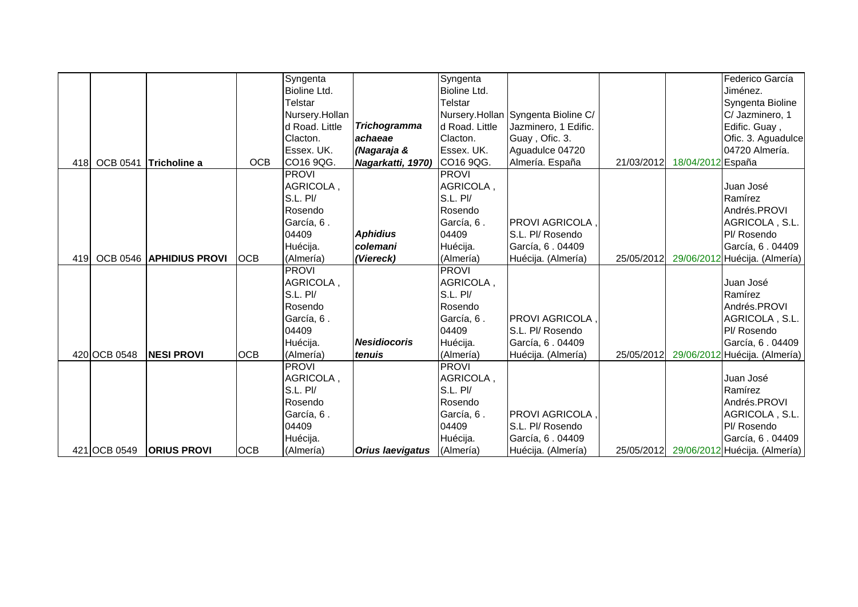|     |                 |                                |             | Syngenta       |                         | Syngenta       |                                    |            |                   | Federico García                          |
|-----|-----------------|--------------------------------|-------------|----------------|-------------------------|----------------|------------------------------------|------------|-------------------|------------------------------------------|
|     |                 |                                |             | Bioline Ltd.   |                         | Bioline Ltd.   |                                    |            |                   | Jiménez.                                 |
|     |                 |                                |             | Telstar        |                         | <b>Telstar</b> |                                    |            |                   | Syngenta Bioline                         |
|     |                 |                                |             | Nursery.Hollan |                         |                | Nursery.Hollan Syngenta Bioline C/ |            |                   | C/ Jazminero, 1                          |
|     |                 |                                |             | d Road. Little | <b>Trichogramma</b>     | d Road. Little | Jazminero, 1 Edific.               |            |                   | Edific. Guay,                            |
|     |                 |                                |             | Clacton.       | achaeae                 | Clacton.       | Guay, Ofic. 3.                     |            |                   | Ofic. 3. Aguadulce                       |
|     |                 |                                |             | Essex. UK.     | (Nagaraja &             | Essex. UK.     | Aguadulce 04720                    |            |                   | 04720 Almería.                           |
| 418 | <b>OCB 0541</b> | Tricholine a                   | <b>OCB</b>  | CO16 9QG.      | Nagarkatti, 1970)       | CO16 9QG.      | Almería. España                    | 21/03/2012 | 18/04/2012 España |                                          |
|     |                 |                                |             | <b>PROVI</b>   |                         | <b>PROVI</b>   |                                    |            |                   |                                          |
|     |                 |                                |             | AGRICOLA,      |                         | AGRICOLA,      |                                    |            |                   | Juan José                                |
|     |                 |                                |             | S.L. PI/       |                         | S.L. Pl/       |                                    |            |                   | Ramírez                                  |
|     |                 |                                |             | Rosendo        |                         | Rosendo        |                                    |            |                   | Andrés.PROVI                             |
|     |                 |                                |             | García, 6.     |                         | García, 6.     | PROVI AGRICOLA,                    |            |                   | AGRICOLA, S.L.                           |
|     |                 |                                |             | 04409          | <b>Aphidius</b>         | 04409          | S.L. Pl/ Rosendo                   |            |                   | Pl/ Rosendo                              |
|     |                 |                                |             | Huécija.       | colemani                | Huécija.       | García, 6 . 04409                  |            |                   | García, 6.04409                          |
| 419 |                 | <b>OCB 0546 APHIDIUS PROVI</b> | <b>IOCB</b> | (Almería)      | (Viereck)               | (Almería)      | Huécija. (Almería)                 | 25/05/2012 |                   | 29/06/2012 Huécija. (Almería)            |
|     |                 |                                |             | <b>PROVI</b>   |                         | <b>PROVI</b>   |                                    |            |                   |                                          |
|     |                 |                                |             | AGRICOLA,      |                         | AGRICOLA,      |                                    |            |                   | Juan José                                |
|     |                 |                                |             | S.L. Pl/       |                         | S.L. Pl/       |                                    |            |                   | Ramírez                                  |
|     |                 |                                |             | Rosendo        |                         | Rosendo        |                                    |            |                   | Andrés.PROVI                             |
|     |                 |                                |             | García, 6.     |                         | García, 6.     | PROVI AGRICOLA,                    |            |                   | AGRICOLA, S.L.                           |
|     |                 |                                |             | 04409          |                         | 04409          | S.L. Pl/ Rosendo                   |            |                   | Pl/ Rosendo                              |
|     |                 |                                |             | Huécija.       | <b>Nesidiocoris</b>     | Huécija.       | García, 6.04409                    |            |                   | García, 6.04409                          |
|     | 420 OCB 0548    | <b>NESI PROVI</b>              | <b>OCB</b>  | (Almería)      | tenuis                  | (Almería)      | Huécija. (Almería)                 | 25/05/2012 |                   | 29/06/2012 Huécija. (Almería)            |
|     |                 |                                |             | <b>PROVI</b>   |                         | <b>PROVI</b>   |                                    |            |                   |                                          |
|     |                 |                                |             | AGRICOLA,      |                         | AGRICOLA,      |                                    |            |                   | Juan José                                |
|     |                 |                                |             | S.L. PI/       |                         | S.L. Pl/       |                                    |            |                   | Ramírez                                  |
|     |                 |                                |             | Rosendo        |                         | Rosendo        |                                    |            |                   | Andrés.PROVI                             |
|     |                 |                                |             | García, 6.     |                         | García, 6.     | PROVI AGRICOLA,                    |            |                   | AGRICOLA, S.L.                           |
|     |                 |                                |             | 04409          |                         | 04409          | S.L. Pl/ Rosendo                   |            |                   | Pl/ Rosendo                              |
|     |                 |                                |             | Huécija.       |                         | Huécija.       | García, 6.04409                    |            |                   | García, 6.04409                          |
|     | 421 OCB 0549    | <b>ORIUS PROVI</b>             | <b>OCB</b>  | (Almería)      | <b>Orius laevigatus</b> | (Almería)      | Huécija. (Almería)                 |            |                   | 25/05/2012 29/06/2012 Huécija. (Almería) |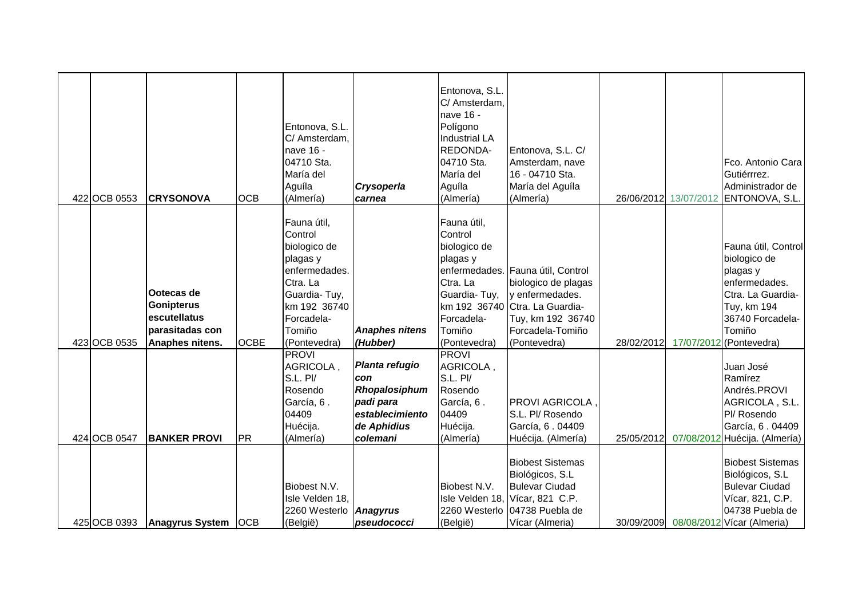| 422 OCB 0553 | <b>CRYSONOVA</b>                                                                      | <b>OCB</b>  | Entonova, S.L.<br>C/ Amsterdam,<br>nave 16 -<br>04710 Sta.<br>María del<br>Aguíla<br>(Almería)                                                          | Crysoperla<br>carnea                                                                              | Entonova, S.L.<br>C/ Amsterdam,<br>nave 16 -<br>Polígono<br><b>Industrial LA</b><br>REDONDA-<br>04710 Sta.<br>María del<br>Aguíla<br>(Almería) | Entonova, S.L. C/<br>Amsterdam, nave<br>16 - 04710 Sta.<br>María del Aguíla<br>(Almería)                                                                               |            | Fco. Antonio Cara<br>Gutiérrrez.<br>Administrador de<br>26/06/2012 13/07/2012 ENTONOVA, S.L.                                                                             |
|--------------|---------------------------------------------------------------------------------------|-------------|---------------------------------------------------------------------------------------------------------------------------------------------------------|---------------------------------------------------------------------------------------------------|------------------------------------------------------------------------------------------------------------------------------------------------|------------------------------------------------------------------------------------------------------------------------------------------------------------------------|------------|--------------------------------------------------------------------------------------------------------------------------------------------------------------------------|
| 423 OCB 0535 | Ootecas de<br><b>Gonipterus</b><br>escutellatus<br>parasitadas con<br>Anaphes nitens. | <b>OCBE</b> | Fauna útil,<br>Control<br>biologico de<br>plagas y<br>enfermedades.<br>Ctra. La<br>Guardia-Tuy,<br>km 192 36740<br>Forcadela-<br>Tomiño<br>(Pontevedra) | <b>Anaphes nitens</b><br>(Hubber)                                                                 | Fauna útil,<br>Control<br>biologico de<br>plagas y<br>Ctra. La<br>Guardia-Tuy,<br>Forcadela-<br>Tomiño<br>(Pontevedra)                         | enfermedades. Fauna útil, Control<br>biologico de plagas<br>y enfermedades.<br>km 192 36740 Ctra. La Guardia-<br>Tuy, km 192 36740<br>Forcadela-Tomiño<br>(Pontevedra) | 28/02/2012 | Fauna útil, Control<br>biologico de<br>plagas y<br>enfermedades.<br>Ctra. La Guardia-<br>Tuy, km 194<br>36740 Forcadela-<br>Tomiño<br>17/07/2012 (Pontevedra)            |
| 424 OCB 0547 | <b>BANKER PROVI</b>                                                                   | <b>PR</b>   | <b>PROVI</b><br>AGRICOLA,<br>S.L. Pl/<br>Rosendo<br>García, 6.<br>04409<br>Huécija.<br>(Almería)                                                        | Planta refugio<br>con<br>Rhopalosiphum<br>padi para<br>establecimiento<br>de Aphidius<br>colemani | <b>PROVI</b><br>AGRICOLA,<br>S.L. Pl/<br>Rosendo<br>García, 6.<br>04409<br>Huécija.<br>(Almería)                                               | <b>PROVI AGRICOLA</b> ,<br>S.L. Pl/ Rosendo<br>García, 6.04409<br>Huécija. (Almería)<br><b>Biobest Sistemas</b><br>Biológicos, S.L                                     | 25/05/2012 | Juan José<br>Ramírez<br>Andrés.PROVI<br>AGRICOLA, S.L.<br>Pl/ Rosendo<br>García, 6.04409<br>07/08/2012 Huécija. (Almería)<br><b>Biobest Sistemas</b><br>Biológicos, S.L. |
| 425 OCB 0393 | Anagyrus System   OCB                                                                 |             | Biobest N.V.<br>Isle Velden 18,<br>2260 Westerlo   Anagyrus<br>(België)                                                                                 | pseudococci                                                                                       | Biobest N.V.<br>(België)                                                                                                                       | <b>Bulevar Ciudad</b><br>Isle Velden 18, Vícar, 821 C.P.<br>2260 Westerlo 04738 Puebla de<br>Vícar (Almeria)                                                           | 30/09/2009 | <b>Bulevar Ciudad</b><br>Vícar, 821, C.P.<br>04738 Puebla de<br>08/08/2012 Vícar (Almeria)                                                                               |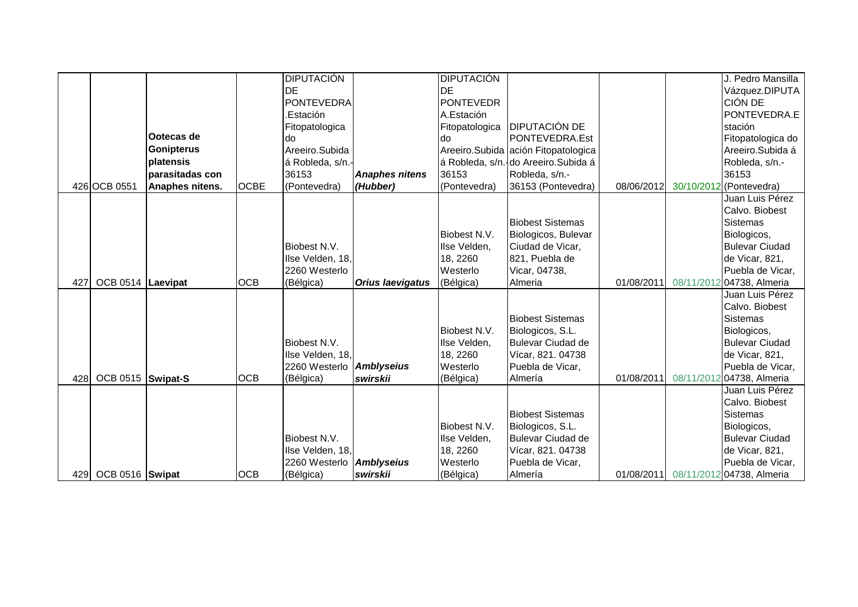|     |                   |                   |             | <b>DIPUTACIÓN</b> |                         | <b>DIPUTACIÓN</b> |                                      |            | J. Pedro Mansilla                            |
|-----|-------------------|-------------------|-------------|-------------------|-------------------------|-------------------|--------------------------------------|------------|----------------------------------------------|
|     |                   |                   |             | <b>IDE</b>        |                         | IDE               |                                      |            | Vázquez.DIPUTA                               |
|     |                   |                   |             | <b>PONTEVEDRA</b> |                         | PONTEVEDR         |                                      |            | CIÓN DE                                      |
|     |                   |                   |             | .Estación         |                         | A.Estación        |                                      |            | PONTEVEDRA.E                                 |
|     |                   |                   |             | Fitopatologica    |                         |                   | Fitopatologica DIPUTACIÓN DE         |            | stación                                      |
|     |                   | Ootecas de        |             | do                |                         | ldo               | PONTEVEDRA.Est                       |            | Fitopatologica do                            |
|     |                   | <b>Gonipterus</b> |             | Areeiro.Subida    |                         |                   | Areeiro. Subida ación Fitopatologica |            | Areeiro.Subida á                             |
|     |                   | platensis         |             | á Robleda, s/n.   |                         |                   | á Robleda, s/n. do Areeiro. Subida á |            | Robleda, s/n.-                               |
|     |                   | parasitadas con   |             | 36153             | <b>Anaphes nitens</b>   | 36153             | Robleda, s/n.-                       |            | 36153                                        |
|     | 426 OCB 0551      | Anaphes nitens.   | <b>OCBE</b> | (Pontevedra)      | (Hubber)                | (Pontevedra)      | 36153 (Pontevedra)                   | 08/06/2012 | 30/10/2012 (Pontevedra)                      |
|     |                   |                   |             |                   |                         |                   |                                      |            | Juan Luis Pérez                              |
|     |                   |                   |             |                   |                         |                   |                                      |            | Calvo. Biobest                               |
|     |                   |                   |             |                   |                         |                   | <b>Biobest Sistemas</b>              |            | <b>Sistemas</b>                              |
|     |                   |                   |             |                   |                         | Biobest N.V.      | Biologicos, Bulevar                  |            | Biologicos,                                  |
|     |                   |                   |             | Biobest N.V.      |                         | Ilse Velden,      | Ciudad de Vicar,                     |            | <b>Bulevar Ciudad</b>                        |
|     |                   |                   |             | Ilse Velden, 18,  |                         | 18, 2260          | 821, Puebla de                       |            | de Vicar, 821,                               |
|     |                   |                   |             | 2260 Westerlo     |                         | Westerlo          | Vicar, 04738,                        |            | Puebla de Vicar,                             |
| 427 | OCB 0514 Laevipat |                   | <b>OCB</b>  | (Bélgica)         | <b>Orius laevigatus</b> | (Bélgica)         | Almeria                              | 01/08/2011 | 08/11/2012 04738, Almeria                    |
|     |                   |                   |             |                   |                         |                   |                                      |            | Juan Luis Pérez                              |
|     |                   |                   |             |                   |                         |                   |                                      |            | Calvo. Biobest                               |
|     |                   |                   |             |                   |                         |                   | <b>Biobest Sistemas</b>              |            | <b>Sistemas</b>                              |
|     |                   |                   |             |                   |                         | Biobest N.V.      | Biologicos, S.L.                     |            | Biologicos,                                  |
|     |                   |                   |             | Biobest N.V.      |                         | Ilse Velden,      | <b>Bulevar Ciudad de</b>             |            | <b>Bulevar Ciudad</b>                        |
|     |                   |                   |             | Ilse Velden, 18,  |                         | 18, 2260          | Vícar, 821. 04738                    |            | de Vicar, 821,                               |
|     |                   |                   |             | 2260 Westerlo     | <b>Amblyseius</b>       | Westerlo          | Puebla de Vicar,                     |            | Puebla de Vicar,                             |
| 428 | OCB 0515 Swipat-S |                   | <b>OCB</b>  | (Bélgica)         | swirskii                | (Bélgica)         | Almería                              | 01/08/2011 | 08/11/2012 04738, Almeria<br>Juan Luis Pérez |
|     |                   |                   |             |                   |                         |                   |                                      |            | Calvo. Biobest                               |
|     |                   |                   |             |                   |                         |                   | <b>Biobest Sistemas</b>              |            | <b>Sistemas</b>                              |
|     |                   |                   |             |                   |                         | Biobest N.V.      | Biologicos, S.L.                     |            | Biologicos,                                  |
|     |                   |                   |             | Biobest N.V.      |                         | Ilse Velden,      | Bulevar Ciudad de                    |            | <b>Bulevar Ciudad</b>                        |
|     |                   |                   |             | Ilse Velden, 18,  |                         | 18, 2260          | Vícar, 821. 04738                    |            | de Vicar, 821,                               |
|     |                   |                   |             | 2260 Westerlo     | <b>Amblyseius</b>       | Westerlo          | Puebla de Vicar,                     |            | Puebla de Vicar,                             |
| 429 | OCB 0516 Swipat   |                   | <b>OCB</b>  | (Bélgica)         | swirskii                | (Bélgica)         | Almería                              | 01/08/2011 | 08/11/2012 04738, Almeria                    |